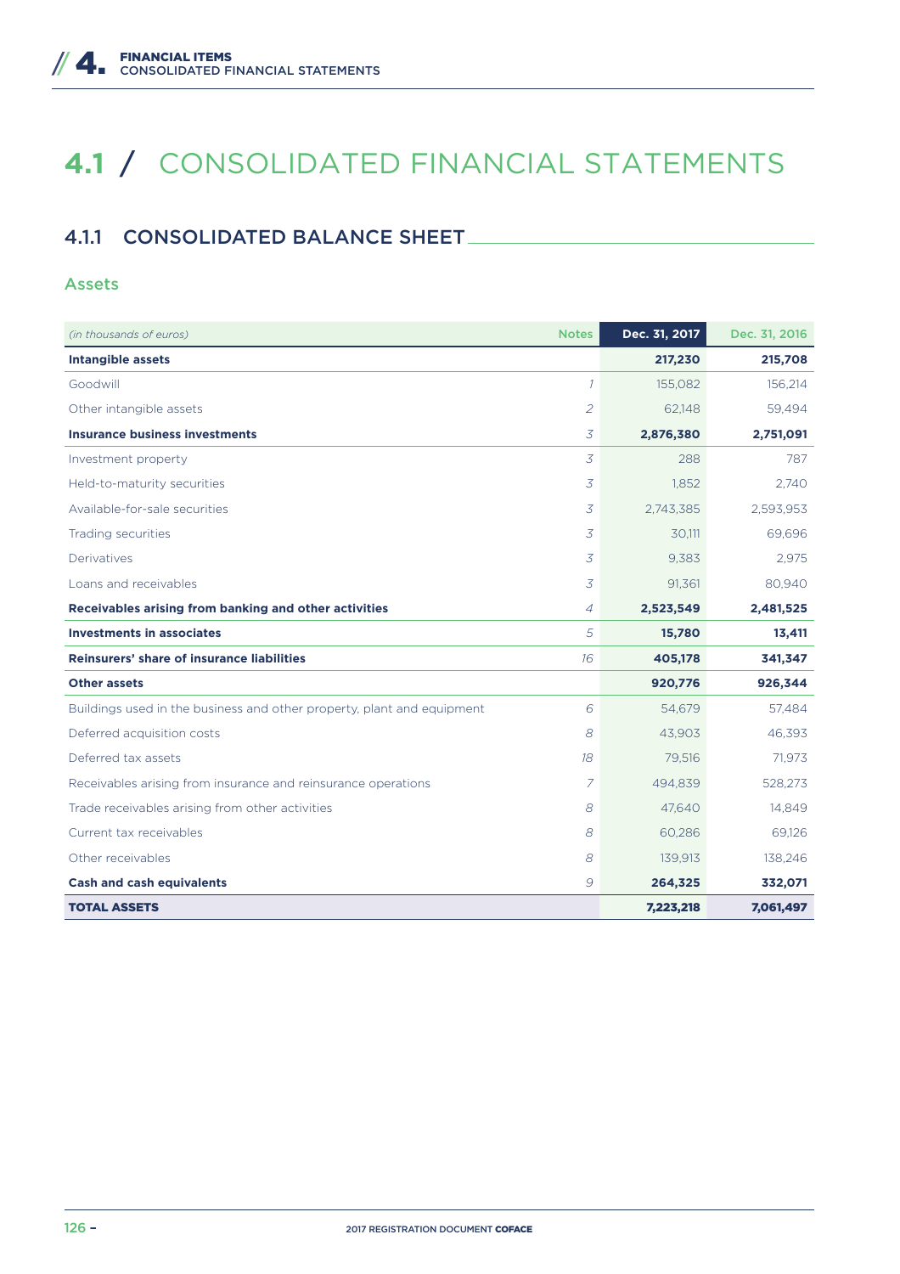# **4.1** / CONSOLIDATED FINANCIAL STATEMENTS

# 4.1.1 CONSOLIDATED BALANCE SHEET

#### Assets

| (in thousands of euros)                                                | <b>Notes</b>   | Dec. 31, 2017 | Dec. 31, 2016 |
|------------------------------------------------------------------------|----------------|---------------|---------------|
| <b>Intangible assets</b>                                               |                | 217,230       | 215,708       |
| Goodwill                                                               | $\overline{1}$ | 155,082       | 156,214       |
| Other intangible assets                                                | $\overline{2}$ | 62,148        | 59,494        |
| <b>Insurance business investments</b>                                  | 3              | 2,876,380     | 2,751,091     |
| Investment property                                                    | 3              | 288           | 787           |
| Held-to-maturity securities                                            | 3              | 1.852         | 2,740         |
| Available-for-sale securities                                          | 3              | 2,743,385     | 2,593,953     |
| Trading securities                                                     | 3              | 30.111        | 69,696        |
| Derivatives                                                            | 3              | 9,383         | 2,975         |
| Loans and receivables                                                  | 3              | 91.361        | 80,940        |
| Receivables arising from banking and other activities                  | 4              | 2,523,549     | 2,481,525     |
| <b>Investments in associates</b>                                       | 5              | 15,780        | 13,411        |
| Reinsurers' share of insurance liabilities                             | 16             | 405,178       | 341,347       |
| <b>Other assets</b>                                                    |                | 920,776       | 926,344       |
| Buildings used in the business and other property, plant and equipment | 6              | 54,679        | 57,484        |
| Deferred acquisition costs                                             | 8              | 43,903        | 46,393        |
| Deferred tax assets                                                    | 18             | 79,516        | 71,973        |
| Receivables arising from insurance and reinsurance operations          | $\overline{z}$ | 494.839       | 528,273       |
| Trade receivables arising from other activities                        | 8              | 47.640        | 14,849        |
| Current tax receivables                                                | 8              | 60,286        | 69,126        |
| Other receivables                                                      | 8              | 139,913       | 138,246       |
| <b>Cash and cash equivalents</b>                                       | 9              | 264,325       | 332,071       |
| <b>TOTAL ASSETS</b>                                                    |                | 7,223,218     | 7,061,497     |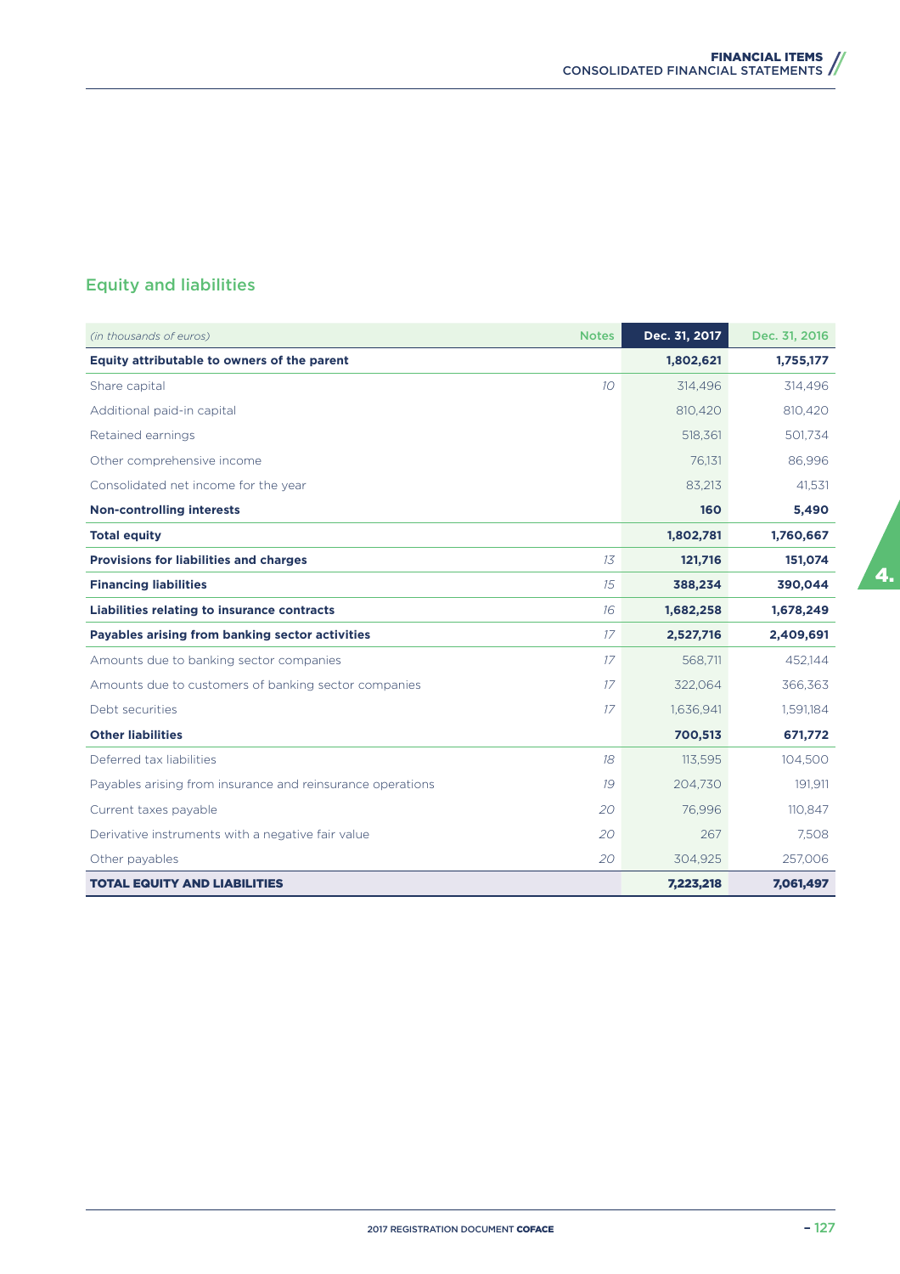# Equity and liabilities

| <b>Notes</b><br>(in thousands of euros)                          | Dec. 31, 2017 | Dec. 31, 2016 |
|------------------------------------------------------------------|---------------|---------------|
| Equity attributable to owners of the parent                      | 1,802,621     | 1,755,177     |
| 10 <sup>2</sup><br>Share capital                                 | 314,496       | 314,496       |
| Additional paid-in capital                                       | 810,420       | 810,420       |
| Retained earnings                                                | 518,361       | 501,734       |
| Other comprehensive income                                       | 76,131        | 86,996        |
| Consolidated net income for the year                             | 83,213        | 41,531        |
| <b>Non-controlling interests</b>                                 | 160           | 5,490         |
| <b>Total equity</b>                                              | 1,802,781     | 1,760,667     |
| <b>Provisions for liabilities and charges</b><br>13              | 121,716       | 151,074       |
| <b>Financing liabilities</b><br>15                               | 388,234       | 390,044       |
| <b>Liabilities relating to insurance contracts</b><br>16         | 1,682,258     | 1,678,249     |
| Payables arising from banking sector activities<br>17            | 2,527,716     | 2,409,691     |
| 17<br>Amounts due to banking sector companies                    | 568,711       | 452,144       |
| Amounts due to customers of banking sector companies<br>17       | 322,064       | 366,363       |
| Debt securities<br>17                                            | 1,636,941     | 1,591,184     |
| <b>Other liabilities</b>                                         | 700,513       | 671,772       |
| Deferred tax liabilities<br>18                                   | 113,595       | 104,500       |
| Payables arising from insurance and reinsurance operations<br>19 | 204,730       | 191,911       |
| Current taxes payable<br>20                                      | 76,996        | 110,847       |
| Derivative instruments with a negative fair value<br>20          | 267           | 7,508         |
| Other payables<br>20                                             | 304.925       | 257,006       |
| <b>TOTAL EQUITY AND LIABILITIES</b>                              | 7,223,218     | 7,061,497     |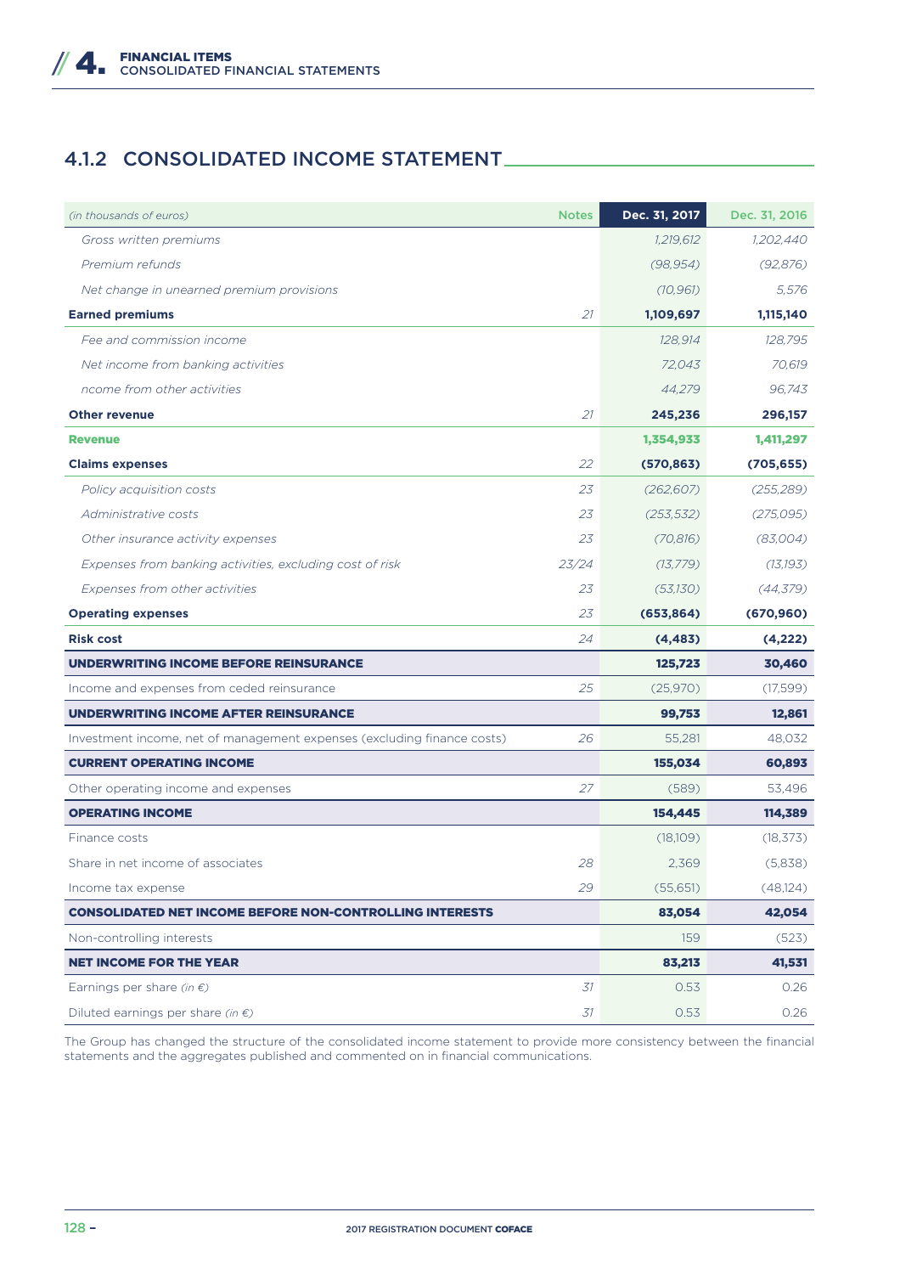# 4.1.2 CONSOLIDATED INCOME STATEMENT

| (in thousands of euros)                                                 | <b>Notes</b> | Dec. 31, 2017 | Dec. 31, 2016 |
|-------------------------------------------------------------------------|--------------|---------------|---------------|
| Gross written premiums                                                  |              | 1.219.612     | 1,202,440     |
| Premium refunds                                                         |              | (98, 954)     | (92, 876)     |
| Net change in unearned premium provisions                               |              | (10, 961)     | 5,576         |
| <b>Earned premiums</b>                                                  | 21           | 1,109,697     | 1,115,140     |
| Fee and commission income                                               |              | 128,914       | 128,795       |
| Net income from banking activities                                      |              | 72,043        | 70,619        |
| ncome from other activities                                             |              | 44,279        | 96,743        |
| <b>Other revenue</b>                                                    | 21           | 245,236       | 296,157       |
| <b>Revenue</b>                                                          |              | 1,354,933     | 1,411,297     |
| <b>Claims expenses</b>                                                  | 22           | (570, 863)    | (705, 655)    |
| Policy acquisition costs                                                | 23           | (262, 607)    | (255, 289)    |
| Administrative costs                                                    | 23           | (253, 532)    | (275,095)     |
| Other insurance activity expenses                                       | 23           | (70, 816)     | (83,004)      |
| Expenses from banking activities, excluding cost of risk                | 23/24        | (13, 779)     | (13, 193)     |
| Expenses from other activities                                          | 23           | (53,130)      | (44, 379)     |
| <b>Operating expenses</b>                                               | 23           | (653, 864)    | (670, 960)    |
| <b>Risk cost</b>                                                        | 24           | (4, 483)      | (4, 222)      |
| <b>UNDERWRITING INCOME BEFORE REINSURANCE</b>                           |              | 125,723       | 30,460        |
| Income and expenses from ceded reinsurance                              | 25           | (25,970)      | (17,599)      |
| UNDERWRITING INCOME AFTER REINSURANCE                                   |              | 99,753        | 12,861        |
| Investment income, net of management expenses (excluding finance costs) | 26           | 55,281        | 48,032        |
| <b>CURRENT OPERATING INCOME</b>                                         |              | 155,034       | 60,893        |
| Other operating income and expenses                                     | 27           | (589)         | 53,496        |
| <b>OPERATING INCOME</b>                                                 |              | 154,445       | 114,389       |
| Finance costs                                                           |              | (18,109)      | (18, 373)     |
| Share in net income of associates                                       | 28           | 2,369         | (5,838)       |
| Income tax expense                                                      | 29           | (55,651)      | (48, 124)     |
| <b>CONSOLIDATED NET INCOME BEFORE NON-CONTROLLING INTERESTS</b>         |              | 83,054        | 42,054        |
| Non-controlling interests                                               |              | 159           | (523)         |
| <b>NET INCOME FOR THE YEAR</b>                                          |              | 83,213        | 41,531        |
| Earnings per share (in $\epsilon$ )                                     | 31           | 0.53          | 0.26          |
| Diluted earnings per share (in $\epsilon$ )                             | $31$         | 0.53          | 0.26          |

The Group has changed the structure of the consolidated income statement to provide more consistency between the financial statements and the aggregates published and commented on in financial communications.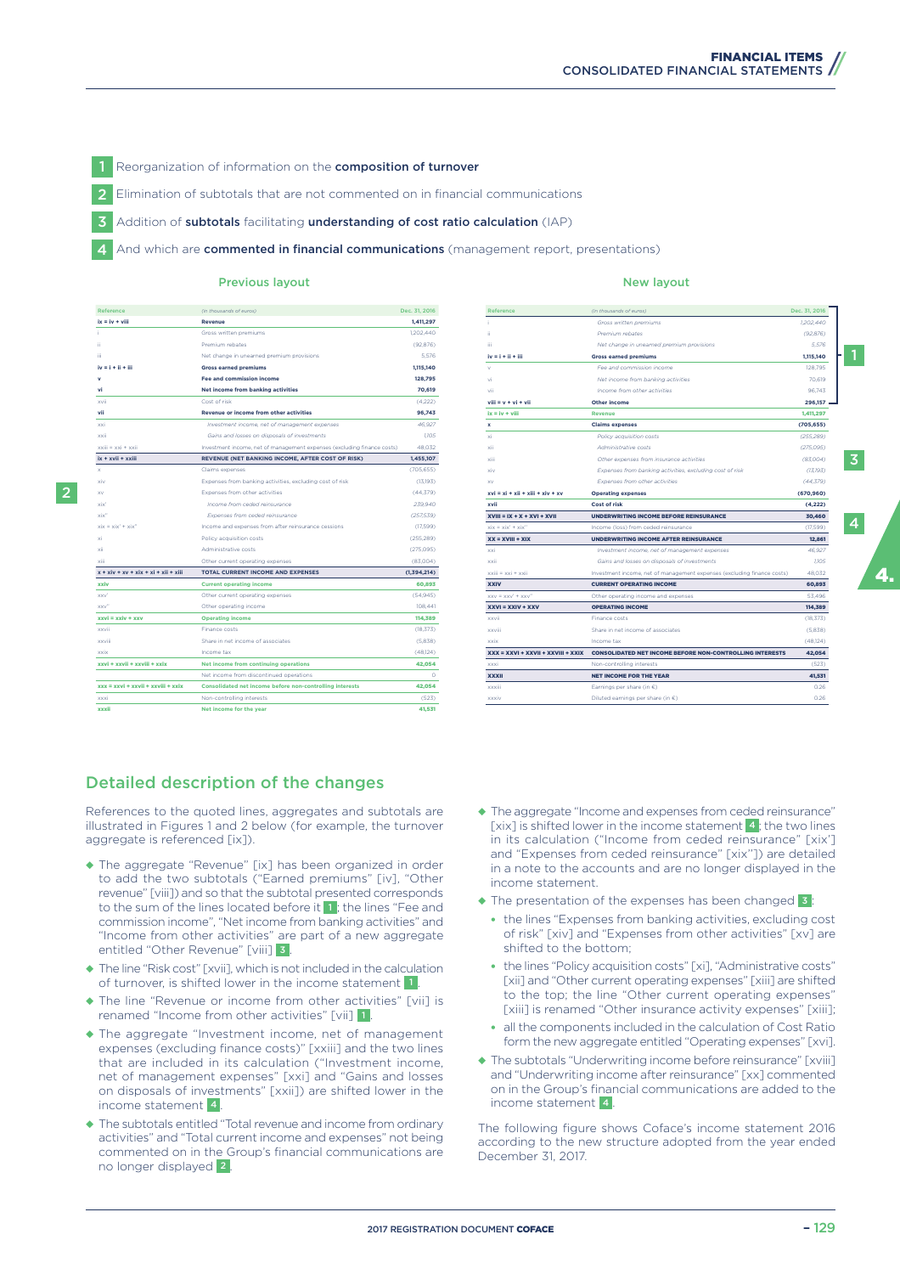- Reorganization of information on the composition of turnover
- 2 Elimination of subtotals that are not commented on in financial communications
- 3 Addition of subtotals facilitating understanding of cost ratio calculation (IAP)
- 4 And which are commented in financial communications (management report, presentations)

#### **Previous layout** New layout

| Reference                              | (in thousands of euros)                                                 | Dec. 31, 2016 |
|----------------------------------------|-------------------------------------------------------------------------|---------------|
| $ix = iv + viii$                       | Revenue                                                                 | 1,411,297     |
| ÷                                      | Gross written premiums                                                  | 1,202,440     |
| ii.                                    | Premium rebates                                                         | (92, 876)     |
| iii                                    | Net change in unearned premium provisions                               | 5.576         |
| $iv = i + ii + iii$                    | <b>Gross earned premiums</b>                                            | 1,115,140     |
|                                        | <b>Fee and commission income</b>                                        | 128,795       |
| vi                                     | Net income from banking activities                                      | 70.619        |
| xvii                                   | Cost of risk                                                            | (4,222)       |
| vii                                    | Revenue or income from other activities                                 | 96.743        |
| xxi                                    | Investment income, net of management expenses                           | 46.927        |
| xxii                                   | Gains and losses on disposals of investments                            | 1.105         |
| $xxiii = xxi + xxii$                   | Investment income, net of management expenses (excluding finance costs) | 48.032        |
| $ix + xvii + xxiii$                    | REVENUE (NET BANKING INCOME, AFTER COST OF RISK)                        | 1,455,107     |
| x                                      | Claims expenses                                                         | (705.655)     |
| xiv                                    | Expenses from banking activities, excluding cost of risk                | (13, 193)     |
| <b>XV</b>                              | Expenses from other activities                                          | (44, 379)     |
| xix'                                   | Income from ceded reinsurance                                           | 239.940       |
| xix"                                   | Expenses from ceded reinsurance                                         | (257, 539)    |
| $xix = xix' + xix''$                   | Income and expenses from after reinsurance cessions                     | (17, 599)     |
| xi                                     | Policy acquisition costs                                                | (255, 289)    |
| xii                                    | Administrative costs                                                    | (275.095)     |
| xiii                                   | Other current operating expenses                                        | (83.004)      |
| $x + xiv + xv + xix + xi + xii + xiii$ | <b>TOTAL CURRENT INCOME AND EXPENSES</b>                                | (1, 394, 214) |
| xxiv                                   | <b>Current operating income</b>                                         | 60.893        |
| <b>XXV</b>                             | Other current operating expenses                                        | (54.945)      |
| xxv"                                   | Other operating income                                                  | 108.441       |
| $xxvi = xxiv + xxv$                    | <b>Operating income</b>                                                 | 114,389       |
| xxvii                                  | Finance costs                                                           | (18, 373)     |
| xxviii                                 | Share in net income of associates                                       | (5,838)       |
| <b>xxix</b>                            | Income tax                                                              | (48, 124)     |
| xxvi + xxvii + xxviii + xxix           | Net income from continuing operations                                   | 42.054        |
|                                        | Net income from discontinued operations                                 | O             |
| $xxx = xxvi + xxvii + xxviii + xxix$   | Consolidated net income before non-controlling interests                | 42,054        |
| xxxi                                   | Non-controlling interests                                               | (523)         |
| xxxii                                  | Net income for the year                                                 | 41,531        |

|  | Detailed description of the changes |  |  |
|--|-------------------------------------|--|--|
|--|-------------------------------------|--|--|

References to the quoted lines, aggregates and subtotals are illustrated in Figures 1 and 2 below (for example, the turnover aggregate is referenced [ix]).

- ◆ The aggregate "Revenue" [ix] has been organized in order to add the two subtotals ("Earned premiums" [iv], "Other revenue" [viii]) and so that the subtotal presented corresponds to the sum of the lines located before it 1; the lines "Fee and commission income", "Net income from banking activities" and "Income from other activities" are part of a new aggregate entitled "Other Revenue" [viii] 3.
- ◆ The line "Risk cost" [xvii], which is not included in the calculation of turnover, is shifted lower in the income statement 1.
- ◆ The line "Revenue or income from other activities" [vii] is renamed "Income from other activities" [vii] 1 .
- ◆ The aggregate "Investment income, net of management expenses (excluding finance costs)" [xxiii] and the two lines that are included in its calculation ("Investment income, net of management expenses" [xxi] and "Gains and losses on disposals of investments" [xxii]) are shifted lower in the income statement 4 .
- ◆ The subtotals entitled "Total revenue and income from ordinary activities" and "Total current income and expenses" not being commented on in the Group's financial communications are no longer displayed 2 .

| Reference                            | (in thousands of euros)                                                 | Dec. 31, 2016 |
|--------------------------------------|-------------------------------------------------------------------------|---------------|
| ĩ                                    | Gross written premiums                                                  | 1202440       |
| ii                                   | Premium rebates                                                         | (92.876)      |
| iii                                  | Net change in unearned premium provisions                               | 5.576         |
| $iv = i + ii + iii$                  | <b>Gross earned premiums</b>                                            | 1,115,140     |
| v                                    | Fee and commission income                                               | 128.795       |
| vi                                   | Net income from banking activities                                      | 70.619        |
| vii                                  | Income from other activities                                            | 96.743        |
| $viii = v + vi + vii$                | <b>Other income</b>                                                     | 296.157       |
| $ix = iv + viii$                     | Revenue                                                                 | 1.411.297     |
| ×                                    | <b>Claims expenses</b>                                                  | (705, 655)    |
| хi                                   | Policy acquisition costs                                                | (255.289)     |
| xii                                  | Administrative costs                                                    | (275.095)     |
| xiii                                 | Other expenses from insurance activities                                | (83.004)      |
| xiv                                  | Expenses from banking activities, excluding cost of risk                | (13.193)      |
| <b>XV</b>                            | Expenses from other activities                                          | (44.379)      |
| $xvi = xi + xii + xiii + xiv + xv$   | <b>Operating expenses</b>                                               | (670, 960)    |
| xvii                                 | Cost of risk                                                            | (4.222)       |
| $XVIII = IX + X + XVI + XVII$        | UNDERWRITING INCOME BEFORE REINSURANCE                                  | 30,460        |
| $xix = xix' + xix''$                 | Income (loss) from ceded reinsurance                                    | (17,599)      |
| $XX = XVIII + XIX$                   | <b>UNDERWRITING INCOME AFTER REINSURANCE</b>                            | 12,861        |
| xxi                                  | Investment income, net of management expenses                           | 46.927        |
| xxii                                 | Gains and losses on disposals of investments                            | 1.105         |
| $xxiii = xxi + xxii$                 | Investment income, net of management expenses (excluding finance costs) | 48.032        |
| <b>XXIV</b>                          | <b>CURRENT OPERATING INCOME</b>                                         | 60.893        |
| $xxx = xxv' + xxv''$                 | Other operating income and expenses                                     | 53.496        |
| $XXVI = XXIV + XXV$                  | <b>OPERATING INCOME</b>                                                 | 114,389       |
| xxvii                                | <b>Einance costs</b>                                                    | (18.373)      |
| xxviii                               | Share in net income of associates                                       | (5.838)       |
| xxix                                 | Income tax                                                              | (48.124)      |
| $XXX = XXVI + XXVII + XXVIII + XXIX$ | <b>CONSOLIDATED NET INCOME BEFORE NON-CONTROLLING INTERESTS</b>         | 42.054        |
| xxxi                                 | Non-controlling interests                                               | (523)         |
|                                      |                                                                         |               |
|                                      | <b>NET INCOME FOR THE YEAR</b>                                          | 41,531        |
| <b>XXXII</b><br>xxxiii               | Earnings per share (in €)                                               | 0.26          |

- ◆ The aggregate "Income and expenses from ceded reinsurance"  $[x_i, y_j]$  is shifted lower in the income statement  $\frac{4}{3}$ ; the two lines in its calculation ("Income from ceded reinsurance" [xix'] and "Expenses from ceded reinsurance" [xix'']) are detailed in a note to the accounts and are no longer displayed in the income statement.
- $\triangle$  The presentation of the expenses has been changed  $\overline{3}$ :
	- the lines "Expenses from banking activities, excluding cost of risk" [xiv] and "Expenses from other activities" [xv] are shifted to the bottom;
	- the lines "Policy acquisition costs" [xi], "Administrative costs" [xii] and "Other current operating expenses" [xiii] are shifted to the top; the line "Other current operating expenses" [xiii] is renamed "Other insurance activity expenses" [xiii];
- all the components included in the calculation of Cost Ratio form the new aggregate entitled "Operating expenses" [xvi].
- ◆ The subtotals "Underwriting income before reinsurance" [xviii] and "Underwriting income after reinsurance" [xx] commented on in the Group's financial communications are added to the income statement 4 .

The following figure shows Coface's income statement 2016 according to the new structure adopted from the year ended December 31, 2017.

3

1

4

4.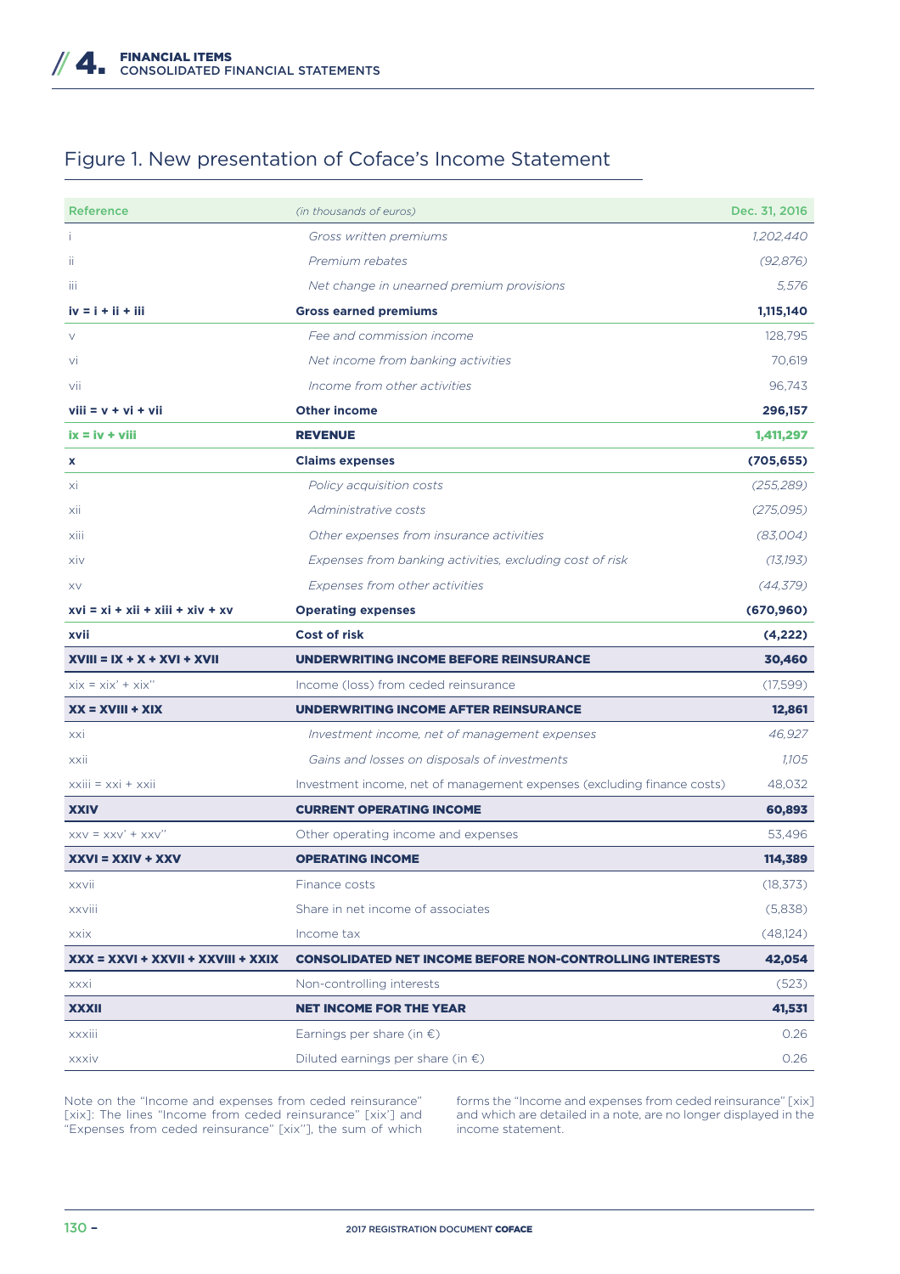## Figure 1. New presentation of Coface's Income Statement

| <b>Reference</b>                     | (in thousands of euros)                                                 | Dec. 31, 2016 |
|--------------------------------------|-------------------------------------------------------------------------|---------------|
| Ť                                    | Gross written premiums                                                  | 1,202,440     |
| Ϊİ.                                  | Premium rebates                                                         | (92, 876)     |
| Ш                                    | Net change in unearned premium provisions                               | 5,576         |
| $iv = i + ii + iii$                  | <b>Gross earned premiums</b>                                            | 1,115,140     |
| $\vee$                               | Fee and commission income                                               | 128,795       |
| Vİ                                   | Net income from banking activities                                      | 70.619        |
| vii                                  | Income from other activities                                            | 96,743        |
| $viii = v + vi + vii$                | <b>Other income</b>                                                     | 296,157       |
| $ix = iy + viii$                     | <b>REVENUE</b>                                                          | 1,411,297     |
| x                                    | <b>Claims expenses</b>                                                  | (705, 655)    |
| Xİ                                   | Policy acquisition costs                                                | (255, 289)    |
| Xİİ                                  | Administrative costs                                                    | (275,095)     |
| xiii                                 | Other expenses from insurance activities                                | (83,004)      |
| XİV                                  | Expenses from banking activities, excluding cost of risk                | (13, 193)     |
| XV                                   | <b>Expenses from other activities</b>                                   | (44, 379)     |
| $xvi = xi + xii + xiii + xiv + xv$   | <b>Operating expenses</b>                                               | (670, 960)    |
| xvii                                 | <b>Cost of risk</b>                                                     | (4, 222)      |
| $XVIII = IX + X + XVI + XVII$        | UNDERWRITING INCOME BEFORE REINSURANCE                                  | 30,460        |
| $xix = xix' + xix''$                 | Income (loss) from ceded reinsurance                                    | (17,599)      |
| $XX = XVIII + XIX$                   | UNDERWRITING INCOME AFTER REINSURANCE                                   | 12,861        |
| <b>XXI</b>                           | Investment income, net of management expenses                           | 46,927        |
| <b>XXII</b>                          | Gains and losses on disposals of investments                            | 1.105         |
| $xxiii = xxi + xxii$                 | Investment income, net of management expenses (excluding finance costs) | 48,032        |
| <b>XXIV</b>                          | <b>CURRENT OPERATING INCOME</b>                                         | 60,893        |
| $XXV = XXV' + XXV''$                 | Other operating income and expenses                                     | 53,496        |
| $XXVI = XXIV + XXV$                  | <b>OPERATING INCOME</b>                                                 | 114,389       |
| <b>XXVII</b>                         | Finance costs                                                           | (18, 373)     |
| <b>XXVIII</b>                        | Share in net income of associates                                       | (5,838)       |
| xxix                                 | Income tax                                                              | (48, 124)     |
| $XXX = XXVI + XXVII + XXVIII + XXIX$ | <b>CONSOLIDATED NET INCOME BEFORE NON-CONTROLLING INTERESTS</b>         | 42,054        |
| <b>XXXI</b>                          | Non-controlling interests                                               | (523)         |
| <b>XXXII</b>                         | <b>NET INCOME FOR THE YEAR</b>                                          | 41,531        |
| xxxiii                               | Earnings per share (in $\epsilon$ )                                     | 0.26          |
| <b>XXXIV</b>                         | Diluted earnings per share (in $\epsilon$ )                             | 0.26          |

Note on the "Income and expenses from ceded reinsurance" [xix]: The lines "Income from ceded reinsurance" [xix'] and "Expenses from ceded reinsurance" [xix''], the sum of which forms the "Income and expenses from ceded reinsurance" [xix] and which are detailed in a note, are no longer displayed in the income statement.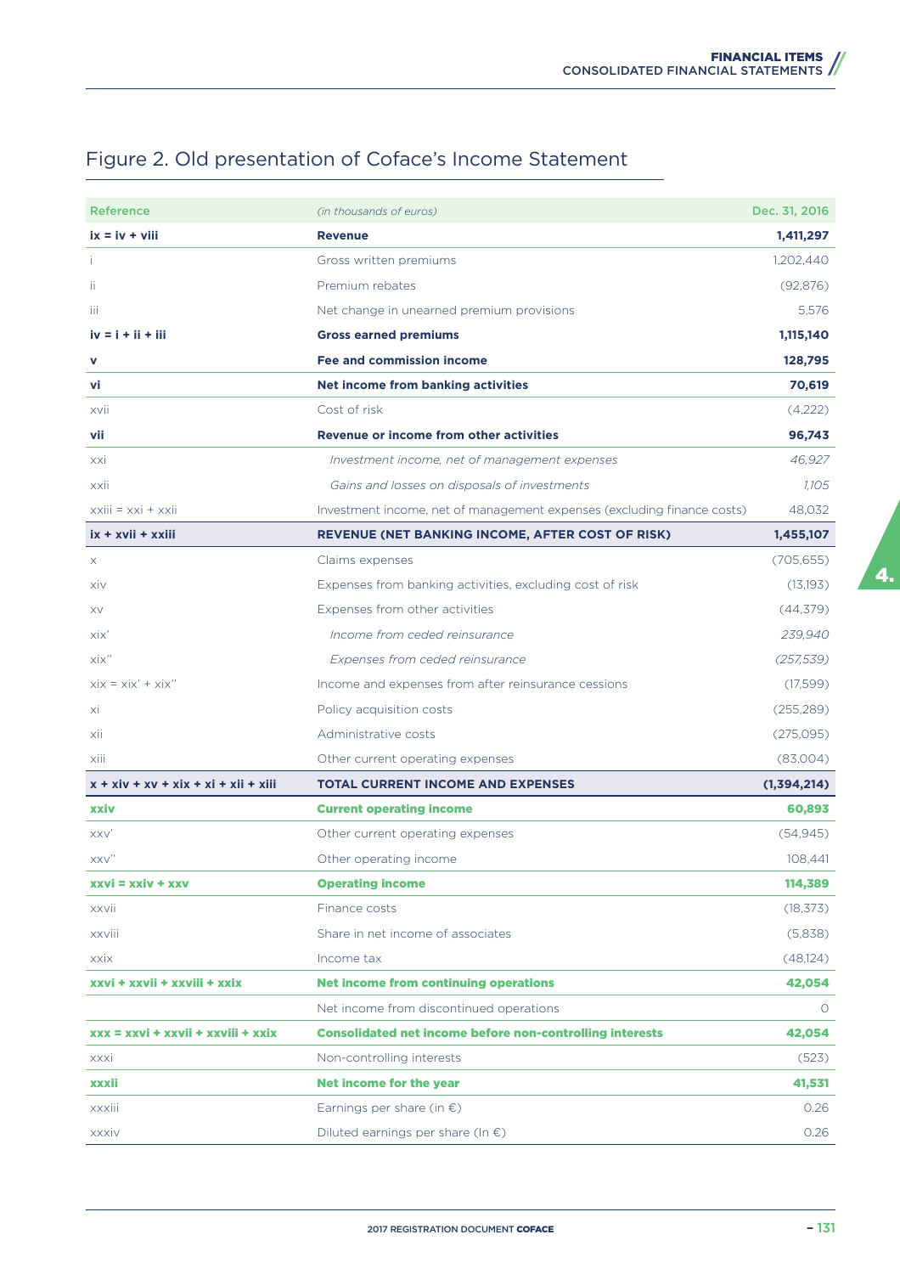# Figure 2. Old presentation of Coface's Income Statement

| <b>Reference</b>                       | (in thousands of euros)                                                 | Dec. 31, 2016 |
|----------------------------------------|-------------------------------------------------------------------------|---------------|
| $ix = iv + viii$                       | <b>Revenue</b>                                                          | 1,411,297     |
| Ť                                      | Gross written premiums                                                  | 1,202,440     |
| -ii                                    | Premium rebates                                                         | (92, 876)     |
| Ш                                      | Net change in unearned premium provisions                               | 5,576         |
| $iv = i + ii + iii$                    | <b>Gross earned premiums</b>                                            | 1,115,140     |
| v                                      | <b>Fee and commission income</b>                                        | 128,795       |
| vi                                     | Net income from banking activities                                      | 70,619        |
| xvii                                   | Cost of risk                                                            | (4,222)       |
| vii                                    | Revenue or income from other activities                                 | 96,743        |
| xxi                                    | Investment income, net of management expenses                           | 46,927        |
| xxii                                   | Gains and losses on disposals of investments                            | 1.105         |
| $xxiii = xxi + xxii$                   | Investment income, net of management expenses (excluding finance costs) | 48,032        |
| $ix + xvii + xxiii$                    | <b>REVENUE (NET BANKING INCOME, AFTER COST OF RISK)</b>                 | 1,455,107     |
| X                                      | Claims expenses                                                         | (705, 655)    |
| XIV                                    | Expenses from banking activities, excluding cost of risk                | (13, 193)     |
| XV                                     | Expenses from other activities                                          | (44,379)      |
| XIX'                                   | Income from ceded reinsurance                                           | 239,940       |
| xix''                                  | Expenses from ceded reinsurance                                         | (257, 539)    |
| $xix = xix' + xix''$                   | Income and expenses from after reinsurance cessions                     | (17,599)      |
| XI                                     | Policy acquisition costs                                                | (255, 289)    |
| xii                                    | Administrative costs                                                    | (275,095)     |
| xiii                                   | Other current operating expenses                                        | (83,004)      |
| $x + xiv + xv + xix + xi + xii + xiii$ | <b>TOTAL CURRENT INCOME AND EXPENSES</b>                                | (1,394,214)   |
| xxiv                                   | <b>Current operating income</b>                                         | 60,893        |
| XXV <sup>'</sup>                       | Other current operating expenses                                        | (54, 945)     |
| XXV"                                   | Other operating income                                                  | 108,441       |
| $xxvi = xxiv + xxv$                    | <b>Operating income</b>                                                 | 114,389       |
| <b>XXVII</b>                           | Finance costs                                                           | (18, 373)     |
| <b>XXVIII</b>                          | Share in net income of associates                                       | (5,838)       |
| xxix                                   | Income tax                                                              | (48, 124)     |
| xxvi + xxvii + xxviii + xxix           | <b>Net income from continuing operations</b>                            | 42.054        |
|                                        | Net income from discontinued operations                                 | $\circ$       |
| $XXX = XXVI + XXVII + XXVIII + XXIX$   | <b>Consolidated net income before non-controlling interests</b>         | 42,054        |
| <b>XXXI</b>                            | Non-controlling interests                                               | (523)         |
| xxxii                                  | <b>Net income for the year</b>                                          | 41,531        |
| <b>XXXIII</b>                          | Earnings per share (in $\epsilon$ )                                     | 0.26          |
| <b>XXXIV</b>                           | Diluted earnings per share (In $\epsilon$ )                             | 0.26          |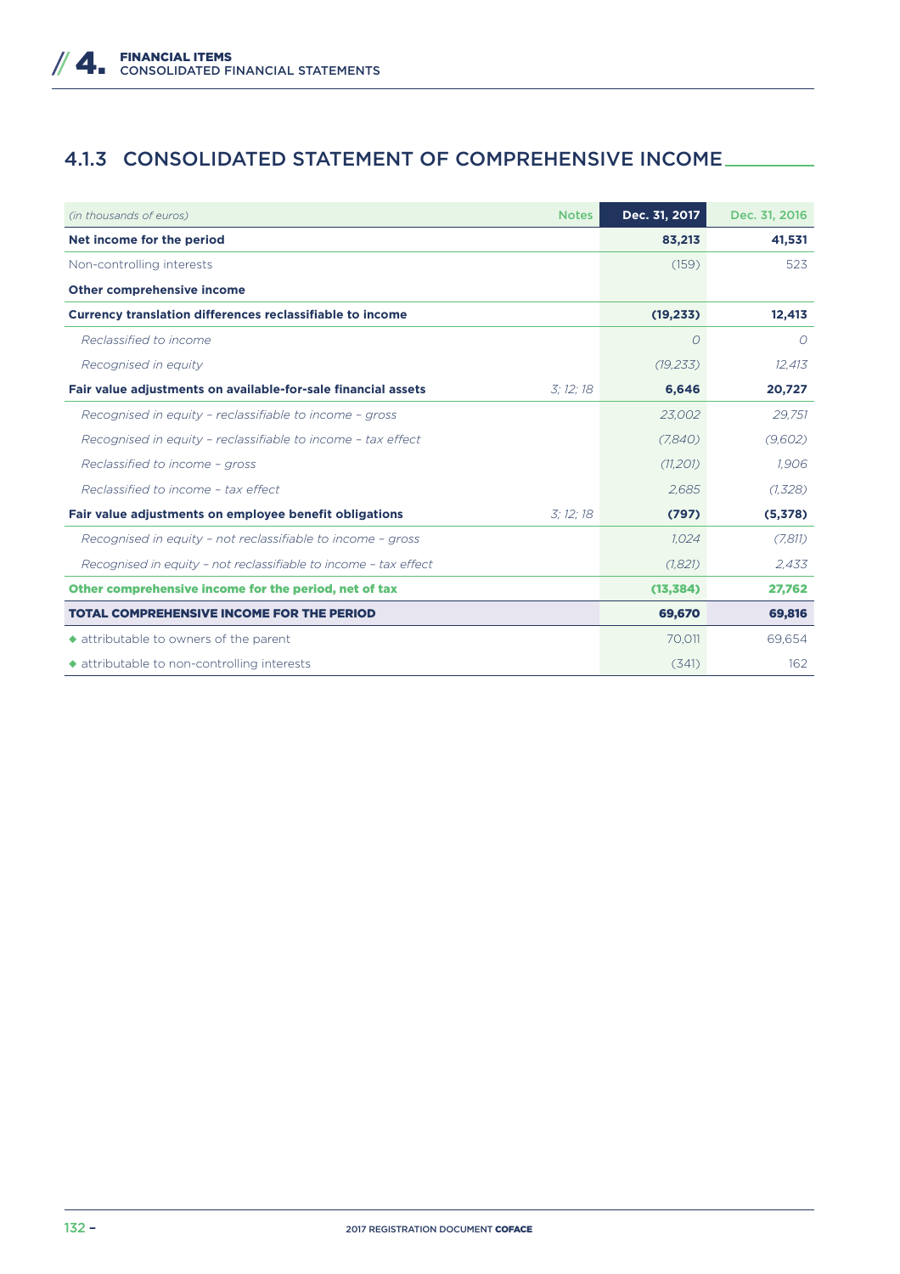# 4.1.3 CONSOLIDATED STATEMENT OF COMPREHENSIVE INCOME

| <b>Notes</b><br>(in thousands of euros)                                    | Dec. 31, 2017  | Dec. 31, 2016 |
|----------------------------------------------------------------------------|----------------|---------------|
| Net income for the period                                                  | 83,213         | 41,531        |
| Non-controlling interests                                                  | (159)          | 523           |
| Other comprehensive income                                                 |                |               |
| <b>Currency translation differences reclassifiable to income</b>           | (19, 233)      | 12,413        |
| Reclassified to income                                                     | $\overline{O}$ | $\Omega$      |
| Recognised in equity                                                       | (19,233)       | 12,413        |
| 3: 12: 18<br>Fair value adjustments on available-for-sale financial assets | 6,646          | 20,727        |
| Recognised in equity - reclassifiable to income - gross                    | 23,002         | 29.751        |
| Recognised in equity - reclassifiable to income - tax effect               | (7,840)        | (9,602)       |
| Reclassified to income - gross                                             | (11, 201)      | 1.906         |
| Reclassified to income - tax effect                                        | 2.685          | (1,328)       |
| Fair value adjustments on employee benefit obligations<br>3: 12: 18        | (797)          | (5,378)       |
| Recognised in equity - not reclassifiable to income - gross                | 1,024          | (7,811)       |
| Recognised in equity - not reclassifiable to income - tax effect           | (1,821)        | 2.433         |
| Other comprehensive income for the period, net of tax                      | (13, 384)      | 27,762        |
| <b>TOTAL COMPREHENSIVE INCOME FOR THE PERIOD</b>                           | 69,670         | 69,816        |
| • attributable to owners of the parent                                     | 70.011         | 69,654        |
| ◆ attributable to non-controlling interests                                | (341)          | 162           |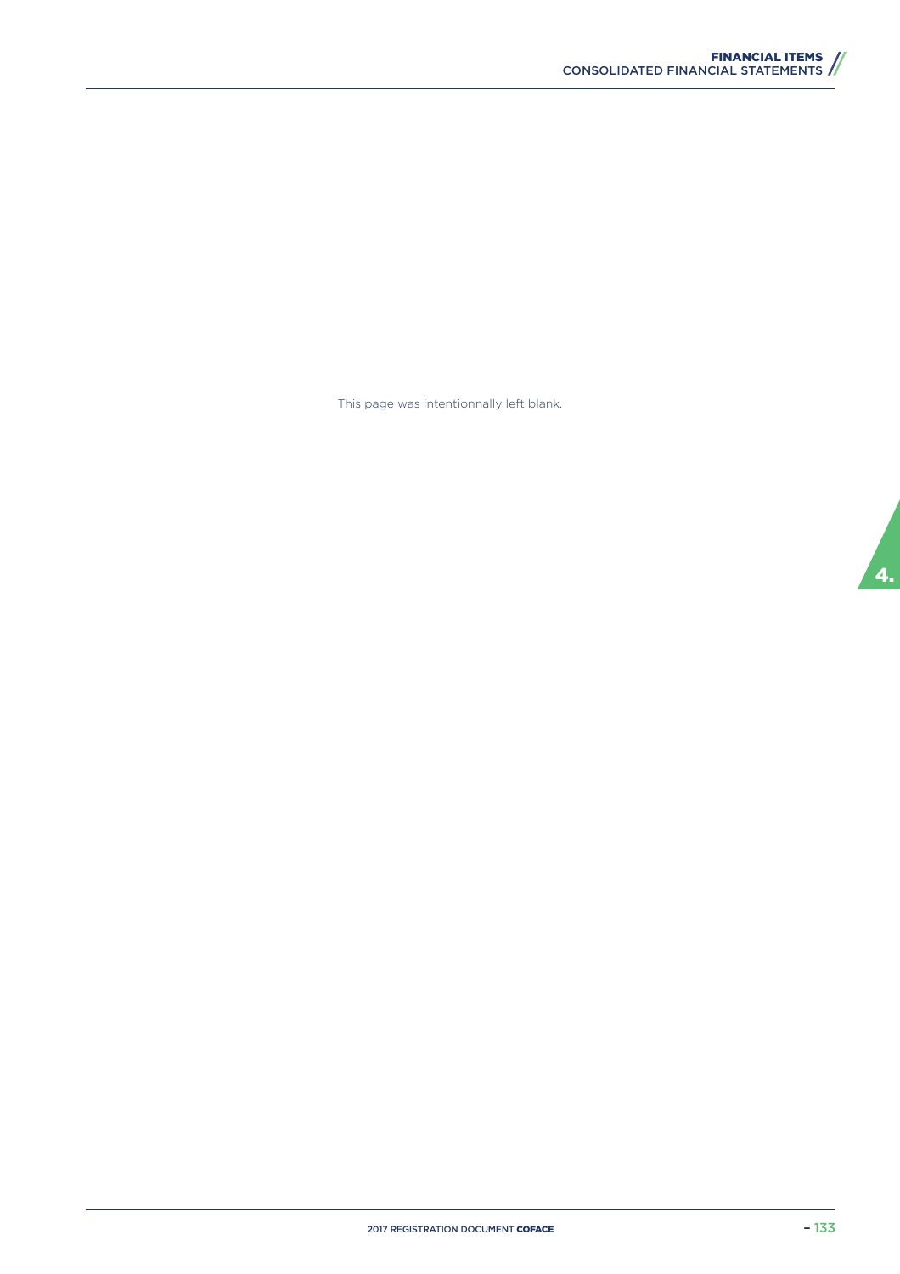This page was intentionnally left blank.

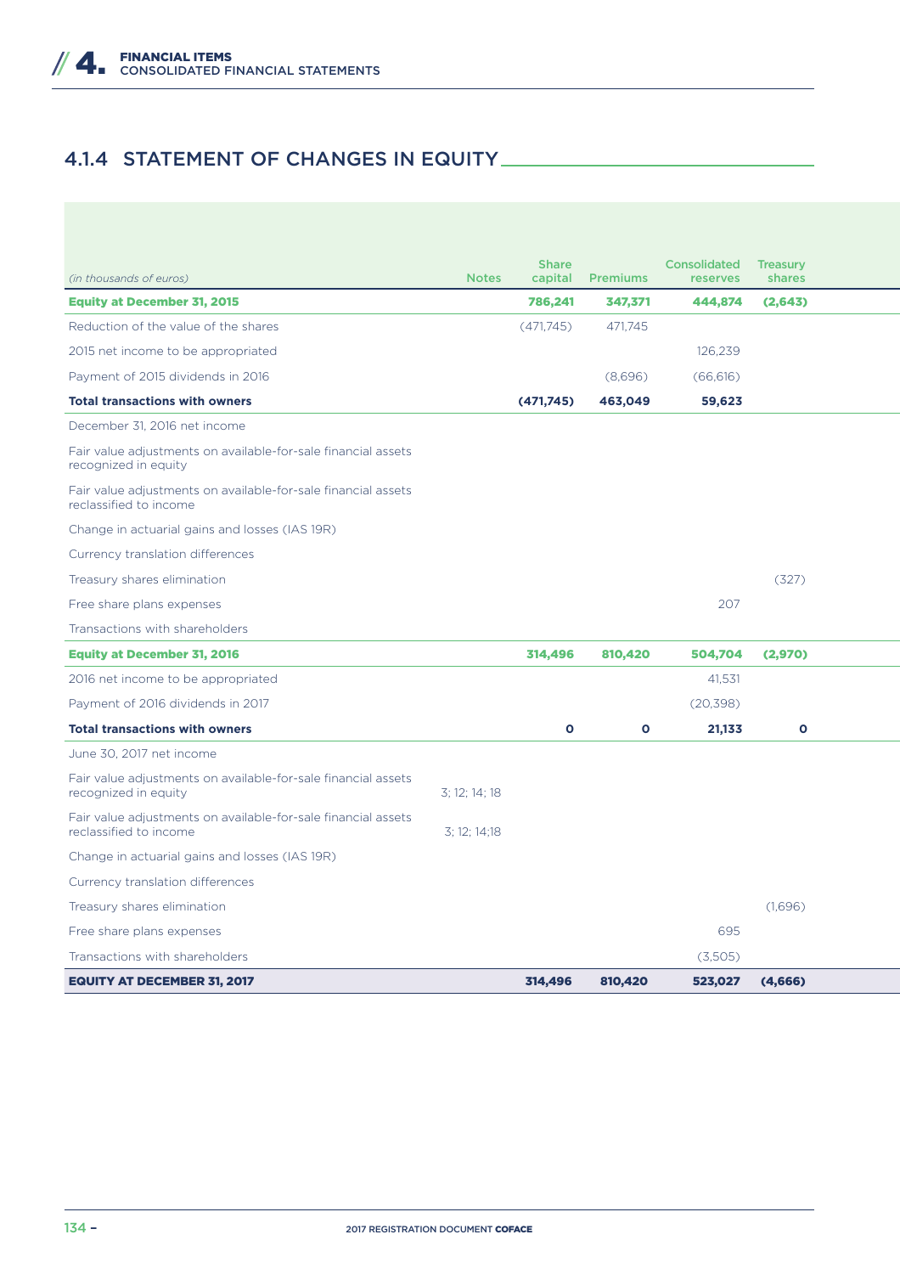# 4.1.4 STATEMENT OF CHANGES IN EQUITY

|                                                                                         |               | <b>Share</b> |                 | <b>Consolidated</b> | <b>Treasury</b> |  |
|-----------------------------------------------------------------------------------------|---------------|--------------|-----------------|---------------------|-----------------|--|
| (in thousands of euros)                                                                 | <b>Notes</b>  | capital      | <b>Premiums</b> | reserves            | shares          |  |
| <b>Equity at December 31, 2015</b>                                                      |               | 786,241      | 347,371         | 444,874             | (2,643)         |  |
| Reduction of the value of the shares                                                    |               | (471,745)    | 471,745         |                     |                 |  |
| 2015 net income to be appropriated                                                      |               |              |                 | 126,239             |                 |  |
| Payment of 2015 dividends in 2016                                                       |               |              | (8,696)         | (66, 616)           |                 |  |
| <b>Total transactions with owners</b>                                                   |               | (471,745)    | 463,049         | 59,623              |                 |  |
| December 31, 2016 net income                                                            |               |              |                 |                     |                 |  |
| Fair value adjustments on available-for-sale financial assets<br>recognized in equity   |               |              |                 |                     |                 |  |
| Fair value adjustments on available-for-sale financial assets<br>reclassified to income |               |              |                 |                     |                 |  |
| Change in actuarial gains and losses (IAS 19R)                                          |               |              |                 |                     |                 |  |
| Currency translation differences                                                        |               |              |                 |                     |                 |  |
| Treasury shares elimination                                                             |               |              |                 |                     | (327)           |  |
| Free share plans expenses                                                               |               |              |                 | 207                 |                 |  |
| Transactions with shareholders                                                          |               |              |                 |                     |                 |  |
| <b>Equity at December 31, 2016</b>                                                      |               | 314,496      | 810,420         | 504,704             | (2,970)         |  |
| 2016 net income to be appropriated                                                      |               |              |                 | 41,531              |                 |  |
| Payment of 2016 dividends in 2017                                                       |               |              |                 | (20, 398)           |                 |  |
| <b>Total transactions with owners</b>                                                   |               | $\mathbf{o}$ | $\mathbf{o}$    | 21,133              | $\mathbf{o}$    |  |
| June 30, 2017 net income                                                                |               |              |                 |                     |                 |  |
| Fair value adjustments on available-for-sale financial assets<br>recognized in equity   | 3: 12: 14: 18 |              |                 |                     |                 |  |
| Fair value adjustments on available-for-sale financial assets<br>reclassified to income | 3; 12; 14; 18 |              |                 |                     |                 |  |
| Change in actuarial gains and losses (IAS 19R)                                          |               |              |                 |                     |                 |  |
| Currency translation differences                                                        |               |              |                 |                     |                 |  |
| Treasury shares elimination                                                             |               |              |                 |                     | (1,696)         |  |
| Free share plans expenses                                                               |               |              |                 | 695                 |                 |  |
| Transactions with shareholders                                                          |               |              |                 | (3,505)             |                 |  |
| <b>EQUITY AT DECEMBER 31, 2017</b>                                                      |               | 314,496      | 810,420         | 523,027             | (4,666)         |  |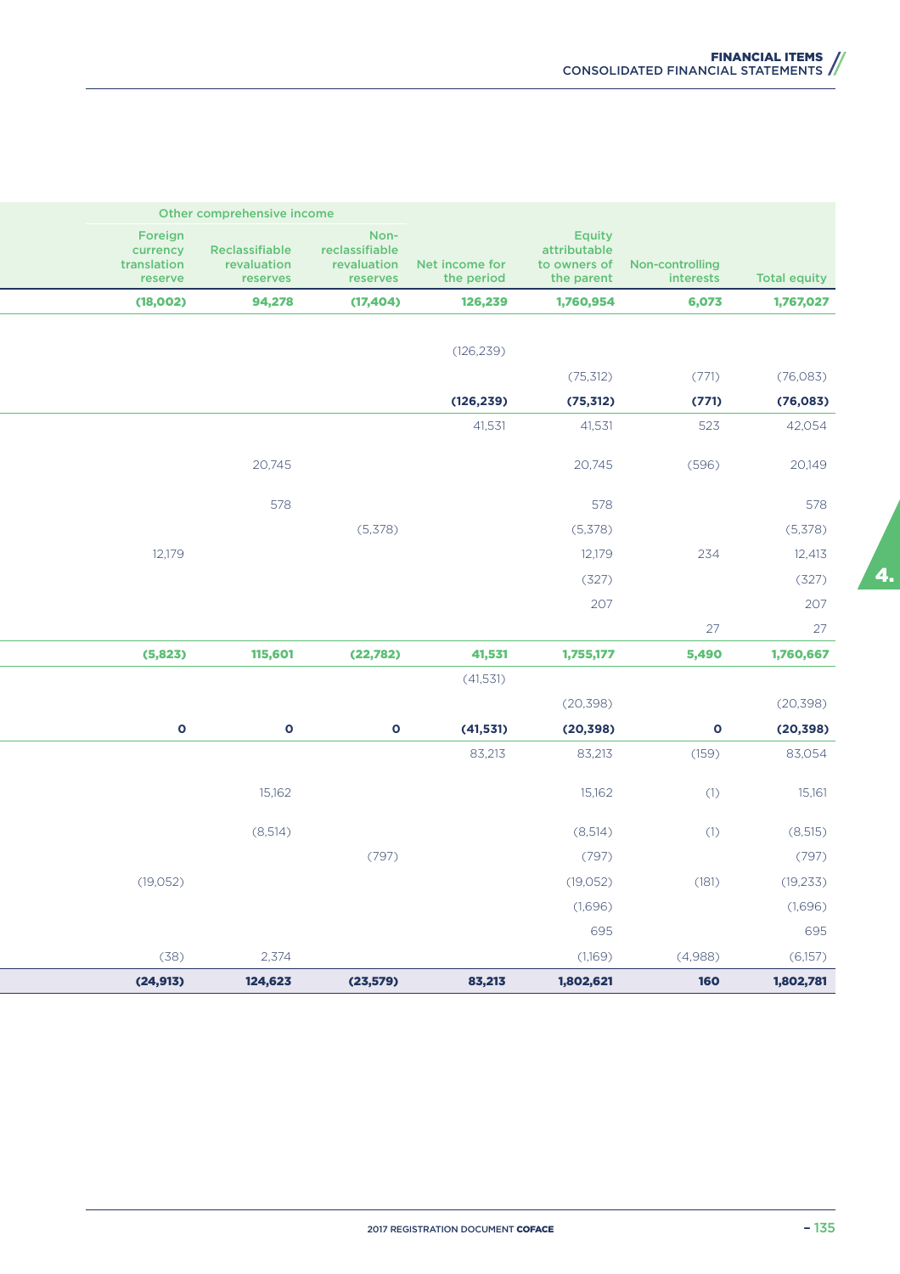|                                               | Other comprehensive income                |                                                   |                              |                                                             |                              |                     |
|-----------------------------------------------|-------------------------------------------|---------------------------------------------------|------------------------------|-------------------------------------------------------------|------------------------------|---------------------|
| Foreign<br>currency<br>translation<br>reserve | Reclassifiable<br>revaluation<br>reserves | Non-<br>reclassifiable<br>revaluation<br>reserves | Net income for<br>the period | <b>Equity</b><br>attributable<br>to owners of<br>the parent | Non-controlling<br>interests | <b>Total equity</b> |
| (18,002)                                      | 94,278                                    | (17, 404)                                         | 126,239                      | 1,760,954                                                   | 6,073                        | 1,767,027           |
|                                               |                                           |                                                   |                              |                                                             |                              |                     |
|                                               |                                           |                                                   | (126, 239)                   |                                                             |                              |                     |
|                                               |                                           |                                                   |                              | (75, 312)                                                   | (771)                        | (76,083)            |
|                                               |                                           |                                                   | (126, 239)                   | (75, 312)                                                   | (771)                        | (76,083)            |
|                                               |                                           |                                                   | 41,531                       | 41,531                                                      | 523                          | 42,054              |
|                                               | 20,745                                    |                                                   |                              | 20,745                                                      | (596)                        | 20,149              |
|                                               |                                           |                                                   |                              |                                                             |                              |                     |
|                                               | 578                                       |                                                   |                              | 578                                                         |                              | 578                 |
|                                               |                                           | (5,378)                                           |                              | (5,378)                                                     |                              | (5,378)             |
| 12,179                                        |                                           |                                                   |                              | 12,179                                                      | 234                          | 12,413              |
|                                               |                                           |                                                   |                              | (327)                                                       |                              | (327)               |
|                                               |                                           |                                                   |                              | 207                                                         |                              | 207                 |
|                                               |                                           |                                                   |                              |                                                             | 27                           | 27                  |
| (5,823)                                       | 115,601                                   | (22,782)                                          | 41,531                       | 1,755,177                                                   | 5,490                        | 1,760,667           |
|                                               |                                           |                                                   | (41, 531)                    |                                                             |                              |                     |
|                                               |                                           |                                                   |                              | (20, 398)                                                   |                              | (20, 398)           |
| $\mathbf 0$                                   | $\bullet$                                 | $\mathbf{o}$                                      | (41, 531)                    | (20, 398)                                                   | $\mathbf{o}$                 | (20, 398)           |
|                                               |                                           |                                                   | 83,213                       | 83,213                                                      | (159)                        | 83,054              |
|                                               | 15,162                                    |                                                   |                              | 15,162                                                      | (1)                          | 15,161              |
|                                               |                                           |                                                   |                              |                                                             |                              |                     |
|                                               | (8,514)                                   |                                                   |                              | (8,514)                                                     | (1)                          | (8,515)             |
|                                               |                                           | (797)                                             |                              | (797)                                                       |                              | (797)               |
| (19, 052)                                     |                                           |                                                   |                              | (19, 052)                                                   | (181)                        | (19, 233)           |
|                                               |                                           |                                                   |                              | (1,696)                                                     |                              | (1,696)             |
|                                               |                                           |                                                   |                              | 695                                                         |                              | 695                 |
| (38)                                          | 2,374                                     |                                                   |                              | (1,169)                                                     | (4,988)                      | (6,157)             |
| (24, 913)                                     | 124,623                                   | (23, 579)                                         | 83,213                       | 1,802,621                                                   | 160                          | 1,802,781           |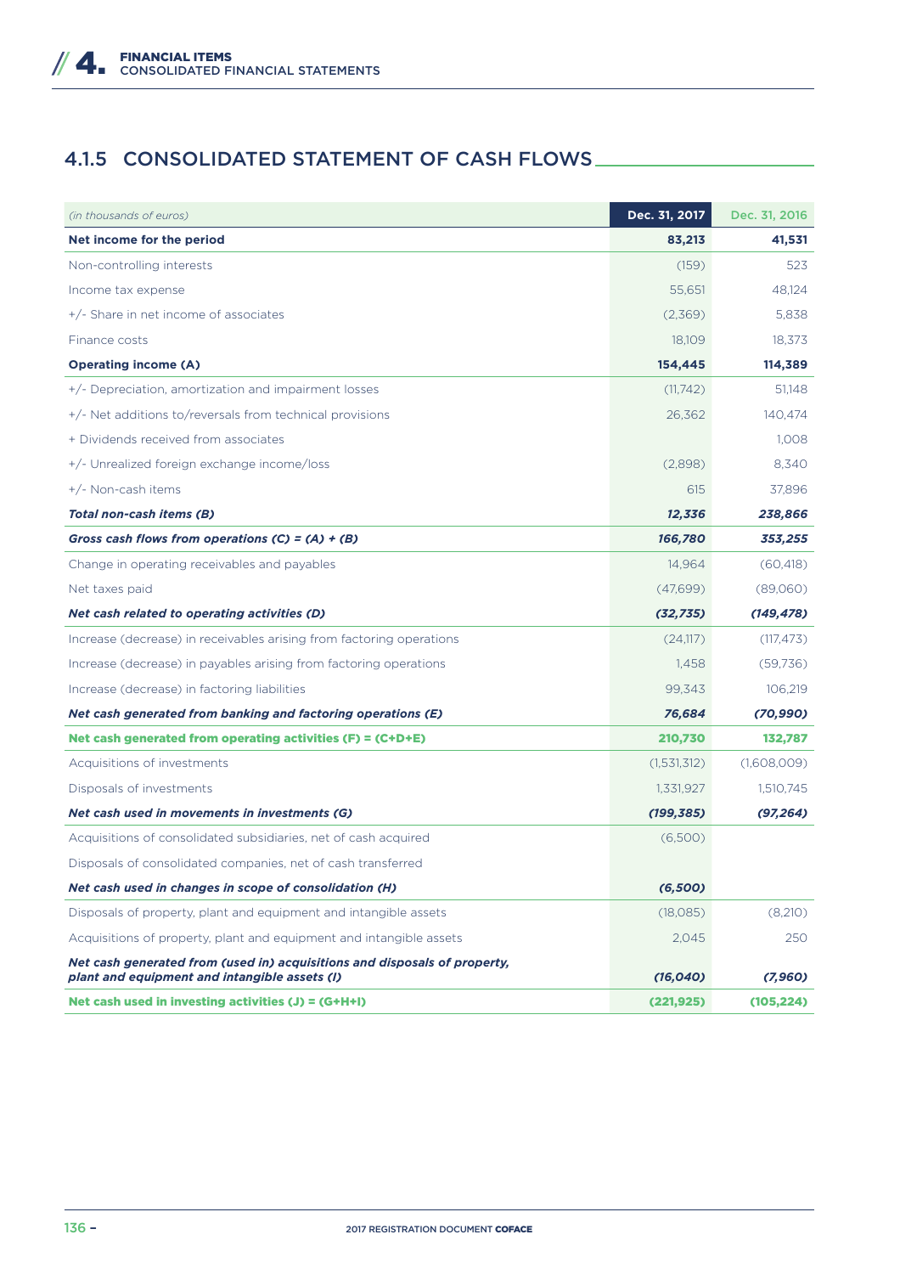# 4.1.5 CONSOLIDATED STATEMENT OF CASH FLOWS

| (in thousands of euros)                                                                                                    | Dec. 31, 2017 | Dec. 31, 2016 |
|----------------------------------------------------------------------------------------------------------------------------|---------------|---------------|
| Net income for the period                                                                                                  | 83,213        | 41,531        |
| Non-controlling interests                                                                                                  | (159)         | 523           |
| Income tax expense                                                                                                         | 55,651        | 48,124        |
| +/- Share in net income of associates                                                                                      | (2,369)       | 5,838         |
| Finance costs                                                                                                              | 18,109        | 18,373        |
| <b>Operating income (A)</b>                                                                                                | 154,445       | 114,389       |
| +/- Depreciation, amortization and impairment losses                                                                       | (11,742)      | 51,148        |
| +/- Net additions to/reversals from technical provisions                                                                   | 26,362        | 140,474       |
| + Dividends received from associates                                                                                       |               | 1,008         |
| +/- Unrealized foreign exchange income/loss                                                                                | (2,898)       | 8,340         |
| +/- Non-cash items                                                                                                         | 615           | 37,896        |
| Total non-cash items (B)                                                                                                   | 12,336        | 238,866       |
| Gross cash flows from operations $(C) = (A) + (B)$                                                                         | 166,780       | 353,255       |
| Change in operating receivables and payables                                                                               | 14,964        | (60, 418)     |
| Net taxes paid                                                                                                             | (47,699)      | (89,060)      |
| Net cash related to operating activities (D)                                                                               | (32, 735)     | (149, 478)    |
| Increase (decrease) in receivables arising from factoring operations                                                       | (24,117)      | (117, 473)    |
| Increase (decrease) in payables arising from factoring operations                                                          | 1,458         | (59,736)      |
| Increase (decrease) in factoring liabilities                                                                               | 99,343        | 106,219       |
| Net cash generated from banking and factoring operations (E)                                                               | 76,684        | (70, 990)     |
| Net cash generated from operating activities $(F) = (C+D+E)$                                                               | 210,730       | 132,787       |
| Acquisitions of investments                                                                                                | (1,531,312)   | (1,608,009)   |
| Disposals of investments                                                                                                   | 1,331,927     | 1,510,745     |
| Net cash used in movements in investments (G)                                                                              | (199, 385)    | (97, 264)     |
| Acquisitions of consolidated subsidiaries, net of cash acquired                                                            | (6,500)       |               |
| Disposals of consolidated companies, net of cash transferred                                                               |               |               |
| Net cash used in changes in scope of consolidation (H)                                                                     | (6,500)       |               |
| Disposals of property, plant and equipment and intangible assets                                                           | (18,085)      | (8,210)       |
| Acquisitions of property, plant and equipment and intangible assets                                                        | 2,045         | 250           |
| Net cash generated from (used in) acquisitions and disposals of property,<br>plant and equipment and intangible assets (I) | (16, 040)     | (7,960)       |
| Net cash used in investing activities (J) = (G+H+I)                                                                        | (221, 925)    | (105, 224)    |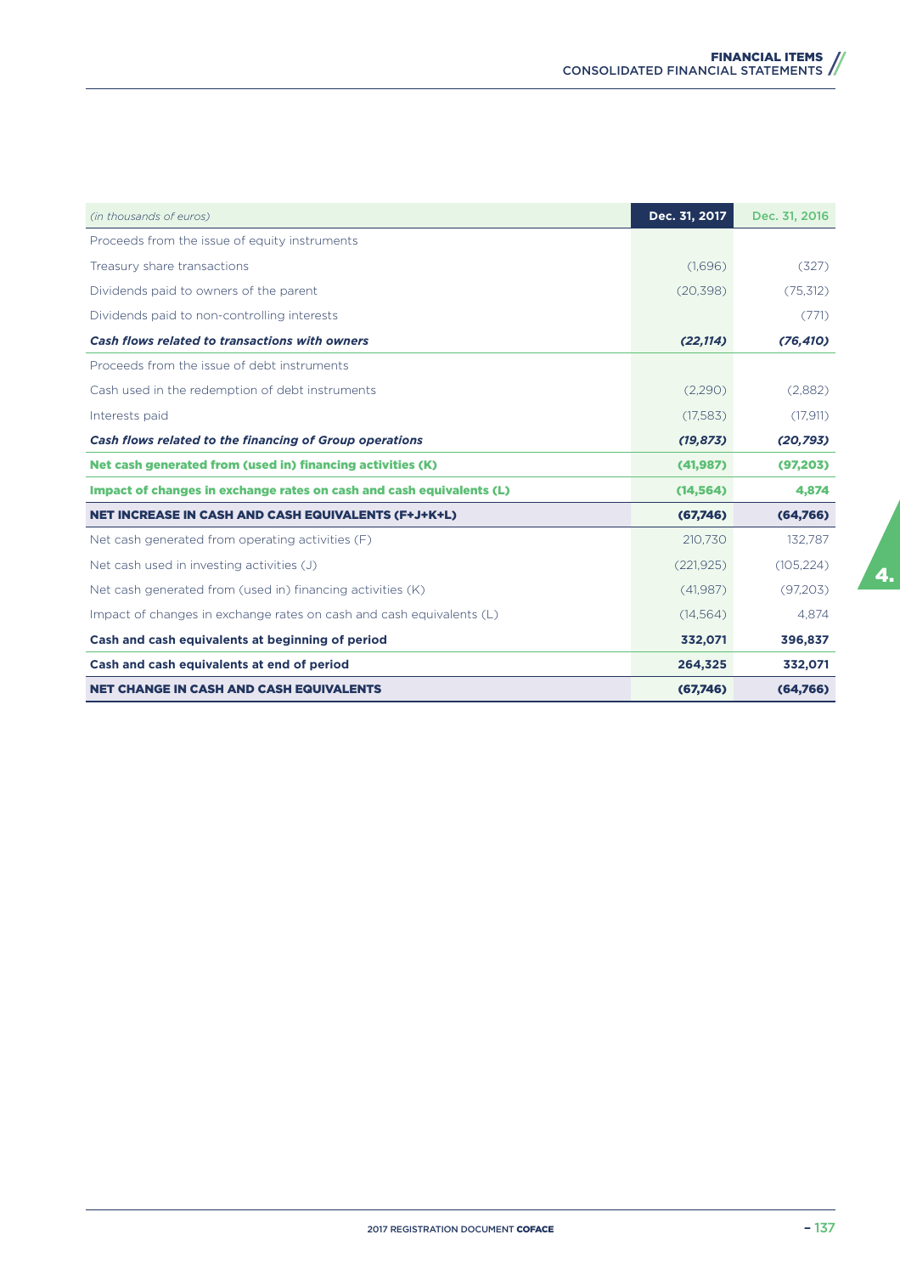| (in thousands of euros)                                              | Dec. 31, 2017 | Dec. 31, 2016 |
|----------------------------------------------------------------------|---------------|---------------|
| Proceeds from the issue of equity instruments                        |               |               |
| Treasury share transactions                                          | (1,696)       | (327)         |
| Dividends paid to owners of the parent                               | (20, 398)     | (75, 312)     |
| Dividends paid to non-controlling interests                          |               | (771)         |
| Cash flows related to transactions with owners                       | (22, 114)     | (76, 410)     |
| Proceeds from the issue of debt instruments                          |               |               |
| Cash used in the redemption of debt instruments                      | (2,290)       | (2,882)       |
| Interests paid                                                       | (17,583)      | (17,911)      |
| Cash flows related to the financing of Group operations              | (19, 873)     | (20, 793)     |
| Net cash generated from (used in) financing activities (K)           | (41, 987)     | (97, 203)     |
| Impact of changes in exchange rates on cash and cash equivalents (L) | (14, 564)     | 4.874         |
| <b>NET INCREASE IN CASH AND CASH EQUIVALENTS (F+J+K+L)</b>           | (67,746)      | (64,766)      |
| Net cash generated from operating activities (F)                     | 210,730       | 132,787       |
| Net cash used in investing activities (J)                            | (221, 925)    | (105, 224)    |
| Net cash generated from (used in) financing activities (K)           | (41,987)      | (97,203)      |
| Impact of changes in exchange rates on cash and cash equivalents (L) | (14, 564)     | 4.874         |
| Cash and cash equivalents at beginning of period                     | 332,071       | 396,837       |
| Cash and cash equivalents at end of period                           | 264,325       | 332,071       |
| <b>NET CHANGE IN CASH AND CASH EQUIVALENTS</b>                       | (67,746)      | (64,766)      |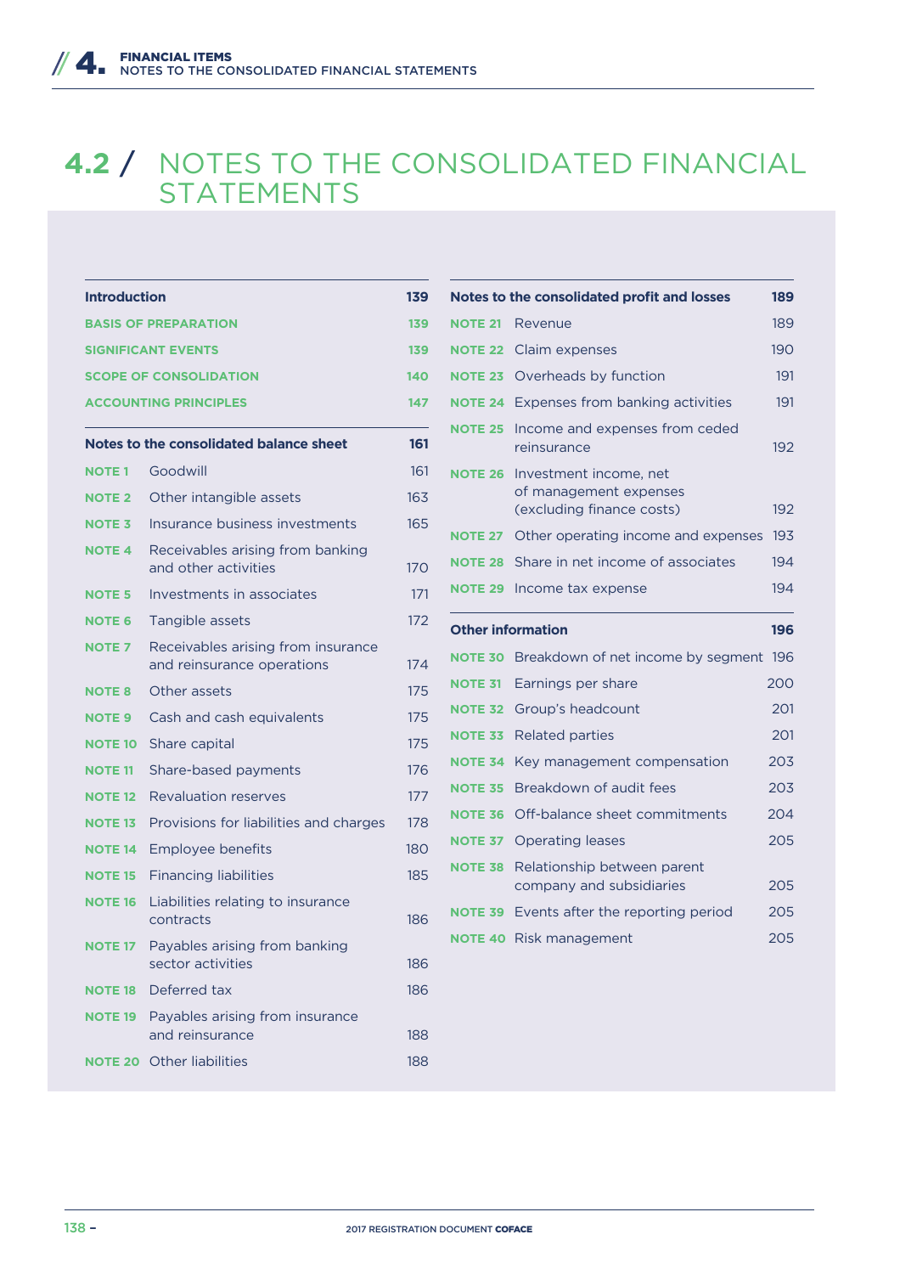# **4.2** / NOTES TO THE CONSOLIDATED FINANCIAL STATEMENTS

| <b>Introduction</b> |                                                                   | 139 |
|---------------------|-------------------------------------------------------------------|-----|
|                     | <b>BASIS OF PREPARATION</b>                                       | 139 |
|                     | <b>SIGNIFICANT EVENTS</b>                                         | 139 |
|                     | <b>SCOPE OF CONSOLIDATION</b>                                     | 140 |
|                     | <b>ACCOUNTING PRINCIPLES</b>                                      | 147 |
|                     | Notes to the consolidated balance sheet                           | 161 |
| <b>NOTE1</b>        | Goodwill                                                          | 161 |
| <b>NOTE 2</b>       | Other intangible assets                                           | 163 |
| <b>NOTE 3</b>       | Insurance business investments                                    | 165 |
| <b>NOTE 4</b>       | Receivables arising from banking<br>and other activities          | 170 |
| <b>NOTE 5</b>       | Investments in associates                                         | 171 |
| <b>NOTE 6</b>       | Tangible assets                                                   | 172 |
| <b>NOTE 7</b>       | Receivables arising from insurance<br>and reinsurance operations  | 174 |
| <b>NOTE 8</b>       | Other assets                                                      | 175 |
| <b>NOTE 9</b>       | Cash and cash equivalents                                         | 175 |
| <b>NOTE 10</b>      | Share capital                                                     | 175 |
| <b>NOTE 11</b>      | Share-based payments                                              | 176 |
| <b>NOTE 12</b>      | <b>Revaluation reserves</b>                                       | 177 |
| <b>NOTE 13</b>      | Provisions for liabilities and charges                            | 178 |
| <b>NOTE 14</b>      | Employee benefits                                                 | 180 |
| <b>NOTE 15</b>      | <b>Financing liabilities</b>                                      | 185 |
| <b>NOTE 16</b>      | Liabilities relating to insurance<br>contracts                    | 186 |
| <b>NOTE 17</b>      | Payables arising from banking<br>sector activities                | 186 |
|                     | <b>NOTE 18</b> Deferred tax                                       | 186 |
|                     | <b>NOTE 19</b> Payables arising from insurance<br>and reinsurance | 188 |
|                     | <b>NOTE 20</b> Other liabilities                                  | 188 |

|                | Notes to the consolidated profit and losses                                   | 189 |
|----------------|-------------------------------------------------------------------------------|-----|
| <b>NOTE 21</b> | Revenue                                                                       | 189 |
| <b>NOTE 22</b> | Claim expenses                                                                | 190 |
| <b>NOTE 23</b> | Overheads by function                                                         | 191 |
| <b>NOTE 24</b> | Expenses from banking activities                                              | 191 |
| <b>NOTE 25</b> | Income and expenses from ceded<br>reinsurance                                 | 192 |
| <b>NOTE 26</b> | Investment income, net<br>of management expenses<br>(excluding finance costs) | 192 |
| <b>NOTE 27</b> | Other operating income and expenses                                           | 193 |
| <b>NOTE 28</b> | Share in net income of associates                                             | 194 |
| <b>NOTE 29</b> | Income tax expense                                                            | 194 |
|                | <b>Other information</b>                                                      | 196 |
| <b>NOTE 30</b> | Breakdown of net income by segment                                            | 196 |
| <b>NOTE 31</b> | Earnings per share                                                            | 200 |
| <b>NOTE 32</b> | Group's headcount                                                             | 201 |
| <b>NOTE 33</b> | <b>Related parties</b>                                                        | 201 |
| <b>NOTE 34</b> | Key management compensation                                                   | 203 |
| <b>NOTE 35</b> | Breakdown of audit fees                                                       | 203 |
| <b>NOTE 36</b> | Off-balance sheet commitments                                                 | 204 |
| <b>NOTE 37</b> | <b>Operating leases</b>                                                       | 205 |
| <b>NOTE 38</b> | Relationship between parent<br>company and subsidiaries                       | 205 |
| <b>NOTE 39</b> | Events after the reporting period                                             | 205 |
| <b>NOTE 40</b> | Risk management                                                               | 205 |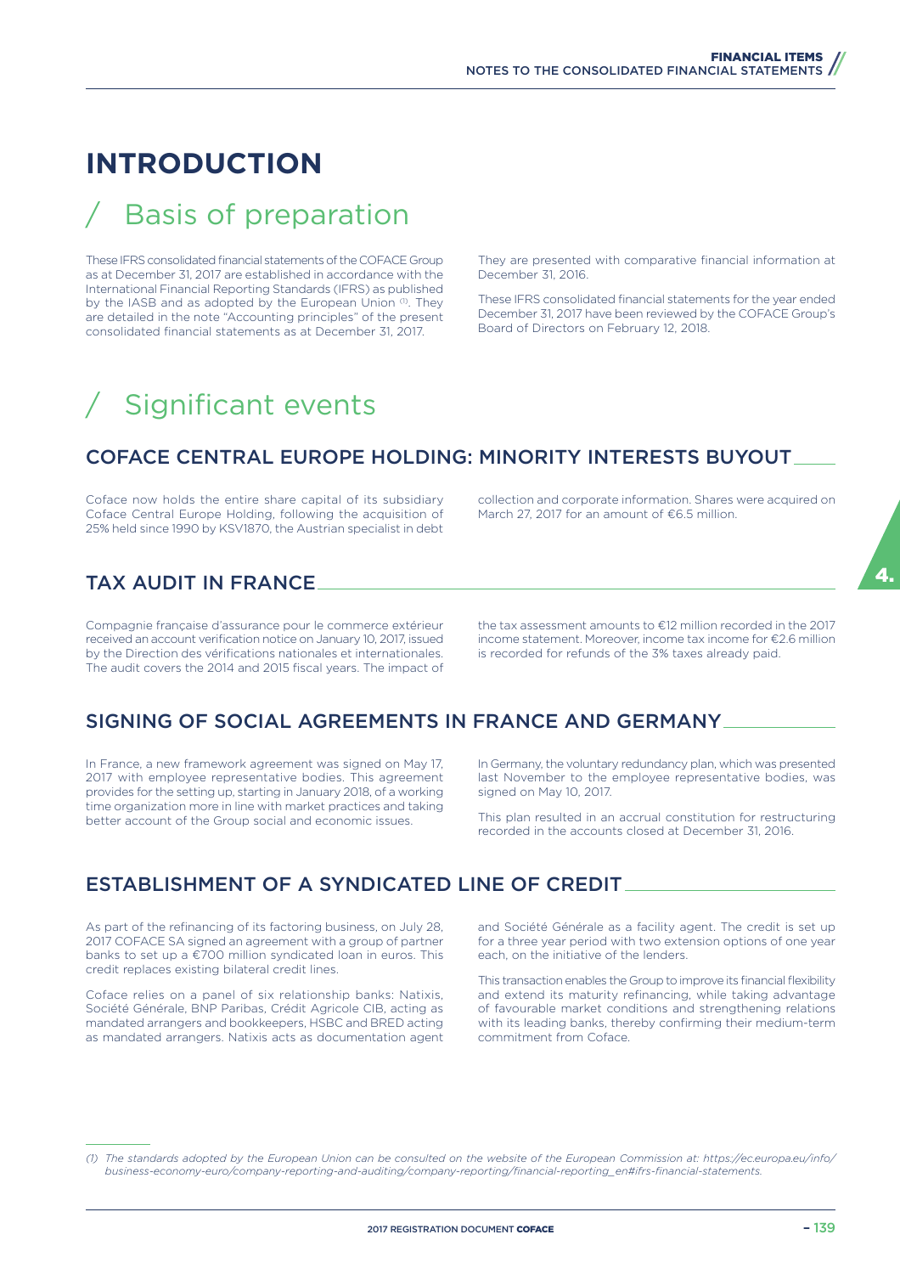# **INTRODUCTION**

# Basis of preparation

These IFRS consolidated financial statements of the COFACE Group as at December 31, 2017 are established in accordance with the International Financial Reporting Standards (IFRS) as published by the IASB and as adopted by the European Union (1). They are detailed in the note "Accounting principles" of the present consolidated financial statements as at December 31, 2017.

They are presented with comparative financial information at December 31, 2016.

These IFRS consolidated financial statements for the year ended December 31, 2017 have been reviewed by the COFACE Group's Board of Directors on February 12, 2018.

# / Significant events

## COFACE CENTRAL EUROPE HOLDING: MINORITY INTERESTS BUYOUT

Coface now holds the entire share capital of its subsidiary Coface Central Europe Holding, following the acquisition of 25% held since 1990 by KSV1870, the Austrian specialist in debt collection and corporate information. Shares were acquired on March 27, 2017 for an amount of €6.5 million.

# TAX AUDIT IN FRANCE

Compagnie française d'assurance pour le commerce extérieur received an account verification notice on January 10, 2017, issued by the Direction des vérifications nationales et internationales. The audit covers the 2014 and 2015 fiscal years. The impact of

the tax assessment amounts to €12 million recorded in the 2017 income statement. Moreover, income tax income for €2.6 million is recorded for refunds of the 3% taxes already paid.

### SIGNING OF SOCIAL AGREEMENTS IN FRANCE AND GERMANY

In France, a new framework agreement was signed on May 17, 2017 with employee representative bodies. This agreement provides for the setting up, starting in January 2018, of a working time organization more in line with market practices and taking better account of the Group social and economic issues.

In Germany, the voluntary redundancy plan, which was presented last November to the employee representative bodies, was signed on May 10, 2017.

This plan resulted in an accrual constitution for restructuring recorded in the accounts closed at December 31, 2016.

## ESTABLISHMENT OF A SYNDICATED LINE OF CREDIT

As part of the refinancing of its factoring business, on July 28, 2017 COFACE SA signed an agreement with a group of partner banks to set up a €700 million syndicated loan in euros. This credit replaces existing bilateral credit lines.

Coface relies on a panel of six relationship banks: Natixis, Société Générale, BNP Paribas, Crédit Agricole CIB, acting as mandated arrangers and bookkeepers, HSBC and BRED acting as mandated arrangers. Natixis acts as documentation agent

and Société Générale as a facility agent. The credit is set up for a three year period with two extension options of one year each, on the initiative of the lenders.

This transaction enables the Group to improve its financial flexibility and extend its maturity refinancing, while taking advantage of favourable market conditions and strengthening relations with its leading banks, thereby confirming their medium-term commitment from Coface.

*(1) The standards adopted by the European Union can be consulted on the website of the European Commission at: https://ec.europa.eu/info/ business-economy-euro/company-reporting-and-auditing/company-reporting/financial-reporting\_en#ifrs-financial-statements.*

4.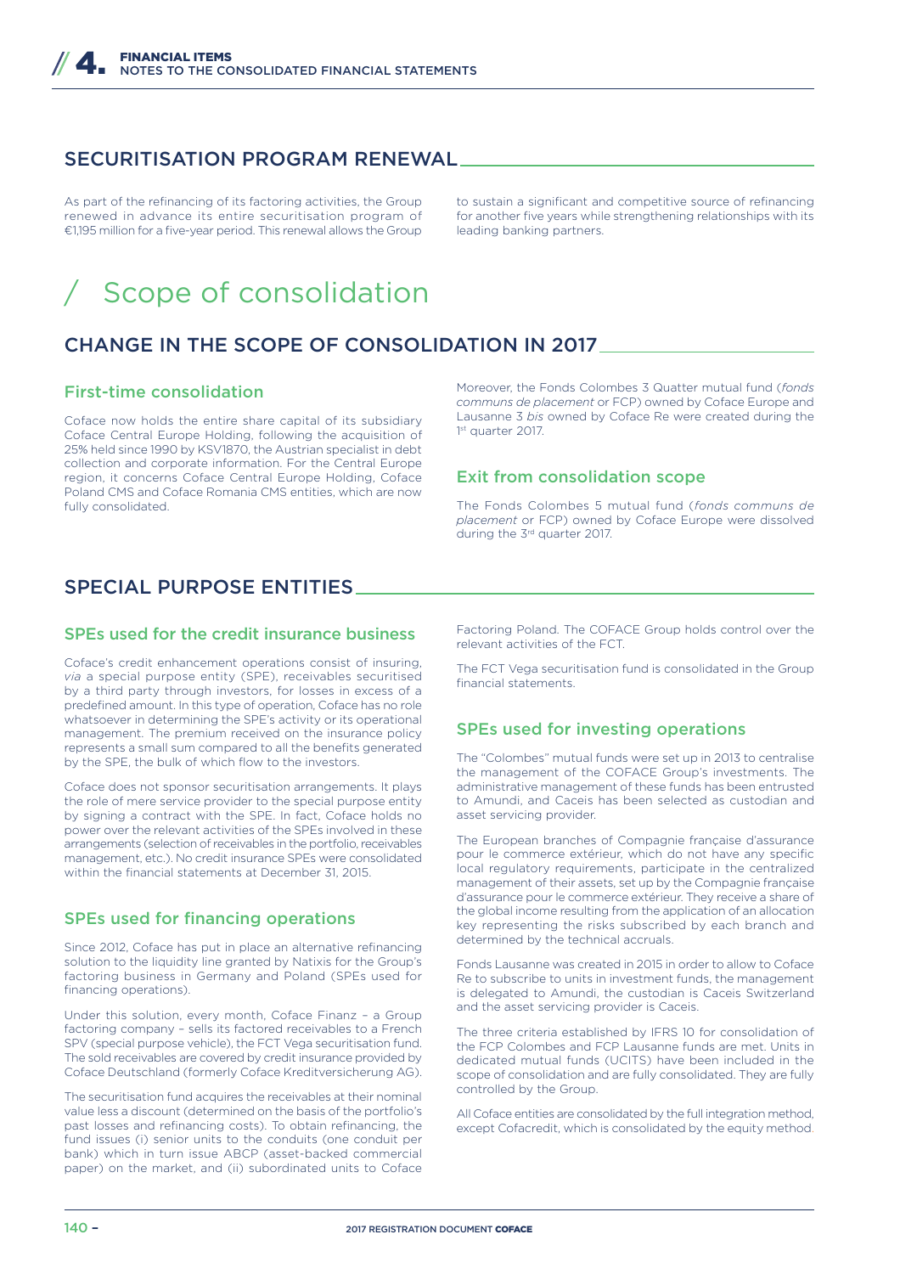### SECURITISATION PROGRAM RENEWAL

As part of the refinancing of its factoring activities, the Group renewed in advance its entire securitisation program of €1,195 million for a five-year period. This renewal allows the Group

to sustain a significant and competitive source of refinancing for another five years while strengthening relationships with its leading banking partners.

# Scope of consolidation

## CHANGE IN THE SCOPE OF CONSOLIDATION IN 2017

#### First-time consolidation

Coface now holds the entire share capital of its subsidiary Coface Central Europe Holding, following the acquisition of 25% held since 1990 by KSV1870, the Austrian specialist in debt collection and corporate information. For the Central Europe region, it concerns Coface Central Europe Holding, Coface Poland CMS and Coface Romania CMS entities, which are now fully consolidated.

Moreover, the Fonds Colombes 3 Quatter mutual fund (*fonds communs de placement* or FCP) owned by Coface Europe and Lausanne 3 *bis* owned by Coface Re were created during the 1st quarter 2017.

#### Exit from consolidation scope

The Fonds Colombes 5 mutual fund (*fonds communs de placement* or FCP) owned by Coface Europe were dissolved during the 3rd quarter 2017.

### SPECIAL PURPOSE ENTITIES

#### SPEs used for the credit insurance business

Coface's credit enhancement operations consist of insuring, *via* a special purpose entity (SPE), receivables securitised by a third party through investors, for losses in excess of a predefined amount. In this type of operation, Coface has no role whatsoever in determining the SPE's activity or its operational management. The premium received on the insurance policy represents a small sum compared to all the benefits generated by the SPE, the bulk of which flow to the investors.

Coface does not sponsor securitisation arrangements. It plays the role of mere service provider to the special purpose entity by signing a contract with the SPE. In fact, Coface holds no power over the relevant activities of the SPEs involved in these arrangements (selection of receivables in the portfolio, receivables management, etc.). No credit insurance SPEs were consolidated within the financial statements at December 31, 2015.

#### SPEs used for financing operations

Since 2012, Coface has put in place an alternative refinancing solution to the liquidity line granted by Natixis for the Group's factoring business in Germany and Poland (SPEs used for financing operations).

Under this solution, every month, Coface Finanz – a Group factoring company – sells its factored receivables to a French SPV (special purpose vehicle), the FCT Vega securitisation fund. The sold receivables are covered by credit insurance provided by Coface Deutschland (formerly Coface Kreditversicherung AG).

The securitisation fund acquires the receivables at their nominal value less a discount (determined on the basis of the portfolio's past losses and refinancing costs). To obtain refinancing, the fund issues (i) senior units to the conduits (one conduit per bank) which in turn issue ABCP (asset-backed commercial paper) on the market, and (ii) subordinated units to Coface

Factoring Poland. The COFACE Group holds control over the relevant activities of the FCT.

The FCT Vega securitisation fund is consolidated in the Group financial statements.

#### SPEs used for investing operations

The "Colombes" mutual funds were set up in 2013 to centralise the management of the COFACE Group's investments. The administrative management of these funds has been entrusted to Amundi, and Caceis has been selected as custodian and asset servicing provider.

The European branches of Compagnie française d'assurance pour le commerce extérieur, which do not have any specific local regulatory requirements, participate in the centralized management of their assets, set up by the Compagnie française d'assurance pour le commerce extérieur. They receive a share of the global income resulting from the application of an allocation key representing the risks subscribed by each branch and determined by the technical accruals.

Fonds Lausanne was created in 2015 in order to allow to Coface Re to subscribe to units in investment funds, the management is delegated to Amundi, the custodian is Caceis Switzerland and the asset servicing provider is Caceis.

The three criteria established by IFRS 10 for consolidation of the FCP Colombes and FCP Lausanne funds are met. Units in dedicated mutual funds (UCITS) have been included in the scope of consolidation and are fully consolidated. They are fully controlled by the Group.

All Coface entities are consolidated by the full integration method, except Cofacredit, which is consolidated by the equity method.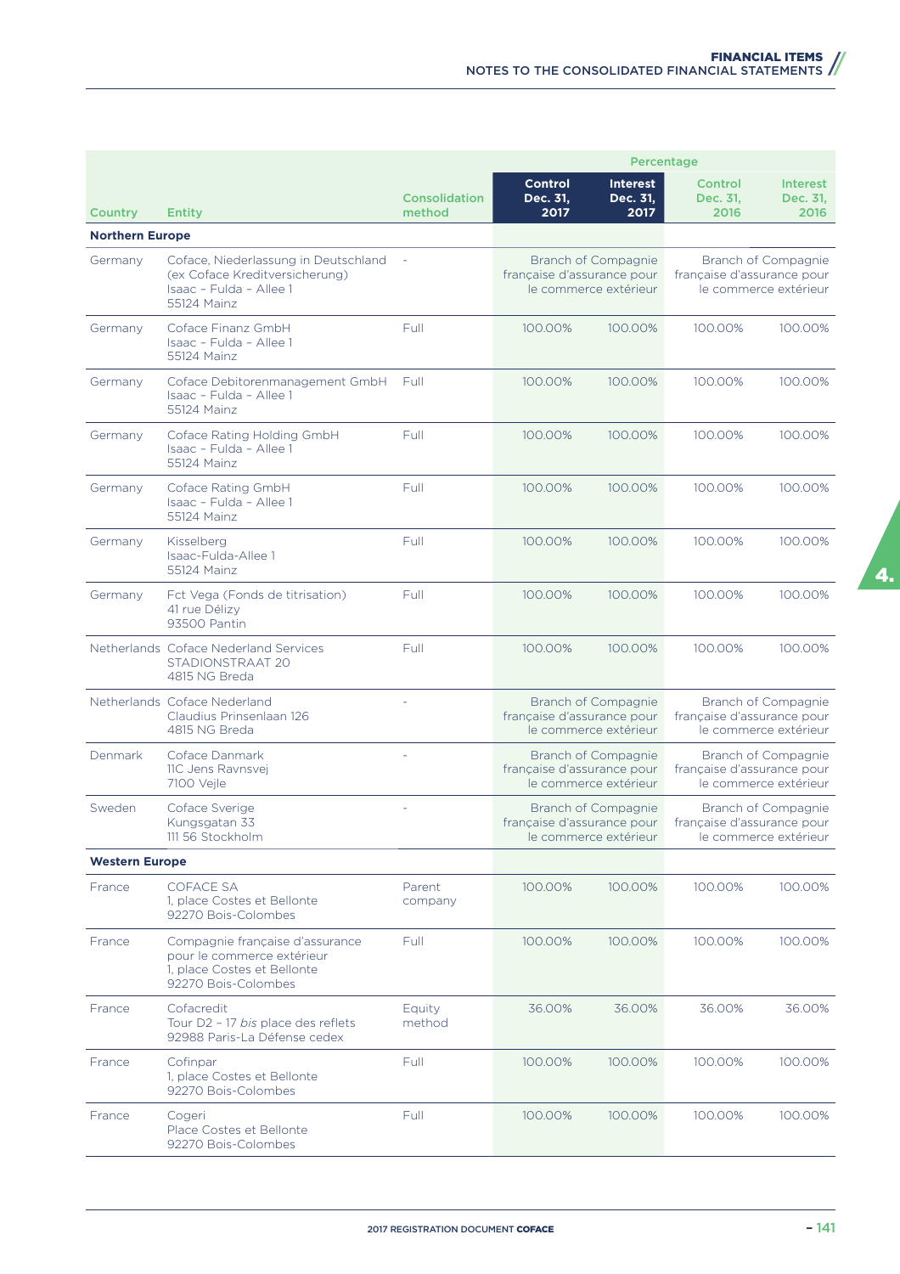|                        |                                                                                                                     |                                | Percentage                         |                                                                                                                                                                 |                                                                            |                                     |
|------------------------|---------------------------------------------------------------------------------------------------------------------|--------------------------------|------------------------------------|-----------------------------------------------------------------------------------------------------------------------------------------------------------------|----------------------------------------------------------------------------|-------------------------------------|
| Country                | <b>Entity</b>                                                                                                       | <b>Consolidation</b><br>method | <b>Control</b><br>Dec. 31,<br>2017 | <b>Interest</b><br>Dec. 31,<br>2017                                                                                                                             | Control<br>Dec. 31,<br>2016                                                | <b>Interest</b><br>Dec. 31.<br>2016 |
| <b>Northern Europe</b> |                                                                                                                     |                                |                                    |                                                                                                                                                                 |                                                                            |                                     |
| Germany                | Coface, Niederlassung in Deutschland<br>(ex Coface Kreditversicherung)<br>Isaac - Fulda - Allee 1<br>55124 Mainz    |                                | française d'assurance pour         | Branch of Compagnie<br>le commerce extérieur                                                                                                                    | Branch of Compagnie<br>française d'assurance pour<br>le commerce extérieur |                                     |
| Germany                | Coface Finanz GmbH<br>Isaac - Fulda - Allee 1<br>55124 Mainz                                                        | Full                           | 100.00%                            | 100.00%                                                                                                                                                         | 100.00%                                                                    | 100.00%                             |
| Germany                | Coface Debitorenmanagement GmbH<br>Isaac - Fulda - Allee 1<br>55124 Mainz                                           | Full                           | 100.00%                            | 100.00%                                                                                                                                                         | 100.00%                                                                    | 100.00%                             |
| Germany                | Coface Rating Holding GmbH<br>Isaac - Fulda - Allee 1<br>55124 Mainz                                                | Full                           | 100.00%                            | 100.00%                                                                                                                                                         | 100.00%                                                                    | 100.00%                             |
| Germany                | Coface Rating GmbH<br>Isaac - Fulda - Allee 1<br>55124 Mainz                                                        | Full                           | 100.00%                            | 100.00%                                                                                                                                                         | 100.00%                                                                    | 100.00%                             |
| Germany                | Kisselberg<br>Isaac-Fulda-Allee 1<br>55124 Mainz                                                                    | Full                           | 100.00%                            | 100.00%                                                                                                                                                         | 100.00%                                                                    | 100.00%                             |
| Germany                | Fct Vega (Fonds de titrisation)<br>41 rue Délizy<br>93500 Pantin                                                    | Full                           | 100.00%                            | 100.00%                                                                                                                                                         | 100.00%                                                                    | 100.00%                             |
|                        | Netherlands Coface Nederland Services<br>STADIONSTRAAT 20<br>4815 NG Breda                                          | Full                           | 100.00%                            | 100.00%                                                                                                                                                         | 100.00%                                                                    | 100.00%                             |
|                        | Netherlands Coface Nederland<br>Claudius Prinsenlaan 126<br>4815 NG Breda                                           |                                |                                    | <b>Branch of Compagnie</b><br>Branch of Compagnie<br>française d'assurance pour<br>française d'assurance pour<br>le commerce extérieur<br>le commerce extérieur |                                                                            |                                     |
| Denmark                | Coface Danmark<br>11C Jens Ravnsvei<br>7100 Vejle                                                                   |                                | française d'assurance pour         | Branch of Compagnie<br>le commerce extérieur                                                                                                                    | Branch of Compagnie<br>française d'assurance pour<br>le commerce extérieur |                                     |
| Sweden                 | Coface Sverige<br>Kungsgatan 33<br>111 56 Stockholm                                                                 |                                | française d'assurance pour         | Branch of Compagnie<br>le commerce extérieur                                                                                                                    | Branch of Compagnie<br>française d'assurance pour<br>le commerce extérieur |                                     |
| <b>Western Europe</b>  |                                                                                                                     |                                |                                    |                                                                                                                                                                 |                                                                            |                                     |
| France                 | COFACE SA<br>1, place Costes et Bellonte<br>92270 Bois-Colombes                                                     | Parent<br>company              | 100.00%                            | 100.00%                                                                                                                                                         | 100.00%                                                                    | 100.00%                             |
| France                 | Compagnie française d'assurance<br>pour le commerce extérieur<br>1, place Costes et Bellonte<br>92270 Bois-Colombes | Full                           | 100.00%                            | 100.00%                                                                                                                                                         | 100.00%                                                                    | 100.00%                             |
| France                 | Cofacredit<br>Tour D2 - 17 bis place des reflets<br>92988 Paris-La Défense cedex                                    | Equity<br>method               | 36.00%                             | 36.00%                                                                                                                                                          | 36.00%                                                                     | 36.00%                              |
| France                 | Cofinpar<br>1, place Costes et Bellonte<br>92270 Bois-Colombes                                                      | Full                           | 100.00%                            | 100.00%                                                                                                                                                         | 100.00%                                                                    | 100.00%                             |
| France                 | Cogeri<br>Place Costes et Bellonte<br>92270 Bois-Colombes                                                           | Full                           | 100.00%                            | 100.00%                                                                                                                                                         | 100.00%                                                                    | 100.00%                             |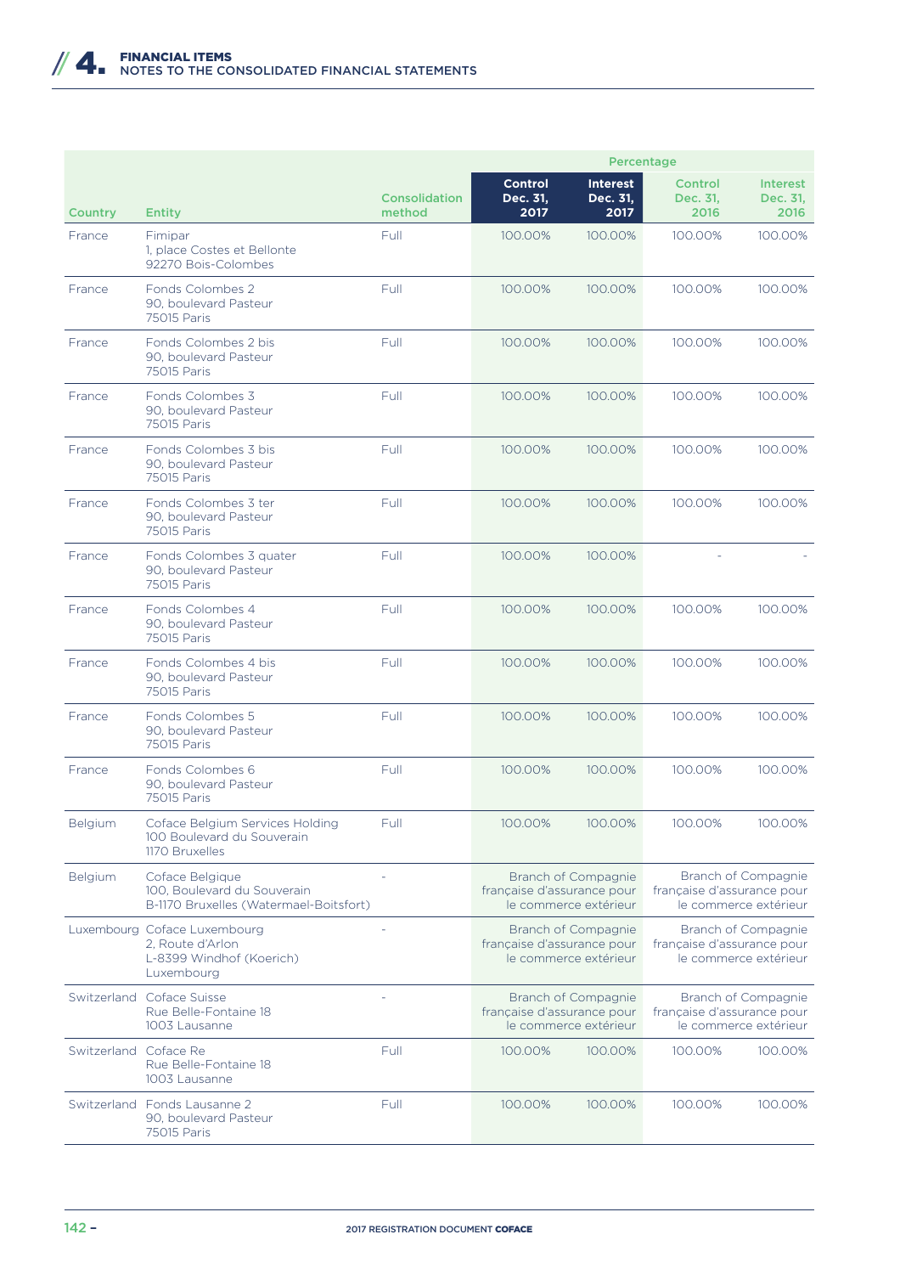|                       |                                                                                            |                         | Percentage                                                                                                                                                      |                                              |                             |                                              |
|-----------------------|--------------------------------------------------------------------------------------------|-------------------------|-----------------------------------------------------------------------------------------------------------------------------------------------------------------|----------------------------------------------|-----------------------------|----------------------------------------------|
| <b>Country</b>        | <b>Entity</b>                                                                              | Consolidation<br>method | <b>Control</b><br>Dec. 31,<br>2017                                                                                                                              | <b>Interest</b><br>Dec. 31,<br>2017          | Control<br>Dec. 31,<br>2016 | Interest<br>Dec. 31,<br>2016                 |
| France                | Fimipar<br>1, place Costes et Bellonte<br>92270 Bois-Colombes                              | Full                    | 100.00%                                                                                                                                                         | 100.00%                                      | 100.00%                     | 100.00%                                      |
| France                | Fonds Colombes 2<br>90, boulevard Pasteur<br>75015 Paris                                   | Full                    | 100.00%                                                                                                                                                         | 100.00%                                      | 100.00%                     | 100.00%                                      |
| France                | Fonds Colombes 2 bis<br>90, boulevard Pasteur<br>75015 Paris                               | Full                    | 100.00%                                                                                                                                                         | 100.00%                                      | 100.00%                     | 100.00%                                      |
| France                | Fonds Colombes 3<br>90, boulevard Pasteur<br>75015 Paris                                   | Full                    | 100.00%                                                                                                                                                         | 100.00%                                      | 100.00%                     | 100.00%                                      |
| France                | Fonds Colombes 3 bis<br>90. boulevard Pasteur<br>75015 Paris                               | Full                    | 100.00%                                                                                                                                                         | 100.00%                                      | 100.00%                     | 100.00%                                      |
| France                | Fonds Colombes 3 ter<br>90, boulevard Pasteur<br>75015 Paris                               | Full                    | 100.00%                                                                                                                                                         | 100.00%                                      | 100.00%                     | 100.00%                                      |
| France                | Fonds Colombes 3 quater<br>90, boulevard Pasteur<br>75015 Paris                            | Full                    | 100.00%                                                                                                                                                         | 100.00%                                      |                             |                                              |
| France                | Fonds Colombes 4<br>90, boulevard Pasteur<br>75015 Paris                                   | Full                    | 100.00%                                                                                                                                                         | 100.00%                                      | 100.00%                     | 100.00%                                      |
| France                | Fonds Colombes 4 bis<br>90, boulevard Pasteur<br>75015 Paris                               | Full                    | 100.00%                                                                                                                                                         | 100.00%                                      | 100.00%                     | 100.00%                                      |
| France                | Fonds Colombes 5<br>90, boulevard Pasteur<br>75015 Paris                                   | Full                    | 100.00%                                                                                                                                                         | 100.00%                                      | 100.00%                     | 100.00%                                      |
| France                | Fonds Colombes 6<br>90, boulevard Pasteur<br>75015 Paris                                   | Full                    | 100.00%                                                                                                                                                         | 100.00%                                      | 100.00%                     | 100.00%                                      |
| <b>Belgium</b>        | Coface Belgium Services Holding<br>100 Boulevard du Souverain<br>1170 Bruxelles            | Full                    | 100.00%                                                                                                                                                         | 100.00%                                      | 100.00%                     | 100.00%                                      |
| Belgium               | Coface Belgique<br>100, Boulevard du Souverain<br>B-1170 Bruxelles (Watermael-Boitsfort)   |                         | française d'assurance pour                                                                                                                                      | Branch of Compagnie<br>le commerce extérieur | française d'assurance pour  | Branch of Compagnie<br>le commerce extérieur |
|                       | Luxembourg Coface Luxembourg<br>2. Route d'Arlon<br>L-8399 Windhof (Koerich)<br>Luxembourg |                         | <b>Branch of Compagnie</b><br>Branch of Compagnie<br>française d'assurance pour<br>française d'assurance pour<br>le commerce extérieur<br>le commerce extérieur |                                              |                             |                                              |
|                       | Switzerland Coface Suisse<br>Rue Belle-Fontaine 18<br>1003 Lausanne                        |                         | Branch of Compagnie<br>française d'assurance pour<br>le commerce extérieur                                                                                      |                                              | française d'assurance pour  | Branch of Compagnie<br>le commerce extérieur |
| Switzerland Coface Re | Rue Belle-Fontaine 18<br>1003 Lausanne                                                     | Full                    | 100.00%                                                                                                                                                         | 100.00%                                      | 100.00%                     | 100.00%                                      |
|                       | Switzerland Fonds Lausanne 2<br>90, boulevard Pasteur<br>75015 Paris                       | Full                    | 100.00%                                                                                                                                                         | 100.00%                                      | 100.00%                     | 100.00%                                      |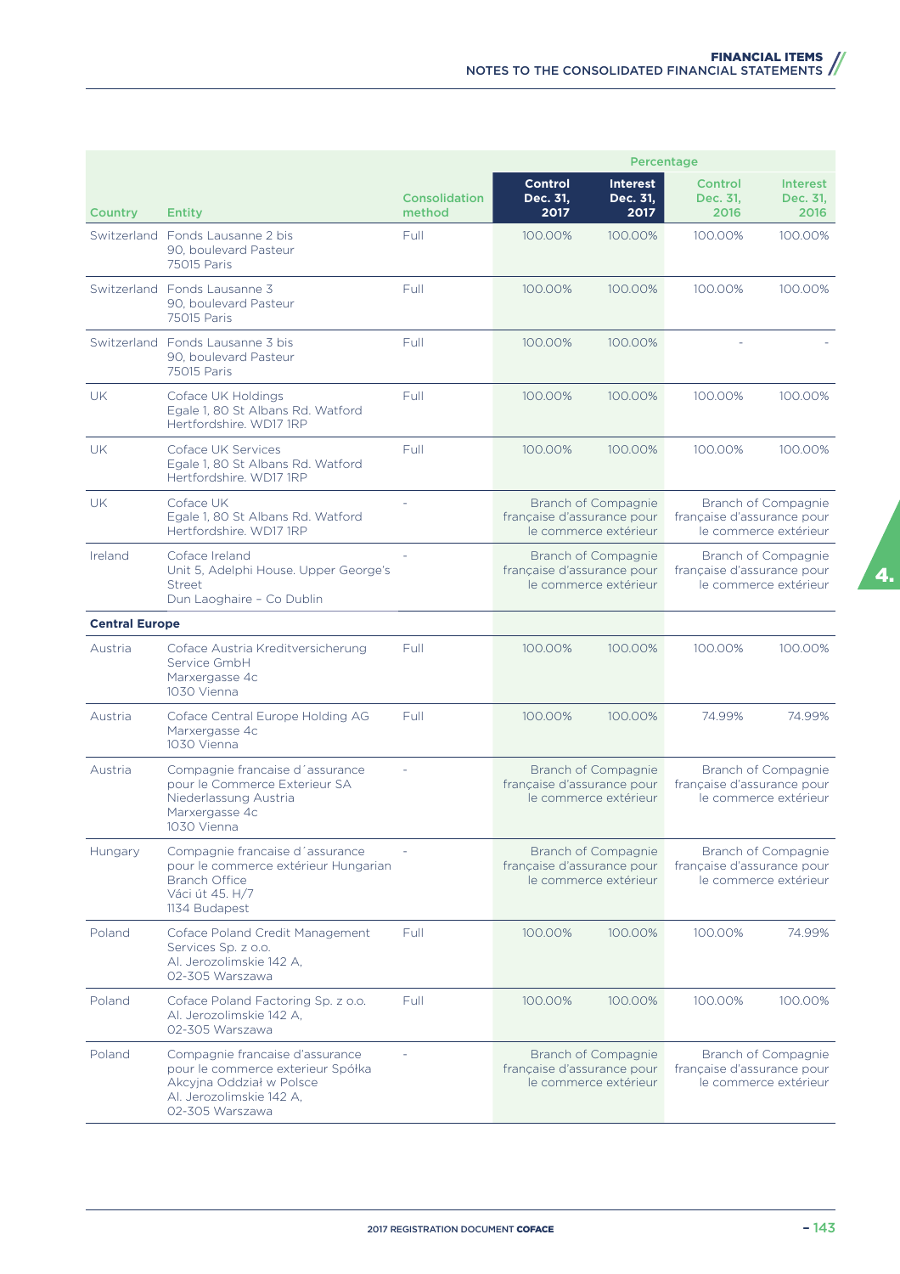|                       |                                                                                                                                                 |                                | Percentage                                                                 |                                              |                                                                            |                                                                            |  |
|-----------------------|-------------------------------------------------------------------------------------------------------------------------------------------------|--------------------------------|----------------------------------------------------------------------------|----------------------------------------------|----------------------------------------------------------------------------|----------------------------------------------------------------------------|--|
| Country               | <b>Entity</b>                                                                                                                                   | <b>Consolidation</b><br>method | <b>Control</b><br>Dec. 31,<br>2017                                         | <b>Interest</b><br>Dec. 31,<br>2017          | Control<br>Dec. 31,<br>2016                                                | <b>Interest</b><br>Dec. 31,<br>2016                                        |  |
|                       | Switzerland Fonds Lausanne 2 bis<br>90, boulevard Pasteur<br>75015 Paris                                                                        | Full                           | 100.00%                                                                    | 100.00%                                      | 100.00%                                                                    | 100.00%                                                                    |  |
|                       | Switzerland Fonds Lausanne 3<br>90, boulevard Pasteur<br>75015 Paris                                                                            | Full                           | 100.00%                                                                    | 100.00%                                      | 100.00%                                                                    | 100.00%                                                                    |  |
|                       | Switzerland Fonds Lausanne 3 bis<br>90, boulevard Pasteur<br>75015 Paris                                                                        | Full                           | 100.00%                                                                    | 100.00%                                      |                                                                            |                                                                            |  |
| <b>UK</b>             | Coface UK Holdings<br>Egale 1, 80 St Albans Rd. Watford<br>Hertfordshire. WD17 1RP                                                              | Full                           | 100.00%                                                                    | 100.00%                                      | 100.00%                                                                    | 100.00%                                                                    |  |
| <b>UK</b>             | Coface UK Services<br>Egale 1, 80 St Albans Rd. Watford<br>Hertfordshire. WD17 1RP                                                              | Full                           | 100.00%                                                                    | 100.00%                                      | 100.00%                                                                    | 100.00%                                                                    |  |
| <b>UK</b>             | Coface UK<br>Egale 1, 80 St Albans Rd. Watford<br>Hertfordshire. WD17 1RP                                                                       |                                | Branch of Compagnie<br>française d'assurance pour<br>le commerce extérieur |                                              |                                                                            | Branch of Compagnie<br>française d'assurance pour<br>le commerce extérieur |  |
| Ireland               | Coface Ireland<br>Unit 5, Adelphi House. Upper George's<br><b>Street</b><br>Dun Laoghaire - Co Dublin                                           |                                | Branch of Compagnie<br>française d'assurance pour<br>le commerce extérieur |                                              | Branch of Compagnie<br>française d'assurance pour<br>le commerce extérieur |                                                                            |  |
| <b>Central Europe</b> |                                                                                                                                                 |                                |                                                                            |                                              |                                                                            |                                                                            |  |
| Austria               | Coface Austria Kreditversicherung<br>Service GmbH<br>Marxergasse 4c<br>1030 Vienna                                                              | Full                           | 100.00%                                                                    | 100.00%                                      | 100.00%                                                                    | 100.00%                                                                    |  |
| Austria               | Coface Central Europe Holding AG<br>Marxergasse 4c<br>1030 Vienna                                                                               | Full                           | 100.00%                                                                    | 100.00%                                      | 74.99%                                                                     | 74.99%                                                                     |  |
| Austria               | Compagnie francaise d'assurance<br>pour le Commerce Exterieur SA<br>Niederlassung Austria<br>Marxergasse 4c<br>1030 Vienna                      |                                | française d'assurance pour                                                 | Branch of Compagnie<br>le commerce extérieur | française d'assurance pour                                                 | Branch of Compagnie<br>le commerce extérieur                               |  |
| Hungary               | Compagnie francaise d'assurance<br>pour le commerce extérieur Hungarian<br><b>Branch Office</b><br>Váci út 45. H/7<br>1134 Budapest             |                                | française d'assurance pour                                                 | Branch of Compagnie<br>le commerce extérieur | française d'assurance pour                                                 | Branch of Compagnie<br>le commerce extérieur                               |  |
| Poland                | Coface Poland Credit Management<br>Services Sp. z o.o.<br>Al. Jerozolimskie 142 A.<br>02-305 Warszawa                                           | Full                           | 100.00%                                                                    | 100.00%                                      | 100.00%                                                                    | 74.99%                                                                     |  |
| Poland                | Coface Poland Factoring Sp. z o.o.<br>Al. Jerozolimskie 142 A.<br>02-305 Warszawa                                                               | Full                           | 100.00%                                                                    | 100.00%                                      | 100.00%                                                                    | 100.00%                                                                    |  |
| Poland                | Compagnie francaise d'assurance<br>pour le commerce exterieur Spółka<br>Akcyjna Oddział w Polsce<br>Al. Jerozolimskie 142 A.<br>02-305 Warszawa |                                | française d'assurance pour                                                 | Branch of Compagnie<br>le commerce extérieur | française d'assurance pour                                                 | Branch of Compagnie<br>le commerce extérieur                               |  |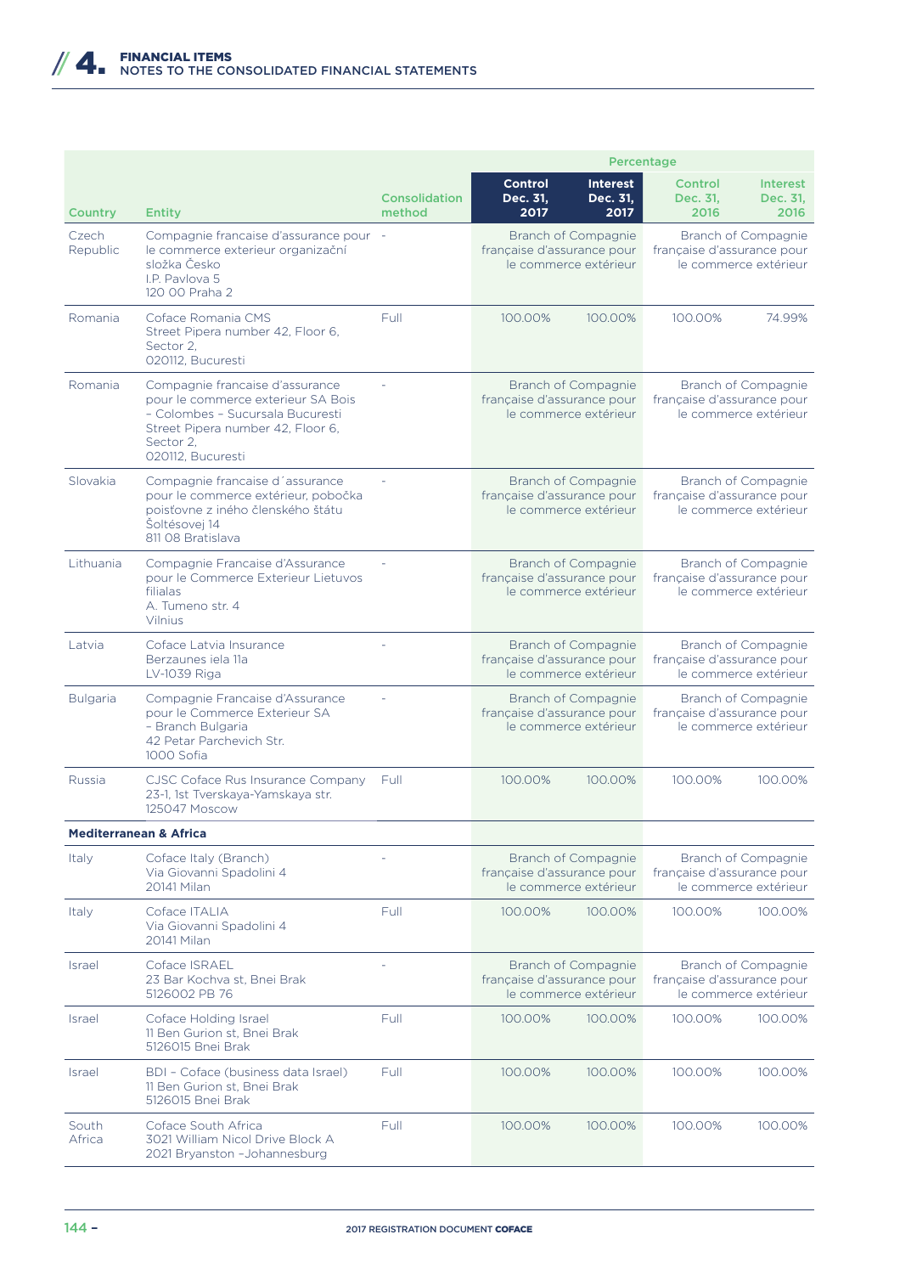|                   |                                                                                                                                                                                  |                                | Percentage                         |                                              |                             |                                              |
|-------------------|----------------------------------------------------------------------------------------------------------------------------------------------------------------------------------|--------------------------------|------------------------------------|----------------------------------------------|-----------------------------|----------------------------------------------|
| Country           | <b>Entity</b>                                                                                                                                                                    | <b>Consolidation</b><br>method | <b>Control</b><br>Dec. 31,<br>2017 | <b>Interest</b><br>Dec. 31,<br>2017          | Control<br>Dec. 31,<br>2016 | Interest<br>Dec. 31.<br>2016                 |
| Czech<br>Republic | Compagnie francaise d'assurance pour -<br>le commerce exterieur organizační<br>složka Česko<br>I.P. Pavlova 5<br>120 00 Praha 2                                                  |                                | francaise d'assurance pour         | Branch of Compagnie<br>le commerce extérieur | française d'assurance pour  | Branch of Compagnie<br>le commerce extérieur |
| Romania           | Coface Romania CMS<br>Street Pipera number 42, Floor 6,<br>Sector 2.<br>020112, Bucuresti                                                                                        | Full                           | 100.00%                            | 100.00%                                      | 100.00%                     | 74.99%                                       |
| Romania           | Compagnie francaise d'assurance<br>pour le commerce exterieur SA Bois<br>- Colombes - Sucursala Bucuresti<br>Street Pipera number 42, Floor 6,<br>Sector 2.<br>020112, Bucuresti |                                | française d'assurance pour         | Branch of Compagnie<br>le commerce extérieur | française d'assurance pour  | Branch of Compagnie<br>le commerce extérieur |
| Slovakia          | Compagnie francaise d'assurance<br>pour le commerce extérieur, pobočka<br>poisťovne z iného členského štátu<br>Šoltésovej 14<br>811 08 Bratislava                                |                                | française d'assurance pour         | Branch of Compagnie<br>le commerce extérieur | française d'assurance pour  | Branch of Compagnie<br>le commerce extérieur |
| Lithuania         | Compagnie Francaise d'Assurance<br>pour le Commerce Exterieur Lietuvos<br>filialas<br>A. Tumeno str. 4<br>Vilnius                                                                |                                | française d'assurance pour         | Branch of Compagnie<br>le commerce extérieur | française d'assurance pour  | Branch of Compagnie<br>le commerce extérieur |
| Latvia            | Coface Latvia Insurance<br>Berzaunes iela 11a<br>LV-1039 Riga                                                                                                                    |                                | française d'assurance pour         | Branch of Compagnie<br>le commerce extérieur | française d'assurance pour  | Branch of Compagnie<br>le commerce extérieur |
| <b>Bulgaria</b>   | Compagnie Francaise d'Assurance<br>pour le Commerce Exterieur SA<br>- Branch Bulgaria<br>42 Petar Parchevich Str.<br>1000 Sofia                                                  |                                | française d'assurance pour         | Branch of Compagnie<br>le commerce extérieur | française d'assurance pour  | Branch of Compagnie<br>le commerce extérieur |
| Russia            | CJSC Coface Rus Insurance Company<br>23-1, 1st Tverskaya-Yamskaya str.<br>125047 Moscow                                                                                          | Full                           | 100.00%                            | 100.00%                                      | 100.00%                     | 100.00%                                      |
|                   | <b>Mediterranean &amp; Africa</b>                                                                                                                                                |                                |                                    |                                              |                             |                                              |
| Italy             | Coface Italy (Branch)<br>Via Giovanni Spadolini 4<br>20141 Milan                                                                                                                 |                                | française d'assurance pour         | Branch of Compagnie<br>le commerce extérieur | française d'assurance pour  | Branch of Compagnie<br>le commerce extérieur |
| Italy             | Coface ITALIA<br>Via Giovanni Spadolini 4<br>20141 Milan                                                                                                                         | Full                           | 100.00%                            | 100.00%                                      | 100.00%                     | 100.00%                                      |
| Israel            | Coface ISRAEL<br>23 Bar Kochva st, Bnei Brak<br>5126002 PB 76                                                                                                                    |                                | française d'assurance pour         | Branch of Compagnie<br>le commerce extérieur | française d'assurance pour  | Branch of Compagnie<br>le commerce extérieur |
| Israel            | Coface Holding Israel<br>11 Ben Gurion st, Bnei Brak<br>5126015 Bnei Brak                                                                                                        | Full                           | 100.00%                            | 100.00%                                      | 100.00%                     | 100.00%                                      |
| Israel            | BDI - Coface (business data Israel)<br>11 Ben Gurion st, Bnei Brak<br>5126015 Bnei Brak                                                                                          | Full                           | 100.00%                            | 100.00%                                      | 100.00%                     | 100.00%                                      |
| South<br>Africa   | Coface South Africa<br>3021 William Nicol Drive Block A<br>2021 Bryanston - Johannesburg                                                                                         | Full                           | 100.00%                            | 100.00%                                      | 100.00%                     | 100.00%                                      |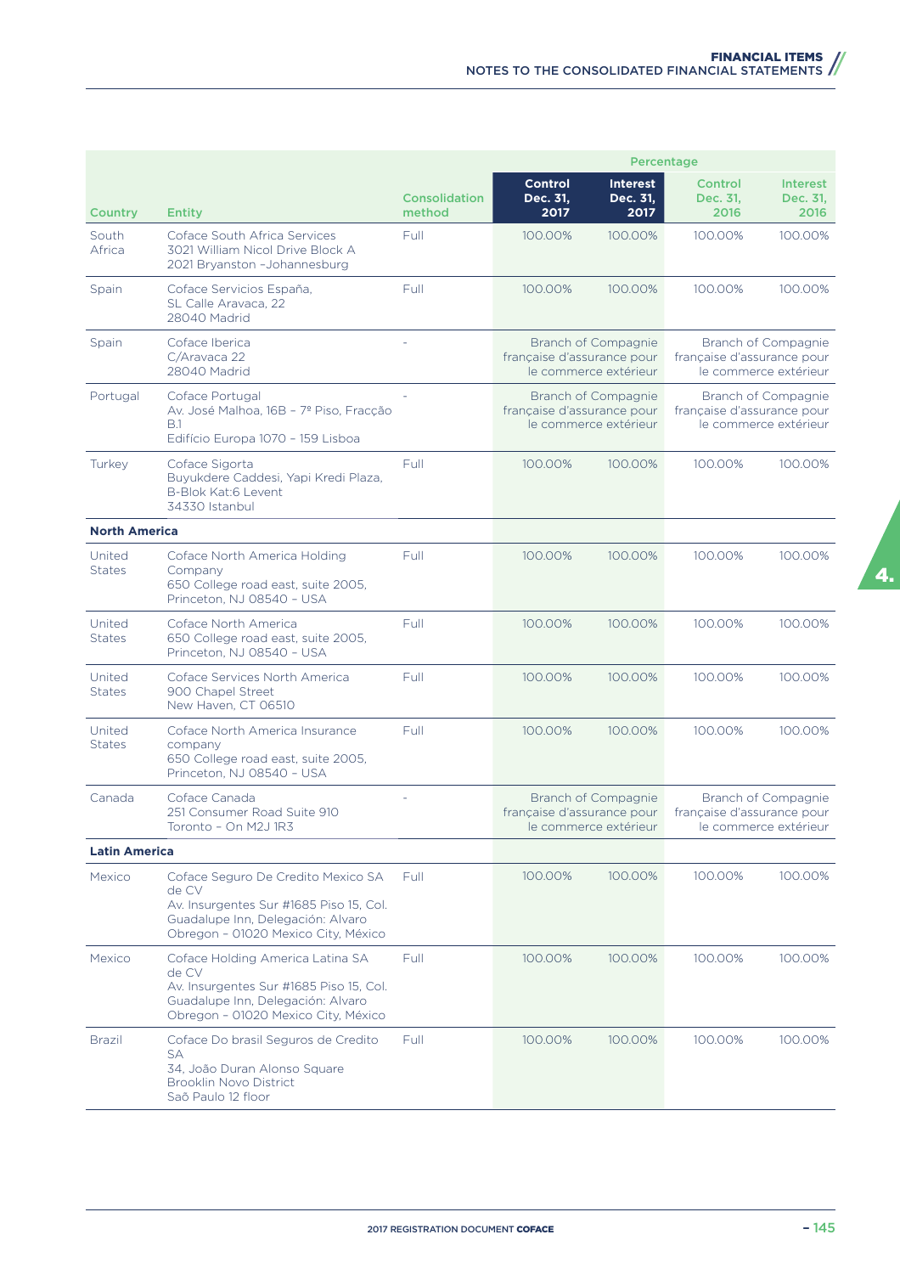|                         |                                                                                                                                                                    |                                | <b>Percentage</b>                  |                                                     |                             |                                              |
|-------------------------|--------------------------------------------------------------------------------------------------------------------------------------------------------------------|--------------------------------|------------------------------------|-----------------------------------------------------|-----------------------------|----------------------------------------------|
| Country                 | <b>Entity</b>                                                                                                                                                      | <b>Consolidation</b><br>method | <b>Control</b><br>Dec. 31,<br>2017 | <b>Interest</b><br>Dec. 31,<br>2017                 | Control<br>Dec. 31,<br>2016 | <b>Interest</b><br>Dec. 31,<br>2016          |
| South<br>Africa         | Coface South Africa Services<br>3021 William Nicol Drive Block A<br>2021 Bryanston - Johannesburg                                                                  | Full                           | 100.00%                            | 100.00%                                             | 100.00%                     | 100.00%                                      |
| Spain                   | Coface Servicios España,<br>SL Calle Aravaca, 22<br>28040 Madrid                                                                                                   | Full                           | 100.00%                            | 100.00%                                             | 100.00%                     | 100.00%                                      |
| Spain                   | Coface Iberica<br>C/Aravaca 22<br>28040 Madrid                                                                                                                     |                                | française d'assurance pour         | Branch of Compagnie<br>le commerce extérieur        | française d'assurance pour  | Branch of Compagnie<br>le commerce extérieur |
| Portugal                | Coface Portugal<br>Av. José Malhoa, 16B - 7º Piso, Fracção<br>B.1<br>Edifício Europa 1070 - 159 Lisboa                                                             |                                | française d'assurance pour         | Branch of Compagnie<br>le commerce extérieur        | française d'assurance pour  | Branch of Compagnie<br>le commerce extérieur |
| Turkey                  | Coface Sigorta<br>Buyukdere Caddesi, Yapi Kredi Plaza,<br>B-Blok Kat:6 Levent<br>34330 Istanbul                                                                    | Full                           | 100.00%                            | 100.00%                                             | 100.00%                     | 100.00%                                      |
| <b>North America</b>    |                                                                                                                                                                    |                                |                                    |                                                     |                             |                                              |
| United<br><b>States</b> | Coface North America Holding<br>Company<br>650 College road east, suite 2005,<br>Princeton, NJ 08540 - USA                                                         | Full                           | 100.00%                            | 100.00%                                             | 100.00%                     | 100.00%                                      |
| United<br><b>States</b> | Coface North America<br>650 College road east, suite 2005,<br>Princeton, NJ 08540 - USA                                                                            | Full                           | 100.00%                            | 100.00%                                             | 100.00%                     | 100.00%                                      |
| United<br><b>States</b> | Coface Services North America<br>900 Chapel Street<br>New Haven, CT 06510                                                                                          | Full                           | 100.00%                            | 100.00%                                             | 100.00%                     | 100.00%                                      |
| United<br><b>States</b> | Coface North America Insurance<br>company<br>650 College road east, suite 2005,<br>Princeton, NJ 08540 - USA                                                       | Full                           | 100.00%                            | 100.00%                                             | 100.00%                     | 100.00%                                      |
| Canada                  | Coface Canada<br>251 Consumer Road Suite 910<br>Toronto - On M2J 1R3                                                                                               |                                | française d'assurance pour         | <b>Branch of Compagnie</b><br>le commerce extérieur | française d'assurance pour  | Branch of Compagnie<br>le commerce extérieur |
| <b>Latin America</b>    |                                                                                                                                                                    |                                |                                    |                                                     |                             |                                              |
| Mexico                  | Coface Seguro De Credito Mexico SA<br>de CV<br>Av. Insurgentes Sur #1685 Piso 15, Col.<br>Guadalupe Inn, Delegación: Alvaro<br>Obregon - 01020 Mexico City, México | Full                           | 100.00%                            | 100.00%                                             | 100.00%                     | 100.00%                                      |
| Mexico                  | Coface Holding America Latina SA<br>de CV<br>Av. Insurgentes Sur #1685 Piso 15, Col.<br>Guadalupe Inn, Delegación: Alvaro<br>Obregon - 01020 Mexico City, México   | Full                           | 100.00%                            | 100.00%                                             | 100.00%                     | 100.00%                                      |
| <b>Brazil</b>           | Coface Do brasil Seguros de Credito<br><b>SA</b><br>34, João Duran Alonso Square<br><b>Brooklin Novo District</b><br>Saõ Paulo 12 floor                            | Full                           | 100.00%                            | 100.00%                                             | 100.00%                     | 100.00%                                      |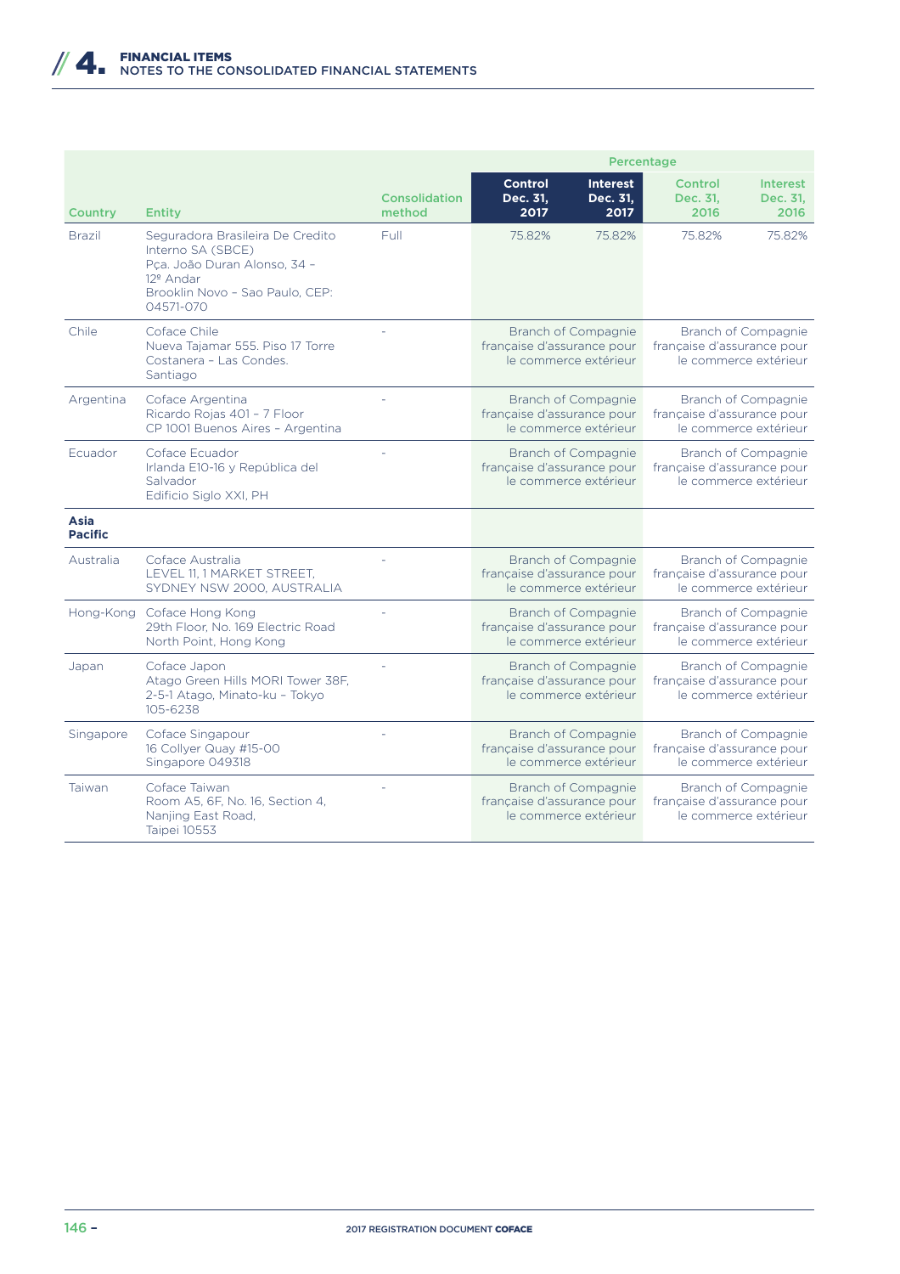|                               |                                                                                                                                                    |                                | Percentage                                                                 |                                              |                                                                            |                                              |
|-------------------------------|----------------------------------------------------------------------------------------------------------------------------------------------------|--------------------------------|----------------------------------------------------------------------------|----------------------------------------------|----------------------------------------------------------------------------|----------------------------------------------|
| Country                       | <b>Entity</b>                                                                                                                                      | <b>Consolidation</b><br>method | <b>Control</b><br>Dec. 31,<br>2017                                         | <b>Interest</b><br>Dec. 31,<br>2017          | Control<br>Dec. 31,<br>2016                                                | Interest<br>Dec. 31,<br>2016                 |
| <b>Brazil</b>                 | Seguradora Brasileira De Credito<br>Interno SA (SBCE)<br>Pca. João Duran Alonso, 34 -<br>12º Andar<br>Brooklin Novo - Sao Paulo, CEP:<br>04571-070 | Full                           | 75.82%                                                                     | 75.82%                                       | 75.82%                                                                     | 75.82%                                       |
| Chile                         | Coface Chile<br>Nueva Tajamar 555. Piso 17 Torre<br>Costanera - Las Condes.<br>Santiago                                                            |                                | française d'assurance pour                                                 | Branch of Compagnie<br>le commerce extérieur | Branch of Compagnie<br>française d'assurance pour<br>le commerce extérieur |                                              |
| Argentina                     | Coface Argentina<br>Ricardo Rojas 401 - 7 Floor<br>CP 1001 Buenos Aires - Argentina                                                                |                                | Branch of Compagnie<br>française d'assurance pour<br>le commerce extérieur |                                              | Branch of Compagnie<br>française d'assurance pour<br>le commerce extérieur |                                              |
| Ecuador                       | Coface Ecuador<br>Irlanda E10-16 y República del<br>Salvador<br>Edificio Siglo XXI, PH                                                             |                                | Branch of Compagnie<br>française d'assurance pour<br>le commerce extérieur |                                              | Branch of Compagnie<br>française d'assurance pour<br>le commerce extérieur |                                              |
| <b>Asia</b><br><b>Pacific</b> |                                                                                                                                                    |                                |                                                                            |                                              |                                                                            |                                              |
| Australia                     | Coface Australia<br>LEVEL 11, 1 MARKET STREET,<br>SYDNEY NSW 2000, AUSTRALIA                                                                       |                                | Branch of Compagnie<br>française d'assurance pour<br>le commerce extérieur |                                              | Branch of Compagnie<br>française d'assurance pour<br>le commerce extérieur |                                              |
|                               | Hong-Kong Coface Hong Kong<br>29th Floor, No. 169 Electric Road<br>North Point, Hong Kong                                                          |                                | Branch of Compagnie<br>française d'assurance pour<br>le commerce extérieur |                                              | Branch of Compagnie<br>française d'assurance pour<br>le commerce extérieur |                                              |
| Japan                         | Coface Japon<br>Atago Green Hills MORI Tower 38F,<br>2-5-1 Atago, Minato-ku - Tokyo<br>105-6238                                                    |                                | Branch of Compagnie<br>française d'assurance pour<br>le commerce extérieur |                                              | Branch of Compagnie<br>française d'assurance pour<br>le commerce extérieur |                                              |
| Singapore                     | Coface Singapour<br>16 Collyer Quay #15-00<br>Singapore 049318                                                                                     |                                | française d'assurance pour                                                 | Branch of Compagnie<br>le commerce extérieur | française d'assurance pour                                                 | Branch of Compagnie<br>le commerce extérieur |
| Taiwan                        | Coface Taiwan<br>Room A5, 6F, No. 16, Section 4,<br>Nanjing East Road,<br><b>Taipei 10553</b>                                                      |                                | française d'assurance pour                                                 | Branch of Compagnie<br>le commerce extérieur | française d'assurance pour                                                 | Branch of Compagnie<br>le commerce extérieur |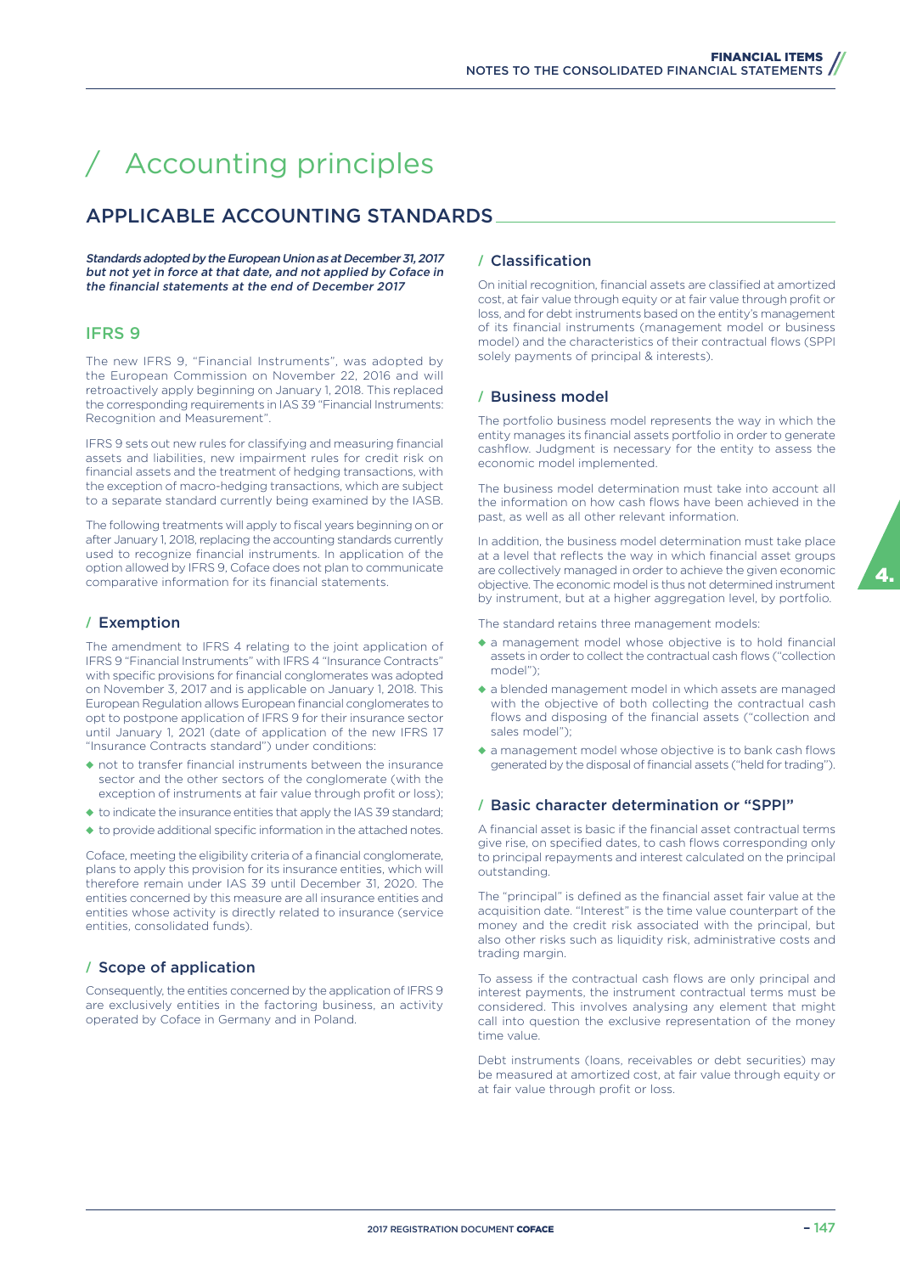# / Accounting principles

# APPLICABLE ACCOUNTING STANDARDS

Standards adopted by the European Union as at December 31, 2017 but not yet in force at that date, and not applied by Coface in the financial statements at the end of December 2017

#### IFRS 9

The new IFRS 9, "Financial Instruments", was adopted by the European Commission on November 22, 2016 and will retroactively apply beginning on January 1, 2018. This replaced the corresponding requirements in IAS 39 "Financial Instruments: Recognition and Measurement".

IFRS 9 sets out new rules for classifying and measuring financial assets and liabilities, new impairment rules for credit risk on financial assets and the treatment of hedging transactions, with the exception of macro-hedging transactions, which are subject to a separate standard currently being examined by the IASB.

The following treatments will apply to fiscal years beginning on or after January 1, 2018, replacing the accounting standards currently used to recognize financial instruments. In application of the option allowed by IFRS 9, Coface does not plan to communicate comparative information for its financial statements.

#### **/** Exemption

The amendment to IFRS 4 relating to the joint application of IFRS 9 "Financial Instruments" with IFRS 4 "Insurance Contracts" with specific provisions for financial conglomerates was adopted on November 3, 2017 and is applicable on January 1, 2018. This European Regulation allows European financial conglomerates to opt to postpone application of IFRS 9 for their insurance sector until January 1, 2021 (date of application of the new IFRS 17 "Insurance Contracts standard") under conditions:

- ◆ not to transfer financial instruments between the insurance sector and the other sectors of the conglomerate (with the exception of instruments at fair value through profit or loss);
- $\triangle$  to indicate the insurance entities that apply the IAS 39 standard;
- ◆ to provide additional specific information in the attached notes.

Coface, meeting the eligibility criteria of a financial conglomerate, plans to apply this provision for its insurance entities, which will therefore remain under IAS 39 until December 31, 2020. The entities concerned by this measure are all insurance entities and entities whose activity is directly related to insurance (service entities, consolidated funds).

#### **/** Scope of application

Consequently, the entities concerned by the application of IFRS 9 are exclusively entities in the factoring business, an activity operated by Coface in Germany and in Poland.

#### **/** Classification

On initial recognition, financial assets are classified at amortized cost, at fair value through equity or at fair value through profit or loss, and for debt instruments based on the entity's management of its financial instruments (management model or business model) and the characteristics of their contractual flows (SPPI solely payments of principal & interests).

#### **/** Business model

The portfolio business model represents the way in which the entity manages its financial assets portfolio in order to generate cashflow. Judgment is necessary for the entity to assess the economic model implemented.

The business model determination must take into account all the information on how cash flows have been achieved in the past, as well as all other relevant information.

In addition, the business model determination must take place at a level that reflects the way in which financial asset groups are collectively managed in order to achieve the given economic objective. The economic model is thus not determined instrument by instrument, but at a higher aggregation level, by portfolio.

The standard retains three management models:

- ◆ a management model whose objective is to hold financial assets in order to collect the contractual cash flows ("collection model");
- ◆ a blended management model in which assets are managed with the objective of both collecting the contractual cash flows and disposing of the financial assets ("collection and sales model");
- ◆ a management model whose objective is to bank cash flows generated by the disposal of financial assets ("held for trading").

#### **/** Basic character determination or "SPPI"

A financial asset is basic if the financial asset contractual terms give rise, on specified dates, to cash flows corresponding only to principal repayments and interest calculated on the principal outstanding.

The "principal" is defined as the financial asset fair value at the acquisition date. "Interest" is the time value counterpart of the money and the credit risk associated with the principal, but also other risks such as liquidity risk, administrative costs and trading margin.

To assess if the contractual cash flows are only principal and interest payments, the instrument contractual terms must be considered. This involves analysing any element that might call into question the exclusive representation of the money time value.

Debt instruments (loans, receivables or debt securities) may be measured at amortized cost, at fair value through equity or at fair value through profit or loss.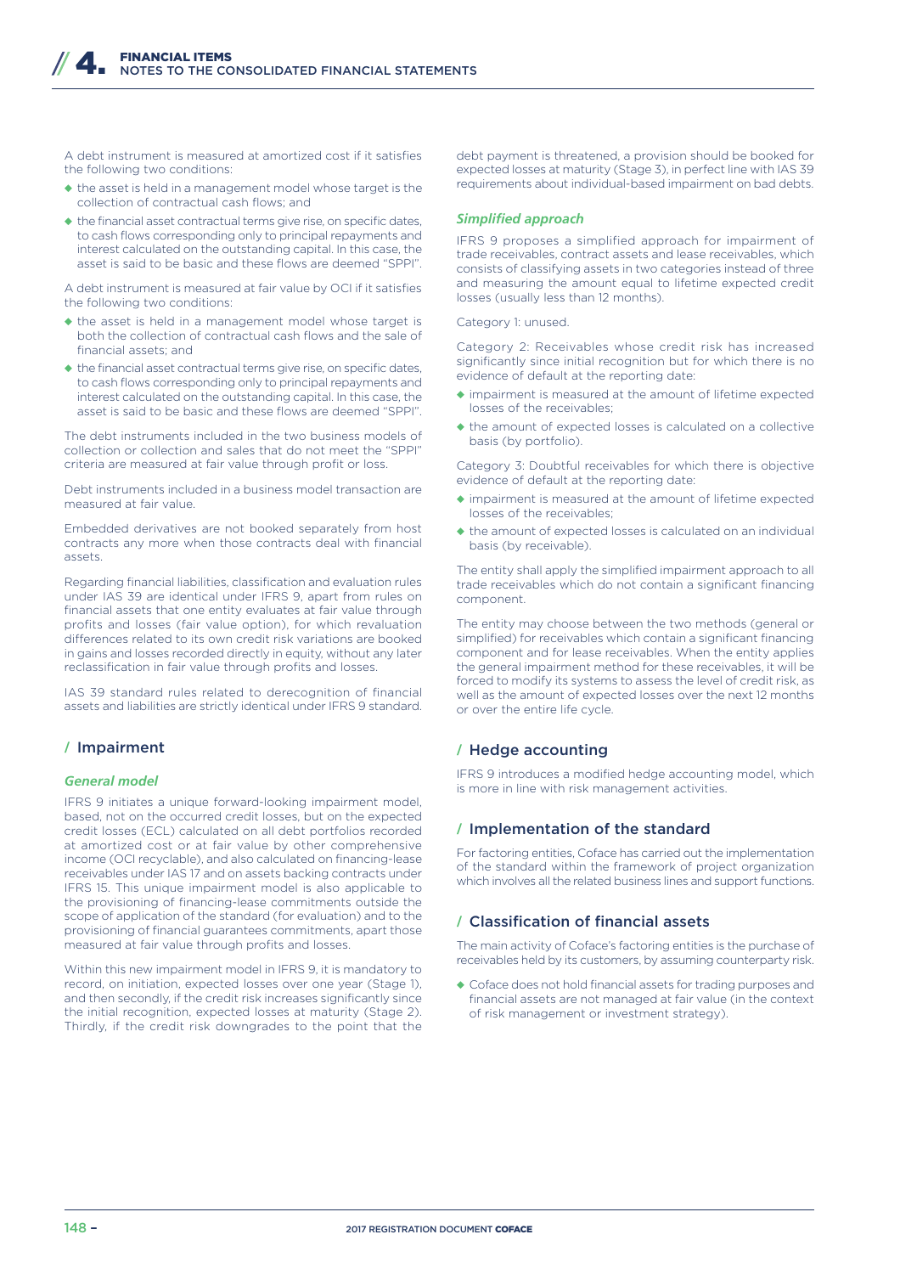A debt instrument is measured at amortized cost if it satisfies the following two conditions:

- ◆ the asset is held in a management model whose target is the collection of contractual cash flows; and
- ◆ the financial asset contractual terms give rise, on specific dates, to cash flows corresponding only to principal repayments and interest calculated on the outstanding capital. In this case, the asset is said to be basic and these flows are deemed "SPPI".

A debt instrument is measured at fair value by OCI if it satisfies the following two conditions:

- ◆ the asset is held in a management model whose target is both the collection of contractual cash flows and the sale of financial assets; and
- ◆ the financial asset contractual terms give rise, on specific dates, to cash flows corresponding only to principal repayments and interest calculated on the outstanding capital. In this case, the asset is said to be basic and these flows are deemed "SPPI".

The debt instruments included in the two business models of collection or collection and sales that do not meet the "SPPI" criteria are measured at fair value through profit or loss.

Debt instruments included in a business model transaction are measured at fair value.

Embedded derivatives are not booked separately from host contracts any more when those contracts deal with financial assets.

Regarding financial liabilities, classification and evaluation rules under IAS 39 are identical under IFRS 9, apart from rules on financial assets that one entity evaluates at fair value through profits and losses (fair value option), for which revaluation differences related to its own credit risk variations are booked in gains and losses recorded directly in equity, without any later reclassification in fair value through profits and losses.

IAS 39 standard rules related to derecognition of financial assets and liabilities are strictly identical under IFRS 9 standard.

#### **/** Impairment

#### *General model*

IFRS 9 initiates a unique forward-looking impairment model, based, not on the occurred credit losses, but on the expected credit losses (ECL) calculated on all debt portfolios recorded at amortized cost or at fair value by other comprehensive income (OCI recyclable), and also calculated on financing-lease receivables under IAS 17 and on assets backing contracts under IFRS 15. This unique impairment model is also applicable to the provisioning of financing-lease commitments outside the scope of application of the standard (for evaluation) and to the provisioning of financial guarantees commitments, apart those measured at fair value through profits and losses.

Within this new impairment model in IFRS 9, it is mandatory to record, on initiation, expected losses over one year (Stage 1), and then secondly, if the credit risk increases significantly since the initial recognition, expected losses at maturity (Stage 2). Thirdly, if the credit risk downgrades to the point that the

debt payment is threatened, a provision should be booked for expected losses at maturity (Stage 3), in perfect line with IAS 39 requirements about individual-based impairment on bad debts.

#### *Simplified approach*

IFRS 9 proposes a simplified approach for impairment of trade receivables, contract assets and lease receivables, which consists of classifying assets in two categories instead of three and measuring the amount equal to lifetime expected credit losses (usually less than 12 months).

#### Category 1: unused.

Category 2: Receivables whose credit risk has increased significantly since initial recognition but for which there is no evidence of default at the reporting date:

- ◆ impairment is measured at the amount of lifetime expected losses of the receivables;
- ◆ the amount of expected losses is calculated on a collective basis (by portfolio).

Category 3: Doubtful receivables for which there is objective evidence of default at the reporting date:

- ◆ impairment is measured at the amount of lifetime expected losses of the receivables;
- ◆ the amount of expected losses is calculated on an individual basis (by receivable).

The entity shall apply the simplified impairment approach to all trade receivables which do not contain a significant financing component.

The entity may choose between the two methods (general or simplified) for receivables which contain a significant financing component and for lease receivables. When the entity applies the general impairment method for these receivables, it will be forced to modify its systems to assess the level of credit risk, as well as the amount of expected losses over the next 12 months or over the entire life cycle.

#### **/** Hedge accounting

IFRS 9 introduces a modified hedge accounting model, which is more in line with risk management activities.

#### **/** Implementation of the standard

For factoring entities, Coface has carried out the implementation of the standard within the framework of project organization which involves all the related business lines and support functions.

#### **/** Classification of financial assets

The main activity of Coface's factoring entities is the purchase of receivables held by its customers, by assuming counterparty risk.

◆ Coface does not hold financial assets for trading purposes and financial assets are not managed at fair value (in the context of risk management or investment strategy).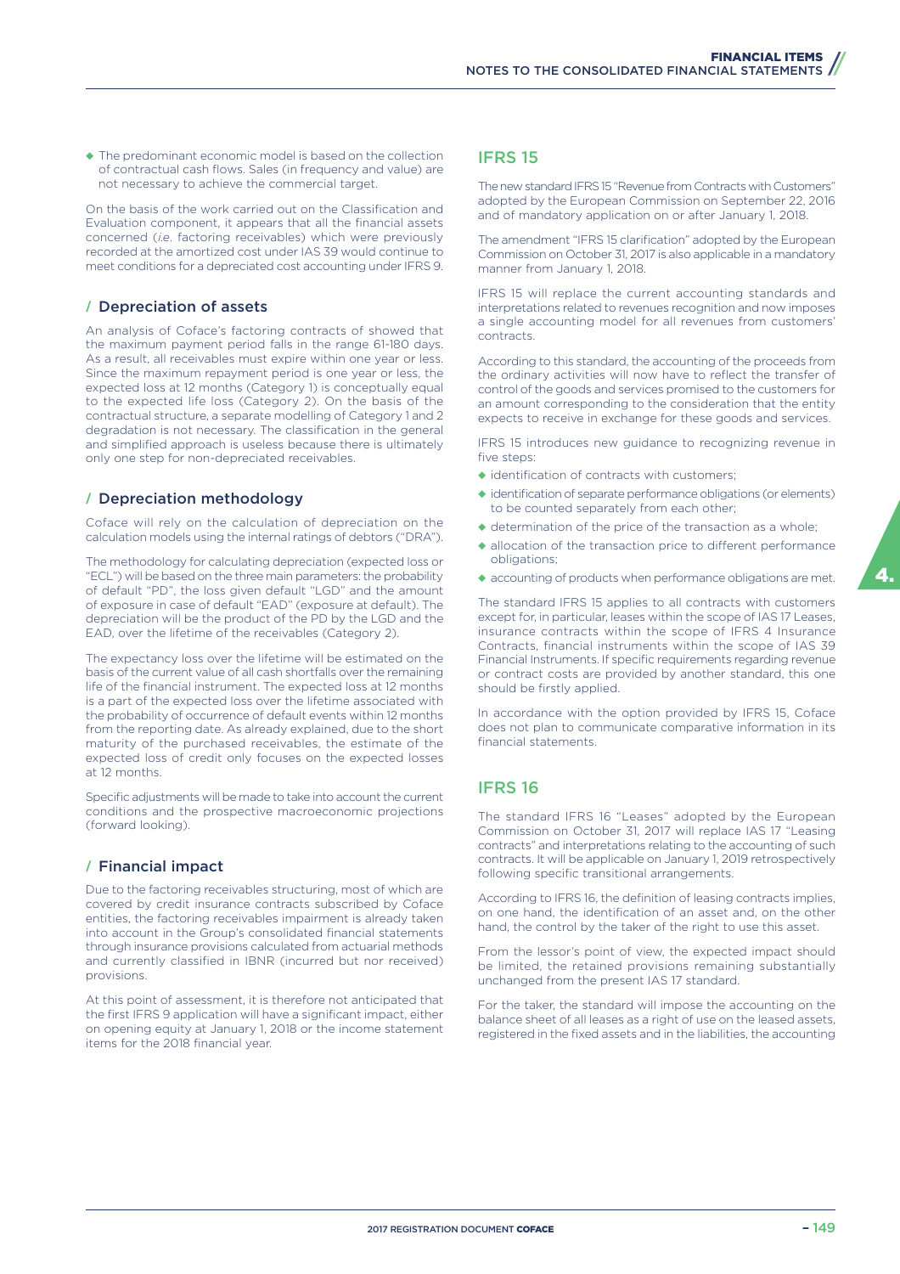$\triangle$  The predominant economic model is based on the collection of contractual cash flows. Sales (in frequency and value) are not necessary to achieve the commercial target.

On the basis of the work carried out on the Classification and Evaluation component, it appears that all the financial assets concerned (*i.e*. factoring receivables) which were previously recorded at the amortized cost under IAS 39 would continue to meet conditions for a depreciated cost accounting under IFRS 9.

#### **/** Depreciation of assets

An analysis of Coface's factoring contracts of showed that the maximum payment period falls in the range 61-180 days. As a result, all receivables must expire within one year or less. Since the maximum repayment period is one year or less, the expected loss at 12 months (Category 1) is conceptually equal to the expected life loss (Category 2). On the basis of the contractual structure, a separate modelling of Category 1 and 2 degradation is not necessary. The classification in the general and simplified approach is useless because there is ultimately only one step for non-depreciated receivables.

#### **/** Depreciation methodology

Coface will rely on the calculation of depreciation on the calculation models using the internal ratings of debtors ("DRA").

The methodology for calculating depreciation (expected loss or "ECL") will be based on the three main parameters: the probability of default "PD", the loss given default "LGD" and the amount of exposure in case of default "EAD" (exposure at default). The depreciation will be the product of the PD by the LGD and the EAD, over the lifetime of the receivables (Category 2).

The expectancy loss over the lifetime will be estimated on the basis of the current value of all cash shortfalls over the remaining life of the financial instrument. The expected loss at 12 months is a part of the expected loss over the lifetime associated with the probability of occurrence of default events within 12 months from the reporting date. As already explained, due to the short maturity of the purchased receivables, the estimate of the expected loss of credit only focuses on the expected losses at 12 months.

Specific adjustments will be made to take into account the current conditions and the prospective macroeconomic projections (forward looking).

#### **/** Financial impact

Due to the factoring receivables structuring, most of which are covered by credit insurance contracts subscribed by Coface entities, the factoring receivables impairment is already taken into account in the Group's consolidated financial statements through insurance provisions calculated from actuarial methods and currently classified in IBNR (incurred but nor received) provisions.

At this point of assessment, it is therefore not anticipated that the first IFRS 9 application will have a significant impact, either on opening equity at January 1, 2018 or the income statement items for the 2018 financial year.

#### IFRS 15

The new standard IFRS 15 "Revenue from Contracts with Customers" adopted by the European Commission on September 22, 2016 and of mandatory application on or after January 1, 2018.

The amendment "IFRS 15 clarification" adopted by the European Commission on October 31, 2017 is also applicable in a mandatory manner from January 1, 2018.

IFRS 15 will replace the current accounting standards and interpretations related to revenues recognition and now imposes a single accounting model for all revenues from customers' contracts.

According to this standard, the accounting of the proceeds from the ordinary activities will now have to reflect the transfer of control of the goods and services promised to the customers for an amount corresponding to the consideration that the entity expects to receive in exchange for these goods and services.

IFRS 15 introduces new guidance to recognizing revenue in five steps:

- ◆ identification of contracts with customers;
- ◆ identification of separate performance obligations (or elements) to be counted separately from each other;
- ◆ determination of the price of the transaction as a whole;
- $\bullet$  allocation of the transaction price to different performance obligations;
- ◆ accounting of products when performance obligations are met.

The standard IFRS 15 applies to all contracts with customers except for, in particular, leases within the scope of IAS 17 Leases, insurance contracts within the scope of IFRS 4 Insurance Contracts, financial instruments within the scope of IAS 39 Financial Instruments. If specific requirements regarding revenue or contract costs are provided by another standard, this one should be firstly applied.

In accordance with the option provided by IFRS 15, Coface does not plan to communicate comparative information in its financial statements.

#### IFRS 16

The standard IFRS 16 "Leases" adopted by the European Commission on October 31, 2017 will replace IAS 17 "Leasing contracts" and interpretations relating to the accounting of such contracts. It will be applicable on January 1, 2019 retrospectively following specific transitional arrangements.

According to IFRS 16, the definition of leasing contracts implies, on one hand, the identification of an asset and, on the other hand, the control by the taker of the right to use this asset.

From the lessor's point of view, the expected impact should be limited, the retained provisions remaining substantially unchanged from the present IAS 17 standard.

For the taker, the standard will impose the accounting on the balance sheet of all leases as a right of use on the leased assets, registered in the fixed assets and in the liabilities, the accounting

4.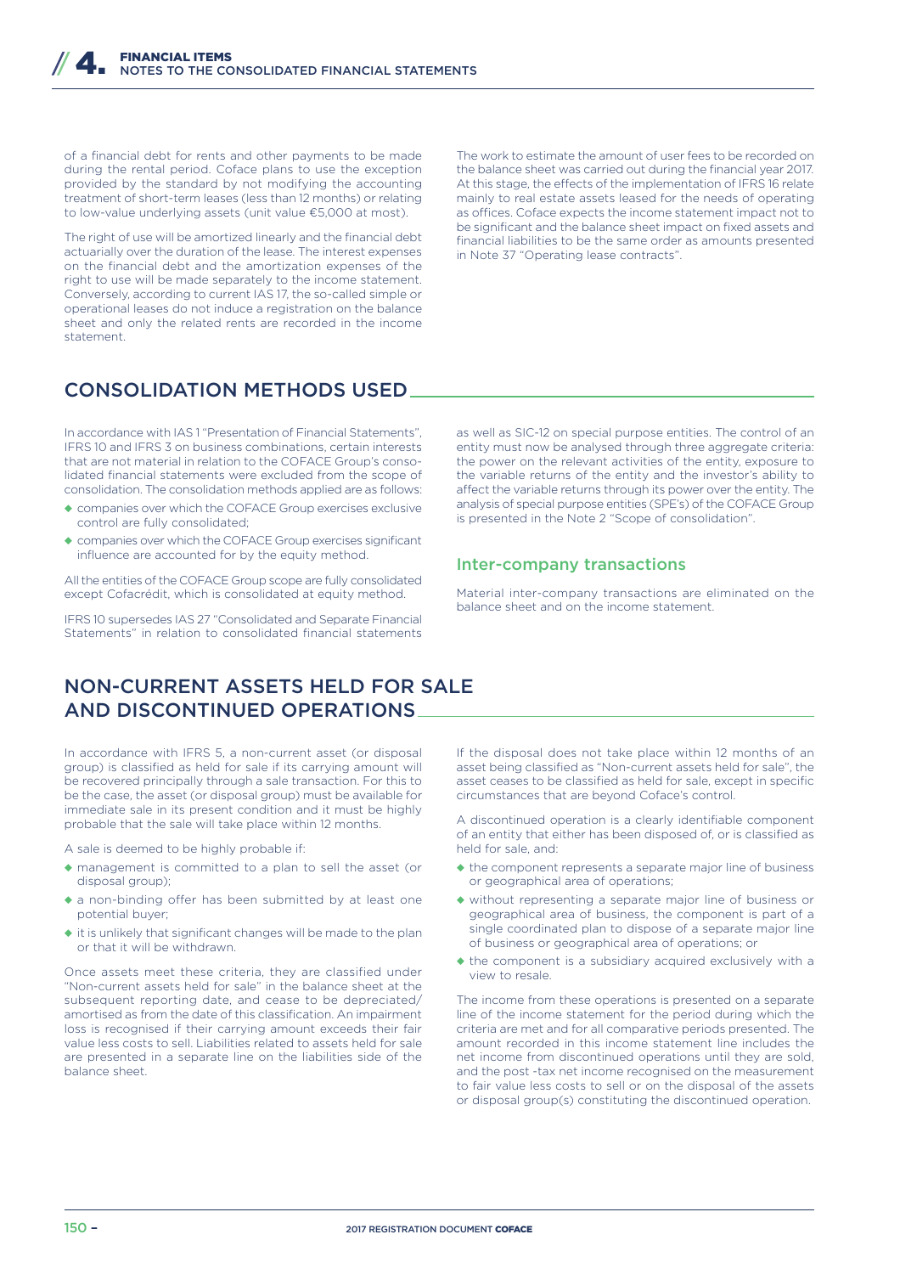of a financial debt for rents and other payments to be made during the rental period. Coface plans to use the exception provided by the standard by not modifying the accounting treatment of short-term leases (less than 12 months) or relating to low-value underlying assets (unit value €5,000 at most).

The right of use will be amortized linearly and the financial debt actuarially over the duration of the lease. The interest expenses on the financial debt and the amortization expenses of the right to use will be made separately to the income statement. Conversely, according to current IAS 17, the so-called simple or operational leases do not induce a registration on the balance sheet and only the related rents are recorded in the income statement.

The work to estimate the amount of user fees to be recorded on the balance sheet was carried out during the financial year 2017. At this stage, the effects of the implementation of IFRS 16 relate mainly to real estate assets leased for the needs of operating as offices. Coface expects the income statement impact not to be significant and the balance sheet impact on fixed assets and financial liabilities to be the same order as amounts presented in Note 37 "Operating lease contracts".

## CONSOLIDATION METHODS USED

In accordance with IAS 1 "Presentation of Financial Statements", IFRS 10 and IFRS 3 on business combinations, certain interests that are not material in relation to the COFACE Group's consolidated financial statements were excluded from the scope of consolidation. The consolidation methods applied are as follows:

- ◆ companies over which the COFACE Group exercises exclusive control are fully consolidated;
- ◆ companies over which the COFACE Group exercises significant influence are accounted for by the equity method.

All the entities of the COFACE Group scope are fully consolidated except Cofacrédit, which is consolidated at equity method.

IFRS 10 supersedes IAS 27 "Consolidated and Separate Financial Statements" in relation to consolidated financial statements

as well as SIC-12 on special purpose entities. The control of an entity must now be analysed through three aggregate criteria: the power on the relevant activities of the entity, exposure to the variable returns of the entity and the investor's ability to affect the variable returns through its power over the entity. The analysis of special purpose entities (SPE's) of the COFACE Group is presented in the Note 2 "Scope of consolidation".

#### Inter-company transactions

Material inter-company transactions are eliminated on the balance sheet and on the income statement.

# NON-CURRENT ASSETS HELD FOR SALE AND DISCONTINUED OPERATIONS

In accordance with IFRS 5, a non-current asset (or disposal group) is classified as held for sale if its carrying amount will be recovered principally through a sale transaction. For this to be the case, the asset (or disposal group) must be available for immediate sale in its present condition and it must be highly probable that the sale will take place within 12 months.

A sale is deemed to be highly probable if:

- ◆ management is committed to a plan to sell the asset (or disposal group);
- ◆ a non-binding offer has been submitted by at least one potential buyer;
- ◆ it is unlikely that significant changes will be made to the plan or that it will be withdrawn.

Once assets meet these criteria, they are classified under "Non-current assets held for sale" in the balance sheet at the subsequent reporting date, and cease to be depreciated/ amortised as from the date of this classification. An impairment loss is recognised if their carrying amount exceeds their fair value less costs to sell. Liabilities related to assets held for sale are presented in a separate line on the liabilities side of the balance sheet.

If the disposal does not take place within 12 months of an asset being classified as "Non-current assets held for sale", the asset ceases to be classified as held for sale, except in specific circumstances that are beyond Coface's control.

A discontinued operation is a clearly identifiable component of an entity that either has been disposed of, or is classified as held for sale, and:

- ◆ the component represents a separate major line of business or geographical area of operations;
- ◆ without representing a separate major line of business or geographical area of business, the component is part of a single coordinated plan to dispose of a separate major line of business or geographical area of operations; or
- ◆ the component is a subsidiary acquired exclusively with a view to resale.

The income from these operations is presented on a separate line of the income statement for the period during which the criteria are met and for all comparative periods presented. The amount recorded in this income statement line includes the net income from discontinued operations until they are sold, and the post -tax net income recognised on the measurement to fair value less costs to sell or on the disposal of the assets or disposal group(s) constituting the discontinued operation.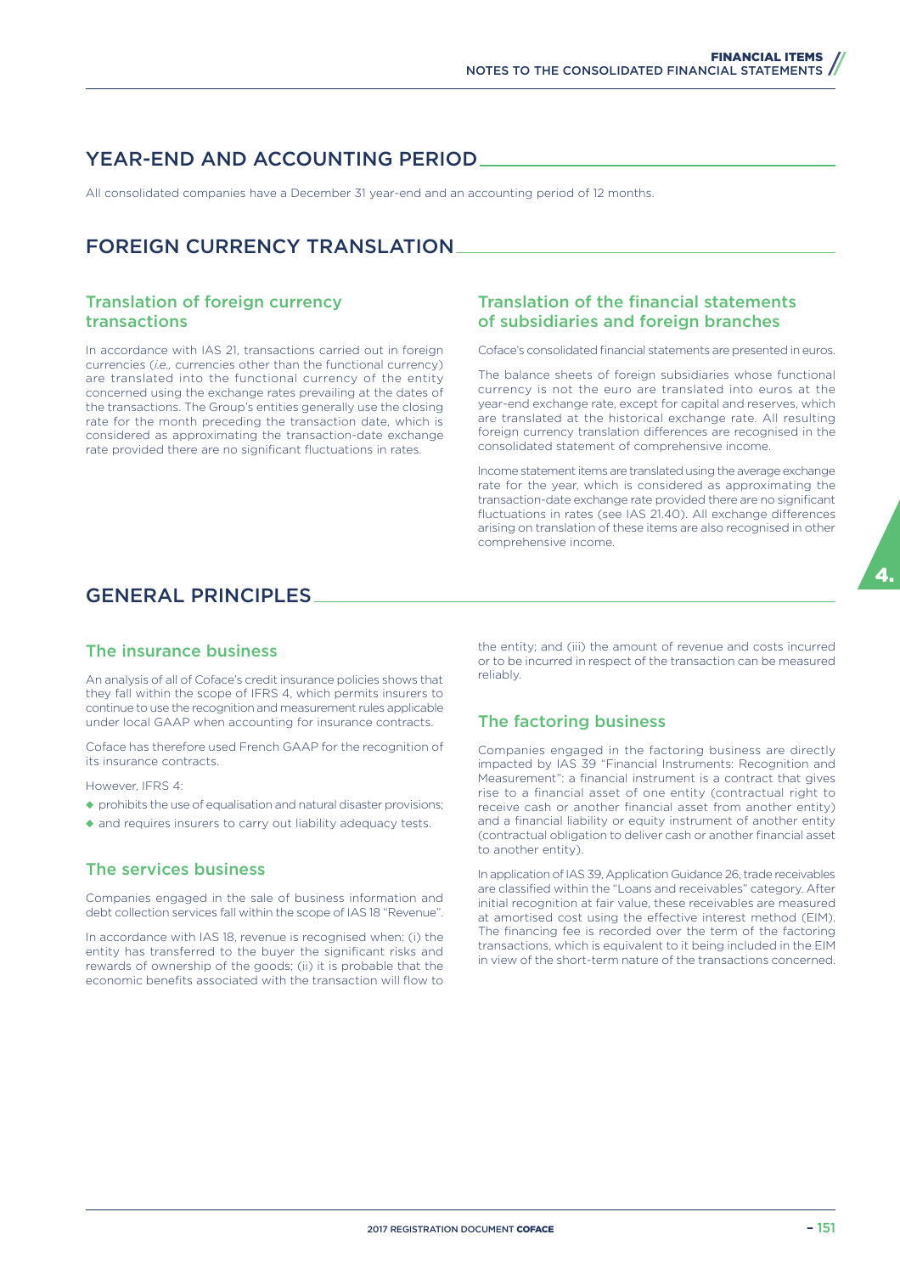## YEAR-END AND ACCOUNTING PERIOD

All consolidated companies have a December 31 year-end and an accounting period of 12 months.

# FOREIGN CURRENCY TRANSLATION

#### Translation of foreign currency transactions

In accordance with IAS 21, transactions carried out in foreign currencies (*i.e.,* currencies other than the functional currency) are translated into the functional currency of the entity concerned using the exchange rates prevailing at the dates of the transactions. The Group's entities generally use the closing rate for the month preceding the transaction date, which is considered as approximating the transaction-date exchange rate provided there are no significant fluctuations in rates.

#### Translation of the financial statements of subsidiaries and foreign branches

Coface's consolidated financial statements are presented in euros.

The balance sheets of foreign subsidiaries whose functional currency is not the euro are translated into euros at the year-end exchange rate, except for capital and reserves, which are translated at the historical exchange rate. All resulting foreign currency translation differences are recognised in the consolidated statement of comprehensive income.

Income statement items are translated using the average exchange rate for the year, which is considered as approximating the transaction-date exchange rate provided there are no significant fluctuations in rates (see IAS 21.40). All exchange differences arising on translation of these items are also recognised in other comprehensive income.

### GENERAL PRINCIPLES

#### The insurance business

An analysis of all of Coface's credit insurance policies shows that they fall within the scope of IFRS 4, which permits insurers to continue to use the recognition and measurement rules applicable under local GAAP when accounting for insurance contracts.

Coface has therefore used French GAAP for the recognition of its insurance contracts.

However, IFRS 4:

- ◆ prohibits the use of equalisation and natural disaster provisions;
- ◆ and requires insurers to carry out liability adequacy tests.

#### The services business

Companies engaged in the sale of business information and debt collection services fall within the scope of IAS 18 "Revenue".

In accordance with IAS 18, revenue is recognised when: (i) the entity has transferred to the buyer the significant risks and rewards of ownership of the goods; (ii) it is probable that the economic benefits associated with the transaction will flow to

the entity; and (iii) the amount of revenue and costs incurred or to be incurred in respect of the transaction can be measured reliably.

#### The factoring business

Companies engaged in the factoring business are directly impacted by IAS 39 "Financial Instruments: Recognition and Measurement": a financial instrument is a contract that gives rise to a financial asset of one entity (contractual right to receive cash or another financial asset from another entity) and a financial liability or equity instrument of another entity (contractual obligation to deliver cash or another financial asset to another entity).

In application of IAS 39, Application Guidance 26, trade receivables are classified within the "Loans and receivables" category. After initial recognition at fair value, these receivables are measured at amortised cost using the effective interest method (EIM). The financing fee is recorded over the term of the factoring transactions, which is equivalent to it being included in the EIM in view of the short-term nature of the transactions concerned.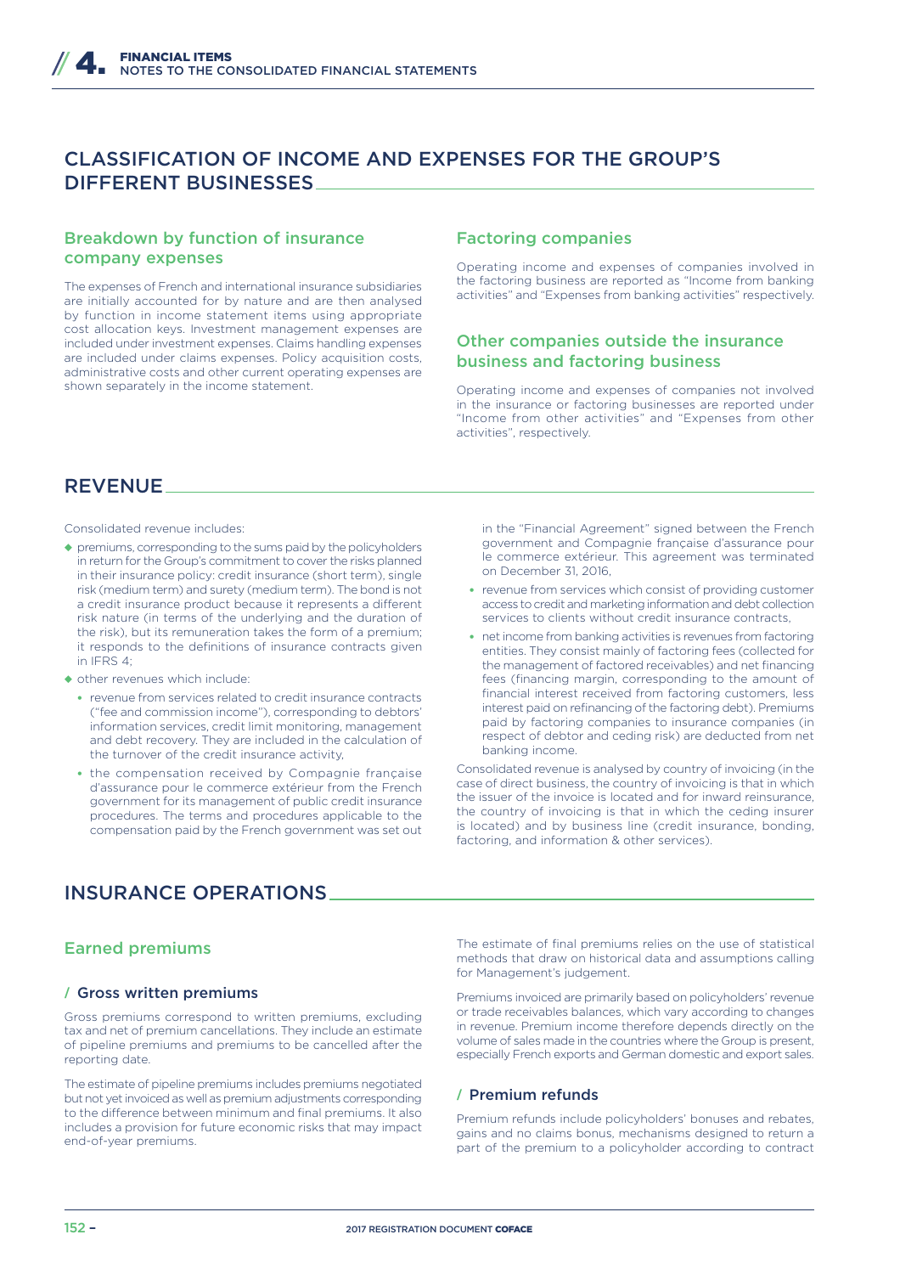## CLASSIFICATION OF INCOME AND EXPENSES FOR THE GROUP'S DIFFERENT BUSINESSES

#### Breakdown by function of insurance company expenses

The expenses of French and international insurance subsidiaries are initially accounted for by nature and are then analysed by function in income statement items using appropriate cost allocation keys. Investment management expenses are included under investment expenses. Claims handling expenses are included under claims expenses. Policy acquisition costs, administrative costs and other current operating expenses are shown separately in the income statement.

#### Factoring companies

Operating income and expenses of companies involved in the factoring business are reported as "Income from banking activities" and "Expenses from banking activities" respectively.

#### Other companies outside the insurance business and factoring business

Operating income and expenses of companies not involved in the insurance or factoring businesses are reported under "Income from other activities" and "Expenses from other activities", respectively.

### REVENUE

Consolidated revenue includes:

- ◆ premiums, corresponding to the sums paid by the policyholders in return for the Group's commitment to cover the risks planned in their insurance policy: credit insurance (short term), single risk (medium term) and surety (medium term). The bond is not a credit insurance product because it represents a different risk nature (in terms of the underlying and the duration of the risk), but its remuneration takes the form of a premium; it responds to the definitions of insurance contracts given in IEDS  $A<sub>1</sub>$
- ◆ other revenues which include:
	- revenue from services related to credit insurance contracts ("fee and commission income"), corresponding to debtors' information services, credit limit monitoring, management and debt recovery. They are included in the calculation of the turnover of the credit insurance activity,
	- the compensation received by Compagnie française d'assurance pour le commerce extérieur from the French government for its management of public credit insurance procedures. The terms and procedures applicable to the compensation paid by the French government was set out

INSURANCE OPERATIONS

#### Earned premiums

#### **/** Gross written premiums

Gross premiums correspond to written premiums, excluding tax and net of premium cancellations. They include an estimate of pipeline premiums and premiums to be cancelled after the reporting date.

The estimate of pipeline premiums includes premiums negotiated but not yet invoiced as well as premium adjustments corresponding to the difference between minimum and final premiums. It also includes a provision for future economic risks that may impact end-of-year premiums.

in the "Financial Agreement" signed between the French government and Compagnie française d'assurance pour le commerce extérieur. This agreement was terminated on December 31, 2016,

- revenue from services which consist of providing customer access to credit and marketing information and debt collection services to clients without credit insurance contracts,
- net income from banking activities is revenues from factoring entities. They consist mainly of factoring fees (collected for the management of factored receivables) and net financing fees (financing margin, corresponding to the amount of financial interest received from factoring customers, less interest paid on refinancing of the factoring debt). Premiums paid by factoring companies to insurance companies (in respect of debtor and ceding risk) are deducted from net banking income.

Consolidated revenue is analysed by country of invoicing (in the case of direct business, the country of invoicing is that in which the issuer of the invoice is located and for inward reinsurance, the country of invoicing is that in which the ceding insurer is located) and by business line (credit insurance, bonding, factoring, and information & other services).

The estimate of final premiums relies on the use of statistical methods that draw on historical data and assumptions calling for Management's judgement.

Premiums invoiced are primarily based on policyholders' revenue or trade receivables balances, which vary according to changes in revenue. Premium income therefore depends directly on the volume of sales made in the countries where the Group is present, especially French exports and German domestic and export sales.

#### **/** Premium refunds

Premium refunds include policyholders' bonuses and rebates, gains and no claims bonus, mechanisms designed to return a part of the premium to a policyholder according to contract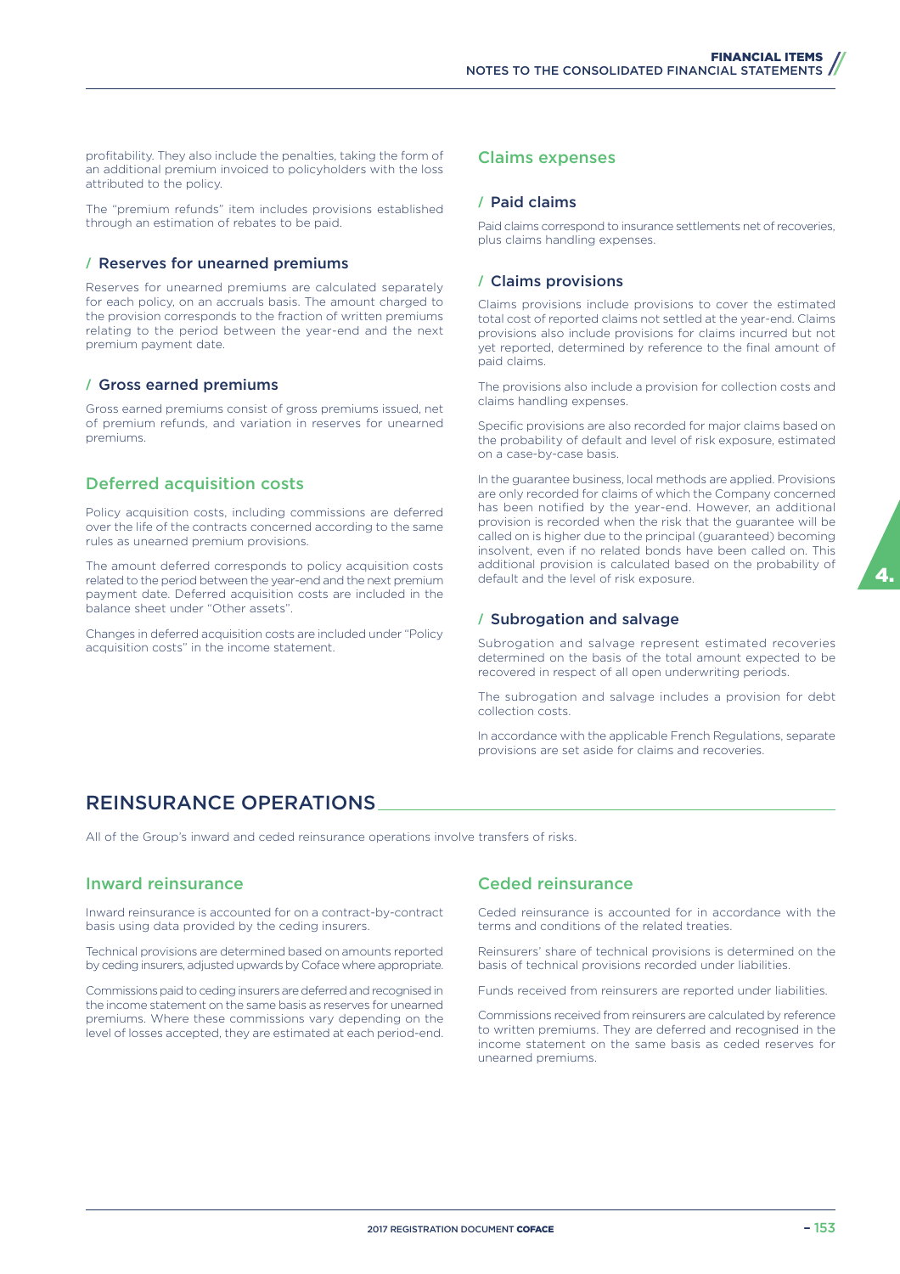profitability. They also include the penalties, taking the form of an additional premium invoiced to policyholders with the loss attributed to the policy.

The "premium refunds" item includes provisions established through an estimation of rebates to be paid.

#### **/** Reserves for unearned premiums

Reserves for unearned premiums are calculated separately for each policy, on an accruals basis. The amount charged to the provision corresponds to the fraction of written premiums relating to the period between the year-end and the next premium payment date.

#### **/** Gross earned premiums

Gross earned premiums consist of gross premiums issued, net of premium refunds, and variation in reserves for unearned premiums.

#### Deferred acquisition costs

Policy acquisition costs, including commissions are deferred over the life of the contracts concerned according to the same rules as unearned premium provisions.

The amount deferred corresponds to policy acquisition costs related to the period between the year-end and the next premium payment date. Deferred acquisition costs are included in the balance sheet under "Other assets".

Changes in deferred acquisition costs are included under "Policy acquisition costs" in the income statement.

#### Claims expenses

#### **/** Paid claims

Paid claims correspond to insurance settlements net of recoveries, plus claims handling expenses.

#### **/** Claims provisions

Claims provisions include provisions to cover the estimated total cost of reported claims not settled at the year-end. Claims provisions also include provisions for claims incurred but not yet reported, determined by reference to the final amount of paid claims.

The provisions also include a provision for collection costs and claims handling expenses.

Specific provisions are also recorded for major claims based on the probability of default and level of risk exposure, estimated on a case-by-case basis.

In the guarantee business, local methods are applied. Provisions are only recorded for claims of which the Company concerned has been notified by the year-end. However, an additional provision is recorded when the risk that the guarantee will be called on is higher due to the principal (guaranteed) becoming insolvent, even if no related bonds have been called on. This additional provision is calculated based on the probability of default and the level of risk exposure.

#### **/** Subrogation and salvage

Subrogation and salvage represent estimated recoveries determined on the basis of the total amount expected to be recovered in respect of all open underwriting periods.

The subrogation and salvage includes a provision for debt collection costs.

In accordance with the applicable French Regulations, separate provisions are set aside for claims and recoveries.

## REINSURANCE OPERATIONS

All of the Group's inward and ceded reinsurance operations involve transfers of risks.

#### Inward reinsurance

Inward reinsurance is accounted for on a contract-by-contract basis using data provided by the ceding insurers.

Technical provisions are determined based on amounts reported by ceding insurers, adjusted upwards by Coface where appropriate.

Commissions paid to ceding insurers are deferred and recognised in the income statement on the same basis as reserves for unearned premiums. Where these commissions vary depending on the level of losses accepted, they are estimated at each period-end.

#### Ceded reinsurance

Ceded reinsurance is accounted for in accordance with the terms and conditions of the related treaties.

Reinsurers' share of technical provisions is determined on the basis of technical provisions recorded under liabilities.

Funds received from reinsurers are reported under liabilities.

Commissions received from reinsurers are calculated by reference to written premiums. They are deferred and recognised in the income statement on the same basis as ceded reserves for unearned premiums.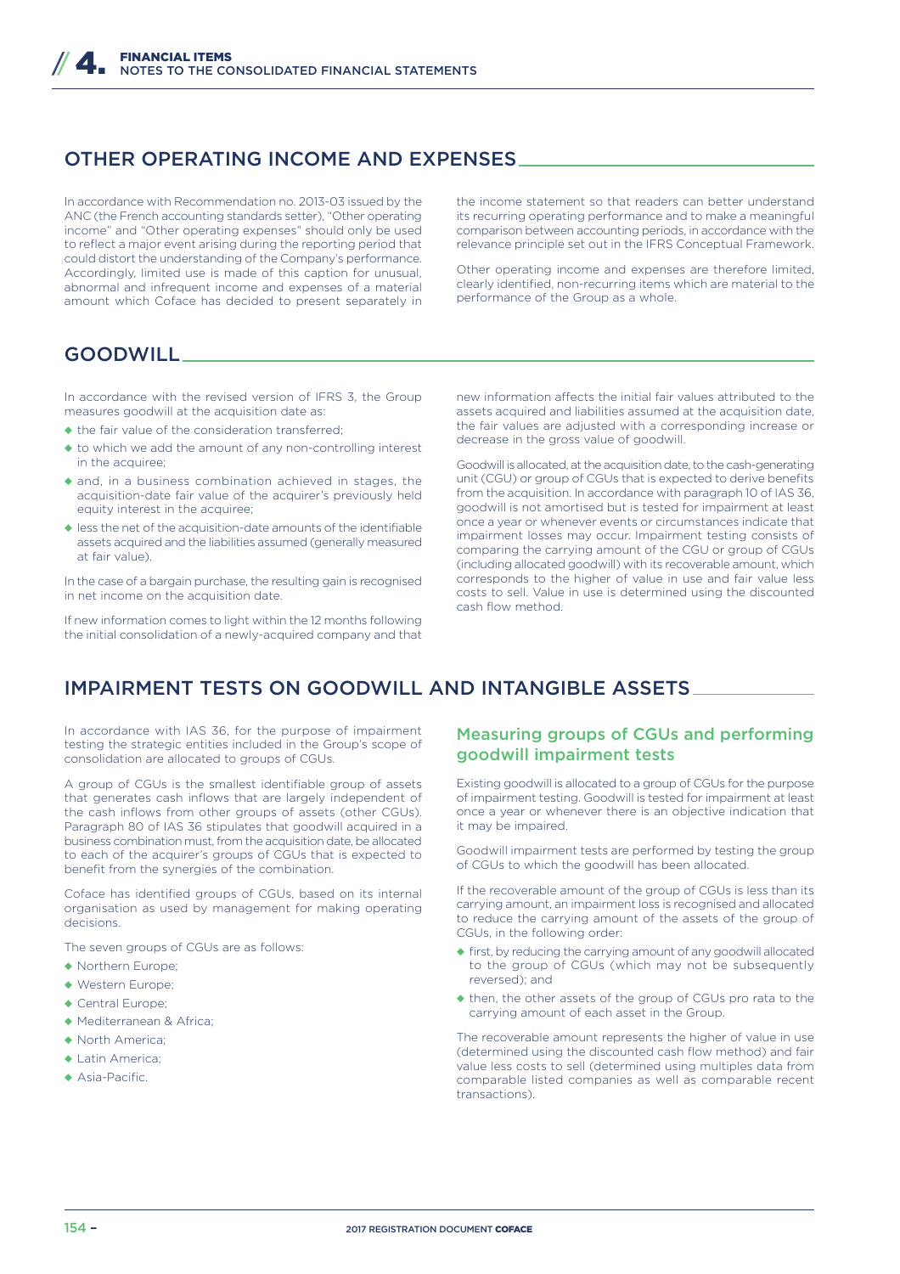## OTHER OPERATING INCOME AND EXPENSES

In accordance with Recommendation no. 2013-03 issued by the ANC (the French accounting standards setter), "Other operating income" and "Other operating expenses" should only be used to reflect a major event arising during the reporting period that could distort the understanding of the Company's performance. Accordingly, limited use is made of this caption for unusual, abnormal and infrequent income and expenses of a material amount which Coface has decided to present separately in the income statement so that readers can better understand its recurring operating performance and to make a meaningful comparison between accounting periods, in accordance with the relevance principle set out in the IFRS Conceptual Framework.

Other operating income and expenses are therefore limited, clearly identified, non-recurring items which are material to the performance of the Group as a whole.

### GOODWILL

In accordance with the revised version of IFRS 3, the Group measures goodwill at the acquisition date as:

- ◆ the fair value of the consideration transferred;
- ◆ to which we add the amount of any non-controlling interest in the acquiree;
- ◆ and, in a business combination achieved in stages, the acquisition-date fair value of the acquirer's previously held equity interest in the acquiree;
- $\triangleq$  less the net of the acquisition-date amounts of the identifiable assets acquired and the liabilities assumed (generally measured at fair value).

In the case of a bargain purchase, the resulting gain is recognised in net income on the acquisition date.

If new information comes to light within the 12 months following the initial consolidation of a newly-acquired company and that new information affects the initial fair values attributed to the assets acquired and liabilities assumed at the acquisition date, the fair values are adjusted with a corresponding increase or decrease in the gross value of goodwill.

Goodwill is allocated, at the acquisition date, to the cash-generating unit (CGU) or group of CGUs that is expected to derive benefits from the acquisition. In accordance with paragraph 10 of IAS 36, goodwill is not amortised but is tested for impairment at least once a year or whenever events or circumstances indicate that impairment losses may occur. Impairment testing consists of comparing the carrying amount of the CGU or group of CGUs (including allocated goodwill) with its recoverable amount, which corresponds to the higher of value in use and fair value less costs to sell. Value in use is determined using the discounted cash flow method.

# IMPAIRMENT TESTS ON GOODWILL AND INTANGIBLE ASSETS

In accordance with IAS 36, for the purpose of impairment testing the strategic entities included in the Group's scope of consolidation are allocated to groups of CGUs.

A group of CGUs is the smallest identifiable group of assets that generates cash inflows that are largely independent of the cash inflows from other groups of assets (other CGUs). Paragraph 80 of IAS 36 stipulates that goodwill acquired in a business combination must, from the acquisition date, be allocated to each of the acquirer's groups of CGUs that is expected to benefit from the synergies of the combination.

Coface has identified groups of CGUs, based on its internal organisation as used by management for making operating decisions.

The seven groups of CGUs are as follows:

- ◆ Northern Europe;
- ◆ Western Europe;
- ◆ Central Europe;
- ◆ Mediterranean & Africa;
- ◆ North America;
- ◆ Latin America;
- $\triangle$  Asia-Pacific.

#### Measuring groups of CGUs and performing goodwill impairment tests

Existing goodwill is allocated to a group of CGUs for the purpose of impairment testing. Goodwill is tested for impairment at least once a year or whenever there is an objective indication that it may be impaired.

Goodwill impairment tests are performed by testing the group of CGUs to which the goodwill has been allocated.

If the recoverable amount of the group of CGUs is less than its carrying amount, an impairment loss is recognised and allocated to reduce the carrying amount of the assets of the group of CGUs, in the following order:

- ◆ first, by reducing the carrying amount of any goodwill allocated to the group of CGUs (which may not be subsequently reversed); and
- ◆ then, the other assets of the group of CGUs pro rata to the carrying amount of each asset in the Group.

The recoverable amount represents the higher of value in use (determined using the discounted cash flow method) and fair value less costs to sell (determined using multiples data from comparable listed companies as well as comparable recent transactions).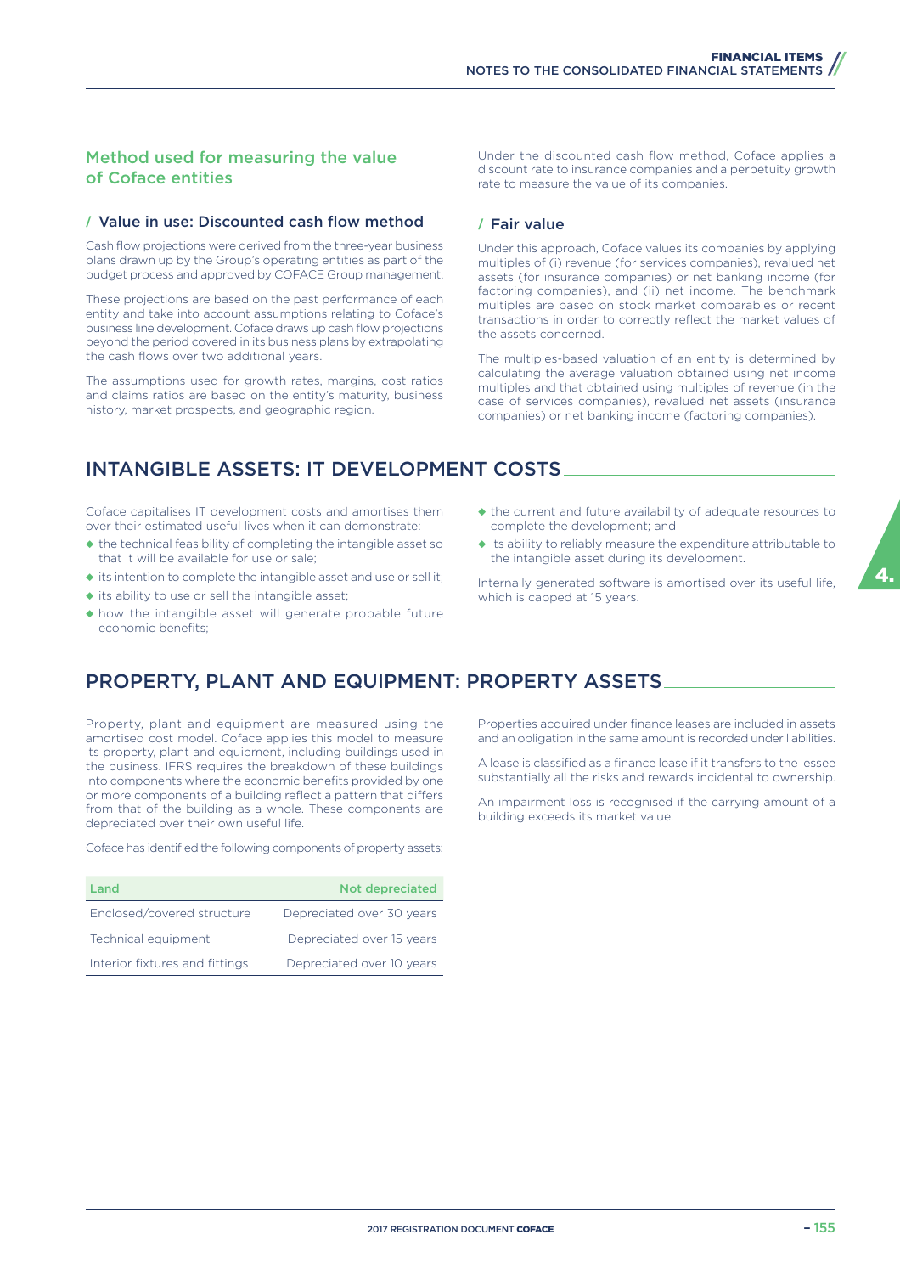#### Method used for measuring the value of Coface entities

#### **/** Value in use: Discounted cash flow method

Cash flow projections were derived from the three-year business plans drawn up by the Group's operating entities as part of the budget process and approved by COFACE Group management.

These projections are based on the past performance of each entity and take into account assumptions relating to Coface's business line development. Coface draws up cash flow projections beyond the period covered in its business plans by extrapolating the cash flows over two additional years.

The assumptions used for growth rates, margins, cost ratios and claims ratios are based on the entity's maturity, business history, market prospects, and geographic region.

Under the discounted cash flow method, Coface applies a discount rate to insurance companies and a perpetuity growth rate to measure the value of its companies.

#### **/** Fair value

Under this approach, Coface values its companies by applying multiples of (i) revenue (for services companies), revalued net assets (for insurance companies) or net banking income (for factoring companies), and (ii) net income. The benchmark multiples are based on stock market comparables or recent transactions in order to correctly reflect the market values of the assets concerned.

The multiples-based valuation of an entity is determined by calculating the average valuation obtained using net income multiples and that obtained using multiples of revenue (in the case of services companies), revalued net assets (insurance companies) or net banking income (factoring companies).

# INTANGIBLE ASSETS: IT DEVELOPMENT COSTS

Coface capitalises IT development costs and amortises them over their estimated useful lives when it can demonstrate:

- $\triangle$  the technical feasibility of completing the intangible asset so that it will be available for use or sale;
- ◆ its intention to complete the intangible asset and use or sell it;
- ◆ its ability to use or sell the intangible asset:
- ◆ how the intangible asset will generate probable future economic benefits;
- ◆ the current and future availability of adequate resources to complete the development; and
- ◆ its ability to reliably measure the expenditure attributable to the intangible asset during its development.

Internally generated software is amortised over its useful life, which is capped at 15 years.

# PROPERTY, PLANT AND EQUIPMENT: PROPERTY ASSETS

Property, plant and equipment are measured using the amortised cost model. Coface applies this model to measure its property, plant and equipment, including buildings used in the business. IFRS requires the breakdown of these buildings into components where the economic benefits provided by one or more components of a building reflect a pattern that differs from that of the building as a whole. These components are depreciated over their own useful life.

Coface has identified the following components of property assets:

| Land                           | Not depreciated           |
|--------------------------------|---------------------------|
| Enclosed/covered structure     | Depreciated over 30 years |
| Technical equipment            | Depreciated over 15 years |
| Interior fixtures and fittings | Depreciated over 10 years |

Properties acquired under finance leases are included in assets and an obligation in the same amount is recorded under liabilities.

A lease is classified as a finance lease if it transfers to the lessee substantially all the risks and rewards incidental to ownership.

An impairment loss is recognised if the carrying amount of a building exceeds its market value.

4.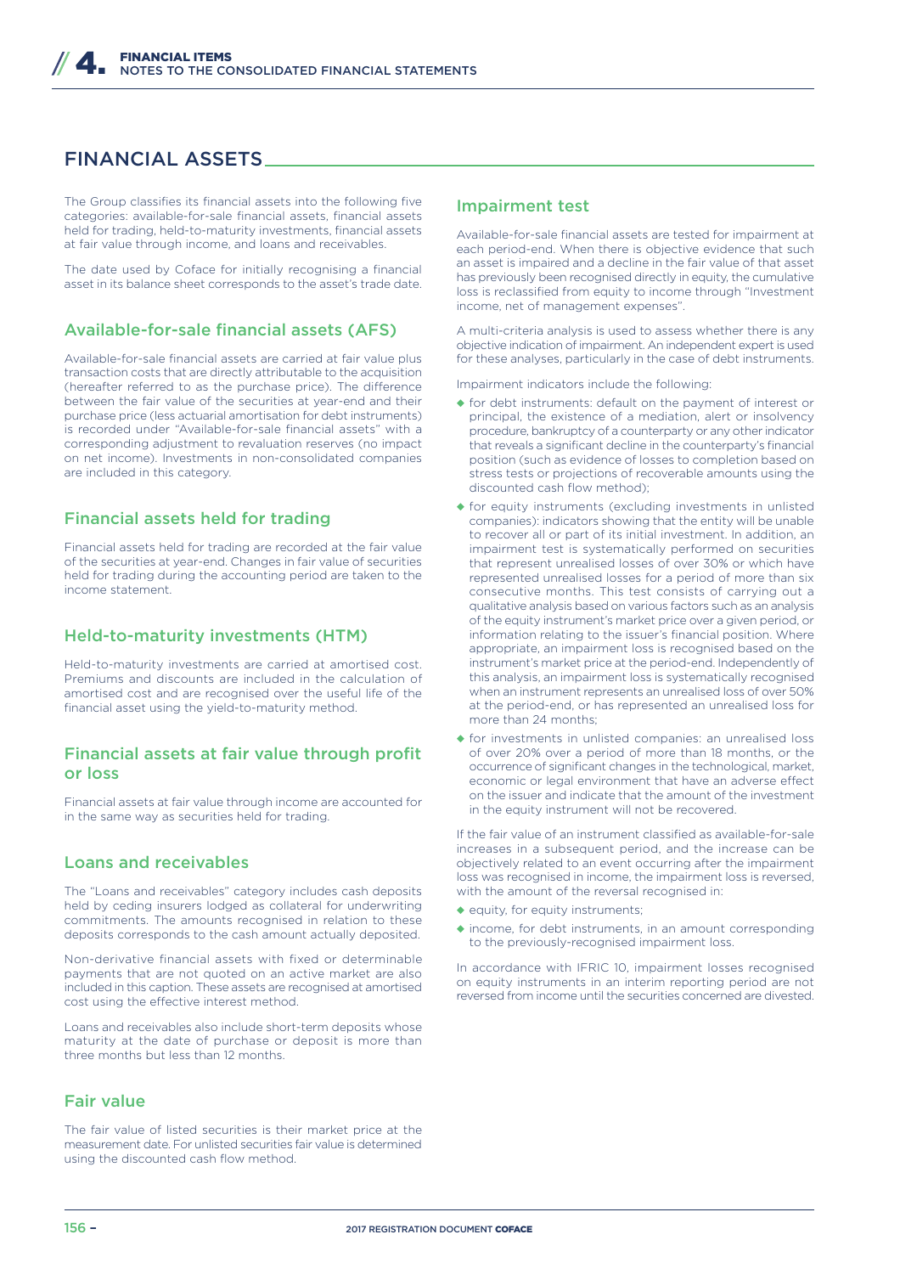## FINANCIAL ASSETS

The Group classifies its financial assets into the following five categories: available-for-sale financial assets, financial assets held for trading, held-to-maturity investments, financial assets at fair value through income, and loans and receivables.

The date used by Coface for initially recognising a financial asset in its balance sheet corresponds to the asset's trade date.

#### Available-for-sale financial assets (AFS)

Available-for-sale financial assets are carried at fair value plus transaction costs that are directly attributable to the acquisition (hereafter referred to as the purchase price). The difference between the fair value of the securities at year-end and their purchase price (less actuarial amortisation for debt instruments) is recorded under "Available-for-sale financial assets" with a corresponding adjustment to revaluation reserves (no impact on net income). Investments in non-consolidated companies are included in this category.

#### Financial assets held for trading

Financial assets held for trading are recorded at the fair value of the securities at year-end. Changes in fair value of securities held for trading during the accounting period are taken to the income statement.

#### Held-to-maturity investments (HTM)

Held-to-maturity investments are carried at amortised cost. Premiums and discounts are included in the calculation of amortised cost and are recognised over the useful life of the financial asset using the yield-to-maturity method.

#### Financial assets at fair value through profit or loss

Financial assets at fair value through income are accounted for in the same way as securities held for trading.

#### Loans and receivables

The "Loans and receivables" category includes cash deposits held by ceding insurers lodged as collateral for underwriting commitments. The amounts recognised in relation to these deposits corresponds to the cash amount actually deposited.

Non-derivative financial assets with fixed or determinable payments that are not quoted on an active market are also included in this caption. These assets are recognised at amortised cost using the effective interest method.

Loans and receivables also include short-term deposits whose maturity at the date of purchase or deposit is more than three months but less than 12 months.

#### Fair value

The fair value of listed securities is their market price at the measurement date. For unlisted securities fair value is determined using the discounted cash flow method.

#### Impairment test

Available-for-sale financial assets are tested for impairment at each period-end. When there is objective evidence that such an asset is impaired and a decline in the fair value of that asset has previously been recognised directly in equity, the cumulative loss is reclassified from equity to income through "Investment income, net of management expenses".

A multi-criteria analysis is used to assess whether there is any objective indication of impairment. An independent expert is used for these analyses, particularly in the case of debt instruments.

Impairment indicators include the following:

- ◆ for debt instruments: default on the payment of interest or principal, the existence of a mediation, alert or insolvency procedure, bankruptcy of a counterparty or any other indicator that reveals a significant decline in the counterparty's financial position (such as evidence of losses to completion based on stress tests or projections of recoverable amounts using the discounted cash flow method);
- ◆ for equity instruments (excluding investments in unlisted companies): indicators showing that the entity will be unable to recover all or part of its initial investment. In addition, an impairment test is systematically performed on securities that represent unrealised losses of over 30% or which have represented unrealised losses for a period of more than six consecutive months. This test consists of carrying out a qualitative analysis based on various factors such as an analysis of the equity instrument's market price over a given period, or information relating to the issuer's financial position. Where appropriate, an impairment loss is recognised based on the instrument's market price at the period-end. Independently of this analysis, an impairment loss is systematically recognised when an instrument represents an unrealised loss of over 50% at the period-end, or has represented an unrealised loss for more than 24 months;
- ◆ for investments in unlisted companies: an unrealised loss of over 20% over a period of more than 18 months, or the occurrence of significant changes in the technological, market, economic or legal environment that have an adverse effect on the issuer and indicate that the amount of the investment in the equity instrument will not be recovered.

If the fair value of an instrument classified as available-for-sale increases in a subsequent period, and the increase can be objectively related to an event occurring after the impairment loss was recognised in income, the impairment loss is reversed, with the amount of the reversal recognised in:

- ◆ equity, for equity instruments;
- ◆ income, for debt instruments, in an amount corresponding to the previously-recognised impairment loss.

In accordance with IFRIC 10, impairment losses recognised on equity instruments in an interim reporting period are not reversed from income until the securities concerned are divested.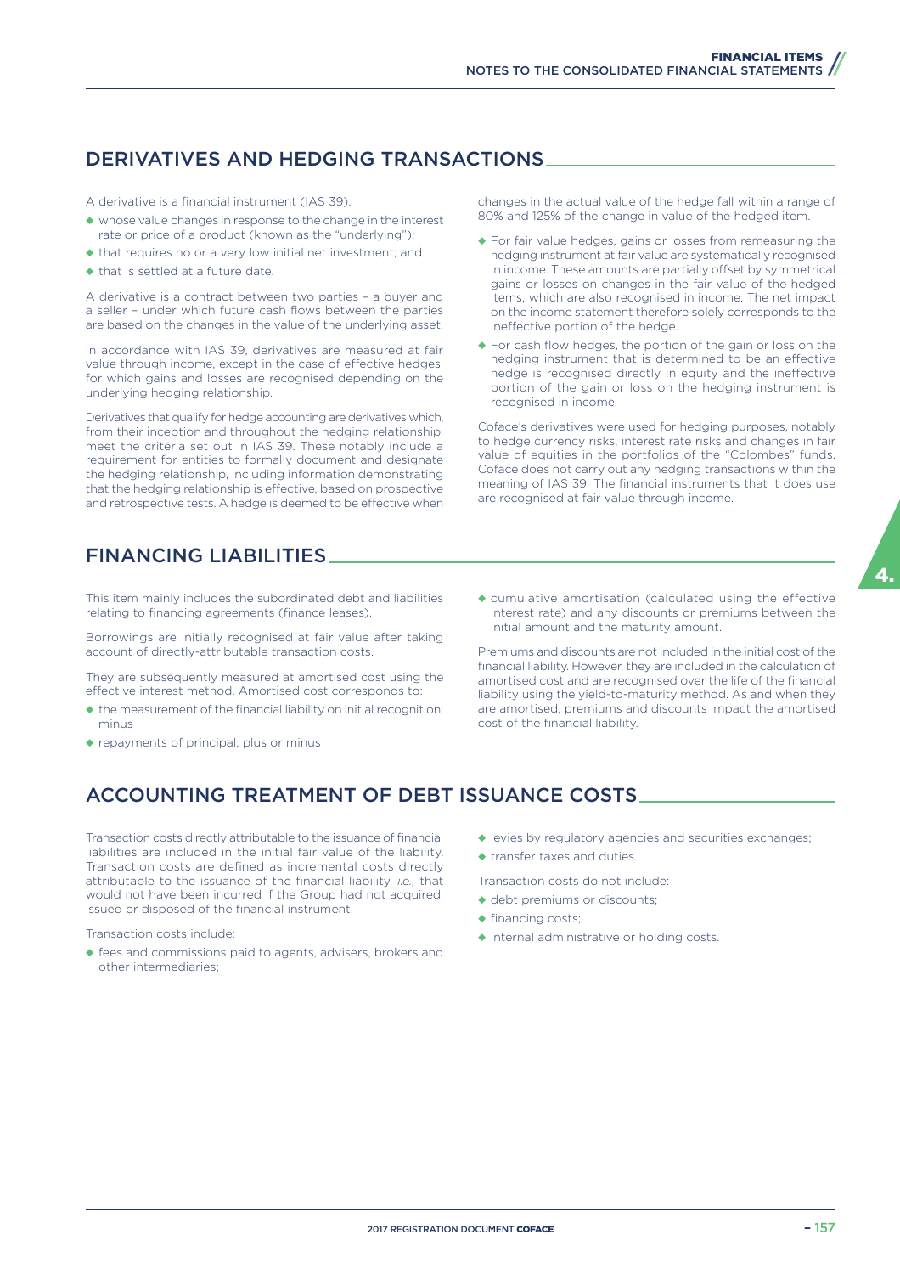## DERIVATIVES AND HEDGING TRANSACTIONS

A derivative is a financial instrument (IAS 39):

- ◆ whose value changes in response to the change in the interest rate or price of a product (known as the "underlying");
- ◆ that requires no or a very low initial net investment; and
- ◆ that is settled at a future date.

A derivative is a contract between two parties – a buyer and a seller – under which future cash flows between the parties are based on the changes in the value of the underlying asset.

In accordance with IAS 39, derivatives are measured at fair value through income, except in the case of effective hedges, for which gains and losses are recognised depending on the underlying hedging relationship.

Derivatives that qualify for hedge accounting are derivatives which, from their inception and throughout the hedging relationship, meet the criteria set out in IAS 39. These notably include a requirement for entities to formally document and designate the hedging relationship, including information demonstrating that the hedging relationship is effective, based on prospective and retrospective tests. A hedge is deemed to be effective when changes in the actual value of the hedge fall within a range of 80% and 125% of the change in value of the hedged item.

- ◆ For fair value hedges, gains or losses from remeasuring the hedging instrument at fair value are systematically recognised in income. These amounts are partially offset by symmetrical gains or losses on changes in the fair value of the hedged items, which are also recognised in income. The net impact on the income statement therefore solely corresponds to the ineffective portion of the hedge.
- ◆ For cash flow hedges, the portion of the gain or loss on the hedging instrument that is determined to be an effective hedge is recognised directly in equity and the ineffective portion of the gain or loss on the hedging instrument is recognised in income.

Coface's derivatives were used for hedging purposes, notably to hedge currency risks, interest rate risks and changes in fair value of equities in the portfolios of the "Colombes" funds. Coface does not carry out any hedging transactions within the meaning of IAS 39. The financial instruments that it does use are recognised at fair value through income.

## FINANCING LIABILITIES

This item mainly includes the subordinated debt and liabilities relating to financing agreements (finance leases).

Borrowings are initially recognised at fair value after taking account of directly-attributable transaction costs.

They are subsequently measured at amortised cost using the effective interest method. Amortised cost corresponds to:

- ◆ the measurement of the financial liability on initial recognition; minus
- ◆ repayments of principal; plus or minus

◆ cumulative amortisation (calculated using the effective interest rate) and any discounts or premiums between the initial amount and the maturity amount.

Premiums and discounts are not included in the initial cost of the financial liability. However, they are included in the calculation of amortised cost and are recognised over the life of the financial liability using the yield-to-maturity method. As and when they are amortised, premiums and discounts impact the amortised cost of the financial liability.

# ACCOUNTING TREATMENT OF DEBT ISSUANCE COSTS

Transaction costs directly attributable to the issuance of financial liabilities are included in the initial fair value of the liability. Transaction costs are defined as incremental costs directly attributable to the issuance of the financial liability, *i.e.,* that would not have been incurred if the Group had not acquired, issued or disposed of the financial instrument.

#### Transaction costs include:

- ◆ fees and commissions paid to agents, advisers, brokers and other intermediaries;
- ◆ levies by regulatory agencies and securities exchanges;
- ◆ transfer taxes and duties.

Transaction costs do not include:

- ◆ debt premiums or discounts;
- ◆ financing costs;
- ◆ internal administrative or holding costs.

4.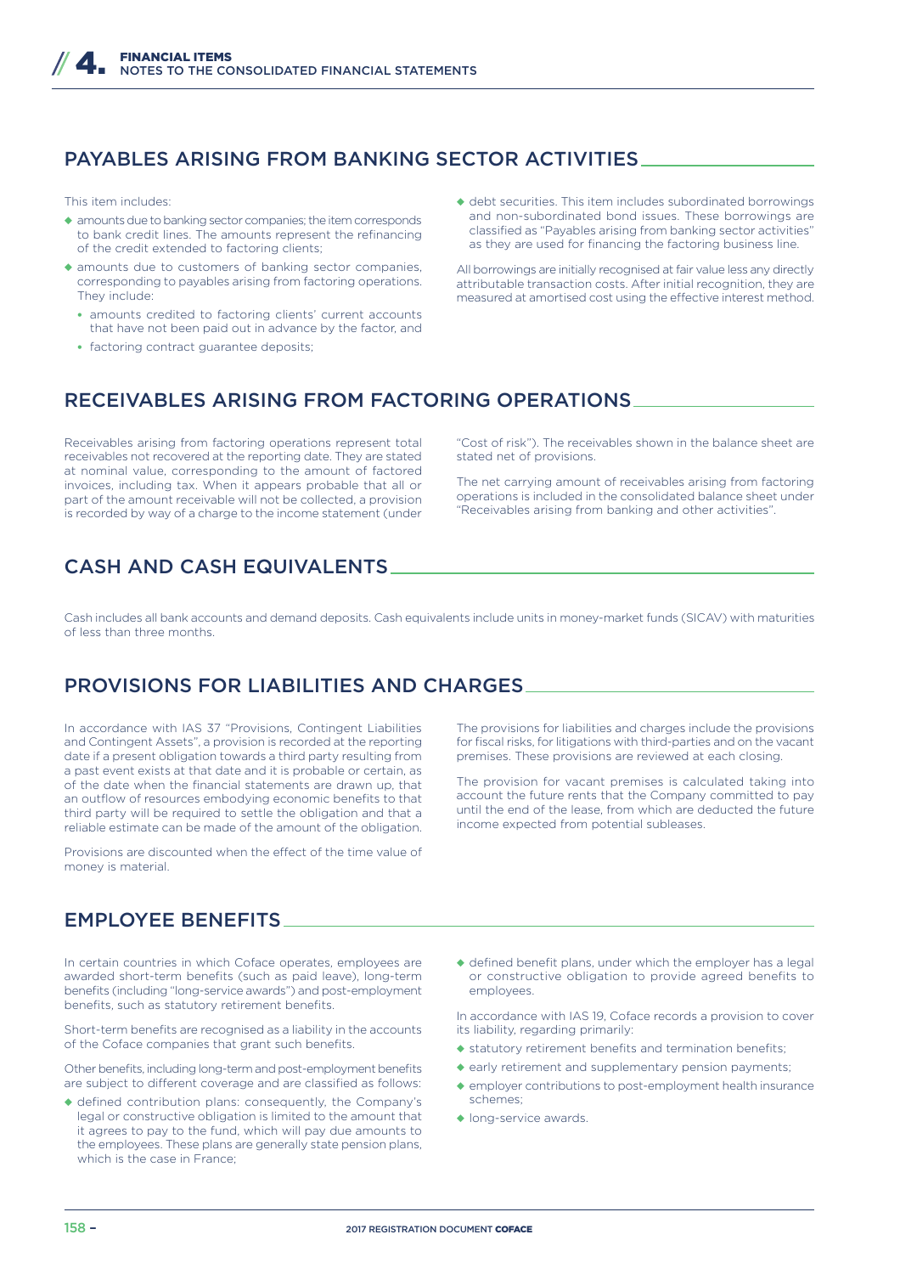## PAYABLES ARISING FROM BANKING SECTOR ACTIVITIES

This item includes:

- ◆ amounts due to banking sector companies; the item corresponds to bank credit lines. The amounts represent the refinancing of the credit extended to factoring clients;
- ◆ amounts due to customers of banking sector companies, corresponding to payables arising from factoring operations. They include:
	- amounts credited to factoring clients' current accounts that have not been paid out in advance by the factor, and
	- factoring contract guarantee deposits;

◆ debt securities. This item includes subordinated borrowings and non-subordinated bond issues. These borrowings are classified as "Payables arising from banking sector activities" as they are used for financing the factoring business line.

All borrowings are initially recognised at fair value less any directly attributable transaction costs. After initial recognition, they are measured at amortised cost using the effective interest method.

# RECEIVABLES ARISING FROM FACTORING OPERATIONS

Receivables arising from factoring operations represent total receivables not recovered at the reporting date. They are stated at nominal value, corresponding to the amount of factored invoices, including tax. When it appears probable that all or part of the amount receivable will not be collected, a provision is recorded by way of a charge to the income statement (under

"Cost of risk"). The receivables shown in the balance sheet are stated net of provisions.

The net carrying amount of receivables arising from factoring operations is included in the consolidated balance sheet under "Receivables arising from banking and other activities".

# CASH AND CASH EQUIVALENTS

Cash includes all bank accounts and demand deposits. Cash equivalents include units in money-market funds (SICAV) with maturities of less than three months.

## PROVISIONS FOR LIABILITIES AND CHARGES

In accordance with IAS 37 "Provisions, Contingent Liabilities and Contingent Assets", a provision is recorded at the reporting date if a present obligation towards a third party resulting from a past event exists at that date and it is probable or certain, as of the date when the financial statements are drawn up, that an outflow of resources embodying economic benefits to that third party will be required to settle the obligation and that a reliable estimate can be made of the amount of the obligation.

Provisions are discounted when the effect of the time value of money is material.

## EMPLOYEE BENEFITS

In certain countries in which Coface operates, employees are awarded short-term benefits (such as paid leave), long-term benefits (including "long-service awards") and post-employment benefits, such as statutory retirement benefits.

Short-term benefits are recognised as a liability in the accounts of the Coface companies that grant such benefits.

Other benefits, including long-term and post-employment benefits are subject to different coverage and are classified as follows:

◆ defined contribution plans: consequently, the Company's legal or constructive obligation is limited to the amount that it agrees to pay to the fund, which will pay due amounts to the employees. These plans are generally state pension plans, which is the case in France;

The provisions for liabilities and charges include the provisions for fiscal risks, for litigations with third-parties and on the vacant premises. These provisions are reviewed at each closing.

The provision for vacant premises is calculated taking into account the future rents that the Company committed to pay until the end of the lease, from which are deducted the future income expected from potential subleases.

◆ defined benefit plans, under which the employer has a legal or constructive obligation to provide agreed benefits to employees.

In accordance with IAS 19, Coface records a provision to cover its liability, regarding primarily:

- ◆ statutory retirement benefits and termination benefits;
- ◆ early retirement and supplementary pension payments;
- ◆ employer contributions to post-employment health insurance schemes;
- ◆ long-service awards.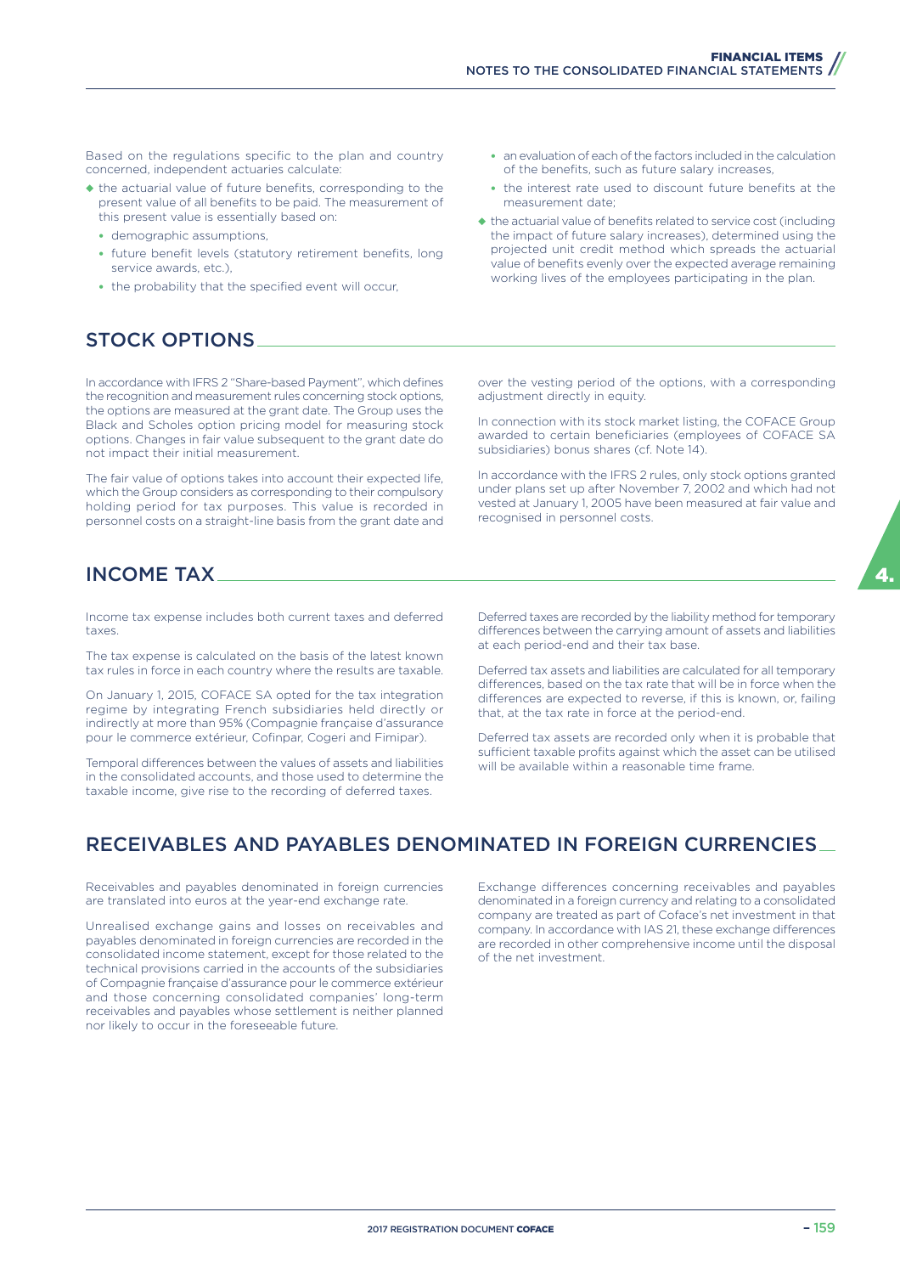• an evaluation of each of the factors included in the calculation of the benefits, such as future salary increases,

• the interest rate used to discount future benefits at the

◆ the actuarial value of benefits related to service cost (including the impact of future salary increases), determined using the projected unit credit method which spreads the actuarial value of benefits evenly over the expected average remaining working lives of the employees participating in the plan.

measurement date;

Based on the regulations specific to the plan and country concerned, independent actuaries calculate:

- ◆ the actuarial value of future benefits, corresponding to the present value of all benefits to be paid. The measurement of this present value is essentially based on:
	- demographic assumptions,
	- future benefit levels (statutory retirement benefits, long service awards, etc.),
	- the probability that the specified event will occur,

## STOCK OPTIONS

In accordance with IFRS 2 "Share-based Payment", which defines the recognition and measurement rules concerning stock options the options are measured at the grant date. The Group uses the Black and Scholes option pricing model for measuring stock options. Changes in fair value subsequent to the grant date do not impact their initial measurement.

The fair value of options takes into account their expected life, which the Group considers as corresponding to their compulsory holding period for tax purposes. This value is recorded in personnel costs on a straight-line basis from the grant date and over the vesting period of the options, with a corresponding adjustment directly in equity.

In connection with its stock market listing, the COFACE Group awarded to certain beneficiaries (employees of COFACE SA subsidiaries) bonus shares (cf. Note 14).

In accordance with the IFRS 2 rules, only stock options granted under plans set up after November 7, 2002 and which had not vested at January 1, 2005 have been measured at fair value and recognised in personnel costs.

# INCOME TAX

Income tax expense includes both current taxes and deferred taxes.

The tax expense is calculated on the basis of the latest known tax rules in force in each country where the results are taxable.

On January 1, 2015, COFACE SA opted for the tax integration regime by integrating French subsidiaries held directly or indirectly at more than 95% (Compagnie française d'assurance pour le commerce extérieur, Cofinpar, Cogeri and Fimipar).

Temporal differences between the values of assets and liabilities in the consolidated accounts, and those used to determine the taxable income, give rise to the recording of deferred taxes.

Deferred taxes are recorded by the liability method for temporary differences between the carrying amount of assets and liabilities at each period-end and their tax base.

Deferred tax assets and liabilities are calculated for all temporary differences, based on the tax rate that will be in force when the differences are expected to reverse, if this is known, or, failing that, at the tax rate in force at the period-end.

Deferred tax assets are recorded only when it is probable that sufficient taxable profits against which the asset can be utilised will be available within a reasonable time frame.

## RECEIVABLES AND PAYABLES DENOMINATED IN FOREIGN CURRENCIES

Receivables and payables denominated in foreign currencies are translated into euros at the year-end exchange rate.

Unrealised exchange gains and losses on receivables and payables denominated in foreign currencies are recorded in the consolidated income statement, except for those related to the technical provisions carried in the accounts of the subsidiaries of Compagnie française d'assurance pour le commerce extérieur and those concerning consolidated companies' long-term receivables and payables whose settlement is neither planned nor likely to occur in the foreseeable future.

Exchange differences concerning receivables and payables denominated in a foreign currency and relating to a consolidated company are treated as part of Coface's net investment in that company. In accordance with IAS 21, these exchange differences are recorded in other comprehensive income until the disposal of the net investment.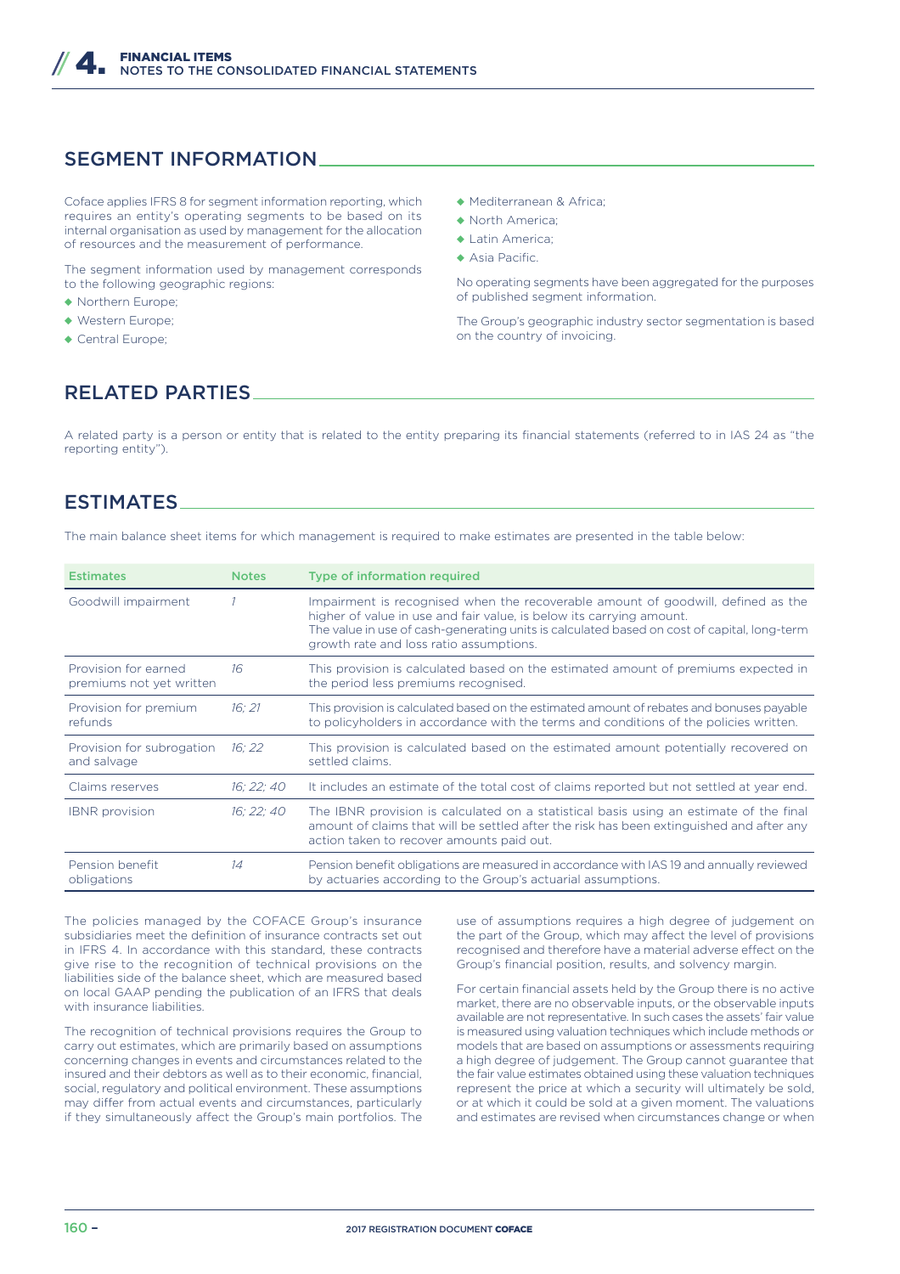## SEGMENT INFORMATION

Coface applies IFRS 8 for segment information reporting, which requires an entity's operating segments to be based on its internal organisation as used by management for the allocation of resources and the measurement of performance.

The segment information used by management corresponds to the following geographic regions:

- ◆ Northern Europe;
- ◆ Western Europe;
- ◆ Central Europe;
- ◆ Mediterranean & Africa;
- ◆ North America;
- ◆ Latin America:
- ◆ Asia Pacific.

No operating segments have been aggregated for the purposes of published segment information.

The Group's geographic industry sector segmentation is based on the country of invoicing.

### RELATED PARTIES

A related party is a person or entity that is related to the entity preparing its financial statements (referred to in IAS 24 as "the reporting entity").

### ESTIMATES

The main balance sheet items for which management is required to make estimates are presented in the table below:

| <b>Estimates</b>                                 | <b>Notes</b> | <b>Type of information required</b>                                                                                                                                                                                                                                                                |
|--------------------------------------------------|--------------|----------------------------------------------------------------------------------------------------------------------------------------------------------------------------------------------------------------------------------------------------------------------------------------------------|
| Goodwill impairment                              |              | Impairment is recognised when the recoverable amount of goodwill, defined as the<br>higher of value in use and fair value, is below its carrying amount.<br>The value in use of cash-generating units is calculated based on cost of capital, long-term<br>growth rate and loss ratio assumptions. |
| Provision for earned<br>premiums not yet written | 16           | This provision is calculated based on the estimated amount of premiums expected in<br>the period less premiums recognised.                                                                                                                                                                         |
| Provision for premium<br>refunds                 | 16:21        | This provision is calculated based on the estimated amount of rebates and bonuses payable<br>to policyholders in accordance with the terms and conditions of the policies written.                                                                                                                 |
| Provision for subrogation<br>and salvage         | 16:22        | This provision is calculated based on the estimated amount potentially recovered on<br>settled claims.                                                                                                                                                                                             |
| Claims reserves                                  | 16: 22: 40   | It includes an estimate of the total cost of claims reported but not settled at year end.                                                                                                                                                                                                          |
| <b>IBNR</b> provision                            | 16: 22: 40   | The IBNR provision is calculated on a statistical basis using an estimate of the final<br>amount of claims that will be settled after the risk has been extinguished and after any<br>action taken to recover amounts paid out.                                                                    |
| Pension benefit<br>obligations                   | 14           | Pension benefit obligations are measured in accordance with IAS 19 and annually reviewed<br>by actuaries according to the Group's actuarial assumptions.                                                                                                                                           |

The policies managed by the COFACE Group's insurance subsidiaries meet the definition of insurance contracts set out in IFRS 4. In accordance with this standard, these contracts give rise to the recognition of technical provisions on the liabilities side of the balance sheet, which are measured based on local GAAP pending the publication of an IFRS that deals with insurance liabilities.

The recognition of technical provisions requires the Group to carry out estimates, which are primarily based on assumptions concerning changes in events and circumstances related to the insured and their debtors as well as to their economic, financial, social, regulatory and political environment. These assumptions may differ from actual events and circumstances, particularly if they simultaneously affect the Group's main portfolios. The

use of assumptions requires a high degree of judgement on the part of the Group, which may affect the level of provisions recognised and therefore have a material adverse effect on the Group's financial position, results, and solvency margin.

For certain financial assets held by the Group there is no active market, there are no observable inputs, or the observable inputs available are not representative. In such cases the assets' fair value is measured using valuation techniques which include methods or models that are based on assumptions or assessments requiring a high degree of judgement. The Group cannot guarantee that the fair value estimates obtained using these valuation techniques represent the price at which a security will ultimately be sold, or at which it could be sold at a given moment. The valuations and estimates are revised when circumstances change or when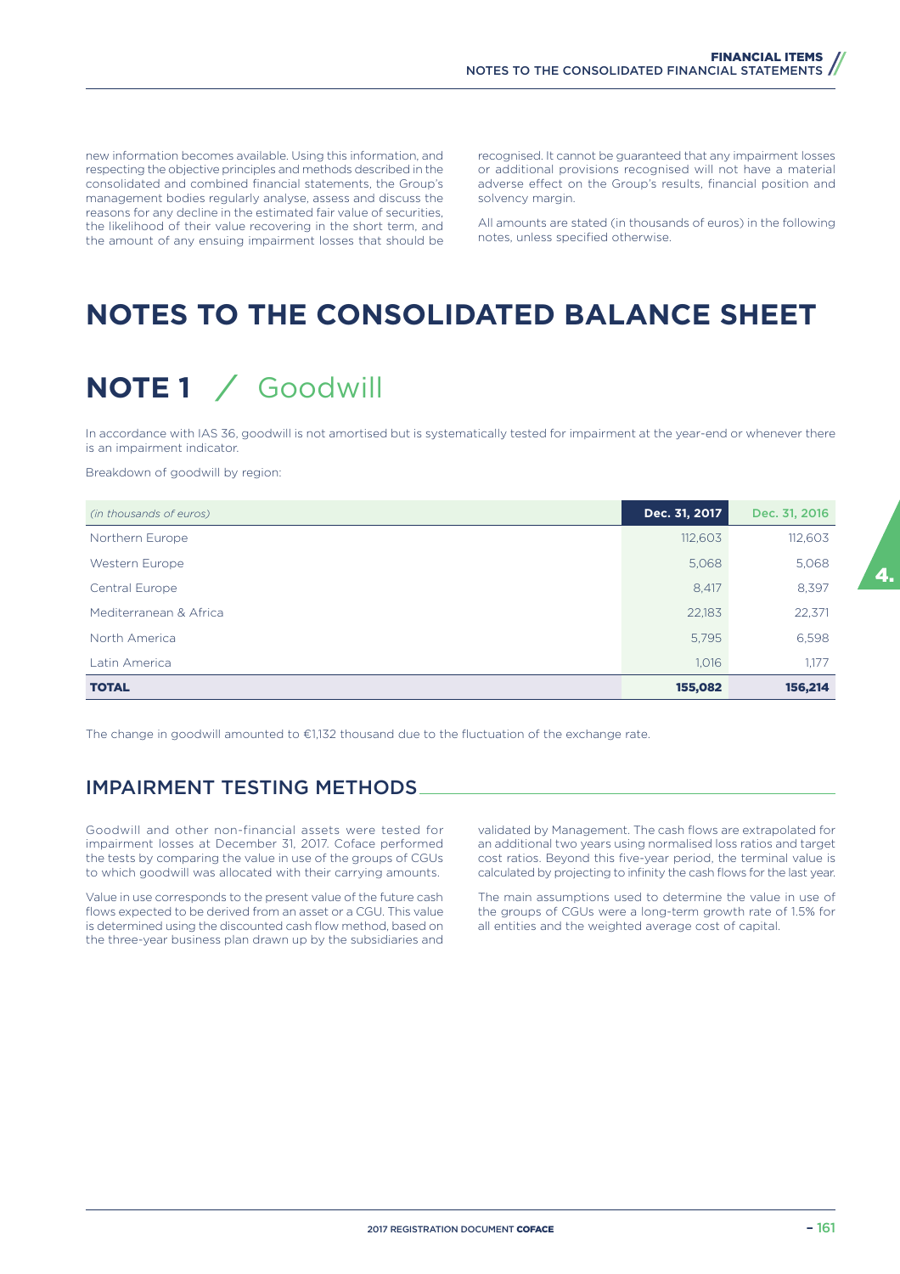new information becomes available. Using this information, and respecting the objective principles and methods described in the consolidated and combined financial statements, the Group's management bodies regularly analyse, assess and discuss the reasons for any decline in the estimated fair value of securities, the likelihood of their value recovering in the short term, and the amount of any ensuing impairment losses that should be

recognised. It cannot be guaranteed that any impairment losses or additional provisions recognised will not have a material adverse effect on the Group's results, financial position and solvency margin.

All amounts are stated (in thousands of euros) in the following notes, unless specified otherwise.

# **NOTES TO THE CONSOLIDATED BALANCE SHEET**

# **NOTE 1** */* Goodwill

In accordance with IAS 36, goodwill is not amortised but is systematically tested for impairment at the year-end or whenever there is an impairment indicator.

Breakdown of goodwill by region:

| (in thousands of euros) | Dec. 31, 2017 | Dec. 31, 2016 |
|-------------------------|---------------|---------------|
| Northern Europe         | 112,603       | 112,603       |
| Western Europe          | 5,068         | 5,068         |
| Central Europe          | 8,417         | 8,397         |
| Mediterranean & Africa  | 22,183        | 22,371        |
| North America           | 5,795         | 6,598         |
| Latin America           | 1.016         | 1,177         |
| <b>TOTAL</b>            | 155,082       | 156,214       |

The change in goodwill amounted to €1,132 thousand due to the fluctuation of the exchange rate.

## IMPAIRMENT TESTING METHODS

Goodwill and other non-financial assets were tested for impairment losses at December 31, 2017. Coface performed the tests by comparing the value in use of the groups of CGUs to which goodwill was allocated with their carrying amounts.

Value in use corresponds to the present value of the future cash flows expected to be derived from an asset or a CGU. This value is determined using the discounted cash flow method, based on the three-year business plan drawn up by the subsidiaries and

validated by Management. The cash flows are extrapolated for an additional two years using normalised loss ratios and target cost ratios. Beyond this five-year period, the terminal value is calculated by projecting to infinity the cash flows for the last year.

The main assumptions used to determine the value in use of the groups of CGUs were a long-term growth rate of 1.5% for all entities and the weighted average cost of capital.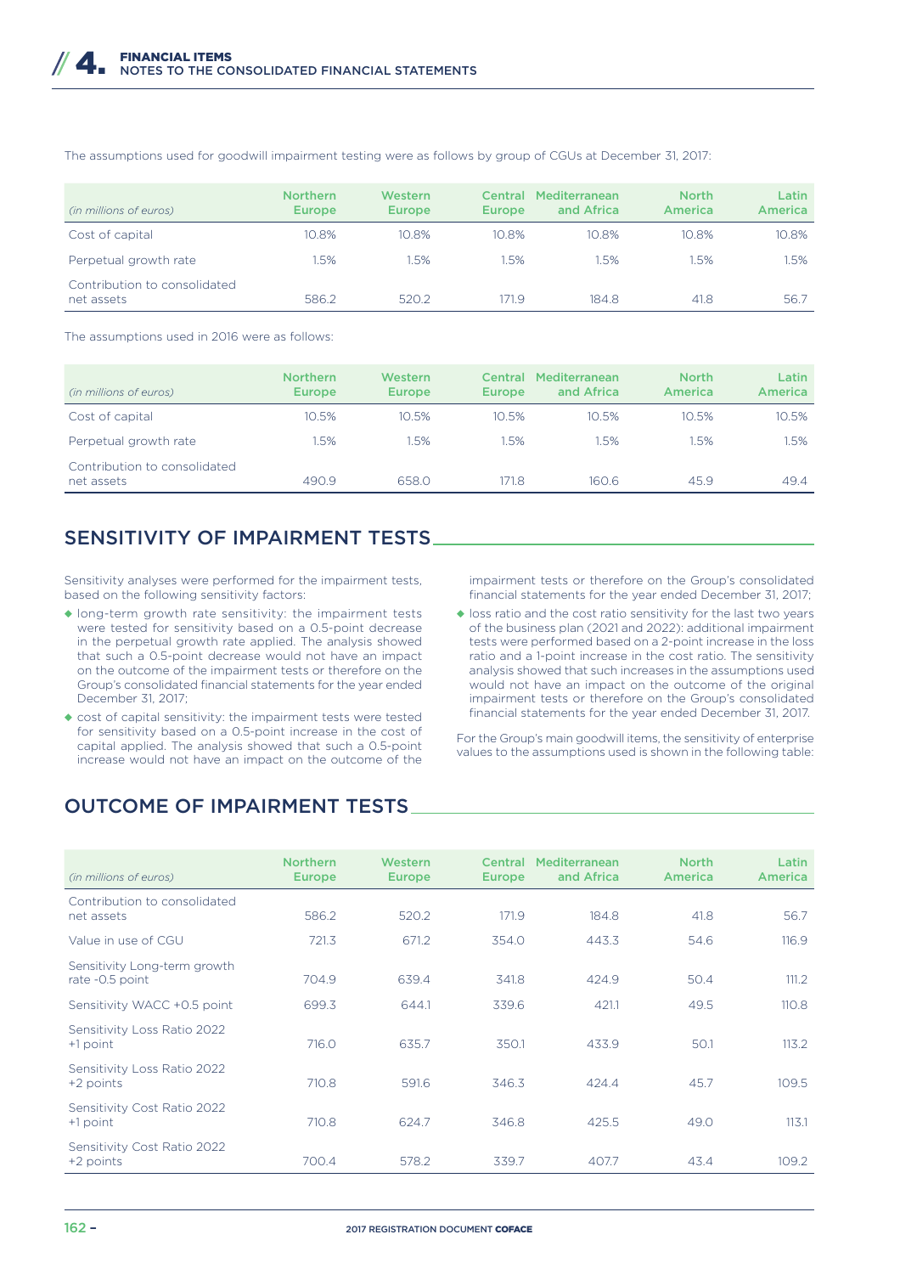| (in millions of euros)                     | <b>Northern</b><br><b>Europe</b> | Western<br><b>Europe</b> | Central<br><b>Europe</b> | Mediterranean<br>and Africa | <b>North</b><br>America | Latin<br>America |
|--------------------------------------------|----------------------------------|--------------------------|--------------------------|-----------------------------|-------------------------|------------------|
| Cost of capital                            | 10.8%                            | 10.8%                    | 10.8%                    | 10.8%                       | 10.8%                   | 10.8%            |
| Perpetual growth rate                      | 1.5%                             | .5%                      | 1.5%                     | 1.5%                        | .5%                     | 1.5%             |
| Contribution to consolidated<br>net assets | 586.2                            | 520.2                    | 171.9                    | 184.8                       | 41.8                    | 56.7             |

The assumptions used for goodwill impairment testing were as follows by group of CGUs at December 31, 2017:

The assumptions used in 2016 were as follows:

| (in millions of euros)                     | <b>Northern</b><br><b>Europe</b> | Western<br><b>Europe</b> | Central<br><b>Europe</b> | Mediterranean<br>and Africa | <b>North</b><br>America | Latin<br>America |
|--------------------------------------------|----------------------------------|--------------------------|--------------------------|-----------------------------|-------------------------|------------------|
| Cost of capital                            | 10.5%                            | 10.5%                    | 10.5%                    | 10.5%                       | 10.5%                   | 10.5%            |
| Perpetual growth rate                      | .5%                              | 1.5%                     | 1.5%                     | 1.5%                        | 1.5%                    | 1.5%             |
| Contribution to consolidated<br>net assets | 490.9                            | 658.0                    | 171.8                    | 160.6                       | 45.9                    | 49.4             |

#### SENSITIVITY OF IMPAIRMENT TESTS

Sensitivity analyses were performed for the impairment tests, based on the following sensitivity factors:

- ◆ long-term growth rate sensitivity: the impairment tests were tested for sensitivity based on a 0.5-point decrease in the perpetual growth rate applied. The analysis showed that such a 0.5-point decrease would not have an impact on the outcome of the impairment tests or therefore on the Group's consolidated financial statements for the year ended December 31, 2017;
- ◆ cost of capital sensitivity: the impairment tests were tested for sensitivity based on a 0.5-point increase in the cost of capital applied. The analysis showed that such a 0.5-point increase would not have an impact on the outcome of the

impairment tests or therefore on the Group's consolidated financial statements for the year ended December 31, 2017;

◆ loss ratio and the cost ratio sensitivity for the last two years of the business plan (2021 and 2022): additional impairment tests were performed based on a 2-point increase in the loss ratio and a 1-point increase in the cost ratio. The sensitivity analysis showed that such increases in the assumptions used would not have an impact on the outcome of the original impairment tests or therefore on the Group's consolidated financial statements for the year ended December 31, 2017.

For the Group's main goodwill items, the sensitivity of enterprise values to the assumptions used is shown in the following table:

#### OUTCOME OF IMPAIRMENT TESTS

| (in millions of euros)                          | <b>Northern</b><br><b>Europe</b> | Western<br><b>Europe</b> | Central<br><b>Europe</b> | Mediterranean<br>and Africa | <b>North</b><br><b>America</b> | Latin<br><b>America</b> |
|-------------------------------------------------|----------------------------------|--------------------------|--------------------------|-----------------------------|--------------------------------|-------------------------|
| Contribution to consolidated<br>net assets      | 586.2                            | 520.2                    | 171.9                    | 184.8                       | 41.8                           | 56.7                    |
| Value in use of CGU                             | 721.3                            | 671.2                    | 354.O                    | 443.3                       | 54.6                           | 116.9                   |
| Sensitivity Long-term growth<br>rate -0.5 point | 704.9                            | 639.4                    | 341.8                    | 424.9                       | 50.4                           | 111.2                   |
| Sensitivity WACC +0.5 point                     | 699.3                            | 644.1                    | 339.6                    | 4211                        | 49.5                           | 110.8                   |
| Sensitivity Loss Ratio 2022<br>+1 point         | 716.0                            | 635.7                    | 350.1                    | 433.9                       | 50.1                           | 113.2                   |
| Sensitivity Loss Ratio 2022<br>$+2$ points      | 710.8                            | 591.6                    | 346.3                    | 424.4                       | 45.7                           | 109.5                   |
| Sensitivity Cost Ratio 2022<br>$+1$ point       | 710.8                            | 624.7                    | 346.8                    | 425.5                       | 49.0                           | 113.1                   |
| Sensitivity Cost Ratio 2022<br>$+2$ points      | 700.4                            | 578.2                    | 339.7                    | 407.7                       | 43.4                           | 109.2                   |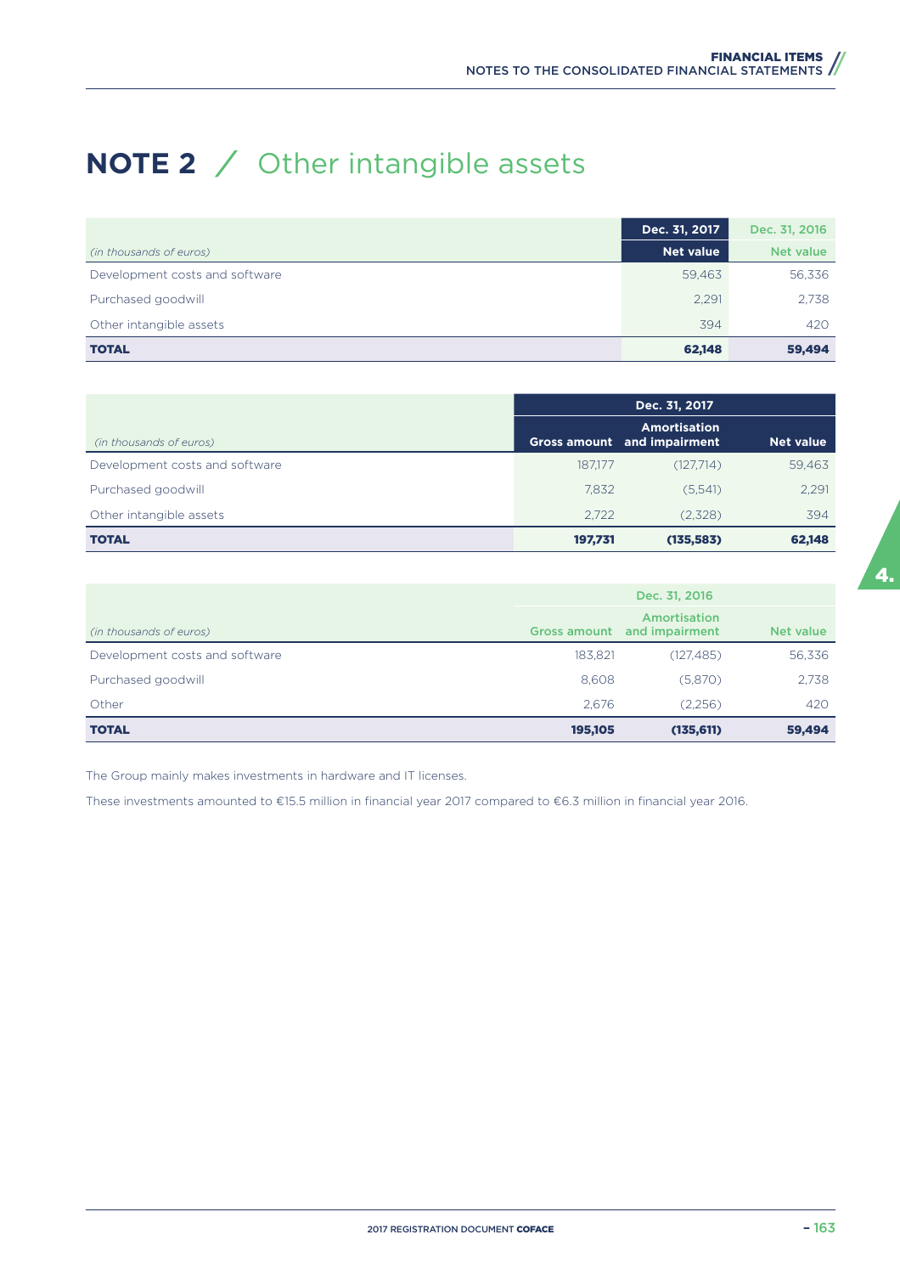## **NOTE 2** */* Other intangible assets

|                                | Dec. 31, 2017    | Dec. 31, 2016 |
|--------------------------------|------------------|---------------|
| (in thousands of euros)        | <b>Net value</b> | Net value     |
| Development costs and software | 59.463           | 56,336        |
| Purchased goodwill             | 2.291            | 2.738         |
| Other intangible assets        | 394              | 420           |
| <b>TOTAL</b>                   | 62,148           | 59,494        |

|                                | Dec. 31, 2017 |                                                    |                  |
|--------------------------------|---------------|----------------------------------------------------|------------------|
| (in thousands of euros)        |               | <b>Amortisation</b><br>Gross amount and impairment | <b>Net value</b> |
| Development costs and software | 187,177       | (127,714)                                          | 59,463           |
| Purchased goodwill             | 7.832         | (5.541)                                            | 2.291            |
| Other intangible assets        | 2.722         | (2,328)                                            | 394              |
| <b>TOTAL</b>                   | 197,731       | (135, 583)                                         | 62,148           |

| (in thousands of euros)        | <b>Gross amount</b> | Amortisation<br>and impairment | <b>Net value</b> |
|--------------------------------|---------------------|--------------------------------|------------------|
| Development costs and software | 183.821             | (127, 485)                     | 56,336           |
| Purchased goodwill             | 8.608               | (5,870)                        | 2.738            |
| Other                          | 2.676               | (2,256)                        | 420              |
| <b>TOTAL</b>                   | 195,105             | (135, 611)                     | 59,494           |

The Group mainly makes investments in hardware and IT licenses.

These investments amounted to €15.5 million in financial year 2017 compared to €6.3 million in financial year 2016.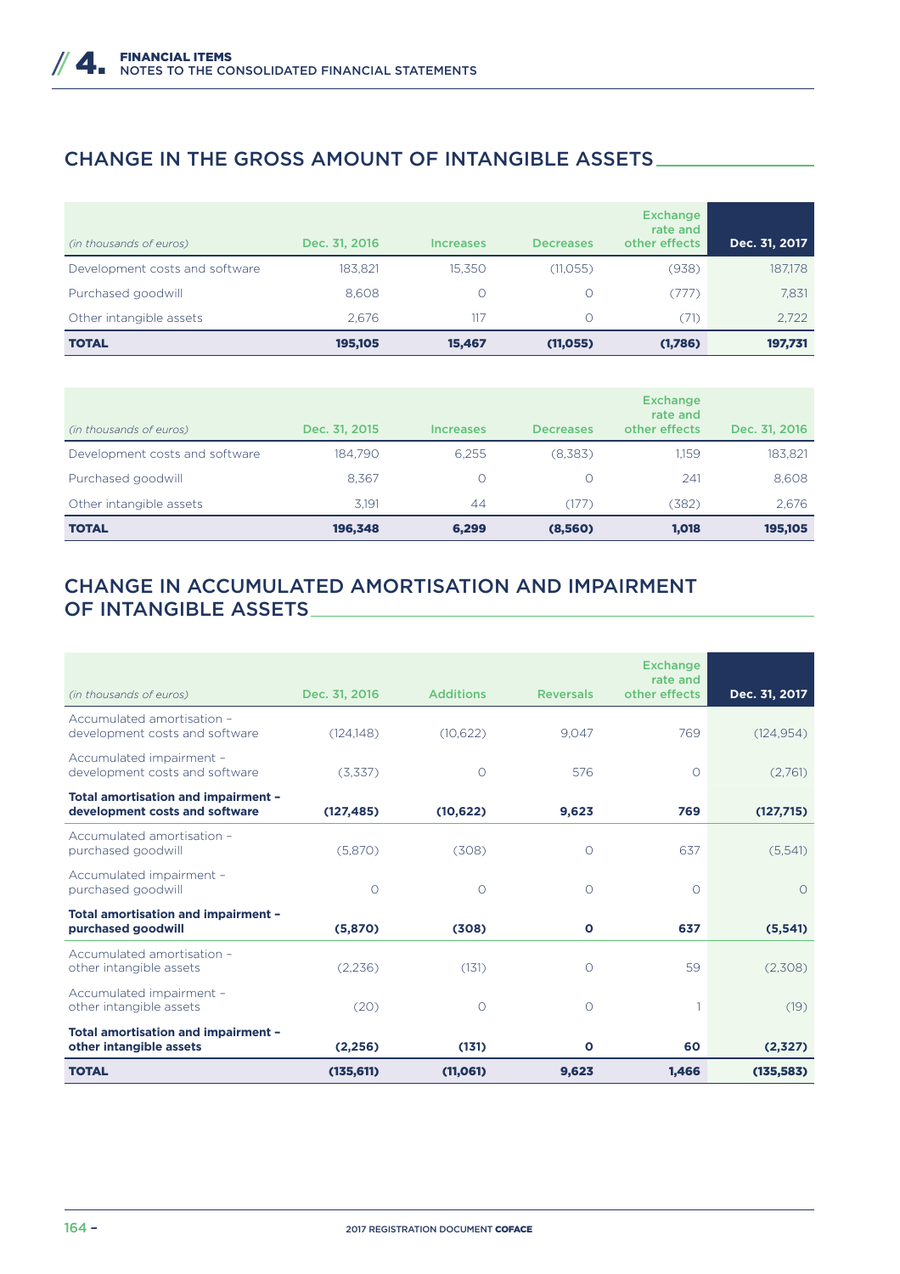#### CHANGE IN THE GROSS AMOUNT OF INTANGIBLE ASSETS

| (in thousands of euros)        | Dec. 31, 2016 | <b>Increases</b> | <b>Decreases</b> | <b>Exchange</b><br>rate and<br>other effects | Dec. 31, 2017 |
|--------------------------------|---------------|------------------|------------------|----------------------------------------------|---------------|
| Development costs and software | 183.821       | 15.350           | (11, 055)        | (938)                                        | 187,178       |
| Purchased goodwill             | 8.608         | Ω                | $\Omega$         | (777)                                        | 7,831         |
| Other intangible assets        | 2.676         | 117              | O                | (71)                                         | 2,722         |
| <b>TOTAL</b>                   | 195.105       | 15.467           | (11, 055)        | (1,786)                                      | 197,731       |

| (in thousands of euros)        | Dec. 31, 2015 | <b>Increases</b> | <b>Decreases</b> | <b>Exchange</b><br>rate and<br>other effects | Dec. 31, 2016 |
|--------------------------------|---------------|------------------|------------------|----------------------------------------------|---------------|
| Development costs and software | 184.790       | 6.255            | (8,383)          | 1.159                                        | 183,821       |
| Purchased goodwill             | 8.367         | Ω                | $\Omega$         | 241                                          | 8,608         |
| Other intangible assets        | 3.191         | 44               | (177)            | (382)                                        | 2,676         |
| <b>TOTAL</b>                   | 196,348       | 6,299            | (8,560)          | 1.018                                        | 195,105       |

#### CHANGE IN ACCUMULATED AMORTISATION AND IMPAIRMENT OF INTANGIBLE ASSETS

|                                                                       |               |                  |                  | <b>Exchange</b><br>rate and |               |
|-----------------------------------------------------------------------|---------------|------------------|------------------|-----------------------------|---------------|
| (in thousands of euros)                                               | Dec. 31, 2016 | <b>Additions</b> | <b>Reversals</b> | other effects               | Dec. 31, 2017 |
| Accumulated amortisation -<br>development costs and software          | (124.148)     | (10,622)         | 9.047            | 769                         | (124, 954)    |
| Accumulated impairment -<br>development costs and software            | (3,337)       | O                | 576              | $\Omega$                    | (2,761)       |
| Total amortisation and impairment -<br>development costs and software | (127, 485)    | (10, 622)        | 9,623            | 769                         | (127, 715)    |
| Accumulated amortisation -<br>purchased goodwill                      | (5,870)       | (308)            | $\circ$          | 637                         | (5,541)       |
| Accumulated impairment -<br>purchased goodwill                        | $\Omega$      | $\circ$          | $\circ$          | $\Omega$                    | $\Omega$      |
| Total amortisation and impairment -<br>purchased goodwill             | (5,870)       | (308)            | $\mathbf{o}$     | 637                         | (5, 541)      |
| Accumulated amortisation -<br>other intangible assets                 | (2,236)       | (131)            | 0                | 59                          | (2,308)       |
| Accumulated impairment -<br>other intangible assets                   | (20)          | $\circ$          | $\circ$          |                             | (19)          |
| Total amortisation and impairment -<br>other intangible assets        | (2, 256)      | (131)            | $\mathbf{o}$     | 60                          | (2,327)       |
| <b>TOTAL</b>                                                          | (135, 611)    | (11,061)         | 9,623            | 1,466                       | (135, 583)    |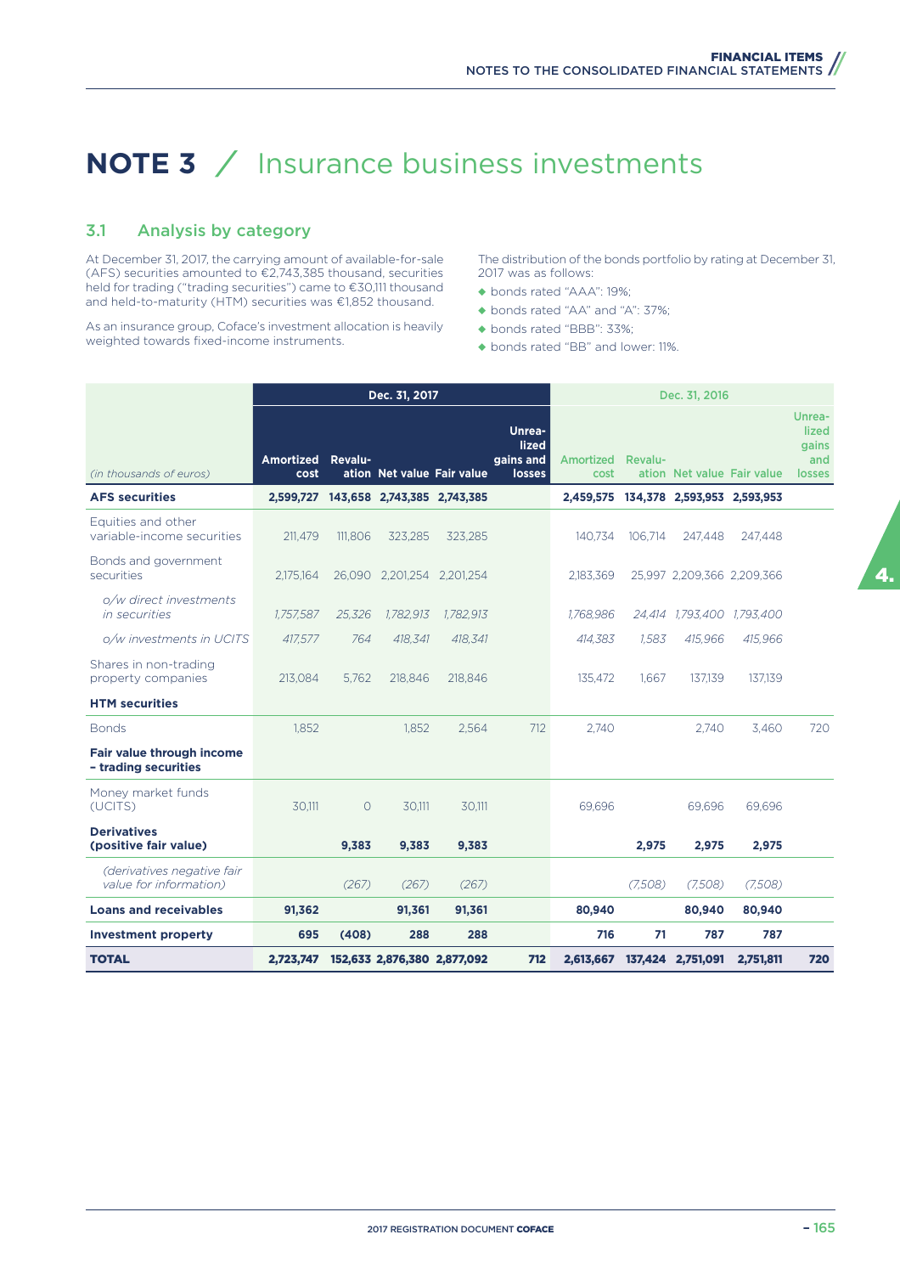# **NOTE 3** */* Insurance business investments

#### 3.1 Analysis by category

At December 31, 2017, the carrying amount of available-for-sale (AFS) securities amounted to €2,743,385 thousand, securities held for trading ("trading securities") came to €30,111 thousand and held-to-maturity (HTM) securities was €1,852 thousand.

As an insurance group, Coface's investment allocation is heavily weighted towards fixed-income instruments.

The distribution of the bonds portfolio by rating at December 31, 2017 was as follows:

- ◆ bonds rated "AAA": 19%;
- ◆ bonds rated "AA" and "A": 37%;
- ◆ bonds rated "BBB": 33%;
- ◆ bonds rated "BB" and lower: 11%.

|                                                          |                   |         | Dec. 31, 2017                         |           |                                               |                          |         | Dec. 31, 2016                         |           |                                                  |
|----------------------------------------------------------|-------------------|---------|---------------------------------------|-----------|-----------------------------------------------|--------------------------|---------|---------------------------------------|-----------|--------------------------------------------------|
| (in thousands of euros)                                  | Amortized<br>cost | Revalu- | ation Net value Fair value            |           | Unrea-<br>lized<br>gains and<br><b>losses</b> | <b>Amortized</b><br>cost | Revalu- | ation Net value Fair value            |           | Unrea-<br>lized<br>gains<br>and<br><b>losses</b> |
| <b>AFS securities</b>                                    |                   |         | 2,599,727 143,658 2,743,385 2,743,385 |           |                                               |                          |         | 2,459,575 134,378 2,593,953 2,593,953 |           |                                                  |
| Equities and other<br>variable-income securities         | 211,479           | 111.806 | 323,285                               | 323.285   |                                               | 140.734                  | 106.714 | 247.448                               | 247.448   |                                                  |
| Bonds and government<br>securities                       | 2,175,164         |         | 26,090 2,201,254 2,201,254            |           |                                               | 2,183,369                |         | 25,997 2,209,366 2,209,366            |           |                                                  |
| o/w direct investments<br>in securities                  | 1.757.587         | 25.326  | 1.782.913                             | 1.782.913 |                                               | 1.768.986                |         | 24.414 1.793.400 1.793.400            |           |                                                  |
| o/w investments in UCITS                                 | 417.577           | 764     | 418,341                               | 418,341   |                                               | 414,383                  | 1.583   | 415,966                               | 415,966   |                                                  |
| Shares in non-trading<br>property companies              | 213,084           | 5,762   | 218,846                               | 218,846   |                                               | 135,472                  | 1.667   | 137,139                               | 137,139   |                                                  |
| <b>HTM</b> securities                                    |                   |         |                                       |           |                                               |                          |         |                                       |           |                                                  |
| <b>Bonds</b>                                             | 1.852             |         | 1.852                                 | 2.564     | 712                                           | 2.740                    |         | 2.740                                 | 3.460     | 720                                              |
| <b>Fair value through income</b><br>- trading securities |                   |         |                                       |           |                                               |                          |         |                                       |           |                                                  |
| Money market funds<br>(UCITS)                            | 30,111            | $\circ$ | 30,111                                | 30,111    |                                               | 69,696                   |         | 69,696                                | 69.696    |                                                  |
| <b>Derivatives</b><br>(positive fair value)              |                   | 9,383   | 9,383                                 | 9.383     |                                               |                          | 2.975   | 2.975                                 | 2,975     |                                                  |
| (derivatives negative fair<br>value for information)     |                   | (267)   | (267)                                 | (267)     |                                               |                          | (7.508) | (7,508)                               | (7,508)   |                                                  |
| <b>Loans and receivables</b>                             | 91,362            |         | 91,361                                | 91,361    |                                               | 80,940                   |         | 80,940                                | 80,940    |                                                  |
| <b>Investment property</b>                               | 695               | (408)   | 288                                   | 288       |                                               | 716                      | 71      | 787                                   | 787       |                                                  |
| <b>TOTAL</b>                                             | 2,723,747         |         | 152,633 2,876,380 2,877,092           |           | 712                                           |                          |         | 2,613,667 137,424 2,751,091           | 2,751,811 | 720                                              |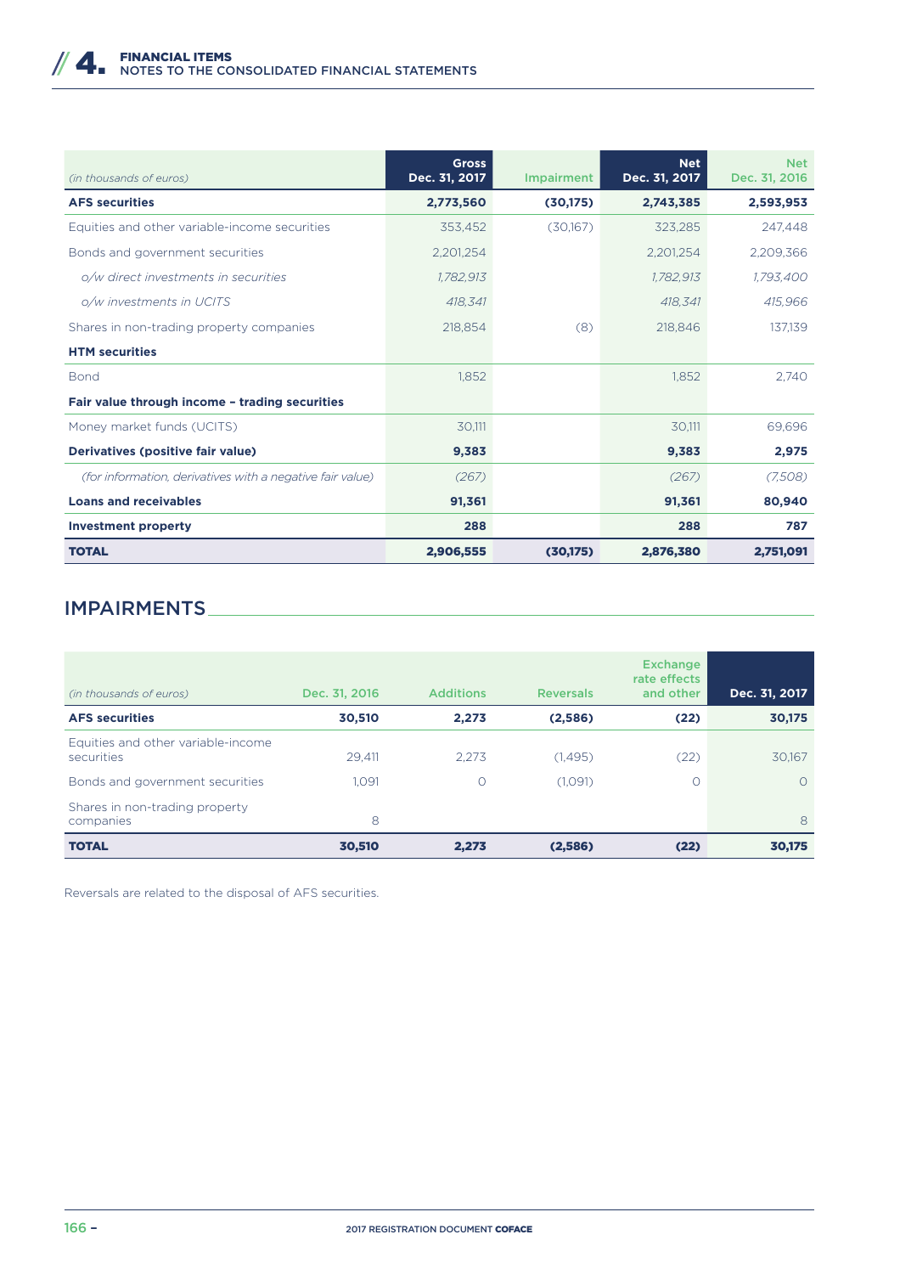| (in thousands of euros)                                   | <b>Gross</b><br>Dec. 31, 2017 | <b>Impairment</b> | <b>Net</b><br>Dec. 31, 2017 | <b>Net</b><br>Dec. 31, 2016 |
|-----------------------------------------------------------|-------------------------------|-------------------|-----------------------------|-----------------------------|
| <b>AFS securities</b>                                     | 2,773,560                     | (30, 175)         | 2,743,385                   | 2,593,953                   |
| Equities and other variable-income securities             | 353.452                       | (30,167)          | 323.285                     | 247,448                     |
| Bonds and government securities                           | 2,201,254                     |                   | 2,201,254                   | 2,209,366                   |
| o/w direct investments in securities                      | 1,782,913                     |                   | 1,782,913                   | 1,793,400                   |
| o/w investments in UCITS                                  | 418.341                       |                   | 418.341                     | 415,966                     |
| Shares in non-trading property companies                  | 218.854                       | (8)               | 218,846                     | 137,139                     |
| <b>HTM</b> securities                                     |                               |                   |                             |                             |
| Bond                                                      | 1,852                         |                   | 1.852                       | 2,740                       |
| Fair value through income - trading securities            |                               |                   |                             |                             |
| Money market funds (UCITS)                                | 30,111                        |                   | 30,111                      | 69,696                      |
| Derivatives (positive fair value)                         | 9,383                         |                   | 9,383                       | 2,975                       |
| (for information, derivatives with a negative fair value) | (267)                         |                   | (267)                       | (7,508)                     |
| <b>Loans and receivables</b>                              | 91,361                        |                   | 91,361                      | 80,940                      |
| <b>Investment property</b>                                | 288                           |                   | 288                         | 787                         |
| <b>TOTAL</b>                                              | 2,906,555                     | (30,175)          | 2,876,380                   | 2,751,091                   |

#### IMPAIRMENTS

| (in thousands of euros)                          | Dec. 31, 2016 | <b>Additions</b> | <b>Reversals</b> | <b>Exchange</b><br>rate effects<br>and other | Dec. 31, 2017 |
|--------------------------------------------------|---------------|------------------|------------------|----------------------------------------------|---------------|
| <b>AFS securities</b>                            | 30,510        | 2,273            | (2,586)          | (22)                                         | 30,175        |
| Equities and other variable-income<br>securities | 29.411        | 2.273            | (1,495)          | (22)                                         | 30,167        |
| Bonds and government securities                  | 1.091         | $\circ$          | (1,091)          | $\Omega$                                     | $\Omega$      |
| Shares in non-trading property<br>companies      | 8             |                  |                  |                                              | 8             |
| <b>TOTAL</b>                                     | 30,510        | 2,273            | (2,586)          | (22)                                         | 30,175        |

Reversals are related to the disposal of AFS securities.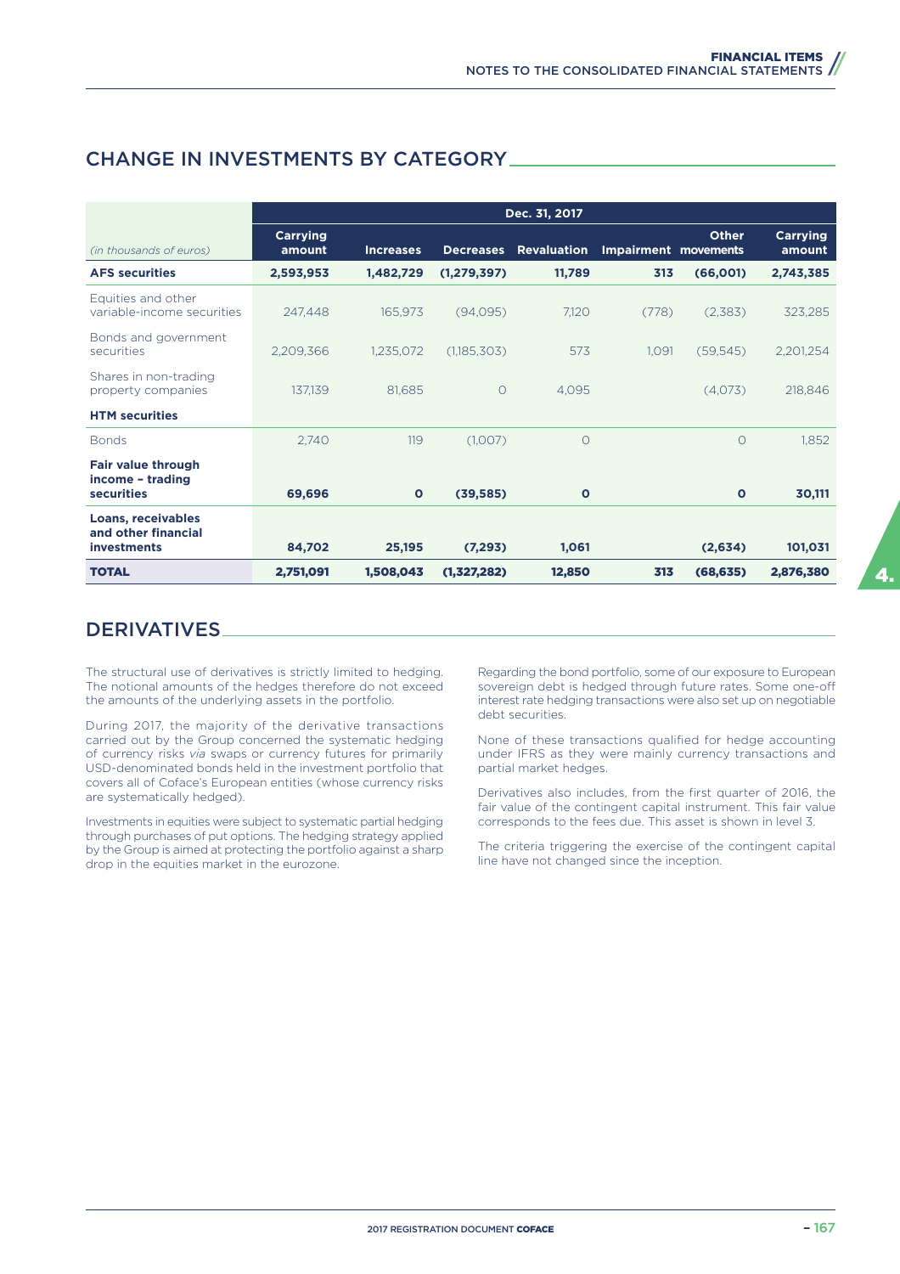|                                                                        |                    |                  |                  | Dec. 31, 2017      |                             |              |                           |
|------------------------------------------------------------------------|--------------------|------------------|------------------|--------------------|-----------------------------|--------------|---------------------------|
| (in thousands of euros)                                                | Carrying<br>amount | <b>Increases</b> | <b>Decreases</b> | <b>Revaluation</b> | <b>Impairment movements</b> | <b>Other</b> | <b>Carrying</b><br>amount |
| <b>AFS securities</b>                                                  | 2,593,953          | 1,482,729        | (1, 279, 397)    | 11,789             | 313                         | (66,001)     | 2,743,385                 |
| Equities and other<br>variable-income securities                       | 247,448            | 165,973          | (94,095)         | 7,120              | (778)                       | (2,383)      | 323,285                   |
| Bonds and government<br>securities                                     | 2,209,366          | 1,235,072        | (1,185,303)      | 573                | 1,091                       | (59, 545)    | 2,201,254                 |
| Shares in non-trading<br>property companies                            | 137,139            | 81,685           | $\circ$          | 4,095              |                             | (4,073)      | 218,846                   |
| <b>HTM</b> securities                                                  |                    |                  |                  |                    |                             |              |                           |
| <b>Bonds</b>                                                           | 2,740              | 119              | (1,007)          | $\circ$            |                             | $\circ$      | 1,852                     |
| <b>Fair value through</b><br>income - trading<br>securities            | 69,696             | $\mathbf{o}$     | (39, 585)        | $\mathbf{o}$       |                             | $\mathbf{o}$ | 30,111                    |
| <b>Loans, receivables</b><br>and other financial<br><b>investments</b> | 84,702             | 25,195           | (7, 293)         | 1,061              |                             | (2,634)      | 101,031                   |
| <b>TOTAL</b>                                                           | 2,751,091          | 1,508,043        | (1,327,282)      | 12,850             | 313                         | (68, 635)    | 2,876,380                 |

#### CHANGE IN INVESTMENTS BY CATEGORY

#### **DERIVATIVES**

The structural use of derivatives is strictly limited to hedging. The notional amounts of the hedges therefore do not exceed the amounts of the underlying assets in the portfolio.

During 2017, the majority of the derivative transactions carried out by the Group concerned the systematic hedging of currency risks *via* swaps or currency futures for primarily USD-denominated bonds held in the investment portfolio that covers all of Coface's European entities (whose currency risks are systematically hedged).

Investments in equities were subject to systematic partial hedging through purchases of put options. The hedging strategy applied by the Group is aimed at protecting the portfolio against a sharp drop in the equities market in the eurozone.

Regarding the bond portfolio, some of our exposure to European sovereign debt is hedged through future rates. Some one-off interest rate hedging transactions were also set up on negotiable debt securities.

None of these transactions qualified for hedge accounting under IFRS as they were mainly currency transactions and partial market hedges.

Derivatives also includes, from the first quarter of 2016, the fair value of the contingent capital instrument. This fair value corresponds to the fees due. This asset is shown in level 3.

The criteria triggering the exercise of the contingent capital line have not changed since the inception.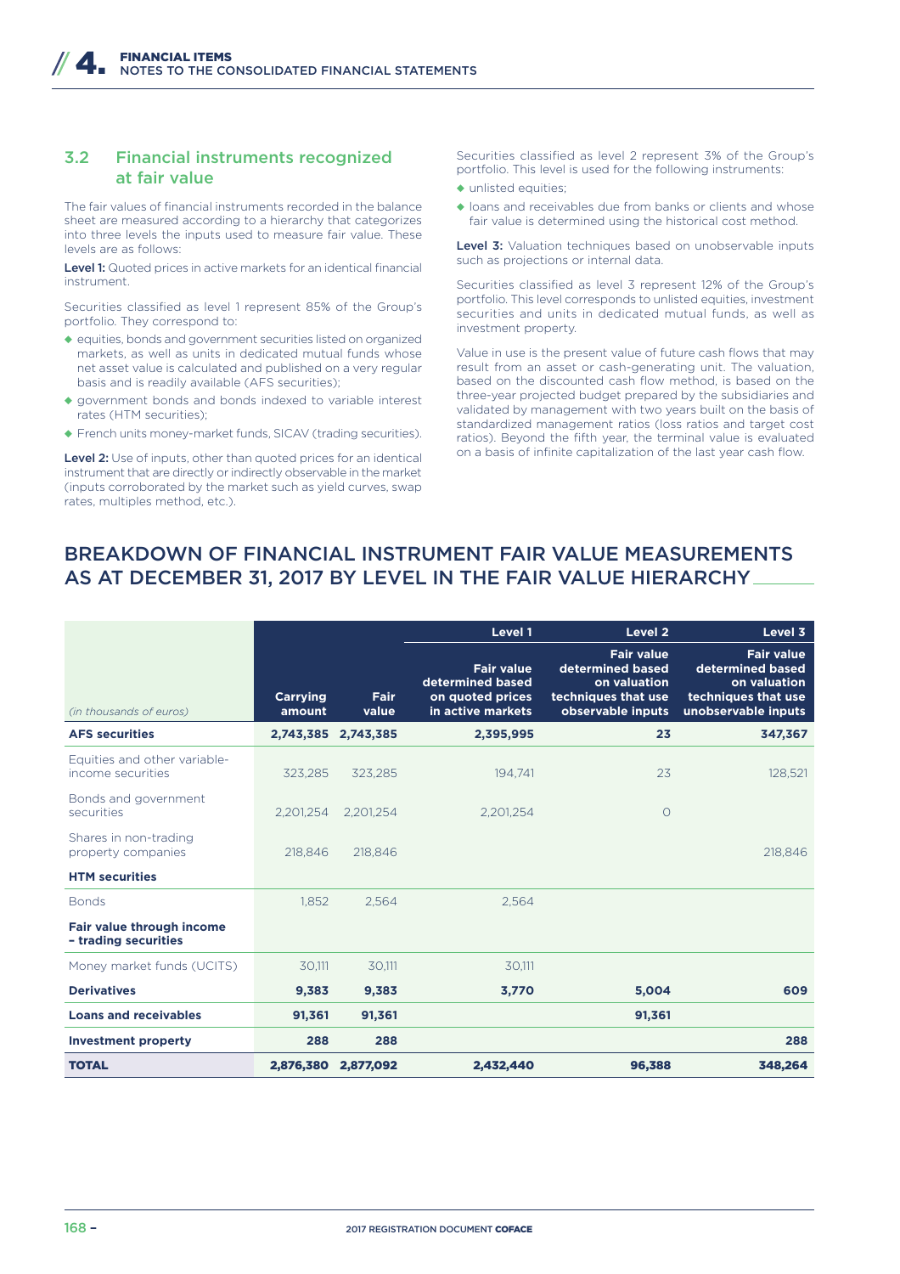#### 3.2 Financial instruments recognized at fair value

The fair values of financial instruments recorded in the balance sheet are measured according to a hierarchy that categorizes into three levels the inputs used to measure fair value. These levels are as follows:

Level 1: Quoted prices in active markets for an identical financial instrument.

Securities classified as level 1 represent 85% of the Group's portfolio. They correspond to:

- ◆ equities, bonds and government securities listed on organized markets, as well as units in dedicated mutual funds whose net asset value is calculated and published on a very regular basis and is readily available (AFS securities);
- ◆ government bonds and bonds indexed to variable interest rates (HTM securities);
- ◆ French units money-market funds, SICAV (trading securities).

Level 2: Use of inputs, other than quoted prices for an identical instrument that are directly or indirectly observable in the market (inputs corroborated by the market such as yield curves, swap rates, multiples method, etc.).

Securities classified as level 2 represent 3% of the Group's portfolio. This level is used for the following instruments:

- ◆ unlisted equities;
- ◆ loans and receivables due from banks or clients and whose fair value is determined using the historical cost method.

Level 3: Valuation techniques based on unobservable inputs such as projections or internal data.

Securities classified as level 3 represent 12% of the Group's portfolio. This level corresponds to unlisted equities, investment securities and units in dedicated mutual funds, as well as investment property.

Value in use is the present value of future cash flows that may result from an asset or cash-generating unit. The valuation, based on the discounted cash flow method, is based on the three-year projected budget prepared by the subsidiaries and validated by management with two years built on the basis of standardized management ratios (loss ratios and target cost ratios). Beyond the fifth year, the terminal value is evaluated on a basis of infinite capitalization of the last year cash flow.

#### BREAKDOWN OF FINANCIAL INSTRUMENT FAIR VALUE MEASUREMENTS AS AT DECEMBER 31, 2017 BY LEVEL IN THE FAIR VALUE HIERARCHY

|                                                          |                           |                      | Level 1                               | Level 2                                               | Level 3                                               |
|----------------------------------------------------------|---------------------------|----------------------|---------------------------------------|-------------------------------------------------------|-------------------------------------------------------|
|                                                          |                           |                      | <b>Fair value</b><br>determined based | <b>Fair value</b><br>determined based<br>on valuation | <b>Fair value</b><br>determined based<br>on valuation |
| (in thousands of euros)                                  | <b>Carrying</b><br>amount | <b>Fair</b><br>value | on quoted prices<br>in active markets | techniques that use<br>observable inputs              | techniques that use<br>unobservable inputs            |
| <b>AFS securities</b>                                    |                           | 2,743,385 2,743,385  | 2,395,995                             | 23                                                    | 347,367                                               |
| Equities and other variable-<br>income securities        | 323.285                   | 323.285              | 194.741                               | 23                                                    | 128.521                                               |
| Bonds and government<br>securities                       | 2.201.254                 | 2.201.254            | 2.201.254                             | $\circ$                                               |                                                       |
| Shares in non-trading<br>property companies              | 218.846                   | 218.846              |                                       |                                                       | 218.846                                               |
| <b>HTM</b> securities                                    |                           |                      |                                       |                                                       |                                                       |
| <b>Bonds</b>                                             | 1.852                     | 2.564                | 2.564                                 |                                                       |                                                       |
| <b>Fair value through income</b><br>- trading securities |                           |                      |                                       |                                                       |                                                       |
| Money market funds (UCITS)                               | 30.111                    | 30.111               | 30,111                                |                                                       |                                                       |
| <b>Derivatives</b>                                       | 9,383                     | 9,383                | 3,770                                 | 5,004                                                 | 609                                                   |
| <b>Loans and receivables</b>                             | 91,361                    | 91,361               |                                       | 91,361                                                |                                                       |
| <b>Investment property</b>                               | 288                       | 288                  |                                       |                                                       | 288                                                   |
| <b>TOTAL</b>                                             | 2,876,380 2,877,092       |                      | 2.432.440                             | 96,388                                                | 348,264                                               |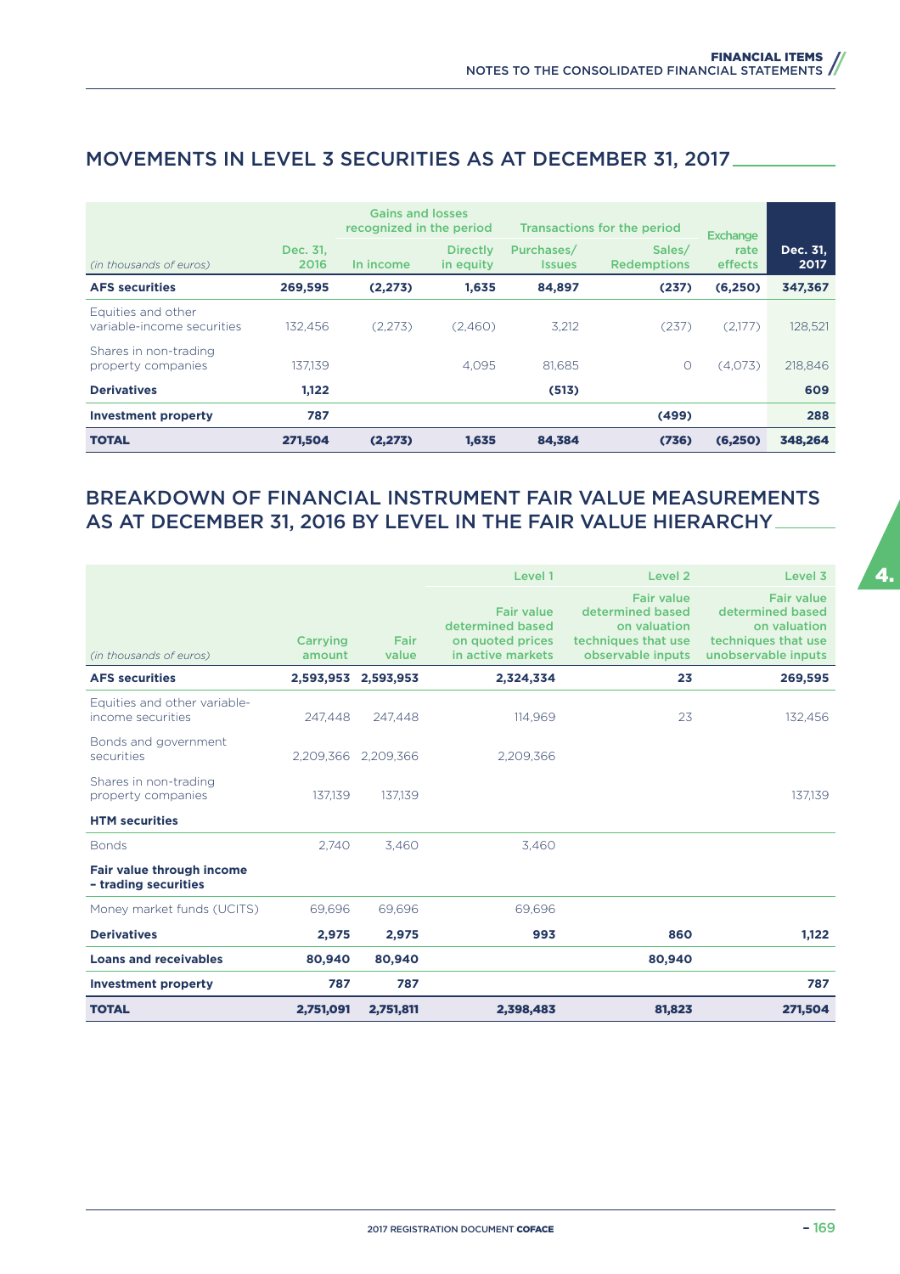#### MOVEMENTS IN LEVEL 3 SECURITIES AS AT DECEMBER 31, 2017

|                                                  |                  | <b>Gains and losses</b><br>recognized in the period |                              |                             | Transactions for the period  | <b>Exchange</b> |                  |
|--------------------------------------------------|------------------|-----------------------------------------------------|------------------------------|-----------------------------|------------------------------|-----------------|------------------|
| (in thousands of euros)                          | Dec. 31,<br>2016 | In income                                           | <b>Directly</b><br>in equity | Purchases/<br><b>Issues</b> | Sales/<br><b>Redemptions</b> | rate<br>effects | Dec. 31,<br>2017 |
| <b>AFS securities</b>                            | 269,595          | (2, 273)                                            | 1,635                        | 84,897                      | (237)                        | (6,250)         | 347,367          |
| Equities and other<br>variable-income securities | 132.456          | (2,273)                                             | (2.460)                      | 3.212                       | (237)                        | (2,177)         | 128.521          |
| Shares in non-trading<br>property companies      | 137.139          |                                                     | 4.095                        | 81.685                      | $\circ$                      | (4,073)         | 218.846          |
| <b>Derivatives</b>                               | 1,122            |                                                     |                              | (513)                       |                              |                 | 609              |
| <b>Investment property</b>                       | 787              |                                                     |                              |                             | (499)                        |                 | 288              |
| <b>TOTAL</b>                                     | 271.504          | (2.273)                                             | 1.635                        | 84.384                      | (736)                        | (6.250)         | 348,264          |

#### BREAKDOWN OF FINANCIAL INSTRUMENT FAIR VALUE MEASUREMENTS AS AT DECEMBER 31, 2016 BY LEVEL IN THE FAIR VALUE HIERARCHY

|                                                   |                    |                     | Level 1                                                                        | Level <sub>2</sub>                                                                                | Level 3                                                                                             |
|---------------------------------------------------|--------------------|---------------------|--------------------------------------------------------------------------------|---------------------------------------------------------------------------------------------------|-----------------------------------------------------------------------------------------------------|
| (in thousands of euros)                           | Carrying<br>amount | Fair<br>value       | <b>Fair value</b><br>determined based<br>on quoted prices<br>in active markets | <b>Fair value</b><br>determined based<br>on valuation<br>techniques that use<br>observable inputs | <b>Fair value</b><br>determined based<br>on valuation<br>techniques that use<br>unobservable inputs |
| <b>AFS securities</b>                             | 2,593,953          | 2,593,953           | 2,324,334                                                                      | 23                                                                                                | 269,595                                                                                             |
| Equities and other variable-<br>income securities | 247.448            | 247.448             | 114.969                                                                        | 23                                                                                                | 132.456                                                                                             |
| Bonds and government<br>securities                |                    | 2,209,366 2,209,366 | 2,209,366                                                                      |                                                                                                   |                                                                                                     |
| Shares in non-trading<br>property companies       | 137,139            | 137.139             |                                                                                |                                                                                                   | 137,139                                                                                             |
| <b>HTM</b> securities                             |                    |                     |                                                                                |                                                                                                   |                                                                                                     |
| <b>Bonds</b>                                      | 2.740              | 3.460               | 3.460                                                                          |                                                                                                   |                                                                                                     |
| Fair value through income<br>- trading securities |                    |                     |                                                                                |                                                                                                   |                                                                                                     |
| Money market funds (UCITS)                        | 69.696             | 69.696              | 69.696                                                                         |                                                                                                   |                                                                                                     |
| <b>Derivatives</b>                                | 2,975              | 2,975               | 993                                                                            | 860                                                                                               | 1,122                                                                                               |
| <b>Loans and receivables</b>                      | 80,940             | 80,940              |                                                                                | 80,940                                                                                            |                                                                                                     |
| <b>Investment property</b>                        | 787                | 787                 |                                                                                |                                                                                                   | 787                                                                                                 |
| <b>TOTAL</b>                                      | 2,751,091          | 2,751,811           | 2,398,483                                                                      | 81,823                                                                                            | 271,504                                                                                             |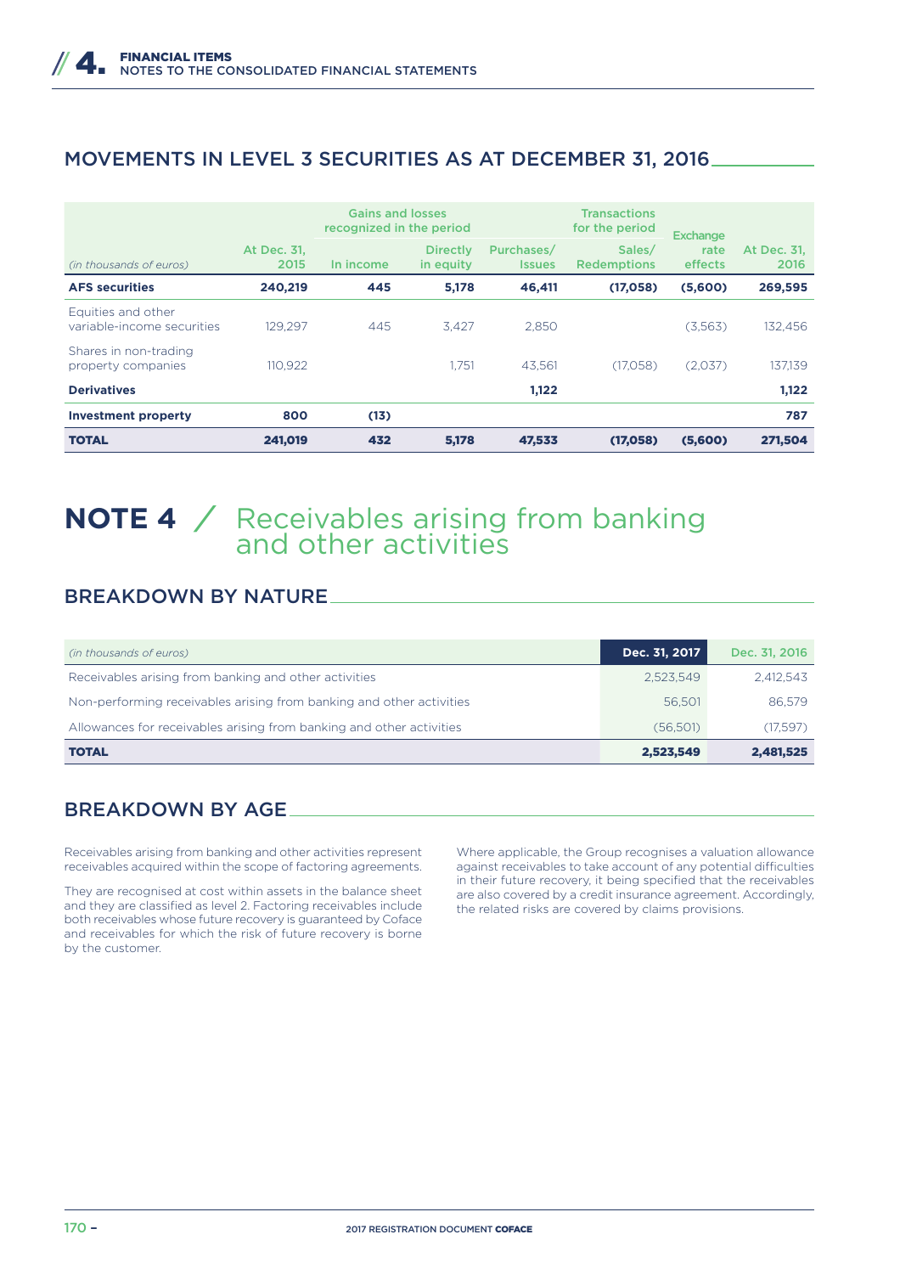#### MOVEMENTS IN LEVEL 3 SECURITIES AS AT DECEMBER 31, 2016

|                                                  |                     | <b>Gains and losses</b><br>recognized in the period |                              | <b>Transactions</b><br>for the period |                              | <b>Exchange</b> |                     |
|--------------------------------------------------|---------------------|-----------------------------------------------------|------------------------------|---------------------------------------|------------------------------|-----------------|---------------------|
| (in thousands of euros)                          | At Dec. 31,<br>2015 | In income                                           | <b>Directly</b><br>in equity | Purchases/<br><b>Issues</b>           | Sales/<br><b>Redemptions</b> | rate<br>effects | At Dec. 31,<br>2016 |
| <b>AFS securities</b>                            | 240,219             | 445                                                 | 5,178                        | 46,411                                | (17,058)                     | (5,600)         | 269,595             |
| Equities and other<br>variable-income securities | 129.297             | 445                                                 | 3.427                        | 2.850                                 |                              | (3,563)         | 132.456             |
| Shares in non-trading<br>property companies      | 110.922             |                                                     | 1.751                        | 43.561                                | (17.058)                     | (2.037)         | 137,139             |
| <b>Derivatives</b>                               |                     |                                                     |                              | 1,122                                 |                              |                 | 1,122               |
| <b>Investment property</b>                       | 800                 | (13)                                                |                              |                                       |                              |                 | 787                 |
| <b>TOTAL</b>                                     | 241,019             | 432                                                 | 5,178                        | 47,533                                | (17,058)                     | (5,600)         | 271,504             |

### **NOTE 4** */* Receivables arising from banking and other activities

#### BREAKDOWN BY NATURE

| (in thousands of euros)                                              | Dec. 31, 2017 | Dec. 31, 2016 |
|----------------------------------------------------------------------|---------------|---------------|
| Receivables arising from banking and other activities                | 2.523.549     | 2.412.543     |
| Non-performing receivables arising from banking and other activities | 56.501        | 86.579        |
| Allowances for receivables arising from banking and other activities | (56.501)      | (17,597)      |
| <b>TOTAL</b>                                                         | 2,523,549     | 2,481,525     |

#### BREAKDOWN BY AGE

Receivables arising from banking and other activities represent receivables acquired within the scope of factoring agreements.

They are recognised at cost within assets in the balance sheet and they are classified as level 2. Factoring receivables include both receivables whose future recovery is guaranteed by Coface and receivables for which the risk of future recovery is borne by the customer.

Where applicable, the Group recognises a valuation allowance against receivables to take account of any potential difficulties in their future recovery, it being specified that the receivables are also covered by a credit insurance agreement. Accordingly, the related risks are covered by claims provisions.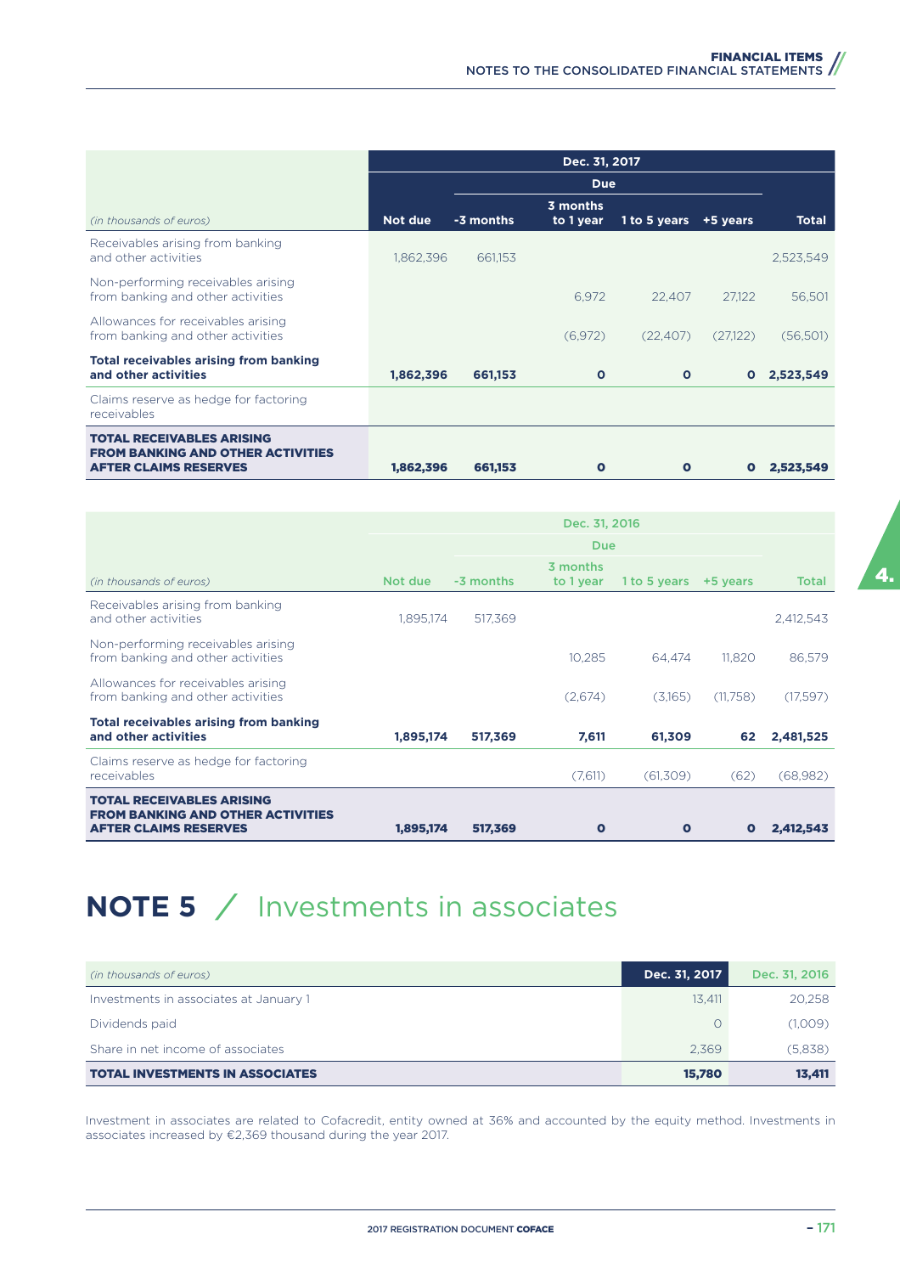|                                                                                                              | Dec. 31, 2017 |           |                       |                       |              |              |
|--------------------------------------------------------------------------------------------------------------|---------------|-----------|-----------------------|-----------------------|--------------|--------------|
|                                                                                                              |               |           | <b>Due</b>            |                       |              |              |
| (in thousands of euros)                                                                                      | Not due       | -3 months | 3 months<br>to 1 year | 1 to 5 years +5 years |              | <b>Total</b> |
| Receivables arising from banking<br>and other activities                                                     | 1,862,396     | 661.153   |                       |                       |              | 2,523,549    |
| Non-performing receivables arising<br>from banking and other activities                                      |               |           | 6,972                 | 22,407                | 27,122       | 56,501       |
| Allowances for receivables arising<br>from banking and other activities                                      |               |           | (6,972)               | (22, 407)             | (27,122)     | (56, 501)    |
| <b>Total receivables arising from banking</b><br>and other activities                                        | 1,862,396     | 661,153   | $\mathbf{o}$          | $\mathbf{o}$          | $\mathbf{o}$ | 2,523,549    |
| Claims reserve as hedge for factoring<br>receivables                                                         |               |           |                       |                       |              |              |
| <b>TOTAL RECEIVABLES ARISING</b><br><b>FROM BANKING AND OTHER ACTIVITIES</b><br><b>AFTER CLAIMS RESERVES</b> | 1,862,396     | 661,153   | ο                     | $\mathbf{o}$          | $\mathbf o$  | 2,523,549    |

|                                                                                                              | Dec. 31, 2016 |           |                       |              |             |           |
|--------------------------------------------------------------------------------------------------------------|---------------|-----------|-----------------------|--------------|-------------|-----------|
|                                                                                                              | <b>Due</b>    |           |                       |              |             |           |
| (in thousands of euros)                                                                                      | Not due       | -3 months | 3 months<br>to 1 year | 1 to 5 years | +5 years    | Total     |
| Receivables arising from banking<br>and other activities                                                     | 1,895,174     | 517,369   |                       |              |             | 2,412,543 |
| Non-performing receivables arising<br>from banking and other activities                                      |               |           | 10,285                | 64.474       | 11.820      | 86,579    |
| Allowances for receivables arising<br>from banking and other activities                                      |               |           | (2,674)               | (3,165)      | (11.758)    | (17,597)  |
| <b>Total receivables arising from banking</b><br>and other activities                                        | 1,895,174     | 517,369   | 7,611                 | 61,309       | 62          | 2,481,525 |
| Claims reserve as hedge for factoring<br>receivables                                                         |               |           | (7,611)               | (61, 309)    | (62)        | (68,982)  |
| <b>TOTAL RECEIVABLES ARISING</b><br><b>FROM BANKING AND OTHER ACTIVITIES</b><br><b>AFTER CLAIMS RESERVES</b> | 1,895,174     | 517,369   | $\mathbf{o}$          | $\bullet$    | $\mathbf o$ | 2,412,543 |

## **NOTE 5** */* Investments in associates

| (in thousands of euros)                | Dec. 31, 2017 | Dec. 31, 2016 |
|----------------------------------------|---------------|---------------|
| Investments in associates at January 1 | 13.411        | 20.258        |
| Dividends paid                         | O             | (1,009)       |
| Share in net income of associates      | 2.369         | (5,838)       |
| <b>TOTAL INVESTMENTS IN ASSOCIATES</b> | 15,780        | 13,411        |

Investment in associates are related to Cofacredit, entity owned at 36% and accounted by the equity method. Investments in associates increased by €2,369 thousand during the year 2017.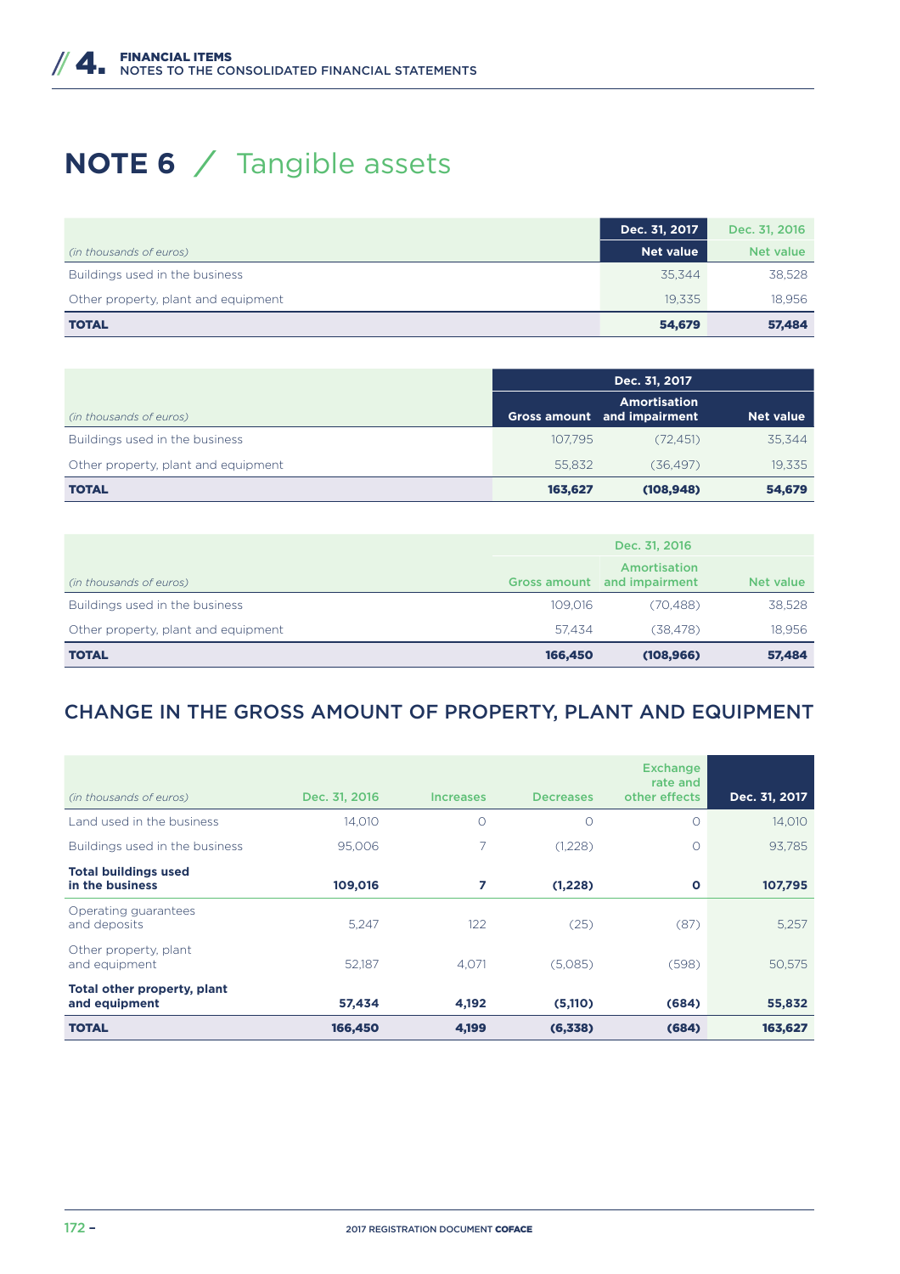### **NOTE 6** */* Tangible assets

|                                     | Dec. 31, 2017    | Dec. 31, 2016 |
|-------------------------------------|------------------|---------------|
| (in thousands of euros)             | <b>Net value</b> | Net value     |
| Buildings used in the business      | 35.344           | 38,528        |
| Other property, plant and equipment | 19.335           | 18.956        |
| <b>TOTAL</b>                        | 54.679           | 57,484        |

|                                     | Dec. 31, 2017 |                                                           |                  |
|-------------------------------------|---------------|-----------------------------------------------------------|------------------|
| (in thousands of euros)             |               | <b>Amortisation</b><br><b>Gross amount</b> and impairment | <b>Net value</b> |
| Buildings used in the business      | 107.795       | (72.451)                                                  | 35,344           |
| Other property, plant and equipment | 55.832        | (36.497)                                                  | 19,335           |
| <b>TOTAL</b>                        | 163,627       | (108, 948)                                                | 54,679           |

|                                     |              | Dec. 31, 2016                  |           |
|-------------------------------------|--------------|--------------------------------|-----------|
| (in thousands of euros)             | Gross amount | Amortisation<br>and impairment | Net value |
| Buildings used in the business      | 109.016      | (70.488)                       | 38,528    |
| Other property, plant and equipment | 57.434       | (38.478)                       | 18.956    |
| <b>TOTAL</b>                        | 166,450      | (108, 966)                     | 57,484    |

#### CHANGE IN THE GROSS AMOUNT OF PROPERTY, PLANT AND EQUIPMENT

| (in thousands of euros)                        | Dec. 31, 2016 | <b>Increases</b> | <b>Decreases</b> | <b>Exchange</b><br>rate and<br>other effects | Dec. 31, 2017 |
|------------------------------------------------|---------------|------------------|------------------|----------------------------------------------|---------------|
| Land used in the business                      | 14,010        | 0                | $\circ$          | $\Omega$                                     | 14,010        |
| Buildings used in the business                 | 95,006        | 7                | (1,228)          | $\Omega$                                     | 93.785        |
| <b>Total buildings used</b><br>in the business | 109,016       | 7                | (1,228)          | $\mathbf{o}$                                 | 107,795       |
| Operating guarantees<br>and deposits           | 5.247         | 122              | (25)             | (87)                                         | 5.257         |
| Other property, plant<br>and equipment         | 52.187        | 4.071            | (5,085)          | (598)                                        | 50,575        |
| Total other property, plant<br>and equipment   | 57,434        | 4,192            | (5,110)          | (684)                                        | 55,832        |
| <b>TOTAL</b>                                   | 166,450       | 4,199            | (6,338)          | (684)                                        | 163,627       |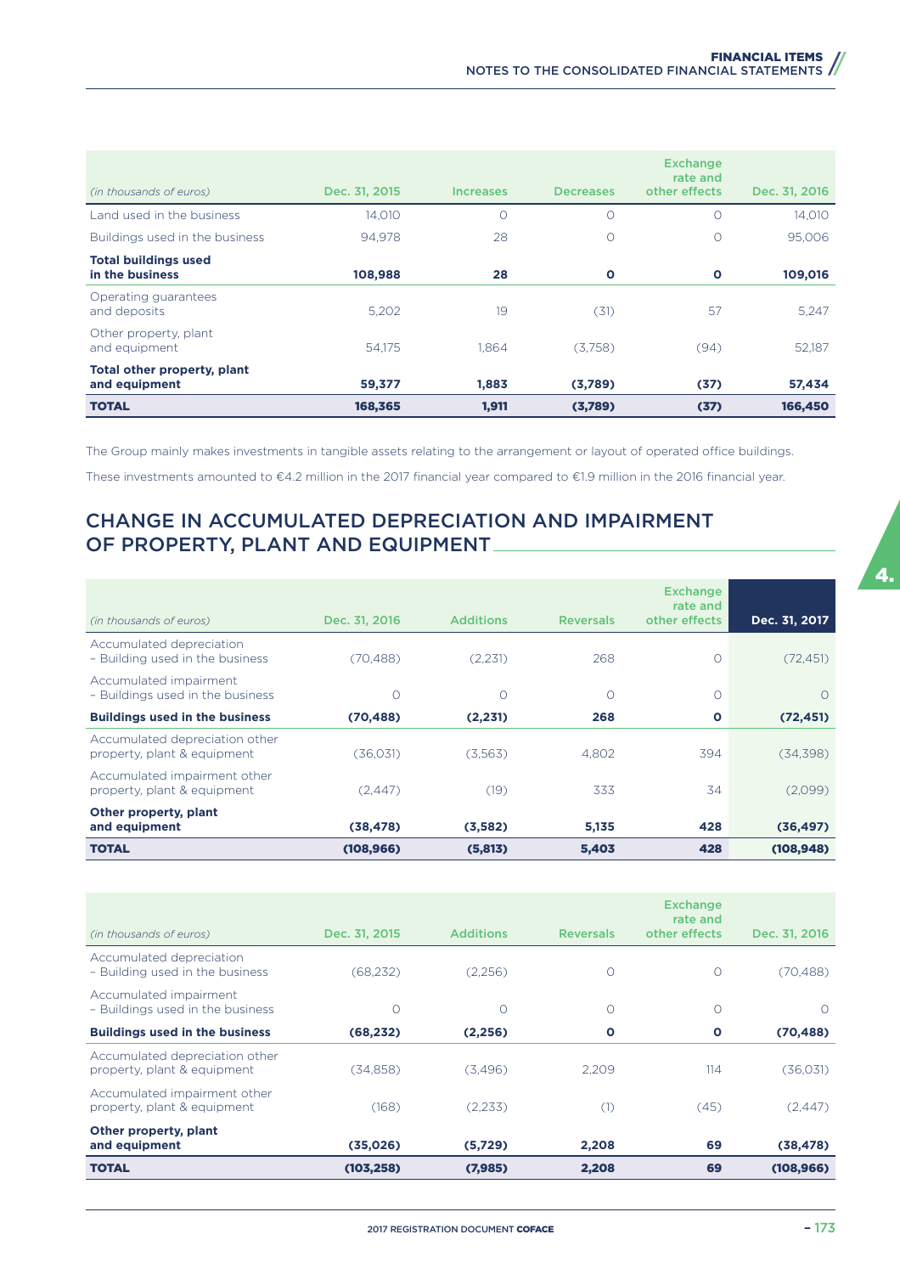| (in thousands of euros)                        | Dec. 31, 2015 | <b>Increases</b> | <b>Decreases</b> | <b>Exchange</b><br>rate and<br>other effects | Dec. 31, 2016 |
|------------------------------------------------|---------------|------------------|------------------|----------------------------------------------|---------------|
| Land used in the business                      | 14,010        | $\Omega$         | 0                | O                                            | 14,010        |
| Buildings used in the business                 | 94.978        | 28               | $\circ$          | 0                                            | 95,006        |
| <b>Total buildings used</b><br>in the business | 108,988       | 28               | O                | $\mathbf{o}$                                 | 109,016       |
| Operating guarantees<br>and deposits           | 5.202         | 19               | (31)             | 57                                           | 5.247         |
| Other property, plant<br>and equipment         | 54.175        | 1.864            | (3.758)          | (94)                                         | 52.187        |
| Total other property, plant<br>and equipment   | 59,377        | 1,883            | (3,789)          | (37)                                         | 57,434        |
| <b>TOTAL</b>                                   | 168,365       | 1,911            | (3,789)          | (37)                                         | 166,450       |

The Group mainly makes investments in tangible assets relating to the arrangement or layout of operated office buildings. These investments amounted to €4.2 million in the 2017 financial year compared to €1.9 million in the 2016 financial year.

#### CHANGE IN ACCUMULATED DEPRECIATION AND IMPAIRMENT OF PROPERTY, PLANT AND EQUIPMENT

| (in thousands of euros)                                       | Dec. 31, 2016 | <b>Additions</b> | <b>Reversals</b> | <b>Exchange</b><br>rate and<br>other effects | Dec. 31, 2017 |
|---------------------------------------------------------------|---------------|------------------|------------------|----------------------------------------------|---------------|
| Accumulated depreciation<br>- Building used in the business   | (70.488)      | (2,231)          | 268              | $\Omega$                                     | (72, 451)     |
| Accumulated impairment<br>- Buildings used in the business    | $\Omega$      | Ω                | $\circ$          | $\Omega$                                     | $\Omega$      |
| <b>Buildings used in the business</b>                         | (70, 488)     | (2,231)          | 268              | $\mathbf{o}$                                 | (72, 451)     |
| Accumulated depreciation other<br>property, plant & equipment | (36.031)      | (3.563)          | 4.802            | 394                                          | (34,398)      |
| Accumulated impairment other<br>property, plant & equipment   | (2.447)       | (19)             | 333              | 34                                           | (2,099)       |
| Other property, plant<br>and equipment                        | (38, 478)     | (3,582)          | 5,135            | 428                                          | (36, 497)     |
| <b>TOTAL</b>                                                  | (108, 966)    | (5,813)          | 5,403            | 428                                          | (108, 948)    |

| (in thousands of euros)                                       | Dec. 31, 2015 | <b>Additions</b> | <b>Reversals</b> | <b>Exchange</b><br>rate and<br>other effects | Dec. 31, 2016 |
|---------------------------------------------------------------|---------------|------------------|------------------|----------------------------------------------|---------------|
| Accumulated depreciation<br>- Building used in the business   | (68, 232)     | (2,256)          | $\circ$          | $\circ$                                      | (70, 488)     |
| Accumulated impairment<br>- Buildings used in the business    | $\Omega$      | $\Omega$         | $\circ$          | $\Omega$                                     | $\circ$       |
| <b>Buildings used in the business</b>                         | (68, 232)     | (2,256)          | O                | $\mathbf{o}$                                 | (70, 488)     |
| Accumulated depreciation other<br>property, plant & equipment | (34.858)      | (3,496)          | 2.209            | 114                                          | (36,031)      |
| Accumulated impairment other<br>property, plant & equipment   | (168)         | (2,233)          | (1)              | (45)                                         | (2,447)       |
| Other property, plant<br>and equipment                        | (35,026)      | (5,729)          | 2,208            | 69                                           | (38, 478)     |
| <b>TOTAL</b>                                                  | (103, 258)    | (7,985)          | 2,208            | 69                                           | (108, 966)    |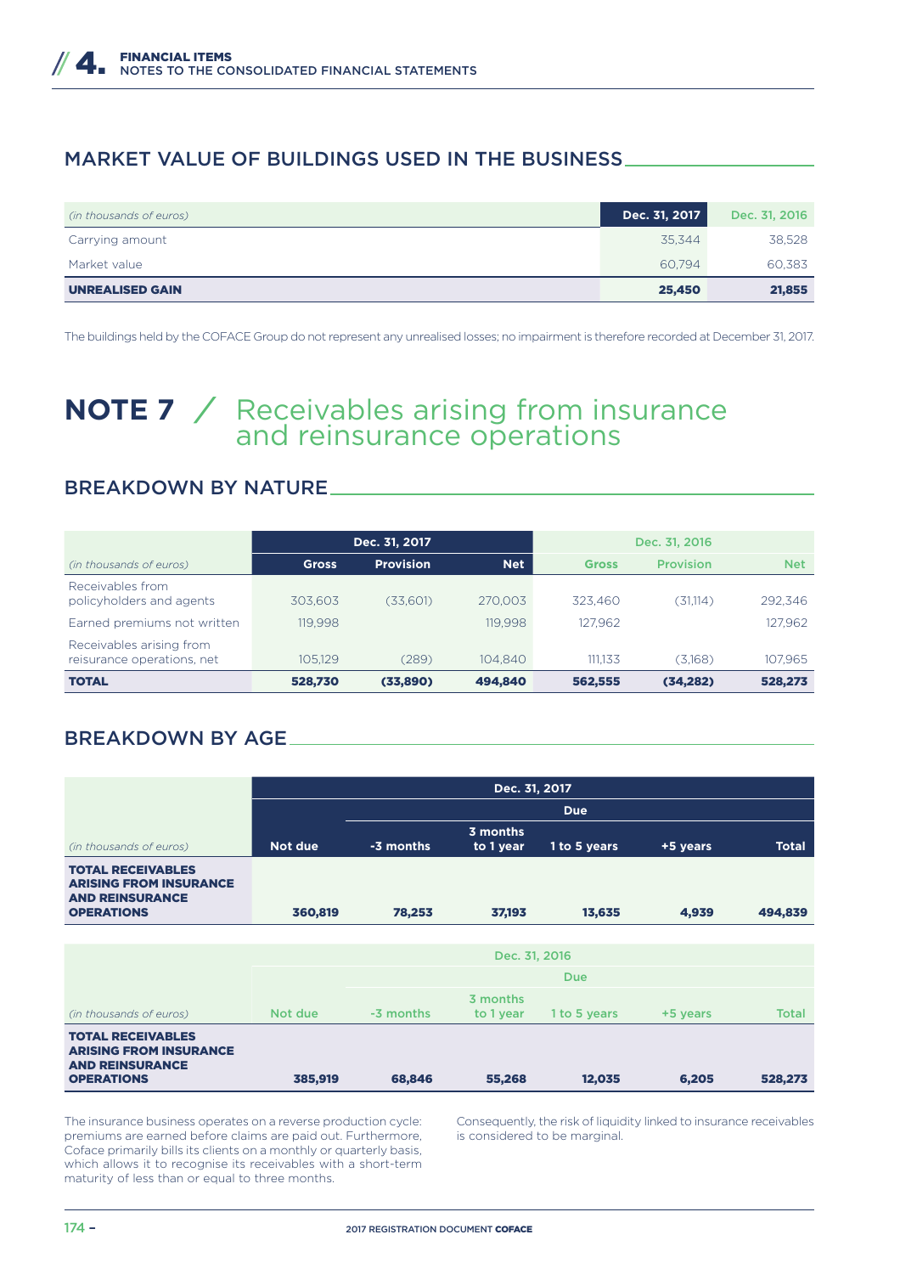#### MARKET VALUE OF BUILDINGS USED IN THE BUSINESS

| (in thousands of euros) | Dec. 31, 2017 | Dec. 31, 2016 |
|-------------------------|---------------|---------------|
| Carrying amount         | 35.344        | 38,528        |
| Market value            | 60.794        | 60,383        |
| <b>UNREALISED GAIN</b>  | 25,450        | 21,855        |

The buildings held by the COFACE Group do not represent any unrealised losses; no impairment is therefore recorded at December 31, 2017.

### **NOTE 7** */* Receivables arising from insurance and reinsurance operations

#### BREAKDOWN BY NATURE

|                                                        | Dec. 31, 2017 |                  |            |              |                  |            |
|--------------------------------------------------------|---------------|------------------|------------|--------------|------------------|------------|
| (in thousands of euros)                                | <b>Gross</b>  | <b>Provision</b> | <b>Net</b> | <b>Gross</b> | <b>Provision</b> | <b>Net</b> |
| Receivables from<br>policyholders and agents           | 303.603       | (33,601)         | 270,003    | 323.460      | (31.114)         | 292.346    |
| Earned premiums not written                            | 119.998       |                  | 119.998    | 127.962      |                  | 127,962    |
| Receivables arising from<br>reisurance operations, net | 105.129       | (289)            | 104.840    | 111.133      | (3,168)          | 107.965    |
| <b>TOTAL</b>                                           | 528,730       | (33,890)         | 494,840    | 562,555      | (34, 282)        | 528,273    |

#### BREAKDOWN BY AGE

|                                                                                     | Dec. 31, 2017 |           |                       |              |          |              |  |
|-------------------------------------------------------------------------------------|---------------|-----------|-----------------------|--------------|----------|--------------|--|
|                                                                                     |               |           |                       | <b>Due</b>   |          |              |  |
| (in thousands of euros)                                                             | Not due       | -3 months | 3 months<br>to 1 year | 1 to 5 years | +5 years | <b>Total</b> |  |
|                                                                                     |               |           |                       |              |          |              |  |
| <b>TOTAL RECEIVABLES</b><br><b>ARISING FROM INSURANCE</b><br><b>AND REINSURANCE</b> |               |           |                       |              |          |              |  |
| <b>OPERATIONS</b>                                                                   | 360,819       | 78,253    | 37,193                | 13,635       | 4,939    | 494,839      |  |
|                                                                                     |               |           |                       |              |          |              |  |
|                                                                                     |               |           | Dec. 31, 2016         |              |          |              |  |
|                                                                                     |               |           |                       | <b>Due</b>   |          |              |  |
| (in thousands of euros)                                                             | Not due       | -3 months | 3 months<br>to 1 year | 1 to 5 years | +5 years | <b>Total</b> |  |
| <b>TOTAL RECEIVABLES</b><br><b>ARISING FROM INSURANCE</b><br><b>AND REINSURANCE</b> |               |           |                       |              |          |              |  |
| <b>OPERATIONS</b>                                                                   | 385,919       | 68,846    | 55,268                | 12,035       | 6,205    | 528,273      |  |

The insurance business operates on a reverse production cycle: premiums are earned before claims are paid out. Furthermore, Coface primarily bills its clients on a monthly or quarterly basis, which allows it to recognise its receivables with a short-term maturity of less than or equal to three months.

Consequently, the risk of liquidity linked to insurance receivables is considered to be marginal.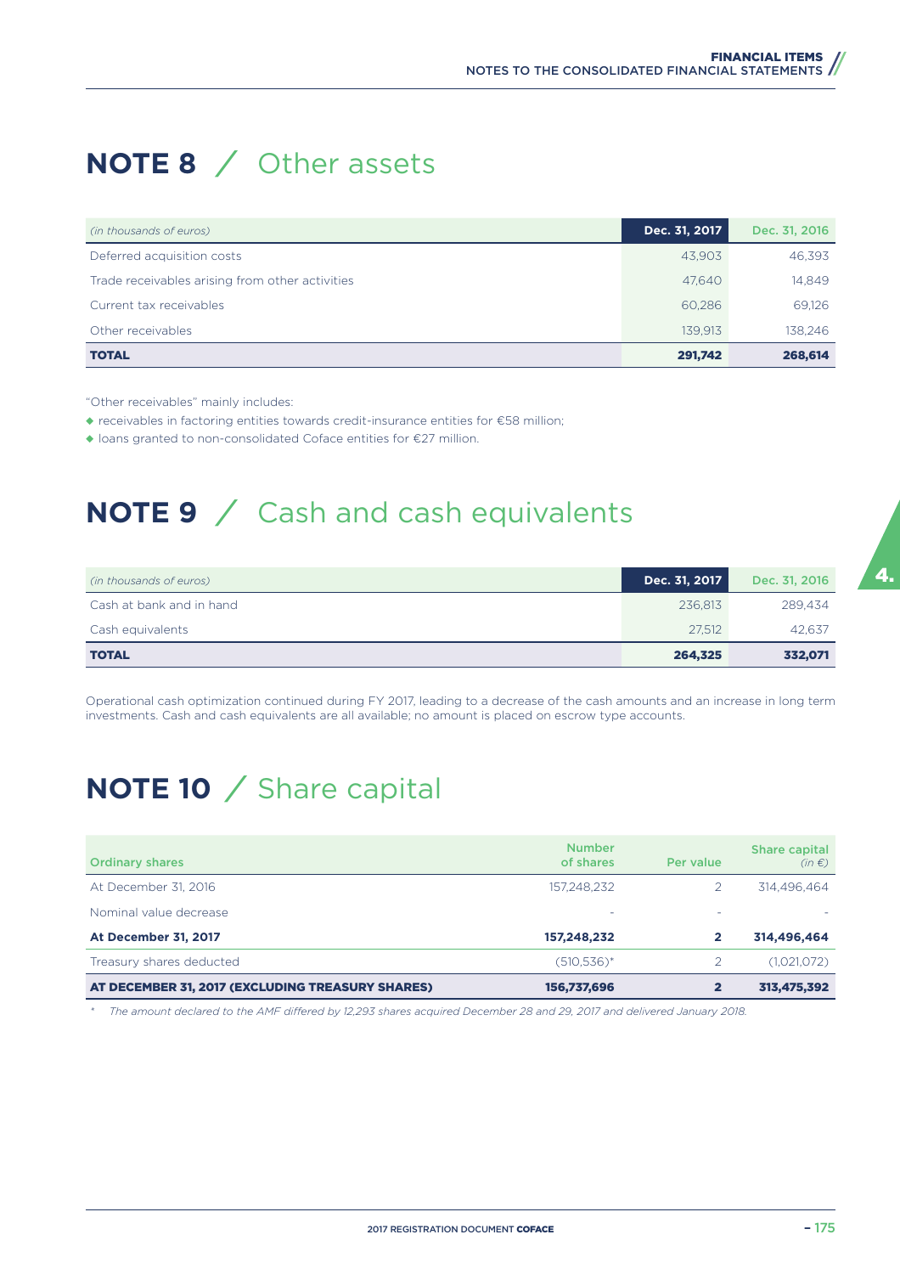### **NOTE 8** */* Other assets

| (in thousands of euros)                         | Dec. 31, 2017 | Dec. 31, 2016 |
|-------------------------------------------------|---------------|---------------|
| Deferred acquisition costs                      | 43.903        | 46,393        |
| Trade receivables arising from other activities | 47.640        | 14,849        |
| Current tax receivables                         | 60.286        | 69.126        |
| Other receivables                               | 139.913       | 138.246       |
| <b>TOTAL</b>                                    | 291,742       | 268,614       |

"Other receivables" mainly includes:

◆ receivables in factoring entities towards credit-insurance entities for €58 million;

◆ loans granted to non-consolidated Coface entities for €27 million.

### **NOTE 9** */* Cash and cash equivalents

| (in thousands of euros)  | Dec. 31, 2017 | Dec. 31, 2016 |
|--------------------------|---------------|---------------|
| Cash at bank and in hand | 236.813       | 289.434       |
| Cash equivalents         | 27.512        | 42.637        |
| <b>TOTAL</b>             | 264,325       | 332,071       |

Operational cash optimization continued during FY 2017, leading to a decrease of the cash amounts and an increase in long term investments. Cash and cash equivalents are all available; no amount is placed on escrow type accounts.

### **NOTE 10** */* Share capital

| <b>Ordinary shares</b>                           | <b>Number</b><br>of shares | Per value | Share capital<br>$(in \in)$ |
|--------------------------------------------------|----------------------------|-----------|-----------------------------|
| At December 31, 2016                             | 157,248,232                |           | 314.496.464                 |
| Nominal value decrease                           | $\overline{\phantom{a}}$   | ۰         |                             |
| <b>At December 31, 2017</b>                      | 157,248,232                |           | 314,496,464                 |
| Treasury shares deducted                         | $(510,536)^*$              |           | (1,021,072)                 |
| AT DECEMBER 31, 2017 (EXCLUDING TREASURY SHARES) | 156,737,696                | 2         | 313,475,392                 |

The amount declared to the AMF differed by 12,293 shares acquired December 28 and 29, 2017 and delivered January 2018.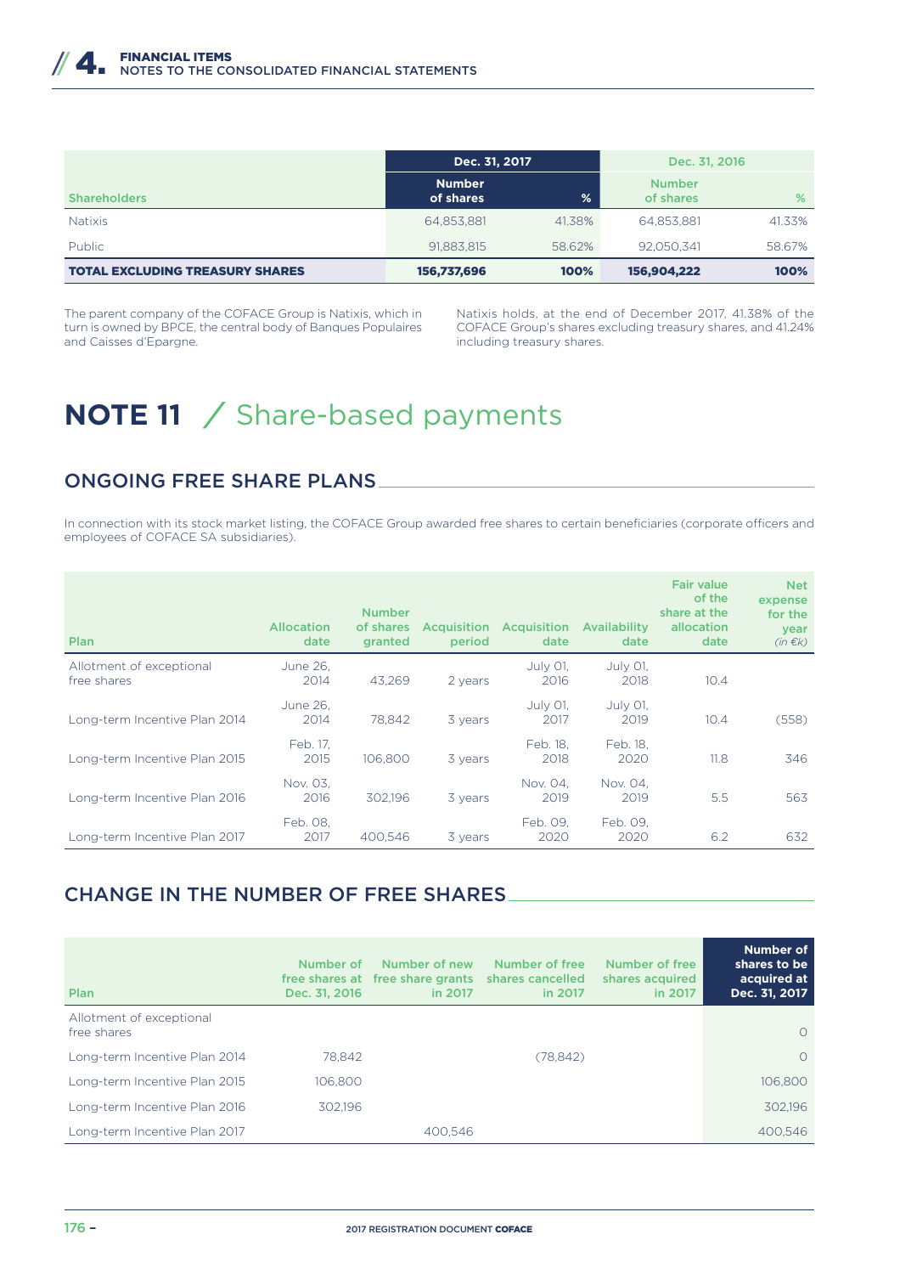|                                        | Dec. 31, 2017              |        | Dec. 31, 2016              |        |
|----------------------------------------|----------------------------|--------|----------------------------|--------|
| <b>Shareholders</b>                    | <b>Number</b><br>of shares | %      | <b>Number</b><br>of shares | %      |
| <b>Natixis</b>                         | 64.853.881                 | 41.38% | 64.853.881                 | 41.33% |
| <b>Public</b>                          | 91.883.815                 | 58.62% | 92.050.341                 | 58.67% |
| <b>TOTAL EXCLUDING TREASURY SHARES</b> | 156,737,696                | 100%   | 156,904,222                | 100%   |

The parent company of the COFACE Group is Natixis, which in turn is owned by BPCE, the central body of Banques Populaires and Caisses d'Epargne.

Natixis holds, at the end of December 2017, 41.38% of the COFACE Group's shares excluding treasury shares, and 41.24% including treasury shares.

## **NOTE 11** */* Share-based payments

#### ONGOING FREE SHARE PLANS

In connection with its stock market listing, the COFACE Group awarded free shares to certain beneficiaries (corporate officers and employees of COFACE SA subsidiaries).

| Plan                                    | <b>Allocation</b><br>date | <b>Number</b><br>of shares<br>granted | <b>Acquisition</b><br>period | <b>Acquisition</b><br>date | Availability<br>date | <b>Fair value</b><br>of the<br>share at the<br>allocation<br>date | <b>Net</b><br>expense<br>for the<br>year<br>$(in \in k)$ |
|-----------------------------------------|---------------------------|---------------------------------------|------------------------------|----------------------------|----------------------|-------------------------------------------------------------------|----------------------------------------------------------|
| Allotment of exceptional<br>free shares | June 26.<br>2014          | 43.269                                | 2 years                      | July 01.<br>2016           | July 01,<br>2018     | 10.4                                                              |                                                          |
| Long-term Incentive Plan 2014           | <b>June 26.</b><br>2014   | 78.842                                | 3 years                      | July 01,<br>2017           | July 01.<br>2019     | 10.4                                                              | (558)                                                    |
| Long-term Incentive Plan 2015           | Feb. 17.<br>2015          | 106.800                               | 3 years                      | Feb. 18.<br>2018           | Feb. 18.<br>2020     | 11.8                                                              | 346                                                      |
| Long-term Incentive Plan 2016           | Nov. 03.<br>2016          | 302.196                               | 3 years                      | Nov. 04.<br>2019           | Nov. 04.<br>2019     | 5.5                                                               | 563                                                      |
| Long-term Incentive Plan 2017           | Feb. 08.<br>2017          | 400.546                               | 3 years                      | Feb. 09.<br>2020           | Feb. 09,<br>2020     | 6.2                                                               | 632                                                      |

#### CHANGE IN THE NUMBER OF FREE SHARES

| Plan                                    | Number of<br>free shares at<br>Dec. 31, 2016 | Number of new<br>free share grants<br>in 2017 | Number of free<br>shares cancelled<br>in 2017 | Number of free<br>shares acquired<br>in 2017 | Number of<br>shares to be<br>acquired at<br>Dec. 31, 2017 |
|-----------------------------------------|----------------------------------------------|-----------------------------------------------|-----------------------------------------------|----------------------------------------------|-----------------------------------------------------------|
| Allotment of exceptional<br>free shares |                                              |                                               |                                               |                                              | $\Omega$                                                  |
| Long-term Incentive Plan 2014           | 78.842                                       |                                               | (78, 842)                                     |                                              | $\Omega$                                                  |
| Long-term Incentive Plan 2015           | 106,800                                      |                                               |                                               |                                              | 106,800                                                   |
| Long-term Incentive Plan 2016           | 302.196                                      |                                               |                                               |                                              | 302.196                                                   |
| Long-term Incentive Plan 2017           |                                              | 400.546                                       |                                               |                                              | 400.546                                                   |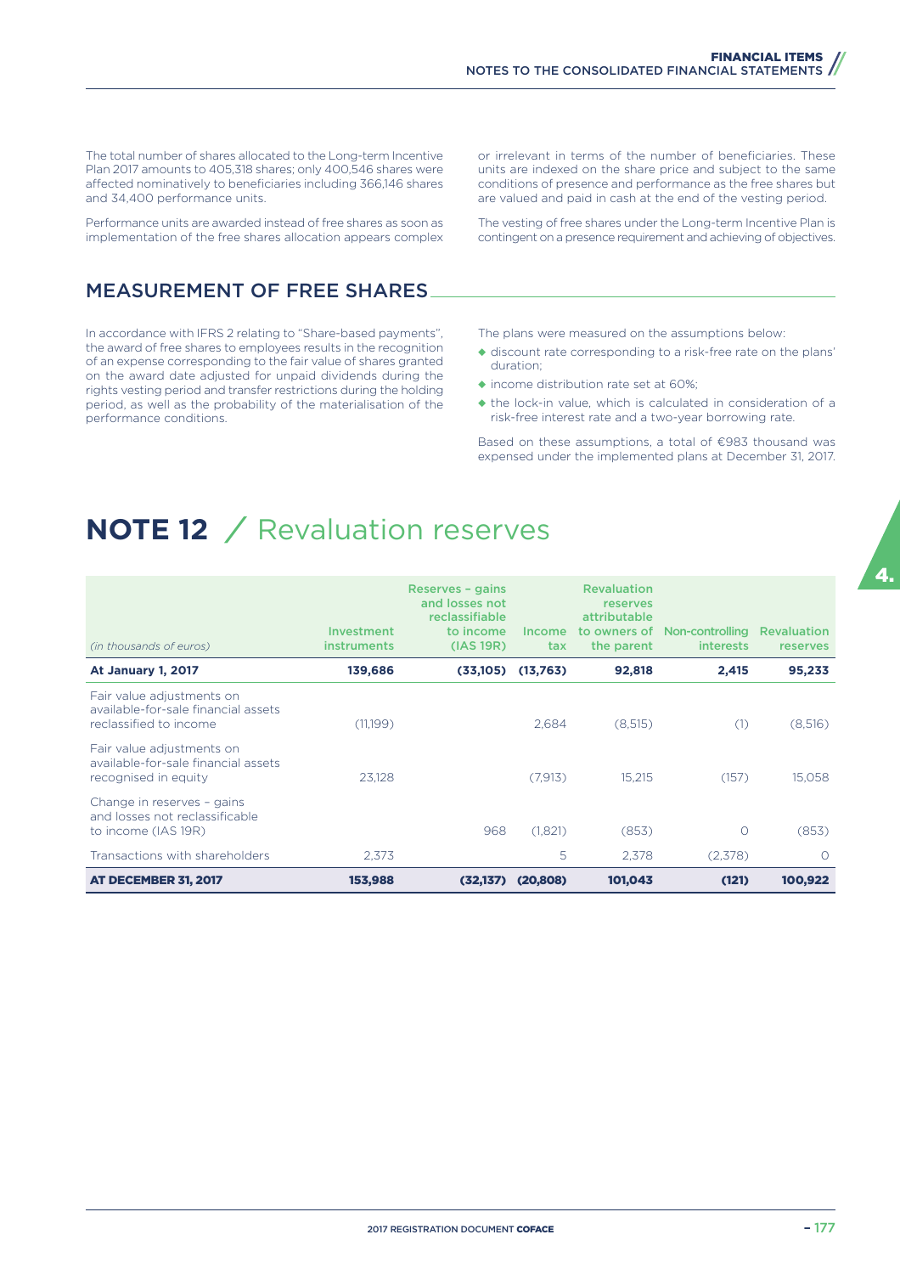The total number of shares allocated to the Long-term Incentive Plan 2017 amounts to 405,318 shares; only 400,546 shares were affected nominatively to beneficiaries including 366,146 shares and 34,400 performance units.

Performance units are awarded instead of free shares as soon as implementation of the free shares allocation appears complex

#### MEASUREMENT OF FREE SHARES

In accordance with IFRS 2 relating to "Share-based payments", the award of free shares to employees results in the recognition of an expense corresponding to the fair value of shares granted on the award date adjusted for unpaid dividends during the rights vesting period and transfer restrictions during the holding period, as well as the probability of the materialisation of the performance conditions.

or irrelevant in terms of the number of beneficiaries. These units are indexed on the share price and subject to the same conditions of presence and performance as the free shares but are valued and paid in cash at the end of the vesting period.

The vesting of free shares under the Long-term Incentive Plan is contingent on a presence requirement and achieving of objectives.

The plans were measured on the assumptions below:

- ◆ discount rate corresponding to a risk-free rate on the plans' duration;
- ◆ income distribution rate set at 60%;
- ◆ the lock-in value, which is calculated in consideration of a risk-free interest rate and a two-year borrowing rate.

Based on these assumptions, a total of €983 thousand was expensed under the implemented plans at December 31, 2017.

## **NOTE 12** */* Revaluation reserves

| (in thousands of euros)                                                                                                 | Investment<br><b>instruments</b> | Reserves - gains<br>and losses not<br>reclassifiable<br>to income<br>(IAS 19R) | Income<br>tax | <b>Revaluation</b><br>reserves<br>attributable<br>to owners of<br>the parent | Non-controlling<br>interests | <b>Revaluation</b><br><b>reserves</b> |
|-------------------------------------------------------------------------------------------------------------------------|----------------------------------|--------------------------------------------------------------------------------|---------------|------------------------------------------------------------------------------|------------------------------|---------------------------------------|
| <b>At January 1, 2017</b>                                                                                               | 139,686                          | (33,105)                                                                       | (13,763)      | 92,818                                                                       | 2,415                        | 95,233                                |
| Fair value adjustments on<br>available-for-sale financial assets<br>reclassified to income<br>Fair value adjustments on | (11,199)                         |                                                                                | 2.684         | (8,515)                                                                      | (1)                          | (8,516)                               |
| available-for-sale financial assets<br>recognised in equity                                                             | 23.128                           |                                                                                | (7, 913)      | 15.215                                                                       | (157)                        | 15,058                                |
| Change in reserves - gains<br>and losses not reclassificable<br>to income (IAS 19R)                                     |                                  | 968                                                                            | (1,821)       | (853)                                                                        | $\Omega$                     | (853)                                 |
| Transactions with shareholders                                                                                          | 2,373                            |                                                                                | 5             | 2,378                                                                        | (2,378)                      | $\Omega$                              |
| <b>AT DECEMBER 31, 2017</b>                                                                                             | 153,988                          | (32,137)                                                                       | (20, 808)     | 101,043                                                                      | (121)                        | 100,922                               |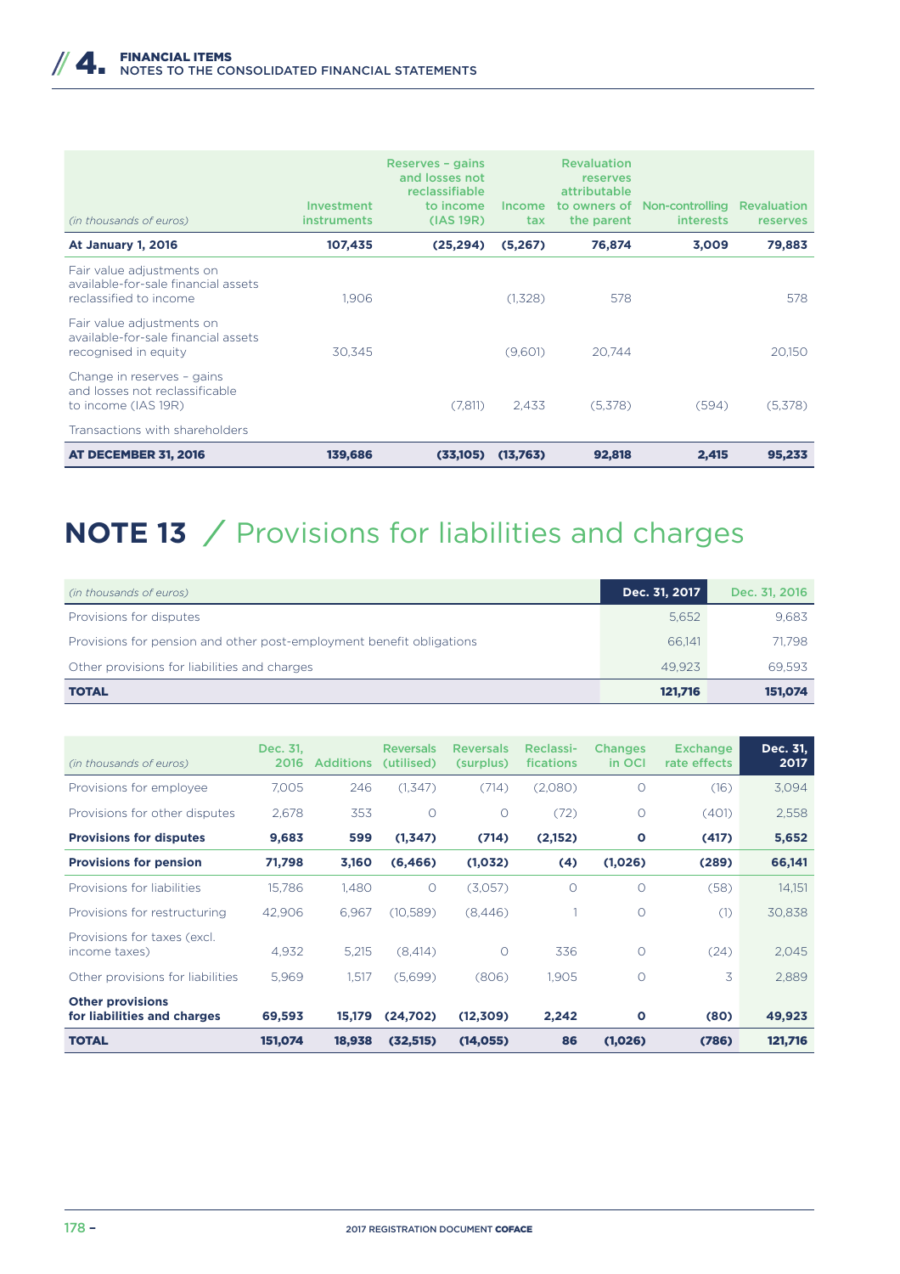| (in thousands of euros)                                                                    | Investment<br><b>instruments</b> | Reserves - gains<br>and losses not<br>reclassifiable<br>to income<br>(IAS 19R) | Income<br>tax | <b>Revaluation</b><br>reserves<br>attributable<br>to owners of<br>the parent | Non-controlling<br>interests | <b>Revaluation</b><br><b>reserves</b> |
|--------------------------------------------------------------------------------------------|----------------------------------|--------------------------------------------------------------------------------|---------------|------------------------------------------------------------------------------|------------------------------|---------------------------------------|
| <b>At January 1, 2016</b>                                                                  | 107,435                          | (25, 294)                                                                      | (5,267)       | 76,874                                                                       | 3,009                        | 79,883                                |
| Fair value adjustments on<br>available-for-sale financial assets<br>reclassified to income | 1.906                            |                                                                                | (1,328)       | 578                                                                          |                              | 578                                   |
| Fair value adjustments on<br>available-for-sale financial assets<br>recognised in equity   | 30.345                           |                                                                                | (9,601)       | 20.744                                                                       |                              | 20.150                                |
| Change in reserves - gains<br>and losses not reclassificable<br>to income (IAS 19R)        |                                  | (7,811)                                                                        | 2,433         | (5,378)                                                                      | (594)                        | (5,378)                               |
| Transactions with shareholders                                                             |                                  |                                                                                |               |                                                                              |                              |                                       |
| <b>AT DECEMBER 31, 2016</b>                                                                | 139,686                          | (33,105)                                                                       | (13,763)      | 92,818                                                                       | 2,415                        | 95,233                                |

# **NOTE 13** */* Provisions for liabilities and charges

| (in thousands of euros)                                              | Dec. 31, 2017 | Dec. 31, 2016 |
|----------------------------------------------------------------------|---------------|---------------|
| Provisions for disputes                                              | 5.652         | 9,683         |
| Provisions for pension and other post-employment benefit obligations | 66.141        | 71.798        |
| Other provisions for liabilities and charges                         | 49.923        | 69.593        |
| <b>TOTAL</b>                                                         | 121,716       | 151,074       |

| (in thousands of euros)                                | Dec. 31,<br>2016 | <b>Additions</b> | <b>Reversals</b><br>(utilised) | <b>Reversals</b><br>(surplus) | Reclassi-<br>fications | <b>Changes</b><br>in OCI | <b>Exchange</b><br>rate effects | Dec. 31,<br>2017 |
|--------------------------------------------------------|------------------|------------------|--------------------------------|-------------------------------|------------------------|--------------------------|---------------------------------|------------------|
| Provisions for employee                                | 7,005            | 246              | (1,347)                        | (714)                         | (2,080)                | O                        | (16)                            | 3,094            |
| Provisions for other disputes                          | 2,678            | 353              | $\circ$                        | $\circ$                       | (72)                   | O                        | (401)                           | 2,558            |
| <b>Provisions for disputes</b>                         | 9,683            | 599              | (1,347)                        | (714)                         | (2,152)                | $\mathbf{o}$             | (417)                           | 5,652            |
| <b>Provisions for pension</b>                          | 71,798           | 3,160            | (6, 466)                       | (1,032)                       | (4)                    | (1,026)                  | (289)                           | 66,141           |
| Provisions for liabilities                             | 15.786           | 1.480            | $\circ$                        | (3,057)                       | 0                      | $\circ$                  | (58)                            | 14,151           |
| Provisions for restructuring                           | 42,906           | 6,967            | (10, 589)                      | (8,446)                       |                        | $\circ$                  | (1)                             | 30,838           |
| Provisions for taxes (excl.<br>income taxes)           | 4,932            | 5,215            | (8,414)                        | $\circ$                       | 336                    | $\circ$                  | (24)                            | 2,045            |
| Other provisions for liabilities                       | 5.969            | 1,517            | (5,699)                        | (806)                         | 1.905                  | O                        | 3                               | 2,889            |
| <b>Other provisions</b><br>for liabilities and charges | 69,593           | 15,179           | (24,702)                       | (12,309)                      | 2,242                  | $\mathbf{o}$             | (80)                            | 49,923           |
| <b>TOTAL</b>                                           | 151,074          | 18,938           | (32, 515)                      | (14, 055)                     | 86                     | (1,026)                  | (786)                           | 121,716          |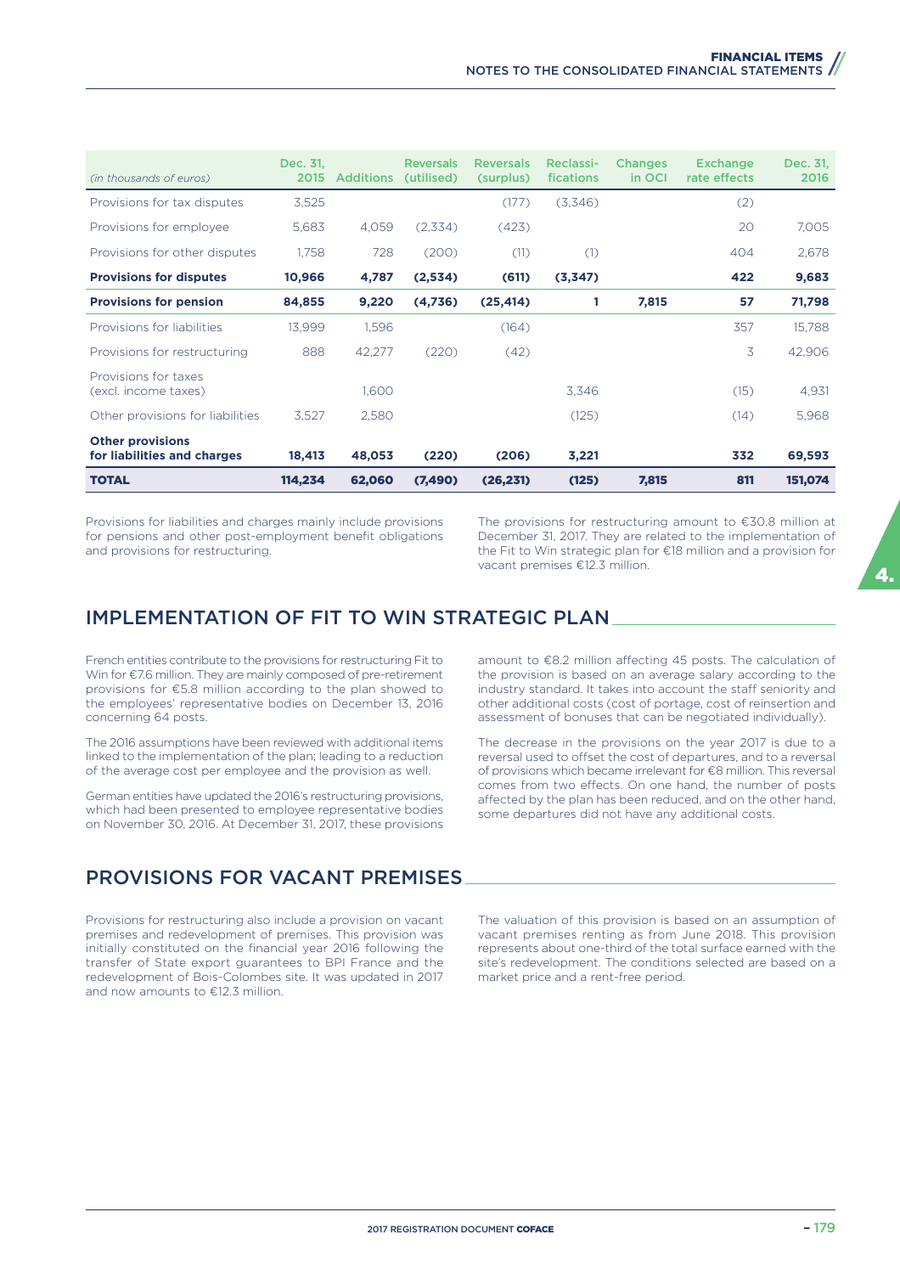| (in thousands of euros)                                | Dec. 31,<br>2015 | <b>Additions</b> | <b>Reversals</b><br>(utilised) | <b>Reversals</b><br>(surplus) | Reclassi-<br>fications | <b>Changes</b><br>in OCI | <b>Exchange</b><br>rate effects | Dec. 31,<br>2016 |
|--------------------------------------------------------|------------------|------------------|--------------------------------|-------------------------------|------------------------|--------------------------|---------------------------------|------------------|
| Provisions for tax disputes                            | 3,525            |                  |                                | (177)                         | (3,346)                |                          | (2)                             |                  |
| Provisions for employee                                | 5,683            | 4,059            | (2,334)                        | (423)                         |                        |                          | 20                              | 7,005            |
| Provisions for other disputes                          | 1,758            | 728              | (200)                          | (11)                          | (1)                    |                          | 404                             | 2,678            |
| <b>Provisions for disputes</b>                         | 10,966           | 4,787            | (2,534)                        | (611)                         | (3,347)                |                          | 422                             | 9,683            |
| <b>Provisions for pension</b>                          | 84,855           | 9,220            | (4,736)                        | (25, 414)                     | 1                      | 7,815                    | 57                              | 71,798           |
| Provisions for liabilities                             | 13,999           | 1,596            |                                | (164)                         |                        |                          | 357                             | 15,788           |
| Provisions for restructuring                           | 888              | 42,277           | (220)                          | (42)                          |                        |                          | 3                               | 42,906           |
| Provisions for taxes<br>(excl. income taxes)           |                  | 1,600            |                                |                               | 3,346                  |                          | (15)                            | 4,931            |
| Other provisions for liabilities                       | 3,527            | 2,580            |                                |                               | (125)                  |                          | (14)                            | 5,968            |
| <b>Other provisions</b><br>for liabilities and charges | 18,413           | 48,053           | (220)                          | (206)                         | 3,221                  |                          | 332                             | 69,593           |
| <b>TOTAL</b>                                           | 114.234          | 62,060           | (7,490)                        | (26, 231)                     | (125)                  | 7,815                    | 811                             | 151,074          |

Provisions for liabilities and charges mainly include provisions for pensions and other post-employment benefit obligations and provisions for restructuring.

The provisions for restructuring amount to €30.8 million at December 31, 2017. They are related to the implementation of the Fit to Win strategic plan for €18 million and a provision for vacant premises €12.3 million.

#### IMPLEMENTATION OF FIT TO WIN STRATEGIC PLAN

French entities contribute to the provisions for restructuring Fit to Win for €7.6 million. They are mainly composed of pre-retirement provisions for €5.8 million according to the plan showed to the employees' representative bodies on December 13, 2016 concerning 64 posts.

The 2016 assumptions have been reviewed with additional items linked to the implementation of the plan; leading to a reduction of the average cost per employee and the provision as well.

German entities have updated the 2016's restructuring provisions, which had been presented to employee representative bodies on November 30, 2016. At December 31, 2017, these provisions

#### PROVISIONS FOR VACANT PREMISES

Provisions for restructuring also include a provision on vacant premises and redevelopment of premises. This provision was initially constituted on the financial year 2016 following the transfer of State export guarantees to BPI France and the redevelopment of Bois-Colombes site. It was updated in 2017 and now amounts to €12.3 million.

amount to  $€8.2$  million affecting 45 posts. The calculation of the provision is based on an average salary according to the industry standard. It takes into account the staff seniority and other additional costs (cost of portage, cost of reinsertion and assessment of bonuses that can be negotiated individually).

The decrease in the provisions on the year 2017 is due to a reversal used to offset the cost of departures, and to a reversal of provisions which became irrelevant for €8 million. This reversal comes from two effects. On one hand, the number of posts affected by the plan has been reduced, and on the other hand, some departures did not have any additional costs.

The valuation of this provision is based on an assumption of vacant premises renting as from June 2018. This provision represents about one-third of the total surface earned with the site's redevelopment. The conditions selected are based on a market price and a rent-free period.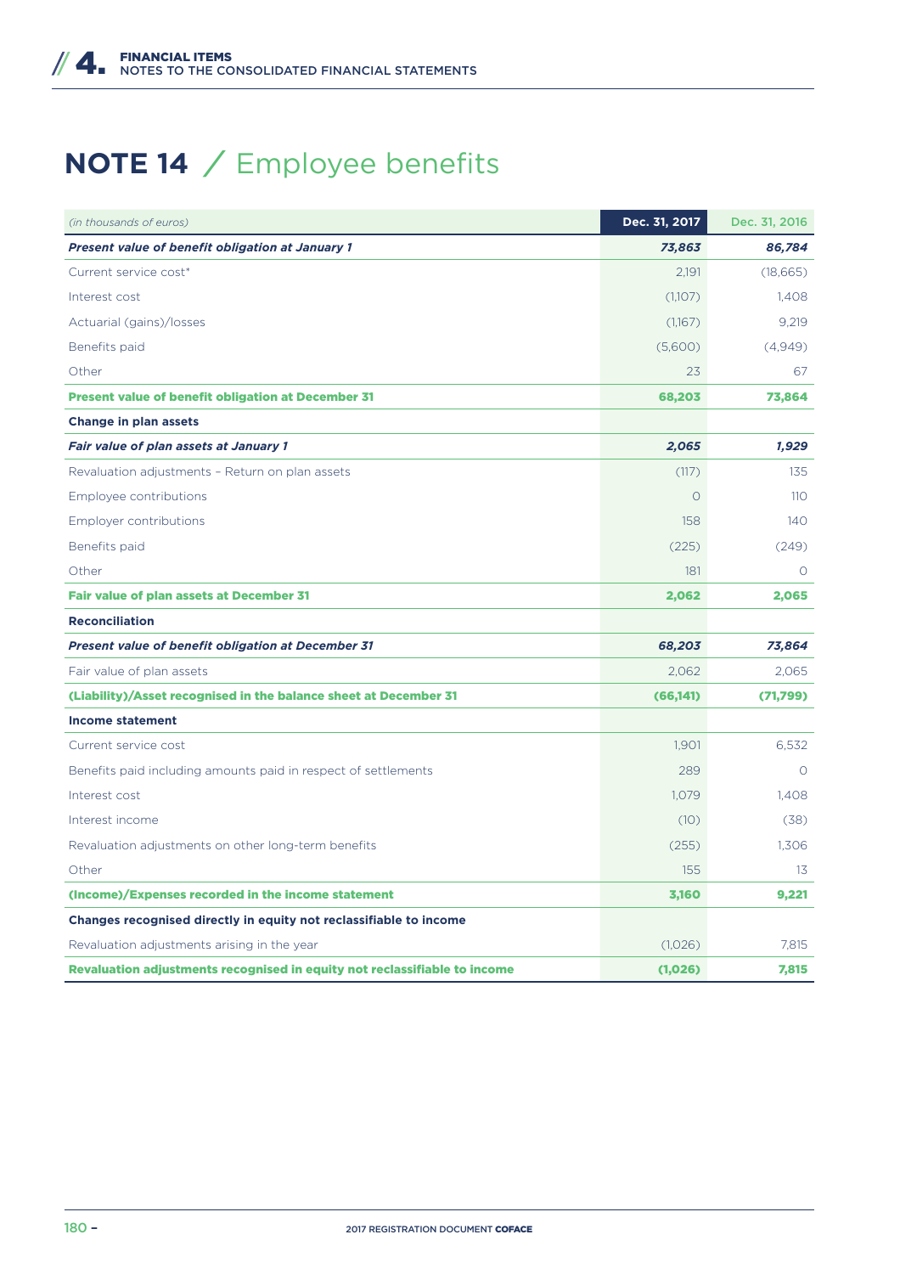## **NOTE 14** */* Employee benefits

| (in thousands of euros)                                                   | Dec. 31, 2017 | Dec. 31, 2016 |
|---------------------------------------------------------------------------|---------------|---------------|
| Present value of benefit obligation at January 1                          | 73,863        | 86,784        |
| Current service cost*                                                     | 2,191         | (18,665)      |
| Interest cost                                                             | (1,107)       | 1.408         |
| Actuarial (gains)/losses                                                  | (1,167)       | 9,219         |
| Benefits paid                                                             | (5,600)       | (4,949)       |
| Other                                                                     | 23            | 67            |
| <b>Present value of benefit obligation at December 31</b>                 | 68,203        | 73,864        |
| <b>Change in plan assets</b>                                              |               |               |
| <b>Fair value of plan assets at January 1</b>                             | 2,065         | 1,929         |
| Revaluation adjustments - Return on plan assets                           | (117)         | 135           |
| Employee contributions                                                    | $\circ$       | 110           |
| Employer contributions                                                    | 158           | 140           |
| Benefits paid                                                             | (225)         | (249)         |
| Other                                                                     | 181           | $\circ$       |
| <b>Fair value of plan assets at December 31</b>                           | 2,062         | 2,065         |
| <b>Reconciliation</b>                                                     |               |               |
| <b>Present value of benefit obligation at December 31</b>                 | 68,203        | 73,864        |
| Fair value of plan assets                                                 | 2.062         | 2.065         |
| (Liability)/Asset recognised in the balance sheet at December 31          | (66, 141)     | (71, 799)     |
| <b>Income statement</b>                                                   |               |               |
| Current service cost                                                      | 1.901         | 6.532         |
| Benefits paid including amounts paid in respect of settlements            | 289           | $\Omega$      |
| Interest cost                                                             | 1,079         | 1.408         |
| Interest income                                                           | (10)          | (38)          |
| Revaluation adjustments on other long-term benefits                       | (255)         | 1.306         |
| Other                                                                     | 155           | 13            |
| (Income)/Expenses recorded in the income statement                        | 3,160         | 9,221         |
| Changes recognised directly in equity not reclassifiable to income        |               |               |
| Revaluation adjustments arising in the year                               | (1,026)       | 7.815         |
| Revaluation adjustments recognised in equity not reclassifiable to income | (1,026)       | 7,815         |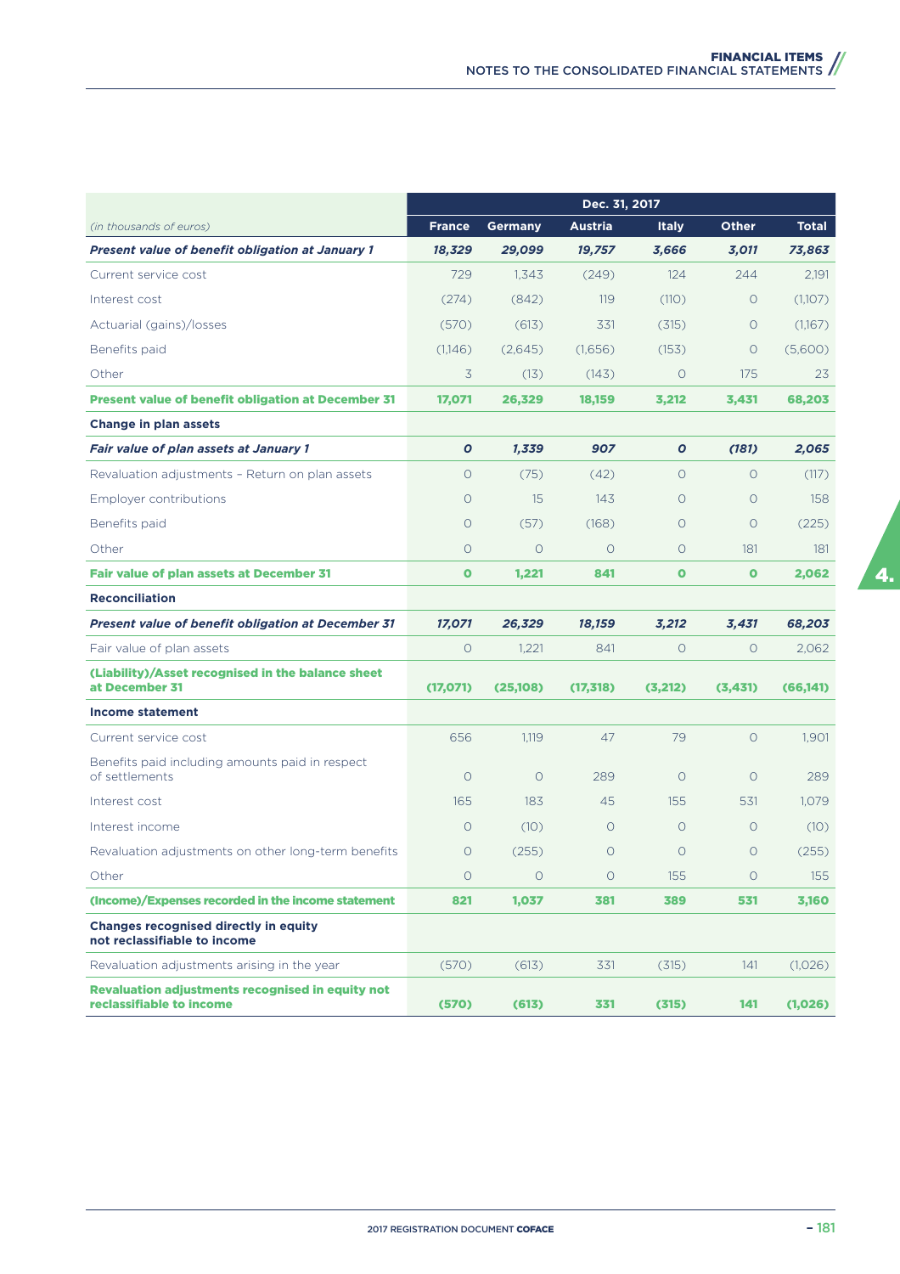|                                                                                     |                  |                | Dec. 31, 2017  |                  |              |              |
|-------------------------------------------------------------------------------------|------------------|----------------|----------------|------------------|--------------|--------------|
| (in thousands of euros)                                                             | <b>France</b>    | <b>Germany</b> | <b>Austria</b> | <b>Italy</b>     | <b>Other</b> | <b>Total</b> |
| <b>Present value of benefit obligation at January 1</b>                             | 18,329           | 29,099         | 19,757         | 3,666            | 3,011        | 73,863       |
| Current service cost                                                                | 729              | 1,343          | (249)          | 124              | 244          | 2,191        |
| Interest cost                                                                       | (274)            | (842)          | 119            | (110)            | $\circ$      | (1,107)      |
| Actuarial (gains)/losses                                                            | (570)            | (613)          | 331            | (315)            | $\circ$      | (1,167)      |
| Benefits paid                                                                       | (1,146)          | (2,645)        | (1,656)        | (153)            | $\circ$      | (5,600)      |
| Other                                                                               | 3                | (13)           | (143)          | $\circ$          | 175          | 23           |
| <b>Present value of benefit obligation at December 31</b>                           | 17,071           | 26,329         | 18,159         | 3,212            | 3,431        | 68,203       |
| <b>Change in plan assets</b>                                                        |                  |                |                |                  |              |              |
| Fair value of plan assets at January 1                                              | $\boldsymbol{o}$ | 1,339          | 907            | $\boldsymbol{o}$ | (181)        | 2,065        |
| Revaluation adjustments - Return on plan assets                                     | $\circ$          | (75)           | (42)           | $\circ$          | $\circ$      | (117)        |
| Employer contributions                                                              | $\circ$          | 15             | 143            | $\Omega$         | $\circ$      | 158          |
| Benefits paid                                                                       | $\circ$          | (57)           | (168)          | $\circ$          | $\circ$      | (225)        |
| Other                                                                               | $\circ$          | $\circ$        | $\circ$        | $\Omega$         | 181          | 181          |
| <b>Fair value of plan assets at December 31</b>                                     | $\bullet$        | 1,221          | 841            | $\mathbf{o}$     | $\bullet$    | 2,062        |
| <b>Reconciliation</b>                                                               |                  |                |                |                  |              |              |
| <b>Present value of benefit obligation at December 31</b>                           | 17,071           | 26,329         | 18,159         | 3,212            | 3,431        | 68,203       |
| Fair value of plan assets                                                           | $\circ$          | 1,221          | 841            | $\circ$          | $\circ$      | 2,062        |
| (Liability)/Asset recognised in the balance sheet<br>at December 31                 | (17, 071)        | (25, 108)      | (17, 318)      | (3,212)          | (3, 431)     | (66, 141)    |
| <b>Income statement</b>                                                             |                  |                |                |                  |              |              |
| Current service cost                                                                | 656              | 1,119          | 47             | 79               | $\circ$      | 1,901        |
| Benefits paid including amounts paid in respect<br>of settlements                   | $\circ$          | $\circ$        | 289            | $\circ$          | $\circ$      | 289          |
| Interest cost                                                                       | 165              | 183            | 45             | 155              | 531          | 1,079        |
| Interest income                                                                     | $\circ$          | (10)           | $\circ$        | $\Omega$         | $\circ$      | (10)         |
| Revaluation adjustments on other long-term benefits                                 | $\circ$          | (255)          | $\circ$        | $\circ$          | $\circ$      | (255)        |
| Other                                                                               | 0                | Ω              | 0              | 155              | 0            | 155          |
| (Income)/Expenses recorded in the income statement                                  | 821              | 1,037          | 381            | 389              | 531          | 3,160        |
| <b>Changes recognised directly in equity</b><br>not reclassifiable to income        |                  |                |                |                  |              |              |
| Revaluation adjustments arising in the year                                         | (570)            | (613)          | 331            | (315)            | 141          | (1,026)      |
| <b>Revaluation adjustments recognised in equity not</b><br>reclassifiable to income | (570)            | (613)          | 331            | (315)            | 141          | (1,026)      |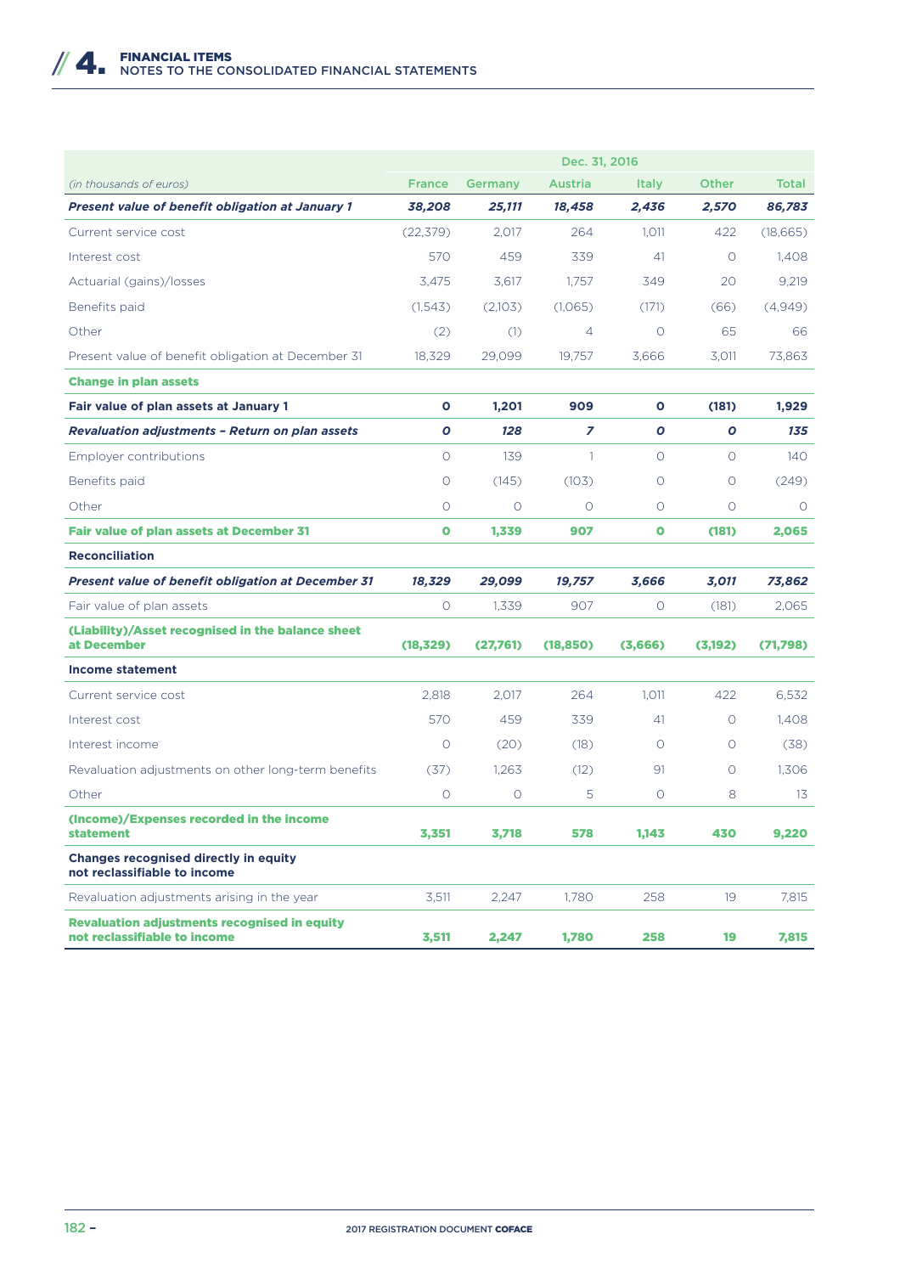|                                                                                     |               |          | Dec. 31, 2016  |              |                  |          |
|-------------------------------------------------------------------------------------|---------------|----------|----------------|--------------|------------------|----------|
| (in thousands of euros)                                                             | <b>France</b> | Germany  | <b>Austria</b> | <b>Italy</b> | Other            | Total    |
| Present value of benefit obligation at January 1                                    | 38,208        | 25,111   | 18,458         | 2,436        | 2,570            | 86,783   |
| Current service cost                                                                | (22, 379)     | 2,017    | 264            | 1,011        | 422              | (18,665) |
| Interest cost                                                                       | 570           | 459      | 339            | 41           | $\circ$          | 1,408    |
| Actuarial (gains)/losses                                                            | 3,475         | 3,617    | 1,757          | 349          | 20               | 9,219    |
| Benefits paid                                                                       | (1,543)       | (2,103)  | (1,065)        | (171)        | (66)             | (4,949)  |
| Other                                                                               | (2)           | (1)      | 4              | $\circ$      | 65               | 66       |
| Present value of benefit obligation at December 31                                  | 18,329        | 29,099   | 19,757         | 3,666        | 3,011            | 73,863   |
| <b>Change in plan assets</b>                                                        |               |          |                |              |                  |          |
| Fair value of plan assets at January 1                                              | $\mathbf{o}$  | 1,201    | 909            | О            | (181)            | 1,929    |
| <b>Revaluation adjustments - Return on plan assets</b>                              | O             | 128      | Z              | O            | $\boldsymbol{o}$ | 135      |
| Employer contributions                                                              | $\circ$       | 139      | 1              | 0            | $\circ$          | 140      |
| Benefits paid                                                                       | $\circ$       | (145)    | (103)          | O            | $\circ$          | (249)    |
| Other                                                                               | O             | $\circ$  | $\circ$        | $\circ$      | $\circ$          | $\circ$  |
| <b>Fair value of plan assets at December 31</b>                                     | $\bullet$     | 1,339    | 907            | $\bullet$    | (181)            | 2,065    |
| <b>Reconciliation</b>                                                               |               |          |                |              |                  |          |
| <b>Present value of benefit obligation at December 31</b>                           | 18,329        | 29,099   | 19,757         | 3,666        | 3,011            | 73,862   |
| Fair value of plan assets                                                           | $\circ$       | 1,339    | 907            | O            | (181)            | 2,065    |
| (Liability)/Asset recognised in the balance sheet<br>at December                    | (18, 329)     | (27,761) | (18, 850)      | (3,666)      | (3, 192)         | (71,798) |
| <b>Income statement</b>                                                             |               |          |                |              |                  |          |
| Current service cost                                                                | 2,818         | 2,017    | 264            | 1,011        | 422              | 6,532    |
| Interest cost                                                                       | 570           | 459      | 339            | 41           | $\circ$          | 1,408    |
| Interest income                                                                     | $\circ$       | (20)     | (18)           | $\circ$      | $\circ$          | (38)     |
| Revaluation adjustments on other long-term benefits                                 | (37)          | 1,263    | (12)           | 91           | $\circ$          | 1,306    |
| Other                                                                               | $\circ$       | $\circ$  | 5              | O            | 8                | 13       |
| (Income)/Expenses recorded in the income<br>statement                               | 3,351         | 3,718    | 578            | 1,143        | 430              | 9,220    |
| <b>Changes recognised directly in equity</b><br>not reclassifiable to income        |               |          |                |              |                  |          |
| Revaluation adjustments arising in the year                                         | 3,511         | 2,247    | 1,780          | 258          | 19               | 7,815    |
| <b>Revaluation adjustments recognised in equity</b><br>not reclassifiable to income | 3,511         | 2,247    | 1,780          | 258          | 19               | 7,815    |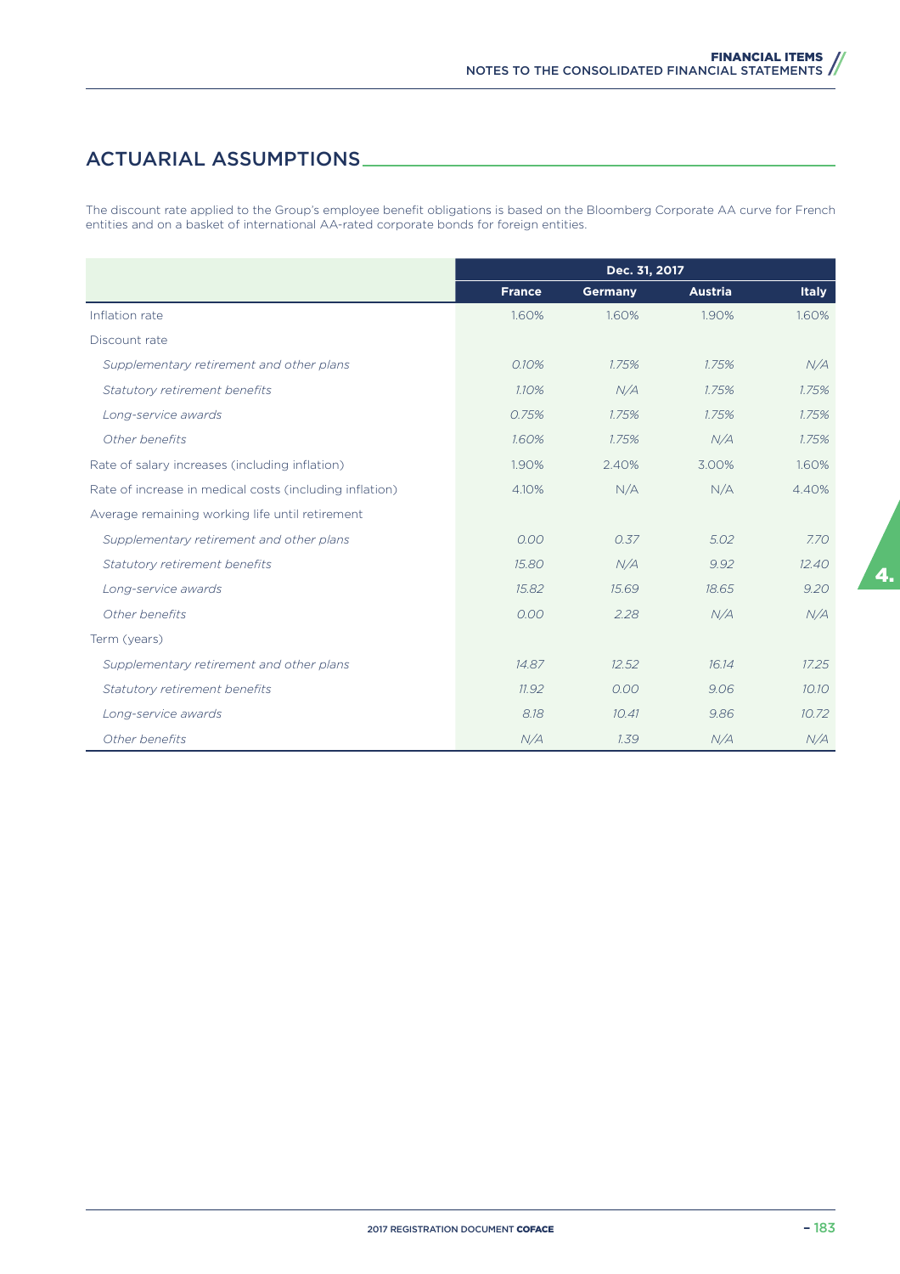### ACTUARIAL ASSUMPTIONS

The discount rate applied to the Group's employee benefit obligations is based on the Bloomberg Corporate AA curve for French entities and on a basket of international AA-rated corporate bonds for foreign entities.

|                                                         | Dec. 31, 2017 |                |                |              |  |  |
|---------------------------------------------------------|---------------|----------------|----------------|--------------|--|--|
|                                                         | <b>France</b> | <b>Germany</b> | <b>Austria</b> | <b>Italy</b> |  |  |
| Inflation rate                                          | 1.60%         | 1.60%          | 1.90%          | 1.60%        |  |  |
| Discount rate                                           |               |                |                |              |  |  |
| Supplementary retirement and other plans                | 0.10%         | 1.75%          | 1.75%          | N/A          |  |  |
| Statutory retirement benefits                           | 1.10%         | N/A            | 1.75%          | 1.75%        |  |  |
| Long-service awards                                     | 0.75%         | 1.75%          | 1.75%          | 1.75%        |  |  |
| Other benefits                                          | 1.60%         | 1.75%          | N/A            | 1.75%        |  |  |
| Rate of salary increases (including inflation)          | 1.90%         | 2.40%          | 3.00%          | 1.60%        |  |  |
| Rate of increase in medical costs (including inflation) | 4.10%         | N/A            | N/A            | 4.40%        |  |  |
| Average remaining working life until retirement         |               |                |                |              |  |  |
| Supplementary retirement and other plans                | 0.00          | 0.37           | 5.02           | 7.70         |  |  |
| Statutory retirement benefits                           | 15.80         | N/A            | 9.92           | 12.40        |  |  |
| Long-service awards                                     | 15.82         | 15.69          | 18.65          | 9.20         |  |  |
| Other benefits                                          | 0.00          | 2.28           | N/A            | N/A          |  |  |
| Term (years)                                            |               |                |                |              |  |  |
| Supplementary retirement and other plans                | 14.87         | 12.52          | 16.14          | 17.25        |  |  |
| Statutory retirement benefits                           | 11.92         | 0.00           | 9.06           | 10.10        |  |  |
| Long-service awards                                     | 8.18          | 10.41          | 9.86           | 10.72        |  |  |
| Other benefits                                          | N/A           | 1.39           | N/A            | N/A          |  |  |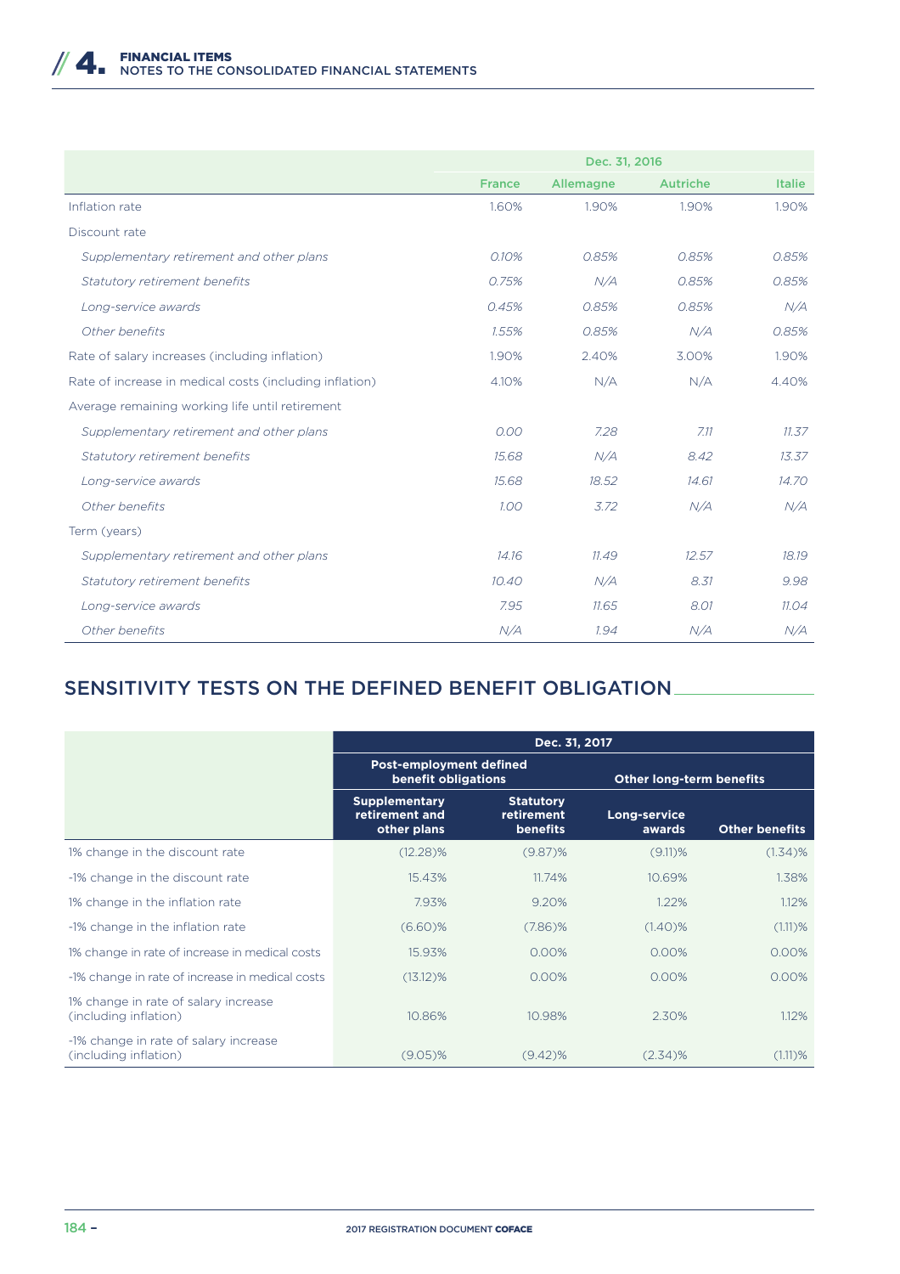|                                                         | Dec. 31, 2016 |           |                 |               |  |  |
|---------------------------------------------------------|---------------|-----------|-----------------|---------------|--|--|
|                                                         | <b>France</b> | Allemagne | <b>Autriche</b> | <b>Italie</b> |  |  |
| Inflation rate                                          | 1.60%         | 1.90%     | 1.90%           | 1.90%         |  |  |
| Discount rate                                           |               |           |                 |               |  |  |
| Supplementary retirement and other plans                | 0.10%         | 0.85%     | 0.85%           | 0.85%         |  |  |
| Statutory retirement benefits                           | 0.75%         | N/A       | 0.85%           | 0.85%         |  |  |
| Long-service awards                                     | 0.45%         | 0.85%     | 0.85%           | N/A           |  |  |
| Other benefits                                          | 1.55%         | 0.85%     | N/A             | 0.85%         |  |  |
| Rate of salary increases (including inflation)          | 1.90%         | 2.40%     | 3.00%           | 1.90%         |  |  |
| Rate of increase in medical costs (including inflation) | 4.10%         | N/A       | N/A             | 4.40%         |  |  |
| Average remaining working life until retirement         |               |           |                 |               |  |  |
| Supplementary retirement and other plans                | 0.00          | 7.28      | 7.11            | 11.37         |  |  |
| Statutory retirement benefits                           | 15.68         | N/A       | 8.42            | 13.37         |  |  |
| Long-service awards                                     | 15.68         | 18.52     | 14.61           | 14.70         |  |  |
| Other benefits                                          | 1.00          | 3.72      | N/A             | N/A           |  |  |
| Term (years)                                            |               |           |                 |               |  |  |
| Supplementary retirement and other plans                | 14.16         | 11.49     | 12.57           | 18.19         |  |  |
| Statutory retirement benefits                           | 10.40         | N/A       | 8.31            | 9.98          |  |  |
| Long-service awards                                     | 7.95          | 11.65     | 8.01            | 11.04         |  |  |
| Other benefits                                          | N/A           | 1.94      | N/A             | N/A           |  |  |

### SENSITIVITY TESTS ON THE DEFINED BENEFIT OBLIGATION

|                                                                | Dec. 31, 2017                                         |                                                   |                                 |                       |  |  |  |  |
|----------------------------------------------------------------|-------------------------------------------------------|---------------------------------------------------|---------------------------------|-----------------------|--|--|--|--|
|                                                                | <b>Post-employment defined</b><br>benefit obligations |                                                   | <b>Other long-term benefits</b> |                       |  |  |  |  |
|                                                                | <b>Supplementary</b><br>retirement and<br>other plans | <b>Statutory</b><br>retirement<br><b>benefits</b> | Long-service<br>awards          | <b>Other benefits</b> |  |  |  |  |
| 1% change in the discount rate                                 | $(12.28)\%$                                           | (9.87)%                                           | $(9.11)$ %                      | $(1.34)$ %            |  |  |  |  |
| -1% change in the discount rate                                | 15.43%                                                | 11.74%                                            | 10.69%                          | 1.38%                 |  |  |  |  |
| 1% change in the inflation rate                                | 7.93%                                                 | 9.20%                                             | 1.22%                           | 1.12%                 |  |  |  |  |
| -1% change in the inflation rate                               | $(6.60)\%$                                            | $(7.86)\%$                                        | (1.40)%                         | $(1.11)$ %            |  |  |  |  |
| 1% change in rate of increase in medical costs                 | 15.93%                                                | $0.00\%$                                          | $0.00\%$                        | 0.00%                 |  |  |  |  |
| -1% change in rate of increase in medical costs                | $(13.12)\%$                                           | $0.00\%$                                          | 0.00%                           | 0.00%                 |  |  |  |  |
| 1% change in rate of salary increase<br>(including inflation)  | 10.86%                                                | 10.98%                                            | 2.30%                           | 1.12%                 |  |  |  |  |
| -1% change in rate of salary increase<br>(including inflation) | $(9.05)\%$                                            | $(9.42)\%$                                        | $(2.34)$ %                      | $(1.11)$ %            |  |  |  |  |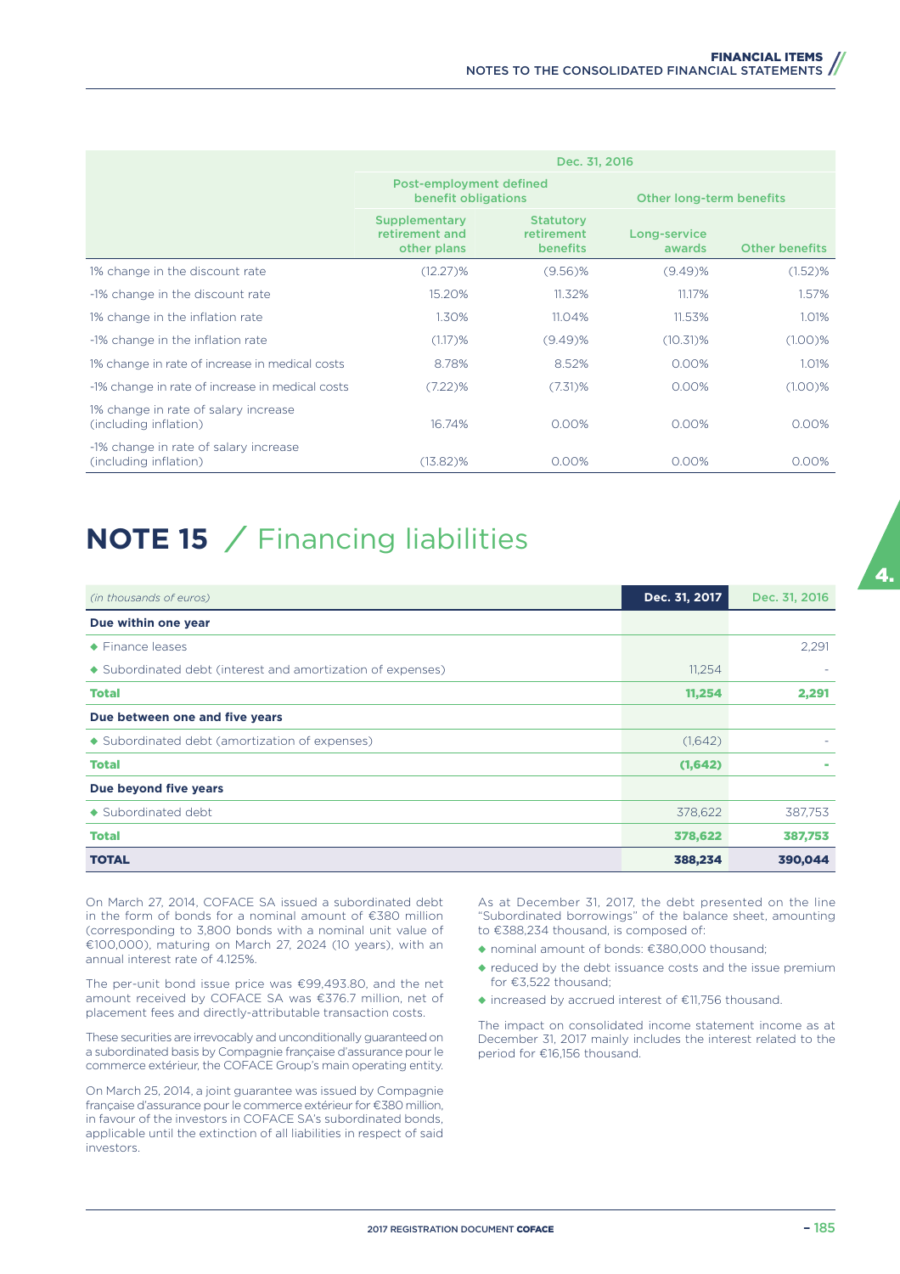|                                                                | Dec. 31, 2016                                  |                                                   |                          |                       |  |
|----------------------------------------------------------------|------------------------------------------------|---------------------------------------------------|--------------------------|-----------------------|--|
|                                                                | Post-employment defined<br>benefit obligations |                                                   | Other long-term benefits |                       |  |
|                                                                | Supplementary<br>retirement and<br>other plans | <b>Statutory</b><br>retirement<br><b>benefits</b> | Long-service<br>awards   | <b>Other benefits</b> |  |
| 1% change in the discount rate                                 | (12.27)%                                       | $(9.56)$ %                                        | $(9.49)$ %               | (1.52)%               |  |
| -1% change in the discount rate                                | 15.20%                                         | 11.32%                                            | 11.17%                   | 1.57%                 |  |
| 1% change in the inflation rate                                | 1.30%                                          | 11.04%                                            | 11.53%                   | 1.01%                 |  |
| -1% change in the inflation rate                               | $(1.17)$ %                                     | $(9.49)$ %                                        | $(10.31)\%$              | (1.00)%               |  |
| 1% change in rate of increase in medical costs                 | 8.78%                                          | 8.52%                                             | 0.00%                    | 1.01%                 |  |
| -1% change in rate of increase in medical costs                | (7.22)%                                        | $(7.31)$ %                                        | 0.00%                    | (1.00)%               |  |
| 1% change in rate of salary increase<br>(including inflation)  | 16.74%                                         | 0.00%                                             | 0.00%                    | 0.00%                 |  |
| -1% change in rate of salary increase<br>(including inflation) | $(13.82)\%$                                    | 0.00%                                             | 0.00%                    | 0.00%                 |  |

### **NOTE 15** */* Financing liabilities

| (in thousands of euros)                                     | Dec. 31, 2017 | Dec. 31, 2016 |
|-------------------------------------------------------------|---------------|---------------|
| Due within one year                                         |               |               |
| $\triangle$ Finance leases                                  |               | 2,291         |
| • Subordinated debt (interest and amortization of expenses) | 11,254        |               |
| <b>Total</b>                                                | 11,254        | 2,291         |
| Due between one and five years                              |               |               |
| ◆ Subordinated debt (amortization of expenses)              | (1,642)       |               |
| <b>Total</b>                                                | (1,642)       |               |
| Due beyond five years                                       |               |               |
| $\triangle$ Subordinated debt                               | 378,622       | 387,753       |
| <b>Total</b>                                                | 378,622       | 387,753       |
| <b>TOTAL</b>                                                | 388,234       | 390,044       |

On March 27, 2014, COFACE SA issued a subordinated debt in the form of bonds for a nominal amount of €380 million (corresponding to 3,800 bonds with a nominal unit value of €100,000), maturing on March 27, 2024 (10 years), with an annual interest rate of 4.125%.

The per-unit bond issue price was €99,493.80, and the net amount received by COFACE SA was €376.7 million, net of placement fees and directly-attributable transaction costs.

These securities are irrevocably and unconditionally guaranteed on a subordinated basis by Compagnie française d'assurance pour le commerce extérieur, the COFACE Group's main operating entity.

On March 25, 2014, a joint guarantee was issued by Compagnie française d'assurance pour le commerce extérieur for €380 million, in favour of the investors in COFACE SA's subordinated bonds, applicable until the extinction of all liabilities in respect of said investors.

As at December 31, 2017, the debt presented on the line "Subordinated borrowings" of the balance sheet, amounting to €388,234 thousand, is composed of:

- ◆ nominal amount of bonds: €380,000 thousand;
- ◆ reduced by the debt issuance costs and the issue premium for €3,522 thousand;
- ◆ increased by accrued interest of €11,756 thousand.

The impact on consolidated income statement income as at December 31, 2017 mainly includes the interest related to the period for €16,156 thousand.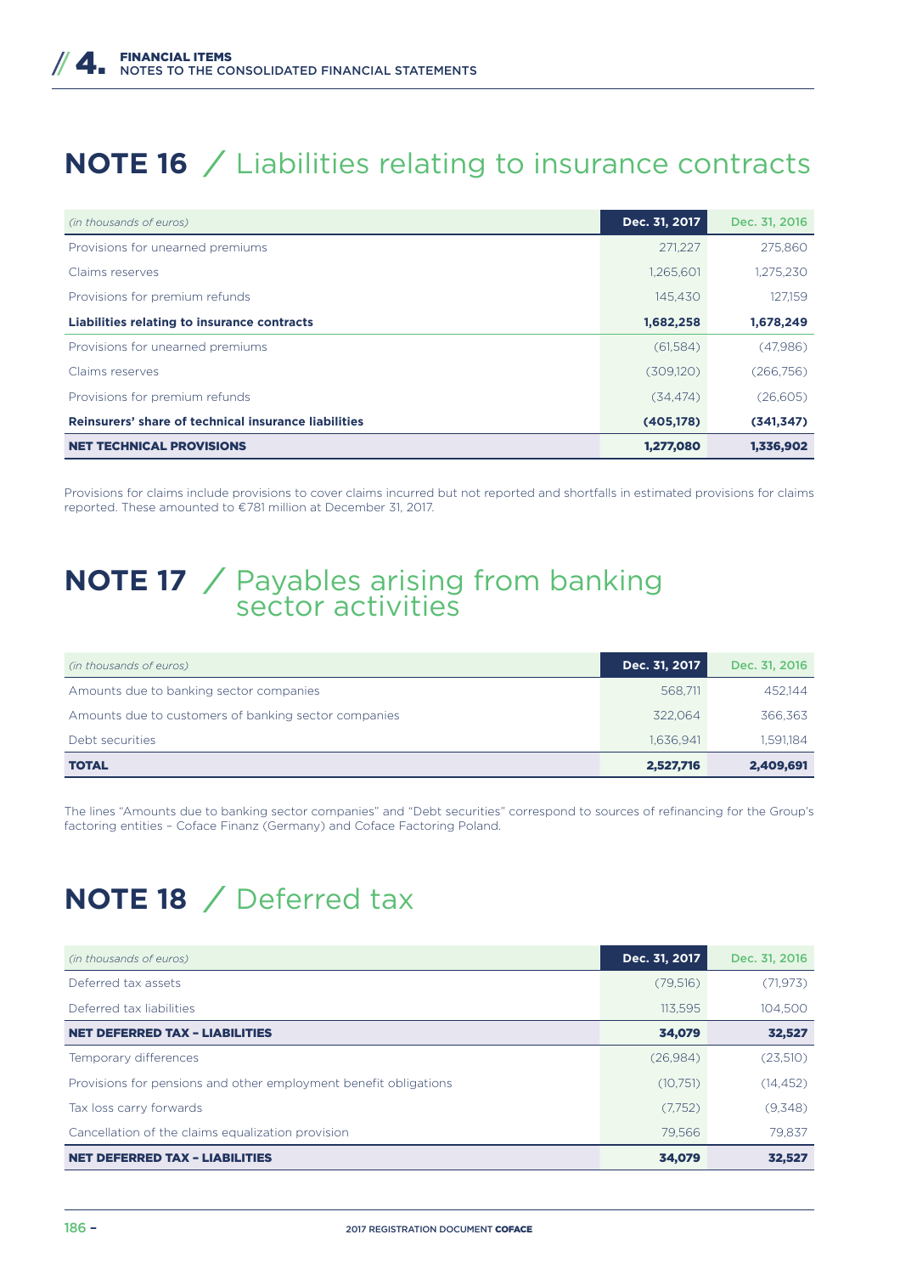### **NOTE 16** */* Liabilities relating to insurance contracts

| (in thousands of euros)                                     | Dec. 31, 2017 | Dec. 31, 2016 |
|-------------------------------------------------------------|---------------|---------------|
| Provisions for unearned premiums                            | 271,227       | 275,860       |
| Claims reserves                                             | 1.265.601     | 1,275,230     |
| Provisions for premium refunds                              | 145.430       | 127.159       |
| Liabilities relating to insurance contracts                 | 1,682,258     | 1,678,249     |
| Provisions for unearned premiums                            | (61,584)      | (47,986)      |
| Claims reserves                                             | (309,120)     | (266,756)     |
| Provisions for premium refunds                              | (34, 474)     | (26,605)      |
| <b>Reinsurers' share of technical insurance liabilities</b> | (405, 178)    | (341, 347)    |
| <b>NET TECHNICAL PROVISIONS</b>                             | 1,277,080     | 1,336,902     |

Provisions for claims include provisions to cover claims incurred but not reported and shortfalls in estimated provisions for claims reported. These amounted to €781 million at December 31, 2017.

### **NOTE 17** */* Payables arising from banking sector activities

| (in thousands of euros)                              | Dec. 31, 2017 | Dec. 31, 2016 |
|------------------------------------------------------|---------------|---------------|
| Amounts due to banking sector companies              | 568.711       | 452.144       |
| Amounts due to customers of banking sector companies | 322.064       | 366.363       |
| Debt securities                                      | 1.636.941     | 1,591,184     |
| <b>TOTAL</b>                                         | 2,527,716     | 2,409,691     |

The lines "Amounts due to banking sector companies" and "Debt securities" correspond to sources of refinancing for the Group's factoring entities – Coface Finanz (Germany) and Coface Factoring Poland.

## **NOTE 18** */* Deferred tax

| (in thousands of euros)                                          | Dec. 31, 2017 | Dec. 31, 2016 |
|------------------------------------------------------------------|---------------|---------------|
| Deferred tax assets                                              | (79,516)      | (71, 973)     |
| Deferred tax liabilities                                         | 113.595       | 104.500       |
| <b>NET DEFERRED TAX - LIABILITIES</b>                            | 34,079        | 32,527        |
| Temporary differences                                            | (26,984)      | (23,510)      |
| Provisions for pensions and other employment benefit obligations | (10,751)      | (14, 452)     |
| Tax loss carry forwards                                          | (7.752)       | (9,348)       |
| Cancellation of the claims equalization provision                | 79.566        | 79,837        |
| <b>NET DEFERRED TAX - LIABILITIES</b>                            | 34,079        | 32,527        |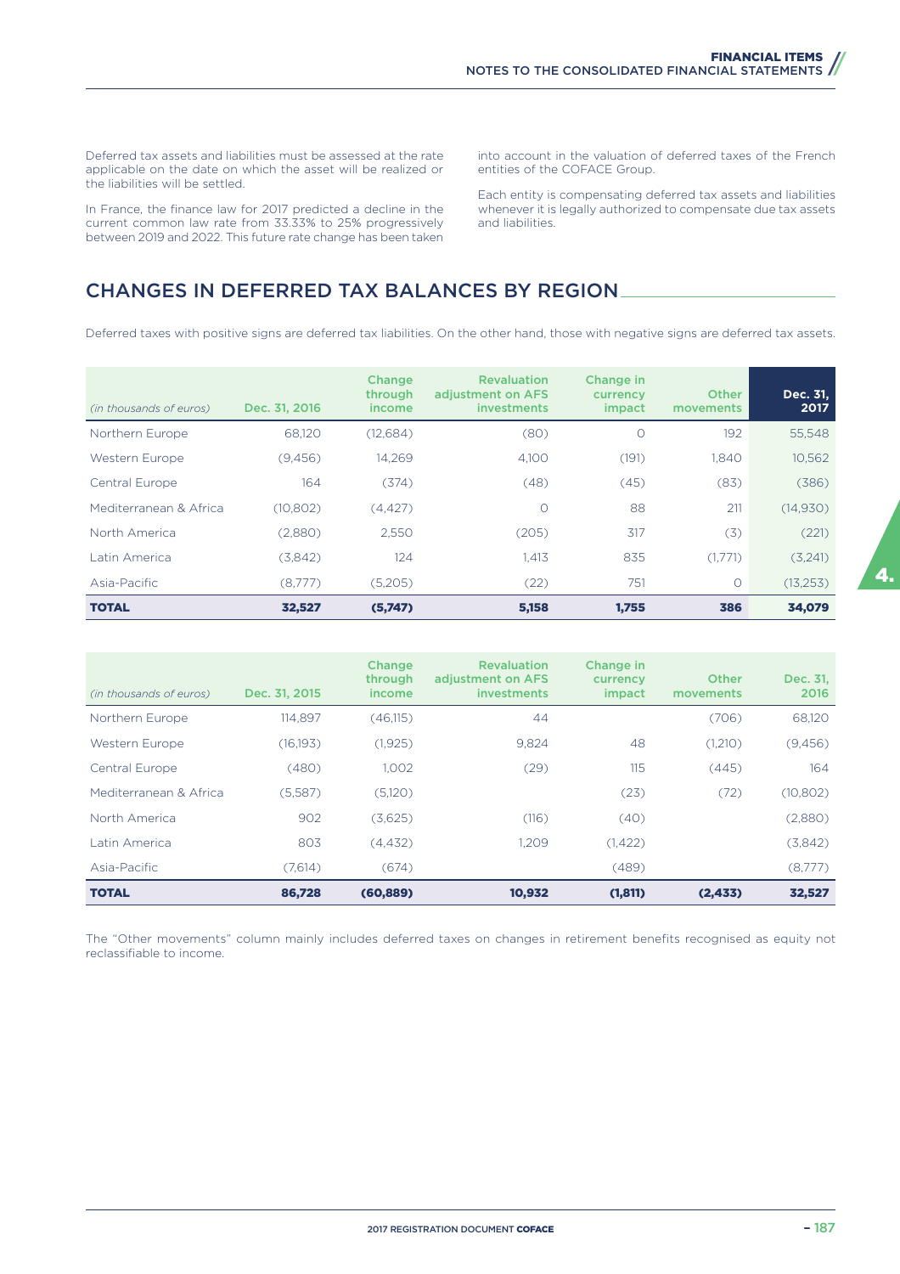Deferred tax assets and liabilities must be assessed at the rate applicable on the date on which the asset will be realized or the liabilities will be settled.

In France, the finance law for 2017 predicted a decline in the current common law rate from 33.33% to 25% progressively between 2019 and 2022. This future rate change has been taken

into account in the valuation of deferred taxes of the French entities of the COFACE Group.

Each entity is compensating deferred tax assets and liabilities whenever it is legally authorized to compensate due tax assets and liabilities.

#### CHANGES IN DEFERRED TAX BALANCES BY REGION

Deferred taxes with positive signs are deferred tax liabilities. On the other hand, those with negative signs are deferred tax assets.

| (in thousands of euros) | Dec. 31, 2016 | Change<br>through<br>income | <b>Revaluation</b><br>adjustment on AFS<br>investments | Change in<br>currency<br>impact | <b>Other</b><br>movements | Dec. 31,<br>2017 |
|-------------------------|---------------|-----------------------------|--------------------------------------------------------|---------------------------------|---------------------------|------------------|
| Northern Europe         | 68,120        | (12,684)                    | (80)                                                   | 0                               | 192                       | 55,548           |
| Western Europe          | (9,456)       | 14.269                      | 4,100                                                  | (191)                           | 1.840                     | 10,562           |
| <b>Central Europe</b>   | 164           | (374)                       | (48)                                                   | (45)                            | (83)                      | (386)            |
| Mediterranean & Africa  | (10, 802)     | (4, 427)                    | 0                                                      | 88                              | 211                       | (14,930)         |
| North America           | (2,880)       | 2.550                       | (205)                                                  | 317                             | (3)                       | (221)            |
| Latin America           | (3,842)       | 124                         | 1.413                                                  | 835                             | (1,771)                   | (3,241)          |
| Asia-Pacific            | (8,777)       | (5,205)                     | (22)                                                   | 751                             | $\circ$                   | (13, 253)        |
| <b>TOTAL</b>            | 32,527        | (5,747)                     | 5,158                                                  | 1,755                           | 386                       | 34,079           |

| (in thousands of euros) | Dec. 31, 2015 | Change<br>through<br>income | <b>Revaluation</b><br>adjustment on AFS<br>investments | Change in<br>currency<br>impact | Other<br>movements | Dec. 31,<br>2016 |
|-------------------------|---------------|-----------------------------|--------------------------------------------------------|---------------------------------|--------------------|------------------|
| Northern Europe         | 114.897       | (46,115)                    | 44                                                     |                                 | (706)              | 68,120           |
|                         |               |                             |                                                        |                                 |                    |                  |
| Western Europe          | (16, 193)     | (1, 925)                    | 9,824                                                  | 48                              | (1,210)            | (9,456)          |
| Central Europe          | (480)         | 1.002                       | (29)                                                   | 115                             | (445)              | 164              |
| Mediterranean & Africa  | (5,587)       | (5,120)                     |                                                        | (23)                            | (72)               | (10, 802)        |
| North America           | 902           | (3,625)                     | (116)                                                  | (40)                            |                    | (2,880)          |
| Latin America           | 803           | (4,432)                     | 1.209                                                  | (1, 422)                        |                    | (3,842)          |
| Asia-Pacific            | (7,614)       | (674)                       |                                                        | (489)                           |                    | (8,777)          |
| <b>TOTAL</b>            | 86,728        | (60, 889)                   | 10,932                                                 | (1, 811)                        | (2, 433)           | 32,527           |

The "Other movements" column mainly includes deferred taxes on changes in retirement benefits recognised as equity not reclassifiable to income.

4.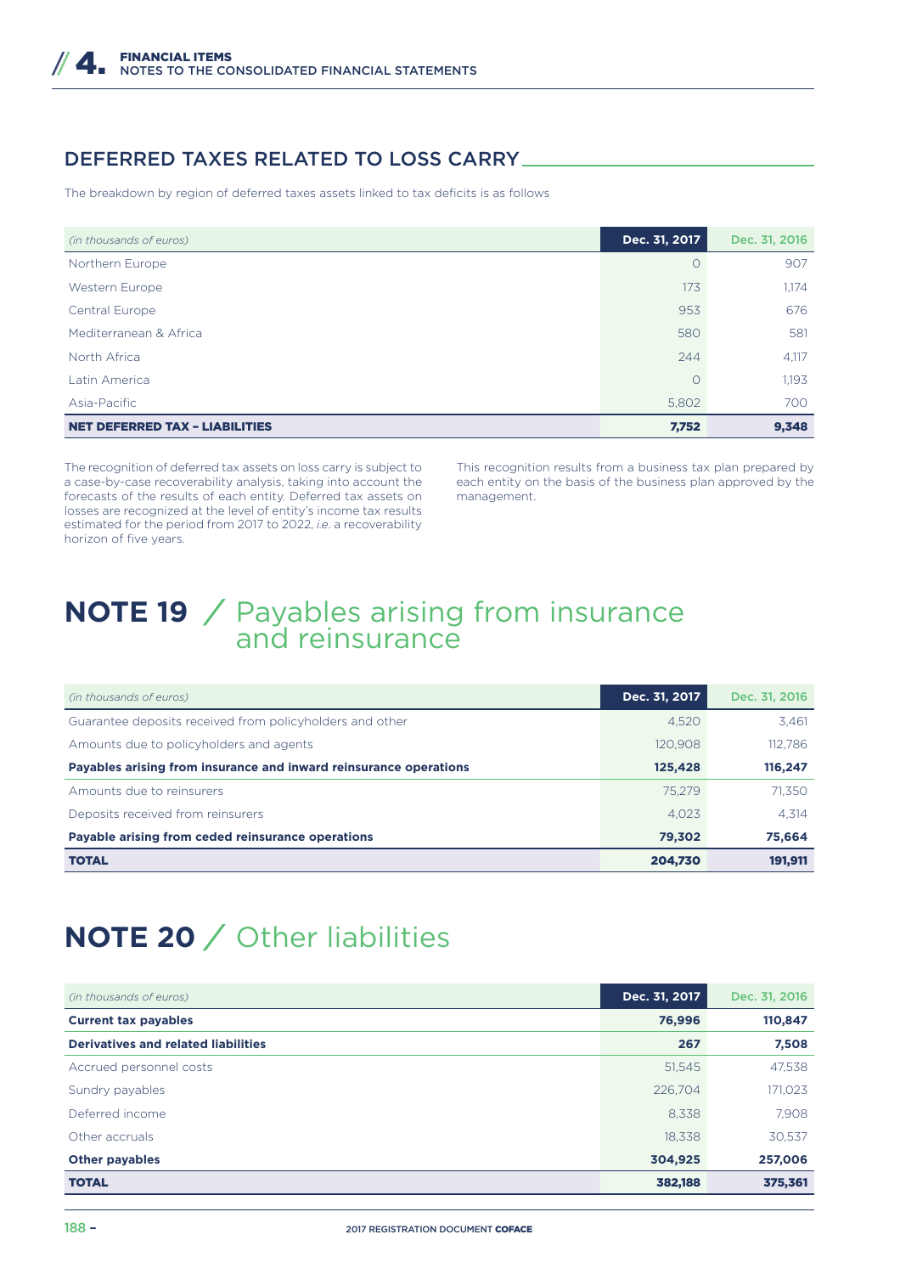#### DEFERRED TAXES RELATED TO LOSS CARRY

The breakdown by region of deferred taxes assets linked to tax deficits is as follows

| (in thousands of euros)               | Dec. 31, 2017 | Dec. 31, 2016 |
|---------------------------------------|---------------|---------------|
| Northern Europe                       | 0             | 907           |
| Western Europe                        | 173           | 1,174         |
| Central Europe                        | 953           | 676           |
| Mediterranean & Africa                | 580           | 581           |
| North Africa                          | 244           | 4,117         |
| Latin America                         | $\circ$       | 1,193         |
| Asia-Pacific                          | 5,802         | 700           |
| <b>NET DEFERRED TAX - LIABILITIES</b> | 7,752         | 9,348         |

The recognition of deferred tax assets on loss carry is subject to a case-by-case recoverability analysis, taking into account the forecasts of the results of each entity. Deferred tax assets on losses are recognized at the level of entity's income tax results estimated for the period from 2017 to 2022, *i.e*. a recoverability horizon of five years.

This recognition results from a business tax plan prepared by each entity on the basis of the business plan approved by the management.

### **NOTE 19** */* Payables arising from insurance and reinsurance

| (in thousands of euros)                                           | Dec. 31, 2017 | Dec. 31, 2016 |
|-------------------------------------------------------------------|---------------|---------------|
| Guarantee deposits received from policyholders and other          | 4,520         | 3.461         |
| Amounts due to policyholders and agents                           | 120,908       | 112,786       |
| Payables arising from insurance and inward reinsurance operations | 125,428       | 116,247       |
| Amounts due to reinsurers                                         | 75.279        | 71.350        |
| Deposits received from reinsurers                                 | 4.023         | 4.314         |
| Payable arising from ceded reinsurance operations                 | 79,302        | 75,664        |
| <b>TOTAL</b>                                                      | 204,730       | 191,911       |

## **NOTE 20** */* Other liabilities

| (in thousands of euros)                    | Dec. 31, 2017 | Dec. 31, 2016 |
|--------------------------------------------|---------------|---------------|
| <b>Current tax payables</b>                | 76,996        | 110,847       |
| <b>Derivatives and related liabilities</b> | 267           | 7,508         |
| Accrued personnel costs                    | 51,545        | 47,538        |
| Sundry payables                            | 226.704       | 171,023       |
| Deferred income                            | 8,338         | 7.908         |
| Other accruals                             | 18,338        | 30,537        |
| <b>Other payables</b>                      | 304,925       | 257,006       |
| <b>TOTAL</b>                               | 382,188       | 375,361       |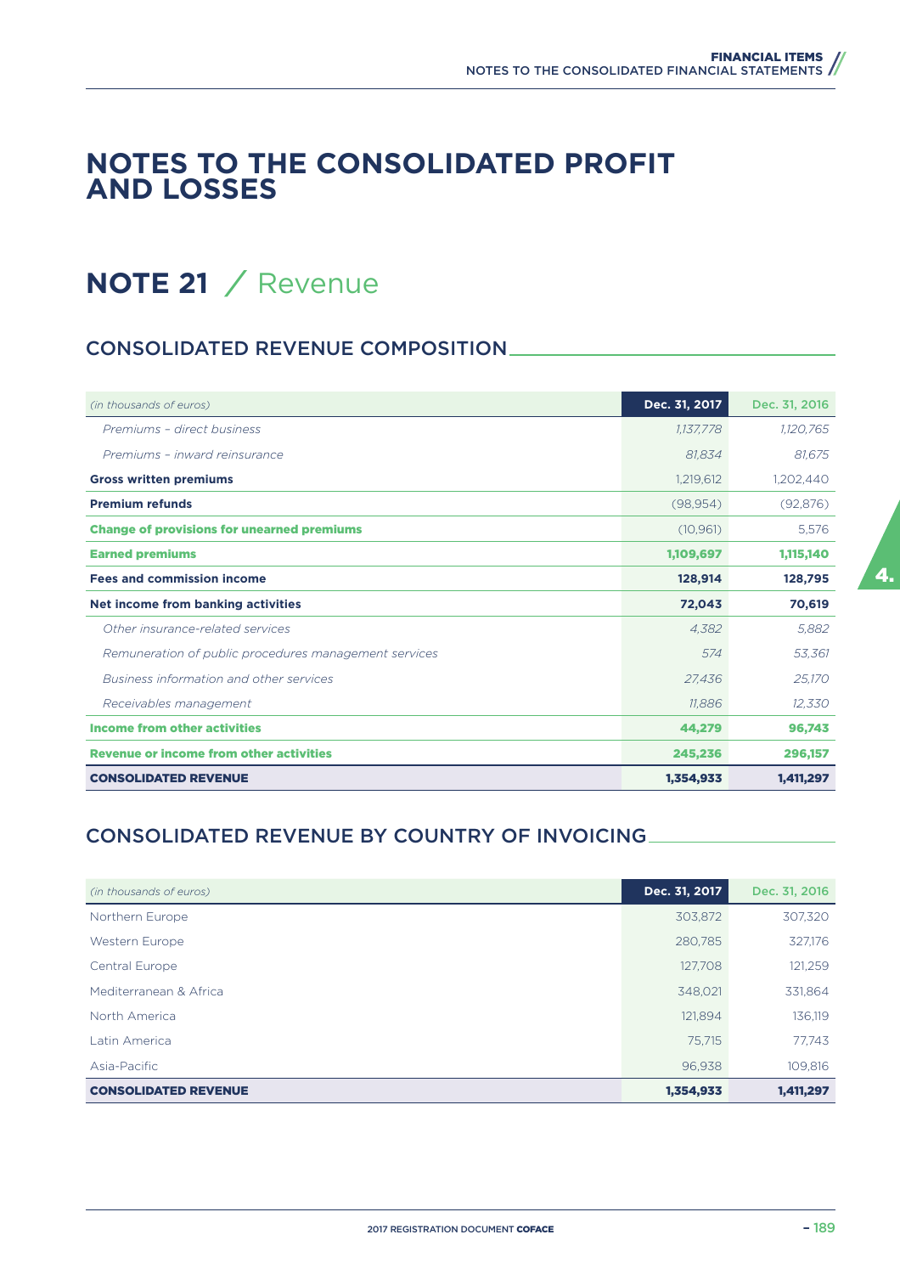### **NOTES TO THE CONSOLIDATED PROFIT AND LOSSES**

## **NOTE 21** */* Revenue

#### CONSOLIDATED REVENUE COMPOSITION

| (in thousands of euros)                               | Dec. 31, 2017 | Dec. 31, 2016 |
|-------------------------------------------------------|---------------|---------------|
| Premiums - direct business                            | 1,137,778     | 1,120,765     |
| Premiums - inward reinsurance                         | 81.834        | 81,675        |
| <b>Gross written premiums</b>                         | 1.219.612     | 1.202.440     |
| <b>Premium refunds</b>                                | (98, 954)     | (92, 876)     |
| <b>Change of provisions for unearned premiums</b>     | (10, 961)     | 5,576         |
| <b>Earned premiums</b>                                | 1,109,697     | 1,115,140     |
| <b>Fees and commission income</b>                     | 128,914       | 128,795       |
| Net income from banking activities                    | 72,043        | 70,619        |
| Other insurance-related services                      | 4,382         | 5,882         |
| Remuneration of public procedures management services | 574           | 53.361        |
| <b>Business information and other services</b>        | 27.436        | 25,170        |
| Receivables management                                | 11,886        | 12,330        |
| <b>Income from other activities</b>                   | 44,279        | 96,743        |
| <b>Revenue or income from other activities</b>        | 245,236       | 296,157       |
| <b>CONSOLIDATED REVENUE</b>                           | 1,354,933     | 1,411,297     |

#### CONSOLIDATED REVENUE BY COUNTRY OF INVOICING

| (in thousands of euros)     | Dec. 31, 2017 | Dec. 31, 2016 |
|-----------------------------|---------------|---------------|
| Northern Europe             | 303,872       | 307,320       |
| Western Europe              | 280.785       | 327,176       |
| Central Europe              | 127,708       | 121,259       |
| Mediterranean & Africa      | 348,021       | 331,864       |
| North America               | 121,894       | 136,119       |
| Latin America               | 75,715        | 77,743        |
| Asia-Pacific                | 96,938        | 109,816       |
| <b>CONSOLIDATED REVENUE</b> | 1,354,933     | 1,411,297     |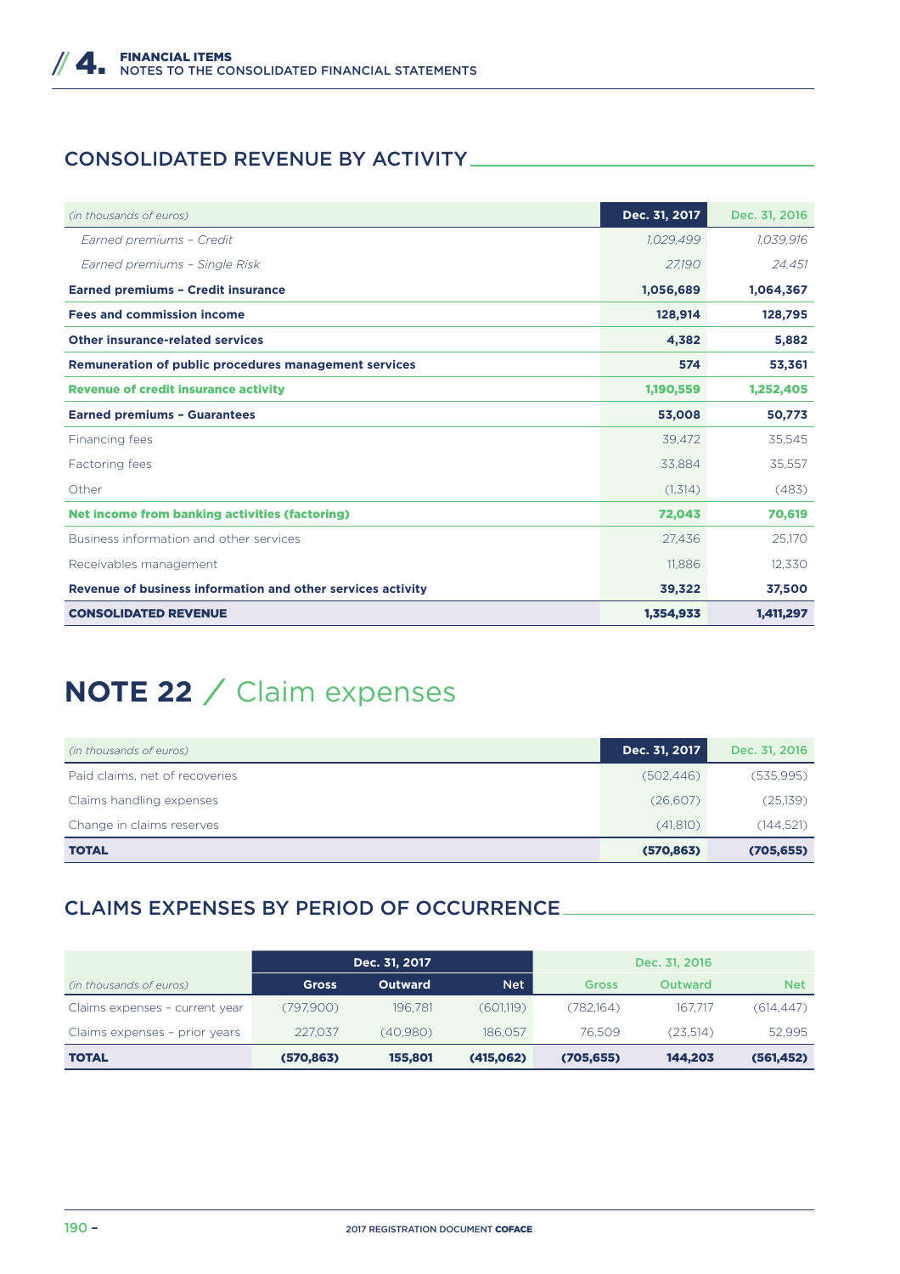#### CONSOLIDATED REVENUE BY ACTIVITY

| (in thousands of euros)                                     | Dec. 31, 2017 | Dec. 31, 2016 |
|-------------------------------------------------------------|---------------|---------------|
| Earned premiums - Credit                                    | 1,029,499     | 1,039,916     |
| Earned premiums - Single Risk                               | 27,190        | 24,451        |
| <b>Earned premiums - Credit insurance</b>                   | 1,056,689     | 1,064,367     |
| <b>Fees and commission income</b>                           | 128,914       | 128,795       |
| <b>Other insurance-related services</b>                     | 4,382         | 5,882         |
| Remuneration of public procedures management services       | 574           | 53,361        |
| <b>Revenue of credit insurance activity</b>                 | 1,190,559     | 1,252,405     |
| <b>Earned premiums - Guarantees</b>                         | 53,008        | 50,773        |
| Financing fees                                              | 39,472        | 35,545        |
| Factoring fees                                              | 33.884        | 35.557        |
| Other                                                       | (1,314)       | (483)         |
| <b>Net income from banking activities (factoring)</b>       | 72,043        | 70,619        |
| Business information and other services                     | 27,436        | 25,170        |
| Receivables management                                      | 11.886        | 12.330        |
| Revenue of business information and other services activity | 39,322        | 37,500        |
| <b>CONSOLIDATED REVENUE</b>                                 | 1,354,933     | 1,411,297     |

### **NOTE 22** */* Claim expenses

| (in thousands of euros)        | Dec. 31, 2017 | Dec. 31, 2016 |
|--------------------------------|---------------|---------------|
| Paid claims, net of recoveries | (502, 446)    | (535, 995)    |
| Claims handling expenses       | (26,607)      | (25, 139)     |
| Change in claims reserves      | (41.810)      | (144, 521)    |
| <b>TOTAL</b>                   | (570, 863)    | (705, 655)    |

#### CLAIMS EXPENSES BY PERIOD OF OCCURRENCE

|                                | Dec. 31, 2017 |                |            |              |          | Dec. 31, 2016 |  |
|--------------------------------|---------------|----------------|------------|--------------|----------|---------------|--|
| (in thousands of euros)        | <b>Gross</b>  | <b>Outward</b> | <b>Net</b> | <b>Gross</b> | Outward  | <b>Net</b>    |  |
| Claims expenses - current year | (797,900)     | 196.781        | (601,119)  | (782,164)    | 167.717  | (614,447)     |  |
| Claims expenses - prior years  | 227.037       | (40,980)       | 186.057    | 76.509       | (23.514) | 52,995        |  |
| <b>TOTAL</b>                   | (570, 863)    | 155,801        | (415,062)  | (705, 655)   | 144,203  | (561, 452)    |  |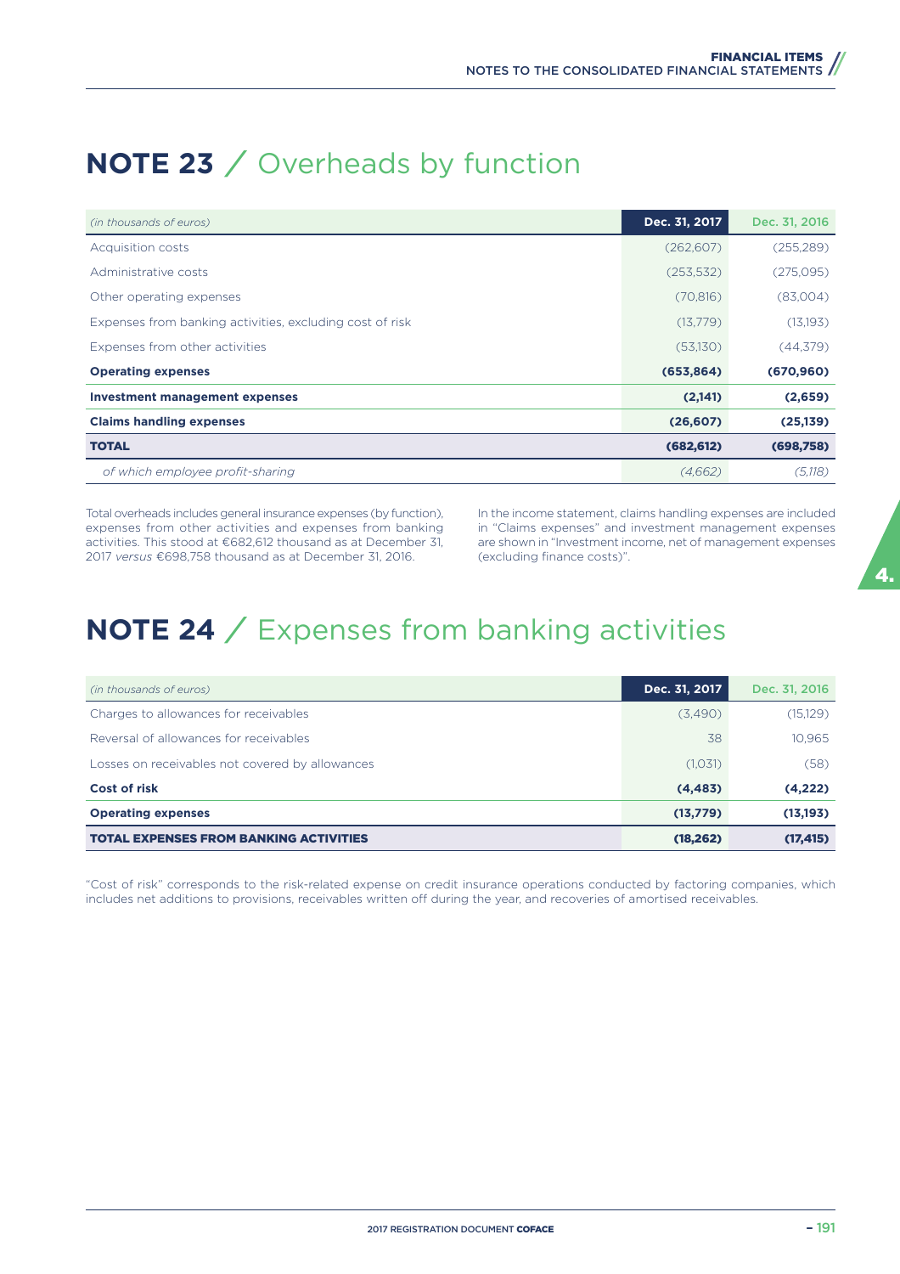### **NOTE 23** */* Overheads by function

| (in thousands of euros)                                  | Dec. 31, 2017 | Dec. 31, 2016 |
|----------------------------------------------------------|---------------|---------------|
| Acquisition costs                                        | (262, 607)    | (255, 289)    |
| Administrative costs                                     | (253, 532)    | (275,095)     |
| Other operating expenses                                 | (70, 816)     | (83,004)      |
| Expenses from banking activities, excluding cost of risk | (13,779)      | (13,193)      |
| Expenses from other activities                           | (53,130)      | (44,379)      |
| <b>Operating expenses</b>                                | (653, 864)    | (670, 960)    |
| <b>Investment management expenses</b>                    | (2,141)       | (2,659)       |
| <b>Claims handling expenses</b>                          | (26,607)      | (25, 139)     |
| <b>TOTAL</b>                                             | (682, 612)    | (698,758)     |
| of which employee profit-sharing                         | (4,662)       | (5,118)       |

Total overheads includes general insurance expenses (by function), expenses from other activities and expenses from banking activities. This stood at €682,612 thousand as at December 31, 2017 *versus* €698,758 thousand as at December 31, 2016.

In the income statement, claims handling expenses are included in "Claims expenses" and investment management expenses are shown in "Investment income, net of management expenses (excluding finance costs)".

### **NOTE 24** */* Expenses from banking activities

| (in thousands of euros)                         | Dec. 31, 2017 | Dec. 31, 2016 |
|-------------------------------------------------|---------------|---------------|
| Charges to allowances for receivables           | (3,490)       | (15, 129)     |
| Reversal of allowances for receivables          | 38            | 10,965        |
| Losses on receivables not covered by allowances | (1,031)       | (58)          |
| Cost of risk                                    | (4, 483)      | (4,222)       |
| <b>Operating expenses</b>                       | (13,779)      | (13, 193)     |
| <b>TOTAL EXPENSES FROM BANKING ACTIVITIES</b>   | (18, 262)     | (17, 415)     |

"Cost of risk" corresponds to the risk-related expense on credit insurance operations conducted by factoring companies, which includes net additions to provisions, receivables written off during the year, and recoveries of amortised receivables.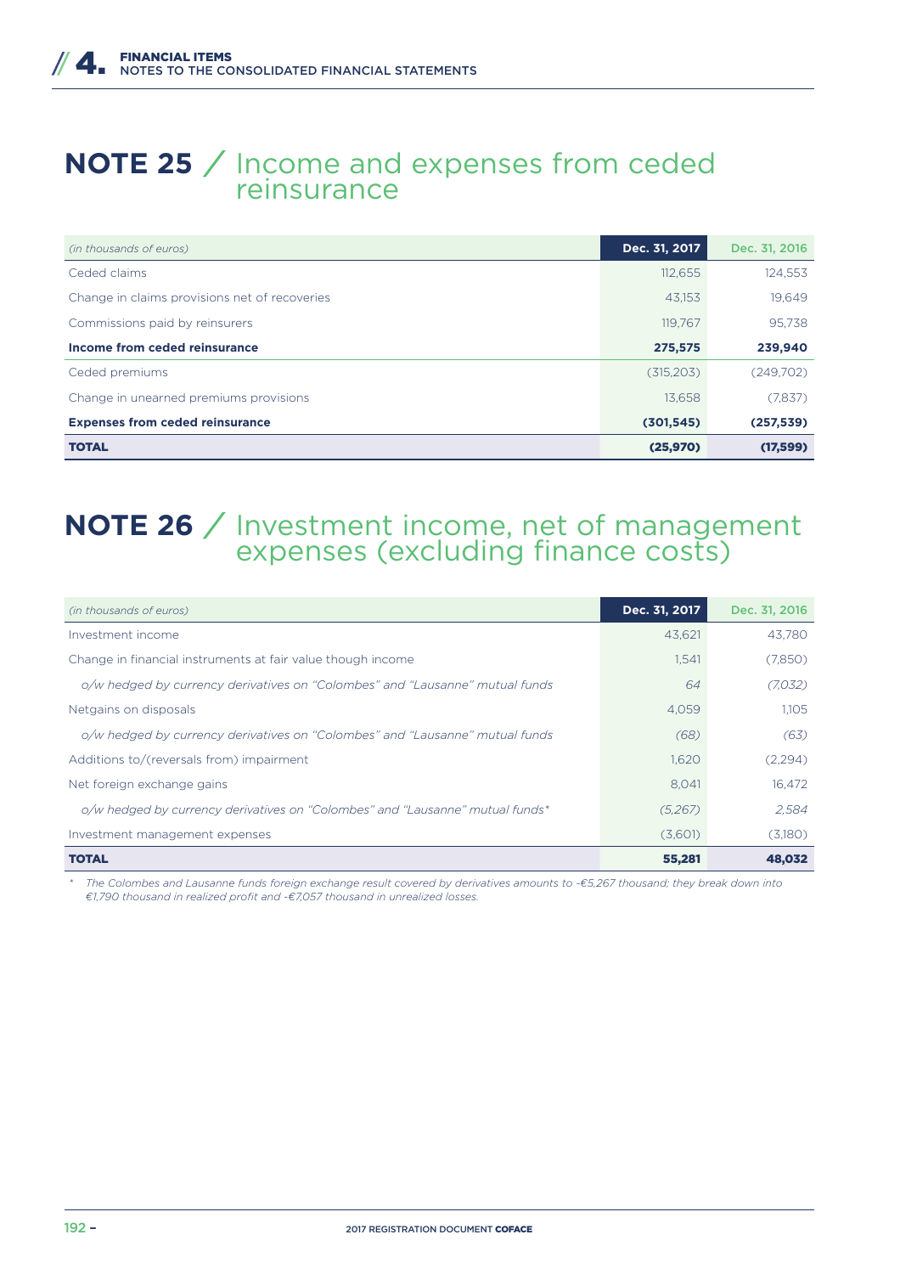### **NOTE 25** */* Income and expenses from ceded reinsurance

| (in thousands of euros)                       | Dec. 31, 2017 | Dec. 31, 2016 |
|-----------------------------------------------|---------------|---------------|
| Ceded claims                                  | 112.655       | 124,553       |
| Change in claims provisions net of recoveries | 43,153        | 19,649        |
| Commissions paid by reinsurers                | 119.767       | 95.738        |
| Income from ceded reinsurance                 | 275,575       | 239,940       |
| Ceded premiums                                | (315, 203)    | (249,702)     |
| Change in unearned premiums provisions        | 13.658        | (7,837)       |
| <b>Expenses from ceded reinsurance</b>        | (301, 545)    | (257, 539)    |
| <b>TOTAL</b>                                  | (25, 970)     | (17,599)      |

### **NOTE 26** */* Investment income, net of management expenses (excluding finance costs)

| (in thousands of euros)                                                       | Dec. 31, 2017 | Dec. 31, 2016 |
|-------------------------------------------------------------------------------|---------------|---------------|
| Investment income                                                             | 43.621        | 43.780        |
| Change in financial instruments at fair value though income                   | 1,541         | (7,850)       |
| o/w hedged by currency derivatives on "Colombes" and "Lausanne" mutual funds  | 64            | (7.032)       |
| Netgains on disposals                                                         | 4.059         | 1.105         |
| o/w hedged by currency derivatives on "Colombes" and "Lausanne" mutual funds  | (68)          | (63)          |
| Additions to/(reversals from) impairment                                      | 1,620         | (2,294)       |
| Net foreign exchange gains                                                    | 8,041         | 16.472        |
| o/w hedged by currency derivatives on "Colombes" and "Lausanne" mutual funds* | (5,267)       | 2,584         |
| Investment management expenses                                                | (3,601)       | (3,180)       |
| <b>TOTAL</b>                                                                  | 55,281        | 48.032        |

*\* The Colombes and Lausanne funds foreign exchange result covered by derivatives amounts to -€5,267 thousand; they break down into €1,790 thousand in realized profit and -€7,057 thousand in unrealized losses.*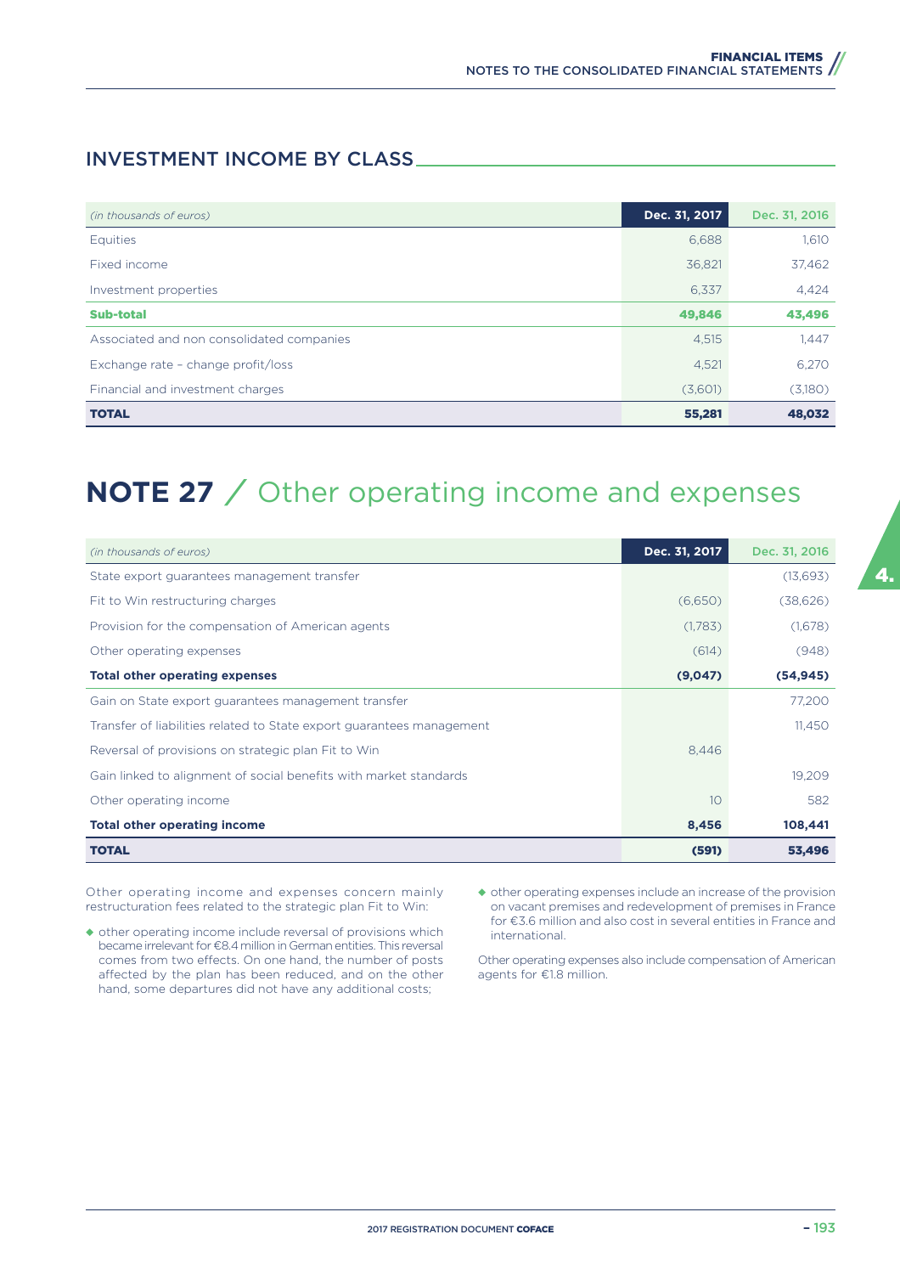#### INVESTMENT INCOME BY CLASS

| (in thousands of euros)                   | Dec. 31, 2017 | Dec. 31, 2016 |
|-------------------------------------------|---------------|---------------|
| Equities                                  | 6,688         | 1,610         |
| Fixed income                              | 36.821        | 37,462        |
| Investment properties                     | 6,337         | 4.424         |
| Sub-total                                 | 49,846        | 43,496        |
| Associated and non consolidated companies | 4,515         | 1.447         |
| Exchange rate - change profit/loss        | 4,521         | 6.270         |
| Financial and investment charges          | (3,601)       | (3,180)       |
| <b>TOTAL</b>                              | 55,281        | 48.032        |

### **NOTE 27** */* Other operating income and expenses

| (in thousands of euros)                                               | Dec. 31, 2017 | Dec. 31, 2016 |
|-----------------------------------------------------------------------|---------------|---------------|
| State export guarantees management transfer                           |               | (13,693)      |
| Fit to Win restructuring charges                                      | (6,650)       | (38,626)      |
| Provision for the compensation of American agents                     | (1,783)       | (1,678)       |
| Other operating expenses                                              | (614)         | (948)         |
| <b>Total other operating expenses</b>                                 | (9,047)       | (54, 945)     |
| Gain on State export quarantees management transfer                   |               | 77.200        |
| Transfer of liabilities related to State export guarantees management |               | 11,450        |
| Reversal of provisions on strategic plan Fit to Win                   | 8,446         |               |
| Gain linked to alignment of social benefits with market standards     |               | 19,209        |
| Other operating income                                                | 10            | 582           |
| <b>Total other operating income</b>                                   | 8,456         | 108,441       |
| <b>TOTAL</b>                                                          | (591)         | 53,496        |

Other operating income and expenses concern mainly restructuration fees related to the strategic plan Fit to Win:

- ◆ other operating income include reversal of provisions which became irrelevant for €8.4 million in German entities. This reversal comes from two effects. On one hand, the number of posts affected by the plan has been reduced, and on the other hand, some departures did not have any additional costs;
- ◆ other operating expenses include an increase of the provision on vacant premises and redevelopment of premises in France for €3.6 million and also cost in several entities in France and international.

Other operating expenses also include compensation of American agents for €1.8 million.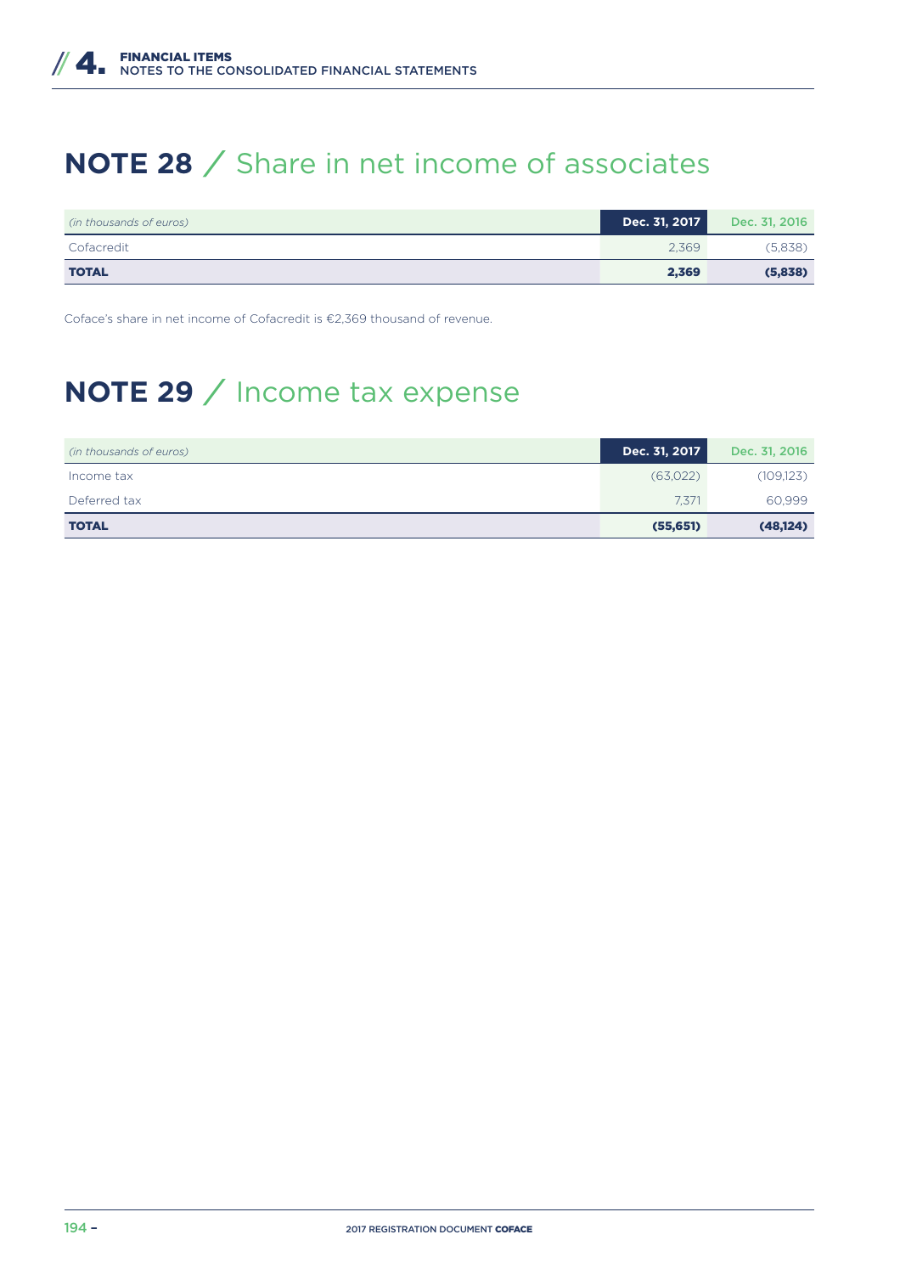### **NOTE 28** */* Share in net income of associates

| (in thousands of euros) | Dec. 31, 2017 | Dec. 31, 2016 |
|-------------------------|---------------|---------------|
| Cofacredit              | 2.369         | (5,838)       |
| <b>TOTAL</b>            | 2,369         | (5,838)       |

Coface's share in net income of Cofacredit is €2,369 thousand of revenue.

## **NOTE 29** */* Income tax expense

| (in thousands of euros) | Dec. 31, 2017 | Dec. 31, 2016 |
|-------------------------|---------------|---------------|
| Income tax              | (63,022)      | (109, 123)    |
| Deferred tax            | 7.371         | 60.999        |
| <b>TOTAL</b>            | (55, 651)     | (48, 124)     |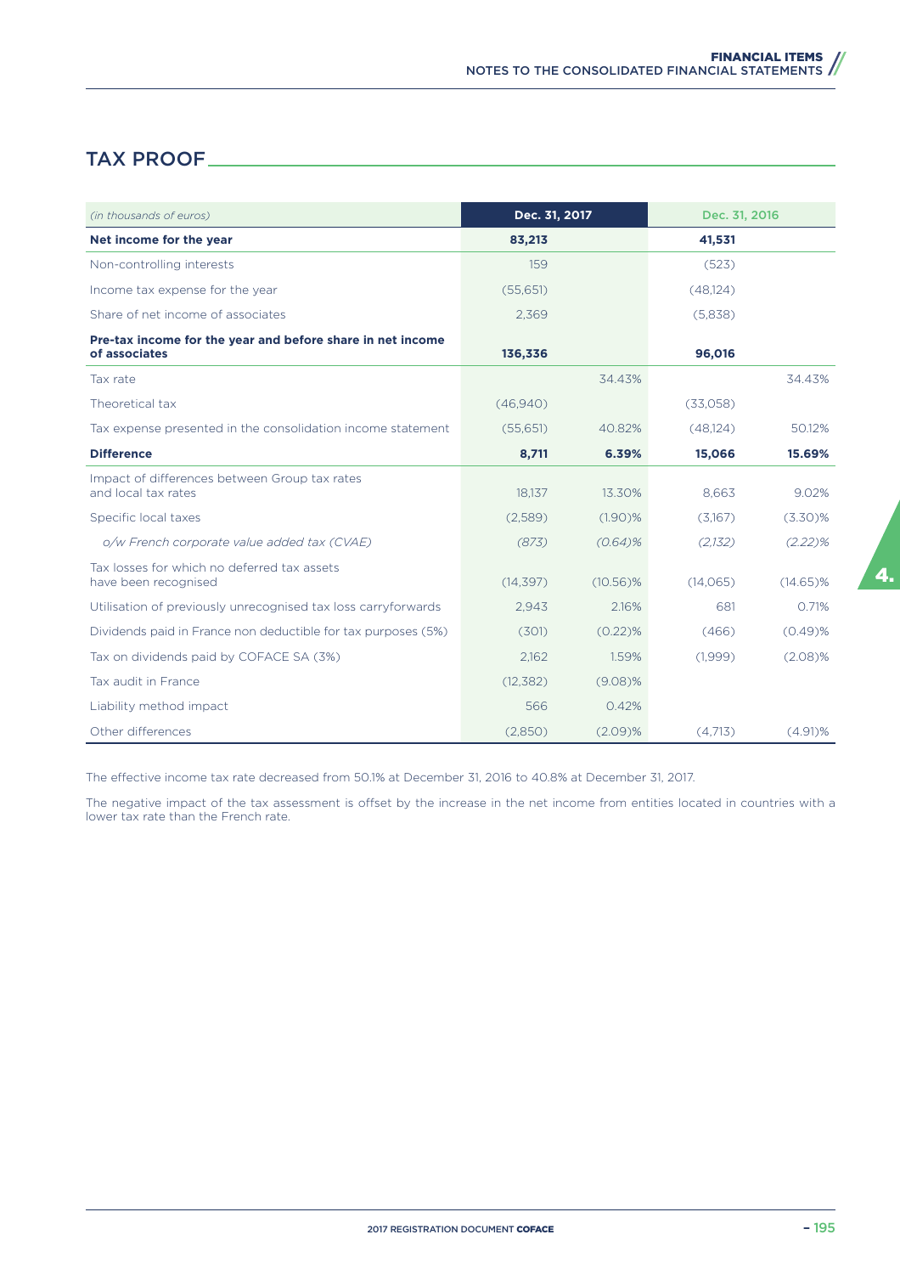### TAX PROOF

| (in thousands of euros)                                                     | Dec. 31, 2017 |            | Dec. 31, 2016 |             |
|-----------------------------------------------------------------------------|---------------|------------|---------------|-------------|
| Net income for the year                                                     | 83,213        |            | 41,531        |             |
| Non-controlling interests                                                   | 159           |            | (523)         |             |
| Income tax expense for the year                                             | (55,651)      |            | (48, 124)     |             |
| Share of net income of associates                                           | 2,369         |            | (5,838)       |             |
| Pre-tax income for the year and before share in net income<br>of associates | 136,336       |            | 96,016        |             |
| Tax rate                                                                    |               | 34.43%     |               | 34.43%      |
| Theoretical tax                                                             | (46.940)      |            | (33,058)      |             |
| Tax expense presented in the consolidation income statement                 | (55,651)      | 40.82%     | (48, 124)     | 50.12%      |
| <b>Difference</b>                                                           | 8,711         | 6.39%      | 15,066        | 15.69%      |
| Impact of differences between Group tax rates<br>and local tax rates        | 18,137        | 13.30%     | 8.663         | 9.02%       |
| Specific local taxes                                                        | (2,589)       | (1.90)%    | (3,167)       | (3.30)%     |
| o/w French corporate value added tax (CVAE)                                 | (873)         | $(0.64)$ % | (2.132)       | (2.22)%     |
| Tax losses for which no deferred tax assets<br>have been recognised         | (14, 397)     | (10.56)%   | (14,065)      | $(14.65)\%$ |
| Utilisation of previously unrecognised tax loss carryforwards               | 2.943         | 2.16%      | 681           | 0.71%       |
| Dividends paid in France non deductible for tax purposes (5%)               | (301)         | $(0.22)$ % | (466)         | $(0.49)$ %  |
| Tax on dividends paid by COFACE SA (3%)                                     | 2,162         | 1.59%      | (1,999)       | $(2.08)\%$  |
| Tax audit in France                                                         | (12, 382)     | $(9.08)\%$ |               |             |
| Liability method impact                                                     | 566           | 0.42%      |               |             |
| Other differences                                                           | (2,850)       | (2.09)%    | (4,713)       | $(4.91)$ %  |

The effective income tax rate decreased from 50.1% at December 31, 2016 to 40.8% at December 31, 2017.

The negative impact of the tax assessment is offset by the increase in the net income from entities located in countries with a lower tax rate than the French rate.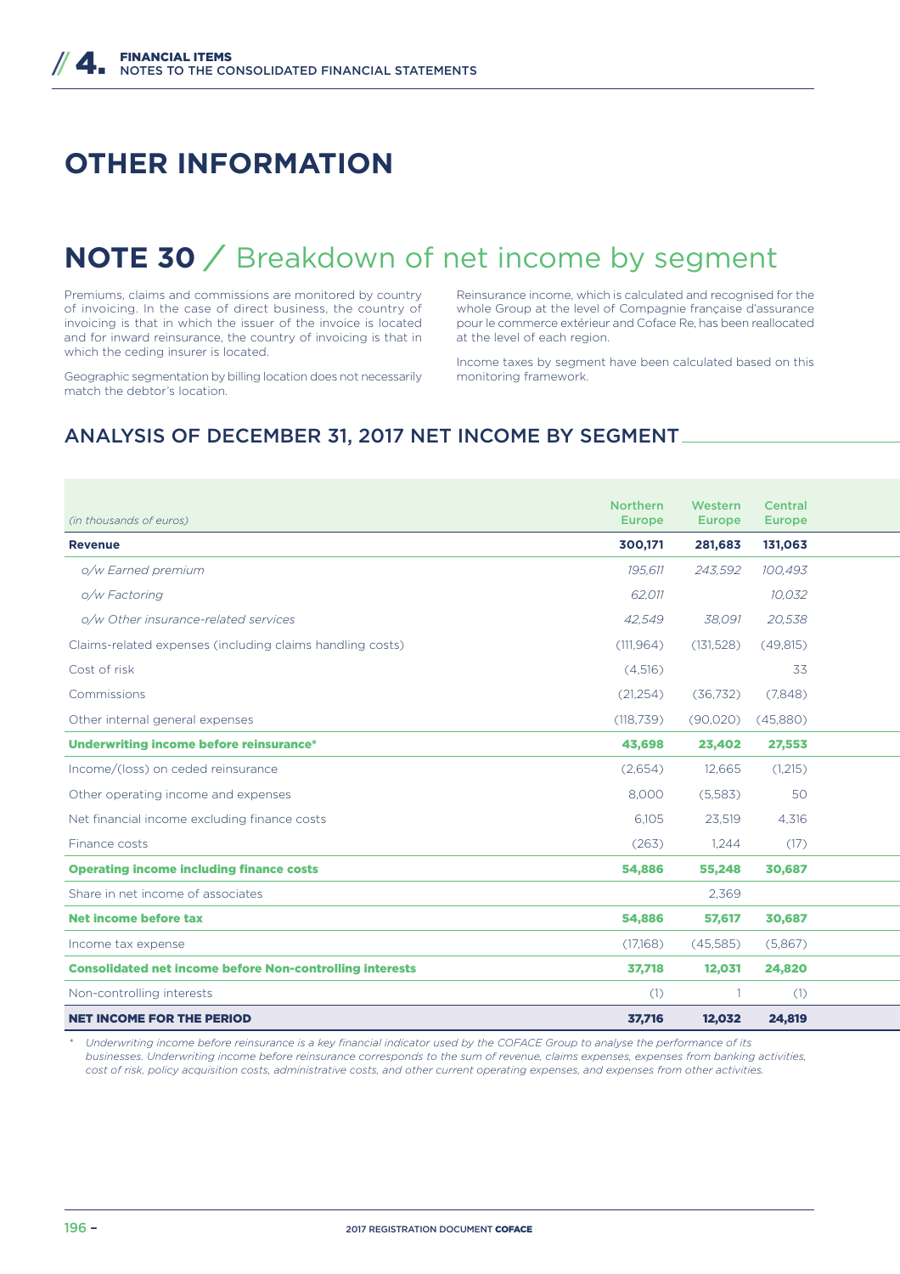### **OTHER INFORMATION**

### **NOTE 30** */* Breakdown of net income by segment

Premiums, claims and commissions are monitored by country of invoicing. In the case of direct business, the country of invoicing is that in which the issuer of the invoice is located and for inward reinsurance, the country of invoicing is that in which the ceding insurer is located.

Geographic segmentation by billing location does not necessarily match the debtor's location.

Reinsurance income, which is calculated and recognised for the whole Group at the level of Compagnie française d'assurance pour le commerce extérieur and Coface Re, has been reallocated at the level of each region.

Income taxes by segment have been calculated based on this monitoring framework.

#### ANALYSIS OF DECEMBER 31, 2017 NET INCOME BY SEGMENT

| (in thousands of euros)                                         | <b>Northern</b><br><b>Europe</b> | Western<br><b>Europe</b> | <b>Central</b><br><b>Europe</b> |  |
|-----------------------------------------------------------------|----------------------------------|--------------------------|---------------------------------|--|
| <b>Revenue</b>                                                  | 300,171                          | 281,683                  | 131,063                         |  |
| o/w Earned premium                                              | 195.611                          | 243,592                  | 100,493                         |  |
| o/w Factoring                                                   | 62,011                           |                          | 10,032                          |  |
| o/w Other insurance-related services                            | 42,549                           | 38.091                   | 20,538                          |  |
| Claims-related expenses (including claims handling costs)       | (111, 964)                       | (131, 528)               | (49, 815)                       |  |
| Cost of risk                                                    | (4,516)                          |                          | 33                              |  |
| Commissions                                                     | (21, 254)                        | (36, 732)                | (7,848)                         |  |
| Other internal general expenses                                 | (118, 739)                       | (90,020)                 | (45,880)                        |  |
| Underwriting income before reinsurance*                         | 43,698                           | 23,402                   | 27,553                          |  |
| Income/(loss) on ceded reinsurance                              | (2,654)                          | 12.665                   | (1,215)                         |  |
| Other operating income and expenses                             | 8.000                            | (5,583)                  | 50                              |  |
| Net financial income excluding finance costs                    | 6,105                            | 23,519                   | 4,316                           |  |
| Finance costs                                                   | (263)                            | 1,244                    | (17)                            |  |
| <b>Operating income including finance costs</b>                 | 54,886                           | 55,248                   | 30,687                          |  |
| Share in net income of associates                               |                                  | 2,369                    |                                 |  |
| Net income before tax                                           | 54,886                           | 57,617                   | 30,687                          |  |
| Income tax expense                                              | (17,168)                         | (45,585)                 | (5,867)                         |  |
| <b>Consolidated net income before Non-controlling interests</b> | 37,718                           | 12,031                   | 24,820                          |  |
| Non-controlling interests                                       | (1)                              | $\mathbf{1}$             | (1)                             |  |
| <b>NET INCOME FOR THE PERIOD</b>                                | 37,716                           | 12,032                   | 24,819                          |  |

*\* Underwriting income before reinsurance is a key financial indicator used by the COFACE Group to analyse the performance of its businesses. Underwriting income before reinsurance corresponds to the sum of revenue, claims expenses, expenses from banking activities, cost of risk, policy acquisition costs, administrative costs, and other current operating expenses, and expenses from other activities.*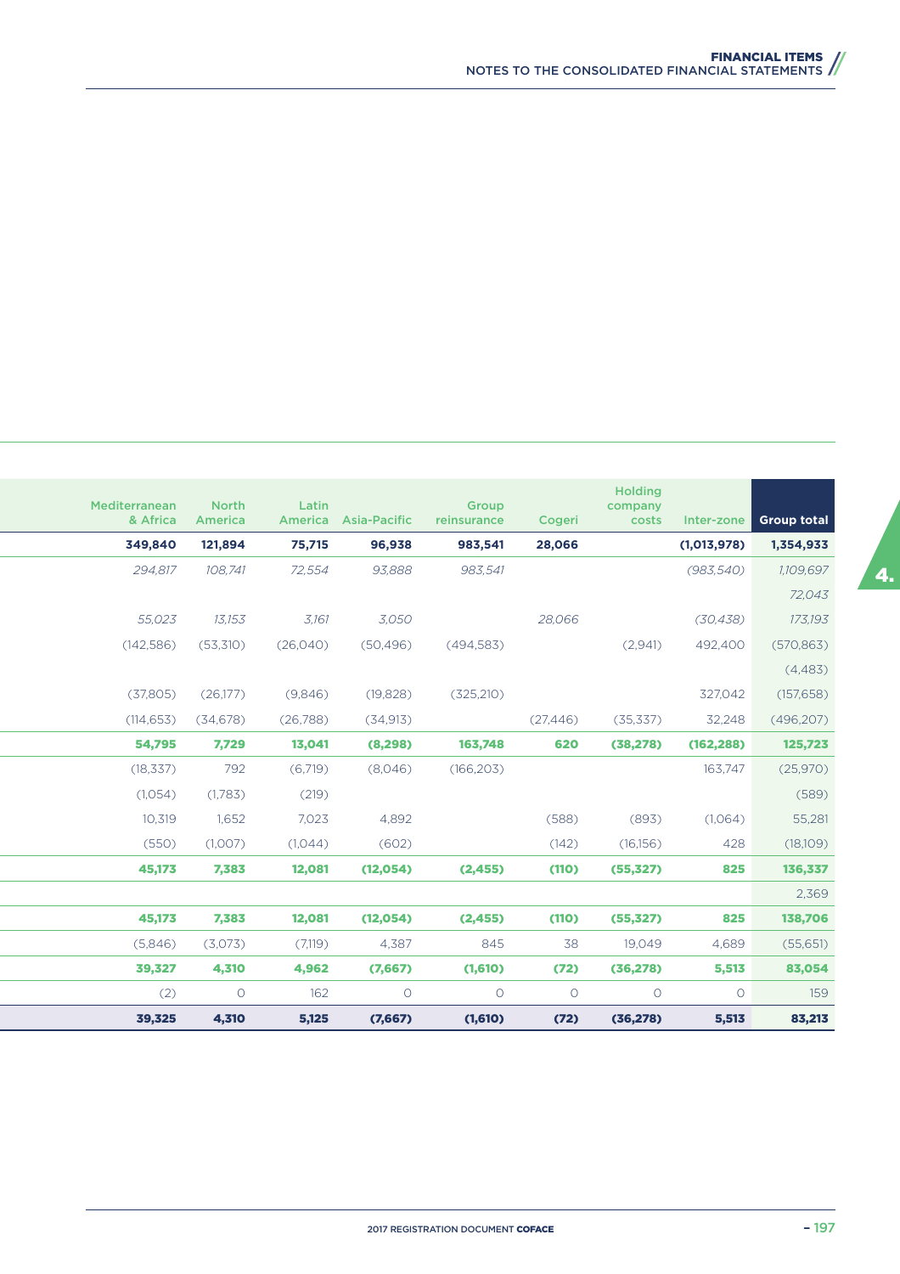| Mediterranean<br>& Africa | <b>North</b><br><b>America</b> | Latin<br><b>America</b> | <b>Asia-Pacific</b> | Group<br>reinsurance | Cogeri   | <b>Holding</b><br>company<br>costs | Inter-zone  | <b>Group total</b> |
|---------------------------|--------------------------------|-------------------------|---------------------|----------------------|----------|------------------------------------|-------------|--------------------|
| 349,840                   | 121,894                        | 75,715                  | 96,938              | 983,541              | 28,066   |                                    | (1,013,978) | 1,354,933          |
| 294,817                   | 108,741                        | 72,554                  | 93,888              | 983,541              |          |                                    | (983, 540)  | 1,109,697          |
|                           |                                |                         |                     |                      |          |                                    |             | 72,043             |
| 55,023                    | 13,153                         | 3.161                   | 3,050               |                      | 28,066   |                                    | (30, 438)   | 173,193            |
| (142, 586)                | (53,310)                       | (26,040)                | (50, 496)           | (494,583)            |          | (2,941)                            | 492,400     | (570, 863)         |
|                           |                                |                         |                     |                      |          |                                    |             | (4,483)            |
| (37,805)                  | (26,177)                       | (9,846)                 | (19, 828)           | (325, 210)           |          |                                    | 327.042     | (157, 658)         |
| (114, 653)                | (34, 678)                      | (26,788)                | (34, 913)           |                      | (27.446) | (35,337)                           | 32,248      | (496, 207)         |
| 54,795                    | 7,729                          | 13,041                  | (8, 298)            | 163,748              | 620      | (38, 278)                          | (162, 288)  | 125,723            |
| (18, 337)                 | 792                            | (6,719)                 | (8,046)             | (166, 203)           |          |                                    | 163,747     | (25,970)           |
| (1,054)                   | (1,783)                        | (219)                   |                     |                      |          |                                    |             | (589)              |
| 10,319                    | 1,652                          | 7,023                   | 4,892               |                      | (588)    | (893)                              | (1,064)     | 55,281             |
| (550)                     | (1,007)                        | (1,044)                 | (602)               |                      | (142)    | (16,156)                           | 428         | (18,109)           |
| 45,173                    | 7,383                          | 12,081                  | (12,054)            | (2, 455)             | (110)    | (55, 327)                          | 825         | 136,337            |
|                           |                                |                         |                     |                      |          |                                    |             | 2.369              |
| 45,173                    | 7,383                          | 12,081                  | (12, 054)           | (2, 455)             | (110)    | (55, 327)                          | 825         | 138,706            |
| (5,846)                   | (3,073)                        | (7,119)                 | 4,387               | 845                  | 38       | 19.049                             | 4,689       | (55,651)           |
| 39,327                    | 4,310                          | 4,962                   | (7,667)             | (1,610)              | (72)     | (36, 278)                          | 5,513       | 83,054             |
| (2)                       | $\circ$                        | 162                     | $\circ$             | $\circ$              | $\circ$  | $\circ$                            | $\circ$     | 159                |
| 39,325                    | 4,310                          | 5,125                   | (7,667)             | (1,610)              | (72)     | (36, 278)                          | 5,513       | 83,213             |

 $\overline{a}$ 

÷,

Ξ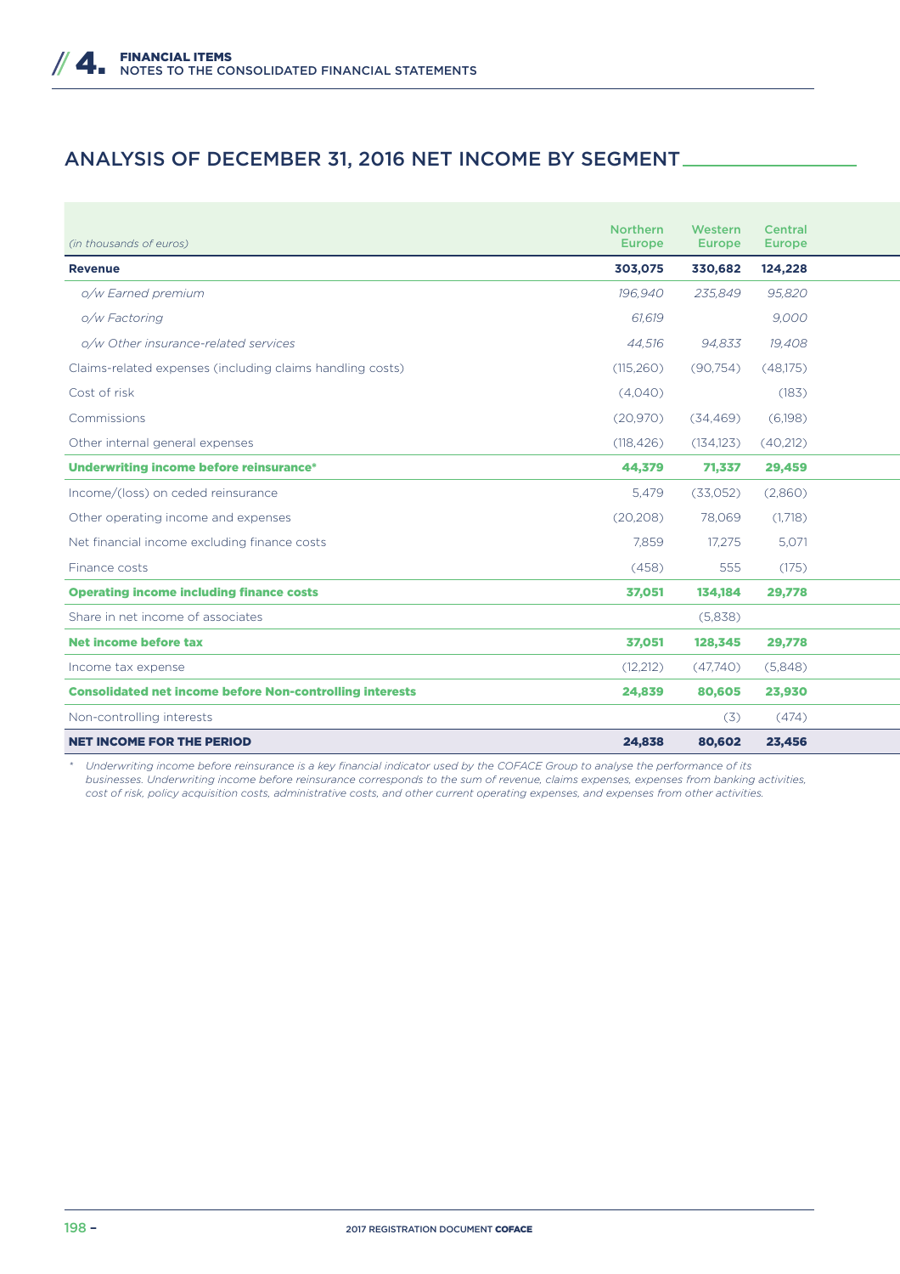#### ANALYSIS OF DECEMBER 31, 2016 NET INCOME BY SEGMENT

| (in thousands of euros)                                         | <b>Northern</b><br><b>Europe</b> | Western<br><b>Europe</b> | <b>Central</b><br><b>Europe</b> |  |
|-----------------------------------------------------------------|----------------------------------|--------------------------|---------------------------------|--|
| <b>Revenue</b>                                                  | 303,075                          | 330,682                  | 124,228                         |  |
| o/w Earned premium                                              | 196.940                          | 235.849                  | 95,820                          |  |
| o/w Factoring                                                   | 61.619                           |                          | 9,000                           |  |
| o/w Other insurance-related services                            | 44.516                           | 94.833                   | 19.408                          |  |
| Claims-related expenses (including claims handling costs)       | (115, 260)                       | (90, 754)                | (48,175)                        |  |
| Cost of risk                                                    | (4,040)                          |                          | (183)                           |  |
| Commissions                                                     | (20,970)                         | (34, 469)                | (6,198)                         |  |
| Other internal general expenses                                 | (118, 426)                       | (134, 123)               | (40,212)                        |  |
| Underwriting income before reinsurance*                         | 44,379                           | 71,337                   | 29,459                          |  |
| Income/(loss) on ceded reinsurance                              | 5.479                            | (33,052)                 | (2,860)                         |  |
| Other operating income and expenses                             | (20, 208)                        | 78,069                   | (1,718)                         |  |
| Net financial income excluding finance costs                    | 7,859                            | 17,275                   | 5,071                           |  |
| Finance costs                                                   | (458)                            | 555                      | (175)                           |  |
| <b>Operating income including finance costs</b>                 | 37,051                           | 134,184                  | 29,778                          |  |
| Share in net income of associates                               |                                  | (5,838)                  |                                 |  |
| <b>Net income before tax</b>                                    | 37,051                           | 128,345                  | 29,778                          |  |
| Income tax expense                                              | (12,212)                         | (47,740)                 | (5,848)                         |  |
| <b>Consolidated net income before Non-controlling interests</b> | 24,839                           | 80,605                   | 23,930                          |  |
| Non-controlling interests                                       |                                  | (3)                      | (474)                           |  |
| <b>NET INCOME FOR THE PERIOD</b>                                | 24.838                           | 80,602                   | 23,456                          |  |

*\* Underwriting income before reinsurance is a key financial indicator used by the COFACE Group to analyse the performance of its businesses. Underwriting income before reinsurance corresponds to the sum of revenue, claims expenses, expenses from banking activities, cost of risk, policy acquisition costs, administrative costs, and other current operating expenses, and expenses from other activities.*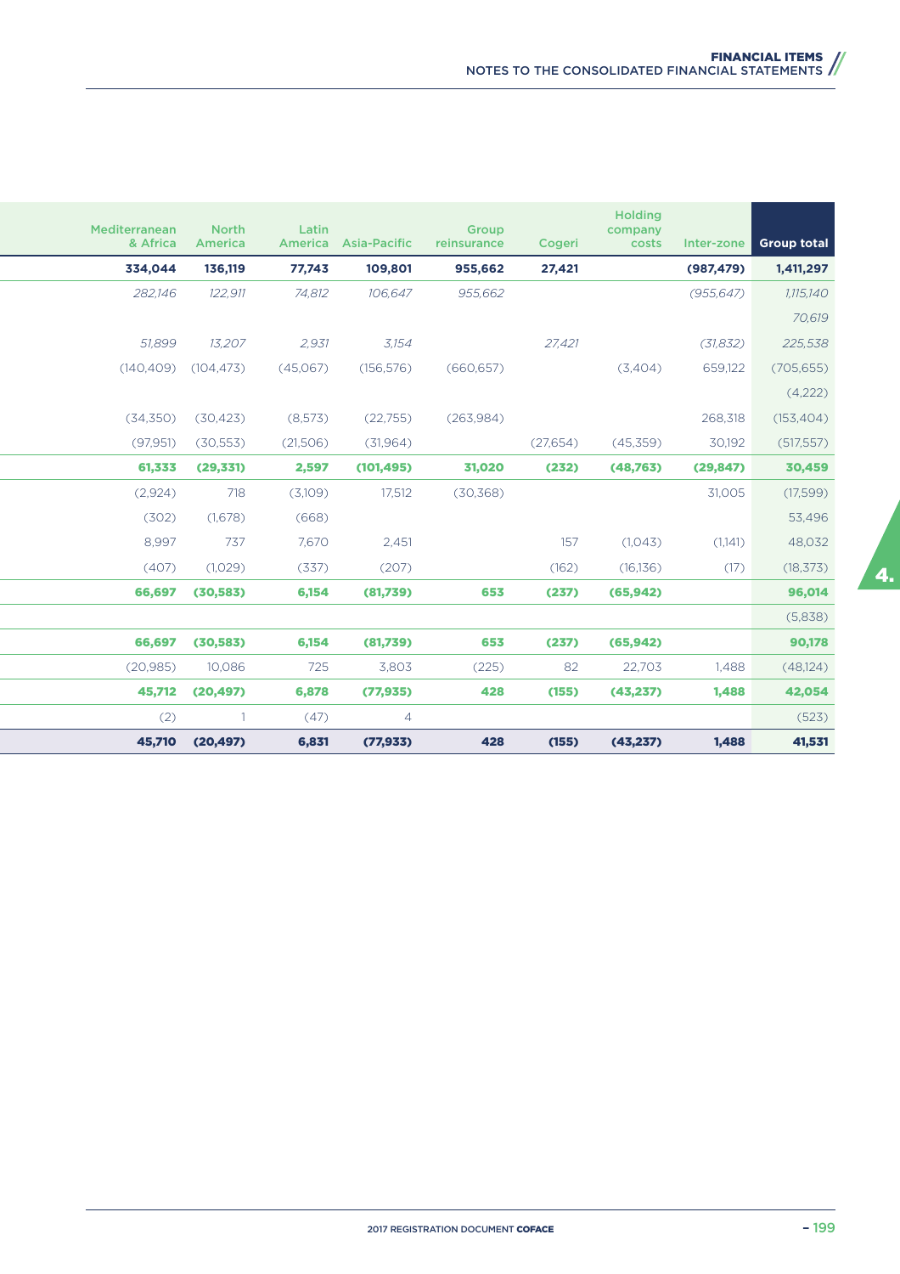| Mediterranean<br>& Africa | <b>North</b><br><b>America</b> | Latin<br><b>America</b> | <b>Asia-Pacific</b> | Group<br>reinsurance | Cogeri   | <b>Holding</b><br>company<br>costs | Inter-zone | <b>Group total</b> |
|---------------------------|--------------------------------|-------------------------|---------------------|----------------------|----------|------------------------------------|------------|--------------------|
| 334,044                   | 136,119                        | 77,743                  | 109,801             | 955,662              | 27,421   |                                    | (987, 479) | 1,411,297          |
| 282,146                   | 122,911                        | 74,812                  | 106,647             | 955,662              |          |                                    | (955, 647) | 1,115,140          |
|                           |                                |                         |                     |                      |          |                                    |            | 70,619             |
| 51,899                    | 13,207                         | 2,931                   | 3,154               |                      | 27,421   |                                    | (31, 832)  | 225,538            |
| (140, 409)                | (104, 473)                     | (45,067)                | (156, 576)          | (660, 657)           |          | (3,404)                            | 659,122    | (705, 655)         |
|                           |                                |                         |                     |                      |          |                                    |            | (4,222)            |
| (34, 350)                 | (30, 423)                      | (8,573)                 | (22,755)            | (263,984)            |          |                                    | 268,318    | (153, 404)         |
| (97, 951)                 | (30, 553)                      | (21,506)                | (31,964)            |                      | (27,654) | (45,359)                           | 30,192     | (517, 557)         |
| 61,333                    | (29, 331)                      | 2,597                   | (101, 495)          | 31,020               | (232)    | (48,763)                           | (29, 847)  | 30,459             |
| (2,924)                   | 718                            | (3,109)                 | 17,512              | (30, 368)            |          |                                    | 31,005     | (17,599)           |
| (302)                     | (1,678)                        | (668)                   |                     |                      |          |                                    |            | 53,496             |
| 8,997                     | 737                            | 7,670                   | 2,451               |                      | 157      | (1,043)                            | (1,141)    | 48,032             |
| (407)                     | (1,029)                        | (337)                   | (207)               |                      | (162)    | (16, 136)                          | (17)       | (18, 373)          |
| 66,697                    | (30, 583)                      | 6,154                   | (81,739)            | 653                  | (237)    | (65, 942)                          |            | 96,014             |
|                           |                                |                         |                     |                      |          |                                    |            | (5,838)            |
| 66,697                    | (30, 583)                      | 6,154                   | (81,739)            | 653                  | (237)    | (65, 942)                          |            | 90,178             |
| (20, 985)                 | 10,086                         | 725                     | 3,803               | (225)                | 82       | 22,703                             | 1,488      | (48, 124)          |
| 45,712                    | (20, 497)                      | 6,878                   | (77, 935)           | 428                  | (155)    | (43, 237)                          | 1,488      | 42,054             |
| (2)                       | $\overline{1}$                 | (47)                    | 4                   |                      |          |                                    |            | (523)              |
| 45,710                    | (20, 497)                      | 6,831                   | (77, 933)           | 428                  | (155)    | (43, 237)                          | 1,488      | 41,531             |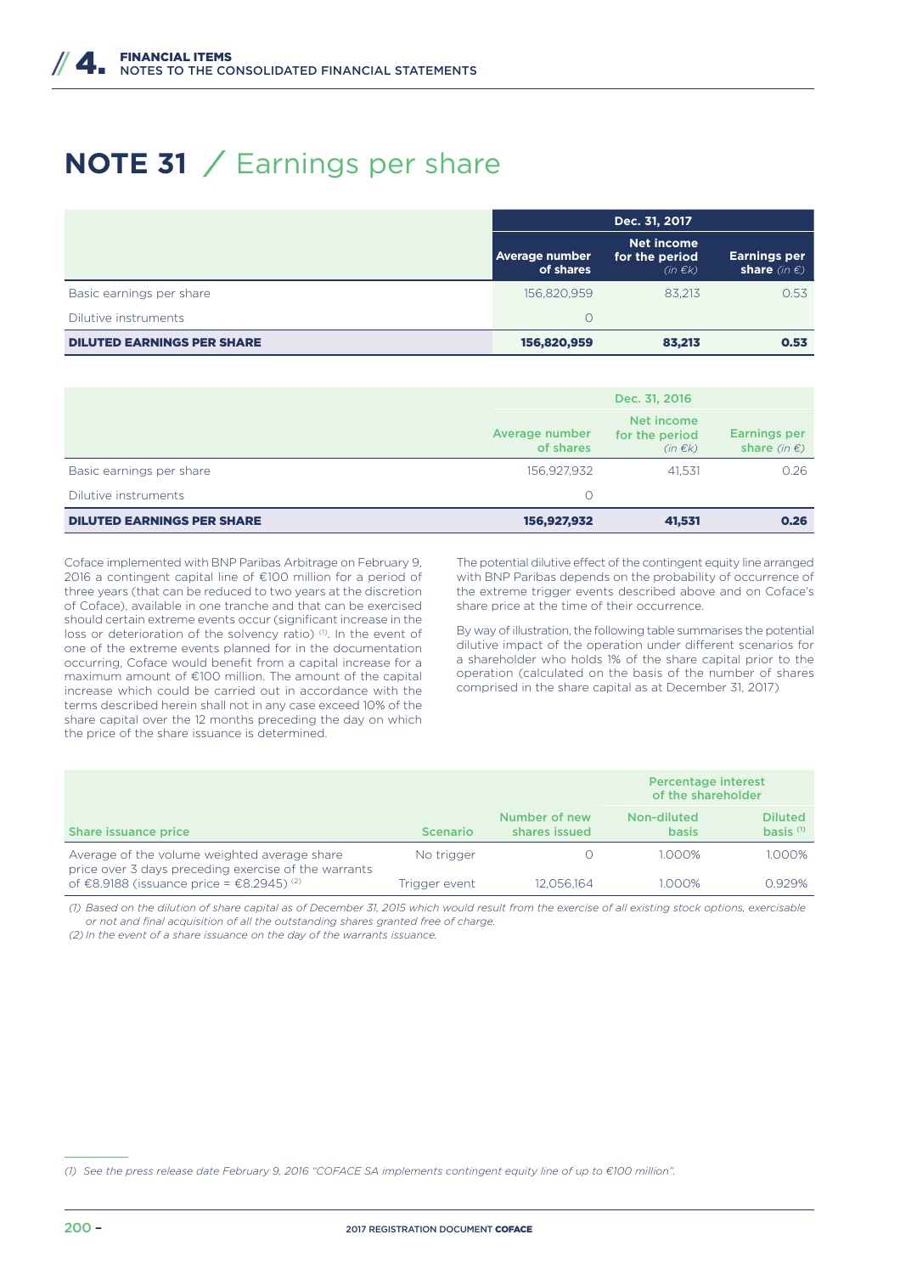#### **NOTE 31** */* Earnings per share

|                                   | Dec. 31, 2017               |                                                     |                                               |
|-----------------------------------|-----------------------------|-----------------------------------------------------|-----------------------------------------------|
|                                   | Average number<br>of shares | <b>Net income</b><br>for the period<br>$(in \in k)$ | <b>Earnings per</b><br>share (in $\epsilon$ ) |
| Basic earnings per share          | 156,820,959                 | 83.213                                              | 0.53                                          |
| Dilutive instruments              | $\Omega$                    |                                                     |                                               |
| <b>DILUTED EARNINGS PER SHARE</b> | 156,820,959                 | 83,213                                              | 0.53                                          |

|                                   | Average number<br>of shares | Net income<br>for the period<br>$(in \in k)$ | <b>Earnings per</b><br>share (in $\epsilon$ ) |
|-----------------------------------|-----------------------------|----------------------------------------------|-----------------------------------------------|
| Basic earnings per share          | 156,927,932                 | 41.531                                       | 0.26                                          |
| Dilutive instruments              | $\Omega$                    |                                              |                                               |
| <b>DILUTED EARNINGS PER SHARE</b> | 156,927,932                 | 41,531                                       | 0.26                                          |

Coface implemented with BNP Paribas Arbitrage on February 9, 2016 a contingent capital line of €100 million for a period of three years (that can be reduced to two years at the discretion of Coface), available in one tranche and that can be exercised should certain extreme events occur (significant increase in the loss or deterioration of the solvency ratio)<sup>(1)</sup>. In the event of one of the extreme events planned for in the documentation occurring, Coface would benefit from a capital increase for a maximum amount of €100 million. The amount of the capital increase which could be carried out in accordance with the terms described herein shall not in any case exceed 10% of the share capital over the 12 months preceding the day on which the price of the share issuance is determined.

The potential dilutive effect of the contingent equity line arranged with BNP Paribas depends on the probability of occurrence of the extreme trigger events described above and on Coface's share price at the time of their occurrence.

By way of illustration, the following table summarises the potential dilutive impact of the operation under different scenarios for a shareholder who holds 1% of the share capital prior to the operation (calculated on the basis of the number of shares comprised in the share capital as at December 31, 2017)

|                                                                                                      |                 |                                | <b>Percentage interest</b><br>of the shareholder |                               |
|------------------------------------------------------------------------------------------------------|-----------------|--------------------------------|--------------------------------------------------|-------------------------------|
| Share issuance price                                                                                 | <b>Scenario</b> | Number of new<br>shares issued | Non-diluted<br>basis                             | <b>Diluted</b><br>basis $(1)$ |
| Average of the volume weighted average share<br>price over 3 days preceding exercise of the warrants | No trigger      |                                | 1000%                                            | 1.000%                        |
| of €8.9188 (issuance price = €8.2945) <sup>(2)</sup>                                                 | Trigger event   | 12.056.164                     | 1.000%                                           | 0.929%                        |

*(1) Based on the dilution of share capital as of December 31, 2015 which would result from the exercise of all existing stock options, exercisable or not and final acquisition of all the outstanding shares granted free of charge.*

*(2) In the event of a share issuance on the day of the warrants issuance.*

*<sup>(1)</sup> See the press release date February 9, 2016 "COFACE SA implements contingent equity line of up to €100 million".*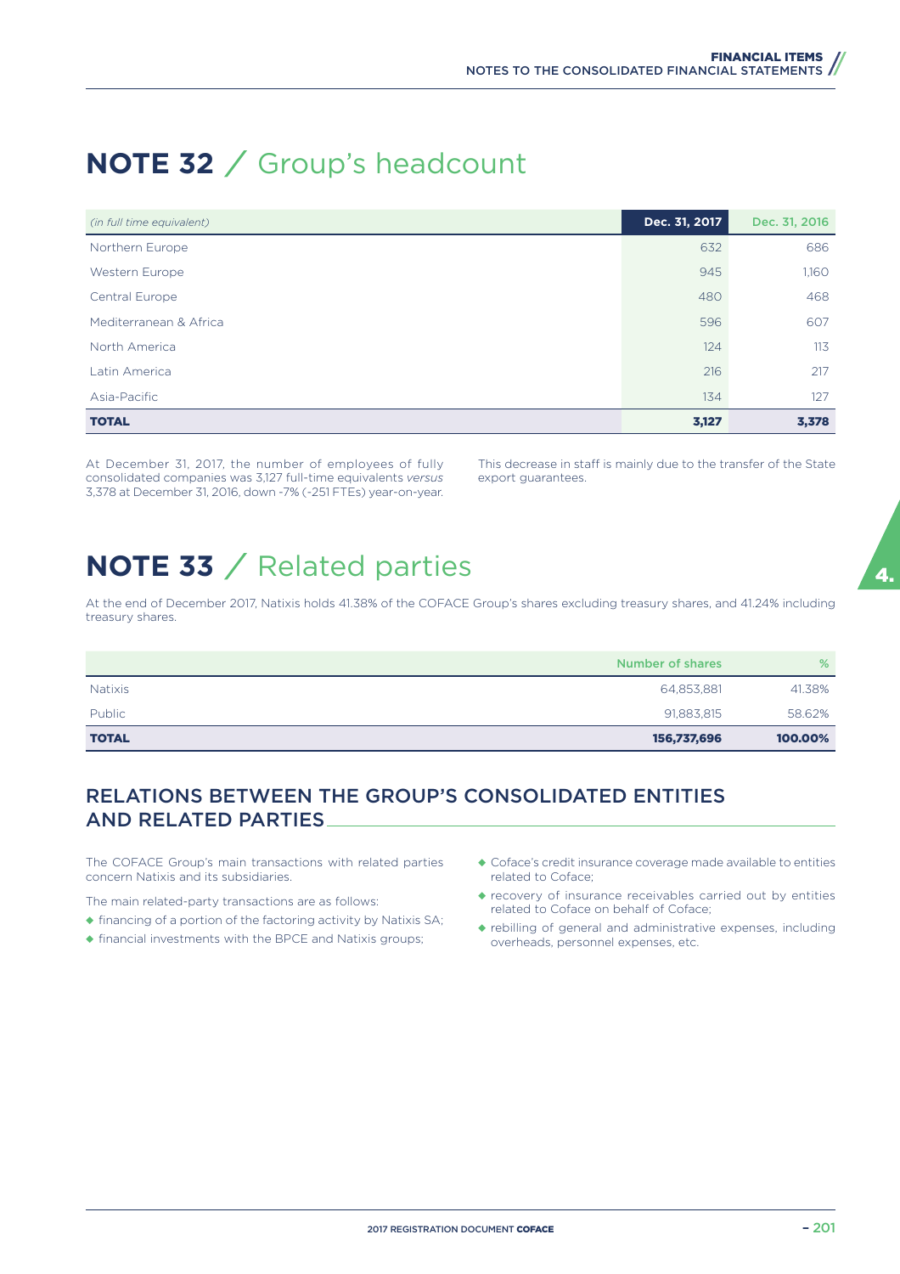#### **NOTE 32** */* Group's headcount

| (in full time equivalent) | Dec. 31, 2017 | Dec. 31, 2016 |
|---------------------------|---------------|---------------|
| Northern Europe           | 632           | 686           |
| <b>Western Europe</b>     | 945           | 1,160         |
| Central Europe            | 480           | 468           |
| Mediterranean & Africa    | 596           | 607           |
| North America             | 124           | 113           |
| Latin America             | 216           | 217           |
| Asia-Pacific              | 134           | 127           |
| <b>TOTAL</b>              | 3,127         | 3,378         |

At December 31, 2017, the number of employees of fully consolidated companies was 3,127 full-time equivalents *versus* 3,378 at December 31, 2016, down -7% (-251 FTEs) year-on-year. This decrease in staff is mainly due to the transfer of the State export guarantees.

## **NOTE 33** */* Related parties

At the end of December 2017, Natixis holds 41.38% of the COFACE Group's shares excluding treasury shares, and 41.24% including treasury shares.

|                | Number of shares | %       |
|----------------|------------------|---------|
| <b>Natixis</b> | 64,853,881       | 41.38%  |
| Public         | 91,883,815       | 58.62%  |
| <b>TOTAL</b>   | 156,737,696      | 100.00% |

#### RELATIONS BETWEEN THE GROUP'S CONSOLIDATED ENTITIES AND RELATED PARTIES

The COFACE Group's main transactions with related parties concern Natixis and its subsidiaries.

The main related-party transactions are as follows:

- $\triangle$  financing of a portion of the factoring activity by Natixis SA;
- ◆ financial investments with the BPCE and Natixis groups;
- ◆ Coface's credit insurance coverage made available to entities related to Coface;
- ◆ recovery of insurance receivables carried out by entities related to Coface on behalf of Coface;
- ◆ rebilling of general and administrative expenses, including overheads, personnel expenses, etc.

4.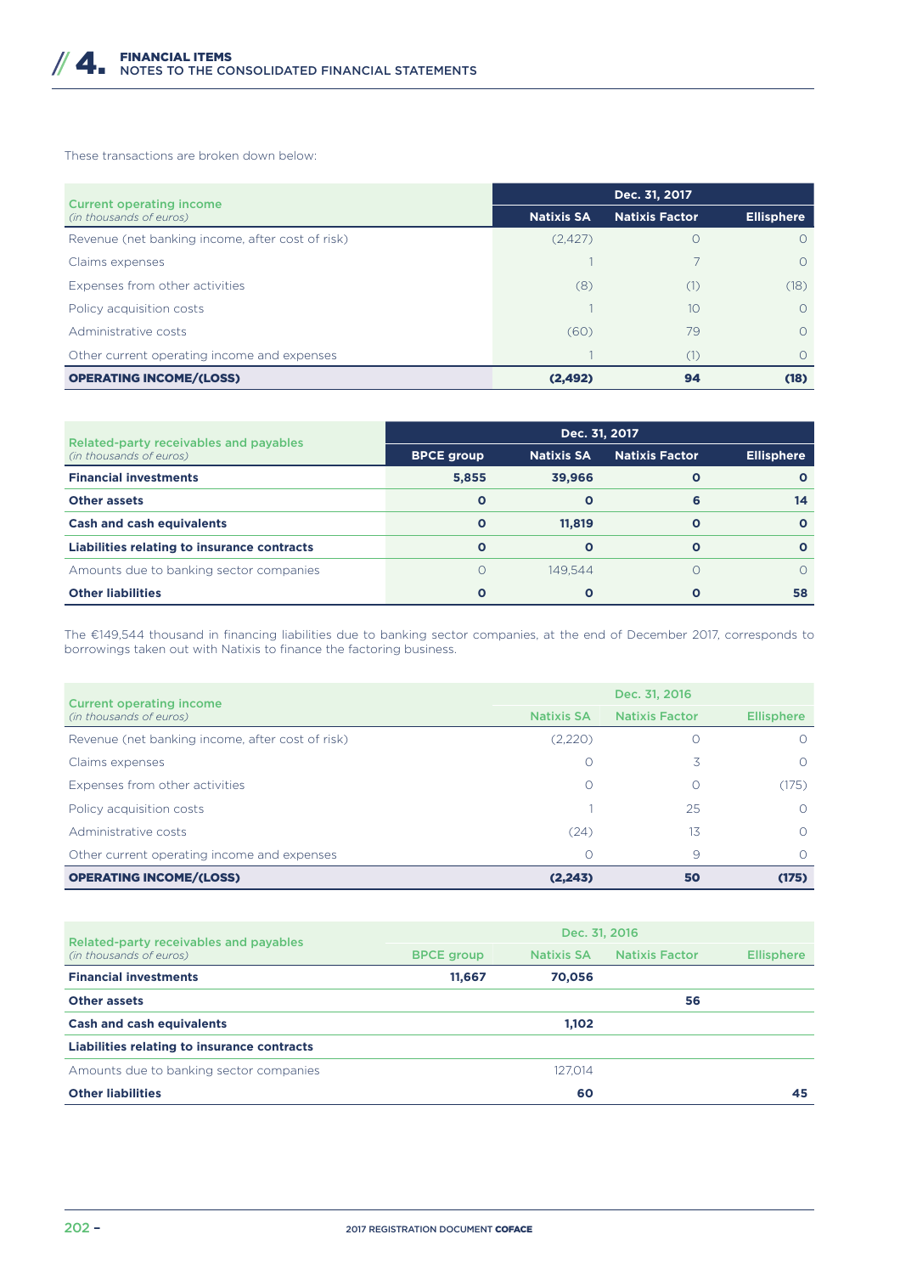These transactions are broken down below:

| <b>Current operating income</b>                  |                   | Dec. 31, 2017         |                   |
|--------------------------------------------------|-------------------|-----------------------|-------------------|
| (in thousands of euros)                          | <b>Natixis SA</b> | <b>Natixis Factor</b> | <b>Ellisphere</b> |
| Revenue (net banking income, after cost of risk) | (2, 427)          |                       | $\bigcirc$        |
| Claims expenses                                  |                   |                       | $\Omega$          |
| Expenses from other activities                   | (8)               | (1)                   | (18)              |
| Policy acquisition costs                         |                   | 10                    | $\bigcirc$        |
| Administrative costs                             | (60)              | 79                    | $\bigcirc$        |
| Other current operating income and expenses      |                   | (1)                   | ∩                 |
| <b>OPERATING INCOME/(LOSS)</b>                   | (2, 492)          | 94                    | (18)              |

| Related-party receivables and payables      | Dec. 31, 2017     |                   |                       |                   |  |
|---------------------------------------------|-------------------|-------------------|-----------------------|-------------------|--|
| (in thousands of euros)                     | <b>BPCE group</b> | <b>Natixis SA</b> | <b>Natixis Factor</b> | <b>Ellisphere</b> |  |
| <b>Financial investments</b>                | 5,855             | 39,966            |                       | O                 |  |
| <b>Other assets</b>                         | O                 | O                 | 6                     | 14                |  |
| <b>Cash and cash equivalents</b>            | O                 | 11,819            | $\Omega$              | O                 |  |
| Liabilities relating to insurance contracts | O                 | O                 | $\Omega$              | O                 |  |
| Amounts due to banking sector companies     | Ω                 | 149.544           |                       | $\bigcirc$        |  |
| <b>Other liabilities</b>                    | $\Omega$          | O                 | O                     | 58                |  |

The €149,544 thousand in financing liabilities due to banking sector companies, at the end of December 2017, corresponds to borrowings taken out with Natixis to finance the factoring business.

| <b>Current operating income</b>                  |                   | Dec. 31, 2016         |                   |
|--------------------------------------------------|-------------------|-----------------------|-------------------|
| (in thousands of euros)                          | <b>Natixis SA</b> | <b>Natixis Factor</b> | <b>Ellisphere</b> |
| Revenue (net banking income, after cost of risk) | (2,220)           |                       |                   |
| Claims expenses                                  | $\Omega$          |                       |                   |
| Expenses from other activities                   | $\circ$           |                       | (175)             |
| Policy acquisition costs                         |                   | 25                    | $\bigcirc$        |
| Administrative costs                             | (24)              | 13                    | $\bigcap$         |
| Other current operating income and expenses      | $\Omega$          | 9                     | Ω                 |
| <b>OPERATING INCOME/(LOSS)</b>                   | (2, 243)          | 50                    | (175)             |

| Related-party receivables and payables      | Dec. 31, 2016     |                   |                       |                   |  |  |
|---------------------------------------------|-------------------|-------------------|-----------------------|-------------------|--|--|
| (in thousands of euros)                     | <b>BPCE</b> group | <b>Natixis SA</b> | <b>Natixis Factor</b> | <b>Ellisphere</b> |  |  |
| <b>Financial investments</b>                | 11,667            | 70,056            |                       |                   |  |  |
| <b>Other assets</b>                         |                   |                   | 56                    |                   |  |  |
| <b>Cash and cash equivalents</b>            |                   | 1,102             |                       |                   |  |  |
| Liabilities relating to insurance contracts |                   |                   |                       |                   |  |  |
| Amounts due to banking sector companies     |                   | 127.014           |                       |                   |  |  |
| <b>Other liabilities</b>                    |                   | 60                |                       | 45                |  |  |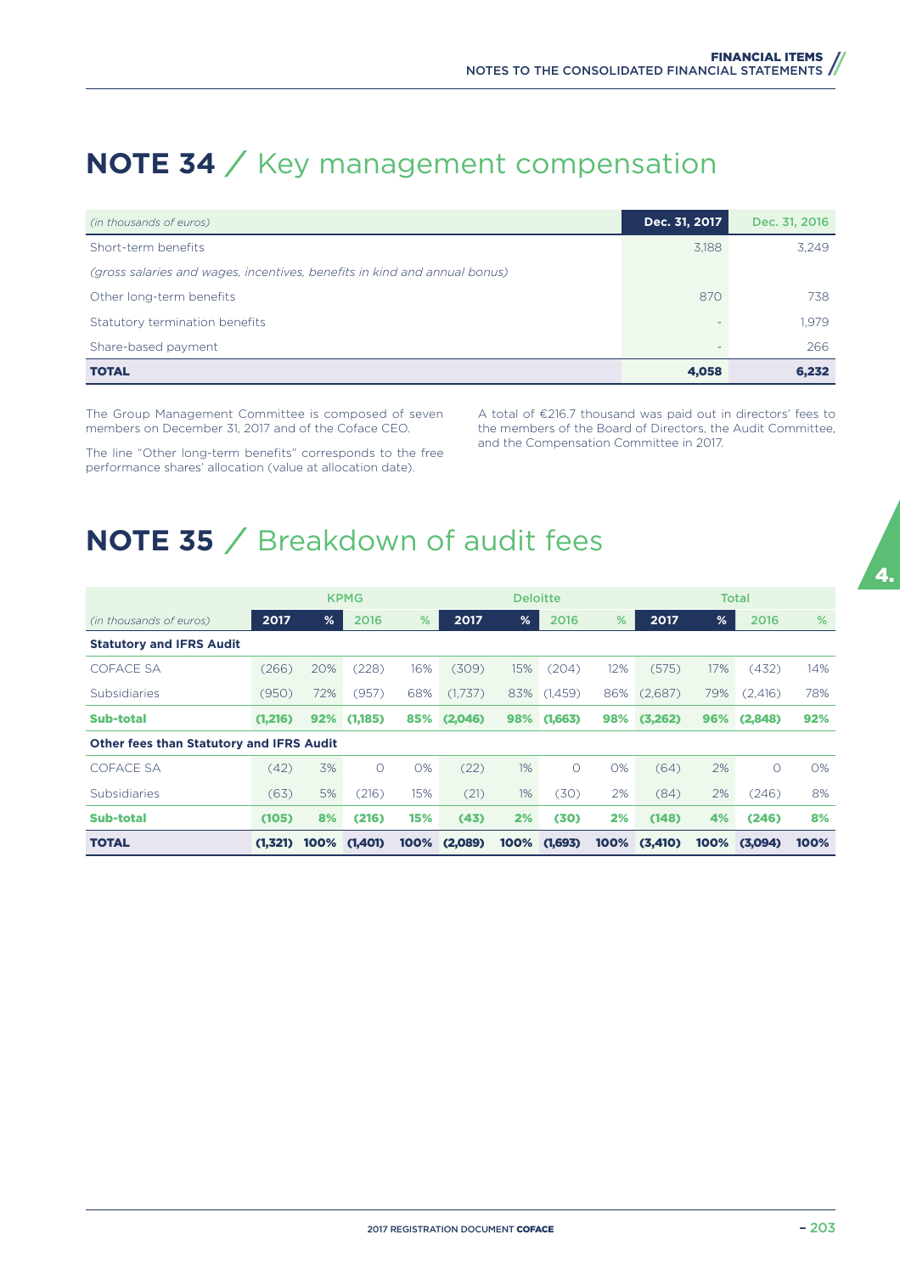## **NOTE 34** */* Key management compensation

| (in thousands of euros)                                                   | Dec. 31, 2017 | Dec. 31, 2016 |
|---------------------------------------------------------------------------|---------------|---------------|
| Short-term benefits                                                       | 3.188         | 3.249         |
| (gross salaries and wages, incentives, benefits in kind and annual bonus) |               |               |
| Other long-term benefits                                                  | 870           | 738           |
| Statutory termination benefits                                            |               | 1,979         |
| Share-based payment                                                       |               | 266           |
| <b>TOTAL</b>                                                              | 4,058         | 6,232         |

The Group Management Committee is composed of seven members on December 31, 2017 and of the Coface CEO.

The line "Other long-term benefits" corresponds to the free performance shares' allocation (value at allocation date).

A total of €216.7 thousand was paid out in directors' fees to the members of the Board of Directors, the Audit Committee, and the Compensation Committee in 2017.

## **NOTE 35** */* Breakdown of audit fees

|                                                 | <b>KPMG</b> |      |          | <b>Deloitte</b> |         |       | <b>Total</b> |      |          |      |         |      |
|-------------------------------------------------|-------------|------|----------|-----------------|---------|-------|--------------|------|----------|------|---------|------|
| (in thousands of euros)                         | 2017        | %    | 2016     | %               | 2017    | %     | 2016         | %    | 2017     | %    | 2016    | %    |
| <b>Statutory and IFRS Audit</b>                 |             |      |          |                 |         |       |              |      |          |      |         |      |
| COFACE SA                                       | (266)       | 20%  | (228)    | 16%             | (309)   | 15%   | (204)        | 12%  | (575)    | 17%  | (432)   | 14%  |
| <b>Subsidiaries</b>                             | (950)       | 72%  | (957)    | 68%             | (1,737) |       | 83% (1,459)  | 86%  | (2,687)  | 79%  | (2,416) | 78%  |
| <b>Sub-total</b>                                | (1,216)     | 92%  | (1,185)  | 85%             | (2,046) | 98%   | (1,663)      | 98%  | (3,262)  | 96%  | (2,848) | 92%  |
| <b>Other fees than Statutory and IFRS Audit</b> |             |      |          |                 |         |       |              |      |          |      |         |      |
| <b>COFACE SA</b>                                | (42)        | 3%   | $\Omega$ | 0%              | (22)    | $1\%$ | $\circ$      | 0%   | (64)     | 2%   | $\circ$ | O%   |
| Subsidiaries                                    | (63)        | 5%   | (216)    | 15%             | (21)    | 1%    | (30)         | 2%   | (84)     | 2%   | (246)   | 8%   |
| <b>Sub-total</b>                                | (105)       | 8%   | (216)    | 15%             | (43)    | 2%    | (30)         | 2%   | (148)    | 4%   | (246)   | 8%   |
| <b>TOTAL</b>                                    | (1.321)     | 100% | (1.401)  | 100%            | (2,089) | 100%  | (1,693)      | 100% | (3, 410) | 100% | (3,094) | 100% |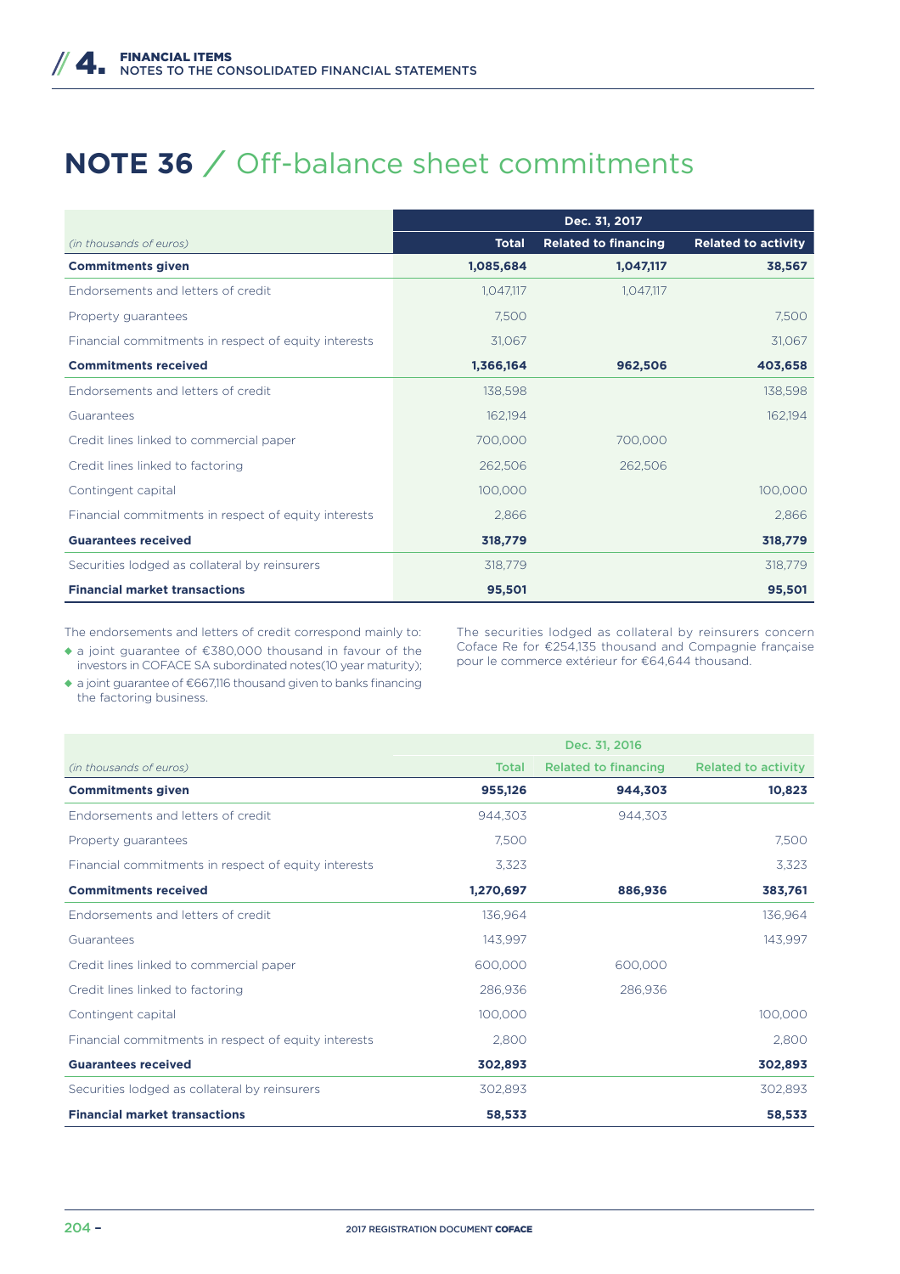## **NOTE 36 / Off-balance sheet commitments**

|                                                      | Dec. 31, 2017 |                             |                            |  |
|------------------------------------------------------|---------------|-----------------------------|----------------------------|--|
| (in thousands of euros)                              | <b>Total</b>  | <b>Related to financing</b> | <b>Related to activity</b> |  |
| <b>Commitments given</b>                             | 1,085,684     | 1,047,117                   | 38,567                     |  |
| Endorsements and letters of credit                   | 1.047.117     | 1,047,117                   |                            |  |
| Property guarantees                                  | 7,500         |                             | 7,500                      |  |
| Financial commitments in respect of equity interests | 31,067        |                             | 31,067                     |  |
| <b>Commitments received</b>                          | 1,366,164     | 962,506                     | 403,658                    |  |
| Endorsements and letters of credit                   | 138,598       |                             | 138,598                    |  |
| Guarantees                                           | 162,194       |                             | 162,194                    |  |
| Credit lines linked to commercial paper              | 700,000       | 700,000                     |                            |  |
| Credit lines linked to factoring                     | 262,506       | 262,506                     |                            |  |
| Contingent capital                                   | 100,000       |                             | 100,000                    |  |
| Financial commitments in respect of equity interests | 2,866         |                             | 2,866                      |  |
| <b>Guarantees received</b>                           | 318,779       |                             | 318,779                    |  |
| Securities lodged as collateral by reinsurers        | 318,779       |                             | 318,779                    |  |
| <b>Financial market transactions</b>                 | 95,501        |                             | 95,501                     |  |

The endorsements and letters of credit correspond mainly to:

◆ a joint guarantee of €380,000 thousand in favour of the investors in COFACE SA subordinated notes(10 year maturity); The securities lodged as collateral by reinsurers concern Coface Re for €254,135 thousand and Compagnie française pour le commerce extérieur for €64,644 thousand.

◆ a joint guarantee of €667,116 thousand given to banks financing the factoring business.

|                                                      | Dec. 31, 2016 |                             |                            |
|------------------------------------------------------|---------------|-----------------------------|----------------------------|
| (in thousands of euros)                              | <b>Total</b>  | <b>Related to financing</b> | <b>Related to activity</b> |
| <b>Commitments given</b>                             | 955,126       | 944,303                     | 10,823                     |
| Endorsements and letters of credit                   | 944,303       | 944.303                     |                            |
| Property guarantees                                  | 7,500         |                             | 7,500                      |
| Financial commitments in respect of equity interests | 3,323         |                             | 3,323                      |
| <b>Commitments received</b>                          | 1,270,697     | 886,936                     | 383,761                    |
| Endorsements and letters of credit                   | 136,964       |                             | 136,964                    |
| Guarantees                                           | 143,997       |                             | 143,997                    |
| Credit lines linked to commercial paper              | 600,000       | 600,000                     |                            |
| Credit lines linked to factoring                     | 286,936       | 286,936                     |                            |
| Contingent capital                                   | 100,000       |                             | 100,000                    |
| Financial commitments in respect of equity interests | 2,800         |                             | 2,800                      |
| <b>Guarantees received</b>                           | 302,893       |                             | 302,893                    |
| Securities lodged as collateral by reinsurers        | 302,893       |                             | 302,893                    |
| <b>Financial market transactions</b>                 | 58,533        |                             | 58,533                     |